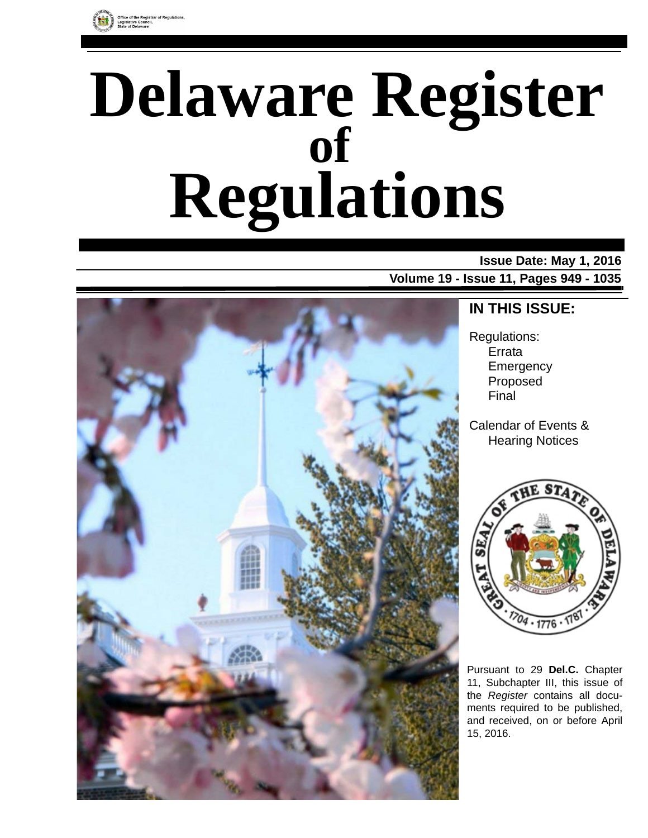

# **Delaware Register Regulations of**

### **Issue Date: May 1, 2016**

**Volume 19 - Issue 11, Pages 949 - 1035**



### **IN THIS ISSUE:**

Regulations: Errata **Emergency** Proposed Final

Calendar of Events & Hearing Notices



Pursuant to 29 **Del.C.** Chapter 11, Subchapter III, this issue of the *Register* contains all documents required to be published, and received, on or before April 15, 2016.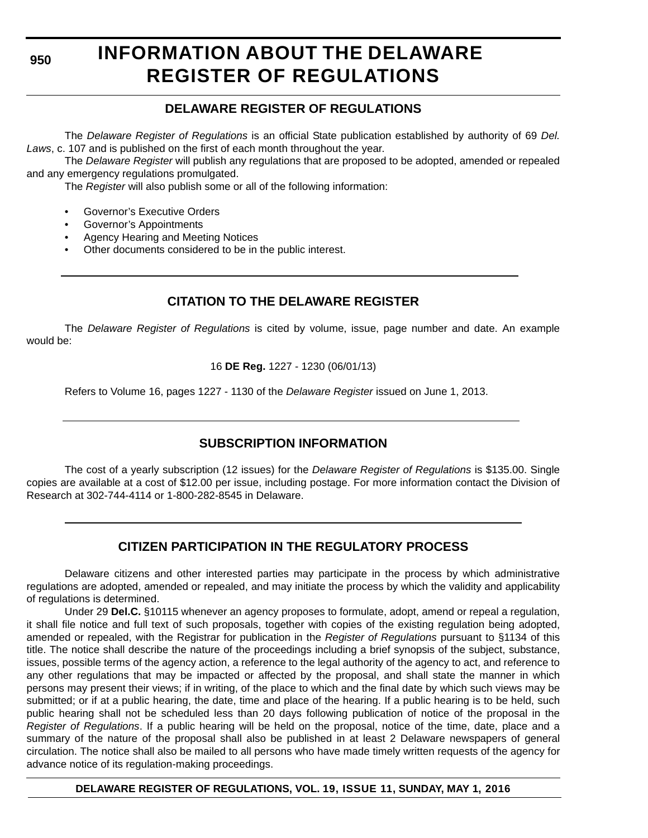**950**

# **INFORMATION ABOUT THE DELAWARE REGISTER OF REGULATIONS**

### **DELAWARE REGISTER OF REGULATIONS**

The *Delaware Register of Regulations* is an official State publication established by authority of 69 *Del. Laws*, c. 107 and is published on the first of each month throughout the year.

The *Delaware Register* will publish any regulations that are proposed to be adopted, amended or repealed and any emergency regulations promulgated.

The *Register* will also publish some or all of the following information:

- Governor's Executive Orders
- Governor's Appointments
- Agency Hearing and Meeting Notices
- Other documents considered to be in the public interest.

### **CITATION TO THE DELAWARE REGISTER**

The *Delaware Register of Regulations* is cited by volume, issue, page number and date. An example would be:

16 **DE Reg.** 1227 - 1230 (06/01/13)

Refers to Volume 16, pages 1227 - 1130 of the *Delaware Register* issued on June 1, 2013.

### **SUBSCRIPTION INFORMATION**

The cost of a yearly subscription (12 issues) for the *Delaware Register of Regulations* is \$135.00. Single copies are available at a cost of \$12.00 per issue, including postage. For more information contact the Division of Research at 302-744-4114 or 1-800-282-8545 in Delaware.

### **CITIZEN PARTICIPATION IN THE REGULATORY PROCESS**

Delaware citizens and other interested parties may participate in the process by which administrative regulations are adopted, amended or repealed, and may initiate the process by which the validity and applicability of regulations is determined.

Under 29 **Del.C.** §10115 whenever an agency proposes to formulate, adopt, amend or repeal a regulation, it shall file notice and full text of such proposals, together with copies of the existing regulation being adopted, amended or repealed, with the Registrar for publication in the *Register of Regulations* pursuant to §1134 of this title. The notice shall describe the nature of the proceedings including a brief synopsis of the subject, substance, issues, possible terms of the agency action, a reference to the legal authority of the agency to act, and reference to any other regulations that may be impacted or affected by the proposal, and shall state the manner in which persons may present their views; if in writing, of the place to which and the final date by which such views may be submitted; or if at a public hearing, the date, time and place of the hearing. If a public hearing is to be held, such public hearing shall not be scheduled less than 20 days following publication of notice of the proposal in the *Register of Regulations*. If a public hearing will be held on the proposal, notice of the time, date, place and a summary of the nature of the proposal shall also be published in at least 2 Delaware newspapers of general circulation. The notice shall also be mailed to all persons who have made timely written requests of the agency for advance notice of its regulation-making proceedings.

#### **DELAWARE REGISTER OF REGULATIONS, VOL. 19, ISSUE 11, SUNDAY, MAY 1, 2016**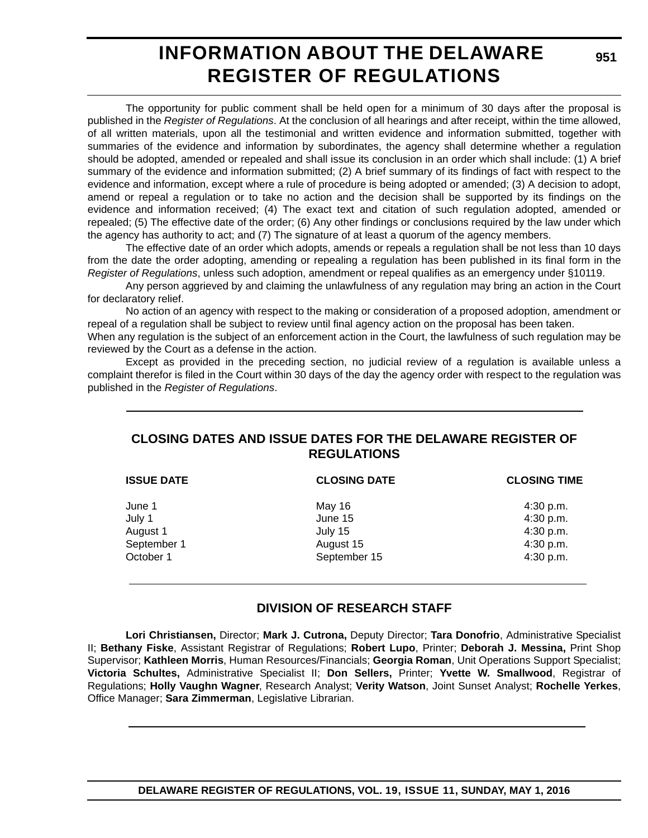## **INFORMATION ABOUT THE DELAWARE REGISTER OF REGULATIONS**

The opportunity for public comment shall be held open for a minimum of 30 days after the proposal is published in the *Register of Regulations*. At the conclusion of all hearings and after receipt, within the time allowed, of all written materials, upon all the testimonial and written evidence and information submitted, together with summaries of the evidence and information by subordinates, the agency shall determine whether a regulation should be adopted, amended or repealed and shall issue its conclusion in an order which shall include: (1) A brief summary of the evidence and information submitted; (2) A brief summary of its findings of fact with respect to the evidence and information, except where a rule of procedure is being adopted or amended; (3) A decision to adopt, amend or repeal a regulation or to take no action and the decision shall be supported by its findings on the evidence and information received; (4) The exact text and citation of such regulation adopted, amended or repealed; (5) The effective date of the order; (6) Any other findings or conclusions required by the law under which the agency has authority to act; and (7) The signature of at least a quorum of the agency members.

The effective date of an order which adopts, amends or repeals a regulation shall be not less than 10 days from the date the order adopting, amending or repealing a regulation has been published in its final form in the *Register of Regulations*, unless such adoption, amendment or repeal qualifies as an emergency under §10119.

Any person aggrieved by and claiming the unlawfulness of any regulation may bring an action in the Court for declaratory relief.

No action of an agency with respect to the making or consideration of a proposed adoption, amendment or repeal of a regulation shall be subject to review until final agency action on the proposal has been taken.

When any regulation is the subject of an enforcement action in the Court, the lawfulness of such regulation may be reviewed by the Court as a defense in the action.

Except as provided in the preceding section, no judicial review of a regulation is available unless a complaint therefor is filed in the Court within 30 days of the day the agency order with respect to the regulation was published in the *Register of Regulations*.

#### **CLOSING DATES AND ISSUE DATES FOR THE DELAWARE REGISTER OF REGULATIONS**

| <b>ISSUE DATE</b> | <b>CLOSING DATE</b> | <b>CLOSING TIME</b> |
|-------------------|---------------------|---------------------|
| June 1            | May 16              | 4:30 p.m.           |
| July 1            | June 15             | 4:30 p.m.           |
| August 1          | July 15             | 4:30 p.m.           |
| September 1       | August 15           | 4:30 p.m.           |
| October 1         | September 15        | 4:30 p.m.           |

### **DIVISION OF RESEARCH STAFF**

**Lori Christiansen,** Director; **Mark J. Cutrona,** Deputy Director; **Tara Donofrio**, Administrative Specialist II; **Bethany Fiske**, Assistant Registrar of Regulations; **Robert Lupo**, Printer; **Deborah J. Messina,** Print Shop Supervisor; **Kathleen Morris**, Human Resources/Financials; **Georgia Roman**, Unit Operations Support Specialist; **Victoria Schultes,** Administrative Specialist II; **Don Sellers,** Printer; **Yvette W. Smallwood**, Registrar of Regulations; **Holly Vaughn Wagner**, Research Analyst; **Verity Watson**, Joint Sunset Analyst; **Rochelle Yerkes**, Office Manager; **Sara Zimmerman**, Legislative Librarian.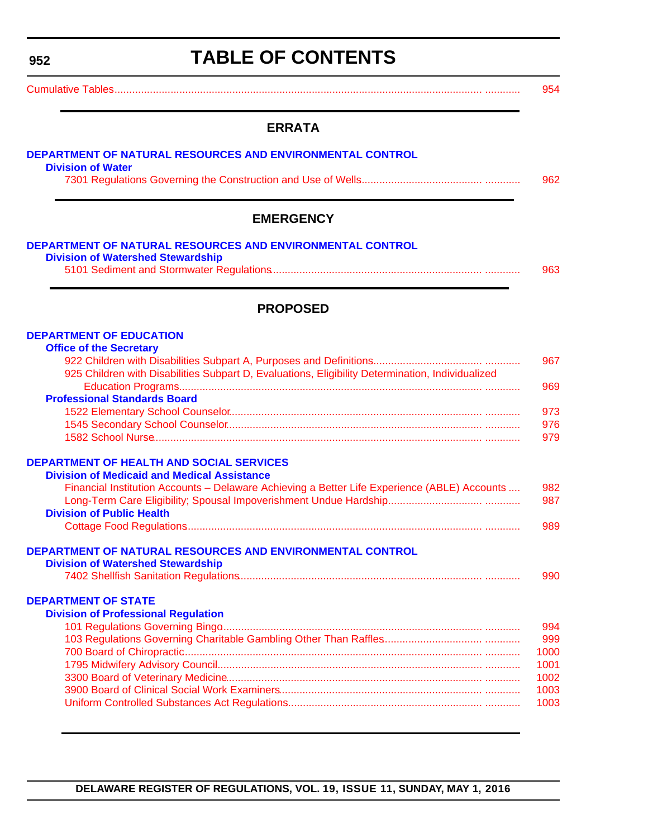<span id="page-3-0"></span>**952**

# **TABLE OF CONTENTS**

### **ERRATA**

| DEPARTMENT OF NATURAL RESOURCES AND ENVIRONMENTAL CONTROL<br><b>Division of Watershed Stewardship</b> |  |
|-------------------------------------------------------------------------------------------------------|--|
|                                                                                                       |  |
|                                                                                                       |  |
|                                                                                                       |  |
| <b>PROPOSED</b>                                                                                       |  |
| <b>DEPARTMENT OF EDUCATION</b>                                                                        |  |
| <b>Office of the Secretary</b>                                                                        |  |
|                                                                                                       |  |
| 925 Children with Disabilities Subpart D, Evaluations, Eligibility Determination, Individualized      |  |
|                                                                                                       |  |
| <b>Professional Standards Board</b>                                                                   |  |
|                                                                                                       |  |
|                                                                                                       |  |
|                                                                                                       |  |
| <b>DEPARTMENT OF HEALTH AND SOCIAL SERVICES</b>                                                       |  |
| <b>Division of Medicaid and Medical Assistance</b>                                                    |  |
| Financial Institution Accounts - Delaware Achieving a Better Life Experience (ABLE) Accounts          |  |
|                                                                                                       |  |
| <b>Division of Public Health</b>                                                                      |  |
|                                                                                                       |  |
| DEPARTMENT OF NATURAL RESOURCES AND ENVIRONMENTAL CONTROL                                             |  |
| <b>Division of Watershed Stewardship</b>                                                              |  |
|                                                                                                       |  |
|                                                                                                       |  |
| <b>DEPARTMENT OF STATE</b>                                                                            |  |
| <b>Division of Professional Regulation</b>                                                            |  |
|                                                                                                       |  |
|                                                                                                       |  |
|                                                                                                       |  |
|                                                                                                       |  |
|                                                                                                       |  |
|                                                                                                       |  |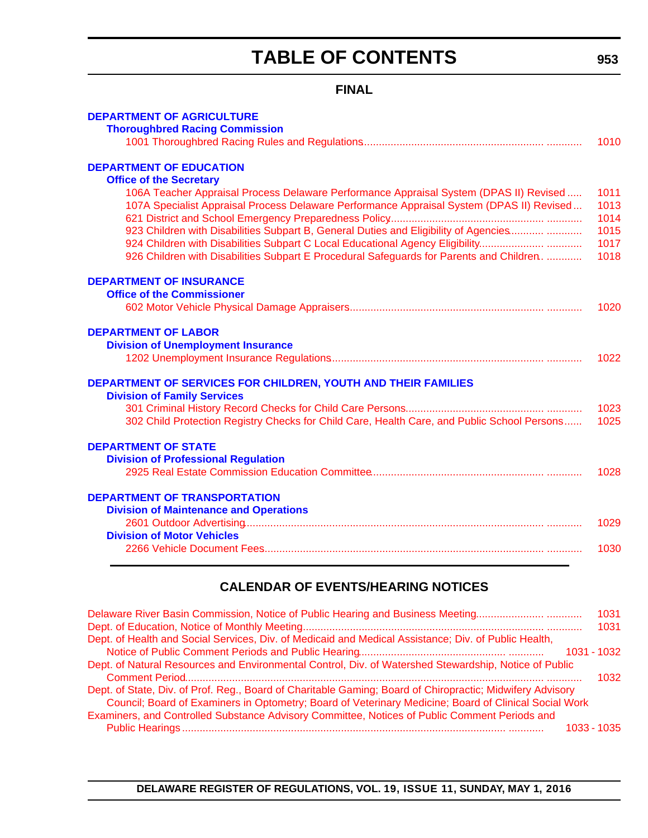# **TABLE OF CONTENTS**

### **FINAL**

| <b>DEPARTMENT OF AGRICULTURE</b>                                                                                                                                                                                                                                                                                                                                                                                                                                                           |                                              |
|--------------------------------------------------------------------------------------------------------------------------------------------------------------------------------------------------------------------------------------------------------------------------------------------------------------------------------------------------------------------------------------------------------------------------------------------------------------------------------------------|----------------------------------------------|
| <b>Thoroughbred Racing Commission</b>                                                                                                                                                                                                                                                                                                                                                                                                                                                      | 1010                                         |
| <b>DEPARTMENT OF EDUCATION</b>                                                                                                                                                                                                                                                                                                                                                                                                                                                             |                                              |
| <b>Office of the Secretary</b><br>106A Teacher Appraisal Process Delaware Performance Appraisal System (DPAS II) Revised<br>107A Specialist Appraisal Process Delaware Performance Appraisal System (DPAS II) Revised<br>923 Children with Disabilities Subpart B, General Duties and Eligibility of Agencies<br>924 Children with Disabilities Subpart C Local Educational Agency Eligibility<br>926 Children with Disabilities Subpart E Procedural Safeguards for Parents and Children. | 1011<br>1013<br>1014<br>1015<br>1017<br>1018 |
| <b>DEPARTMENT OF INSURANCE</b><br><b>Office of the Commissioner</b>                                                                                                                                                                                                                                                                                                                                                                                                                        |                                              |
|                                                                                                                                                                                                                                                                                                                                                                                                                                                                                            | 1020                                         |
| <b>DEPARTMENT OF LABOR</b><br><b>Division of Unemployment Insurance</b>                                                                                                                                                                                                                                                                                                                                                                                                                    | 1022                                         |
| <b>DEPARTMENT OF SERVICES FOR CHILDREN, YOUTH AND THEIR FAMILIES</b><br><b>Division of Family Services</b>                                                                                                                                                                                                                                                                                                                                                                                 |                                              |
| 302 Child Protection Registry Checks for Child Care, Health Care, and Public School Persons                                                                                                                                                                                                                                                                                                                                                                                                | 1023<br>1025                                 |
| <b>DEPARTMENT OF STATE</b><br><b>Division of Professional Regulation</b>                                                                                                                                                                                                                                                                                                                                                                                                                   | 1028                                         |
| <b>DEPARTMENT OF TRANSPORTATION</b>                                                                                                                                                                                                                                                                                                                                                                                                                                                        |                                              |
| <b>Division of Maintenance and Operations</b>                                                                                                                                                                                                                                                                                                                                                                                                                                              | 1029                                         |
| <b>Division of Motor Vehicles</b>                                                                                                                                                                                                                                                                                                                                                                                                                                                          | 1030                                         |
|                                                                                                                                                                                                                                                                                                                                                                                                                                                                                            |                                              |

### **CALENDAR OF EVENTS/HEARING NOTICES**

| Delaware River Basin Commission, Notice of Public Hearing and Business Meeting                            | 1031          |
|-----------------------------------------------------------------------------------------------------------|---------------|
|                                                                                                           | 1031          |
| Dept. of Health and Social Services, Div. of Medicaid and Medical Assistance; Div. of Public Health,      |               |
|                                                                                                           | 1031 - 1032   |
| Dept. of Natural Resources and Environmental Control, Div. of Watershed Stewardship, Notice of Public     |               |
|                                                                                                           | 1032          |
| Dept. of State, Div. of Prof. Reg., Board of Charitable Gaming; Board of Chiropractic; Midwifery Advisory |               |
| Council; Board of Examiners in Optometry; Board of Veterinary Medicine; Board of Clinical Social Work     |               |
| Examiners, and Controlled Substance Advisory Committee, Notices of Public Comment Periods and             |               |
|                                                                                                           | $1033 - 1035$ |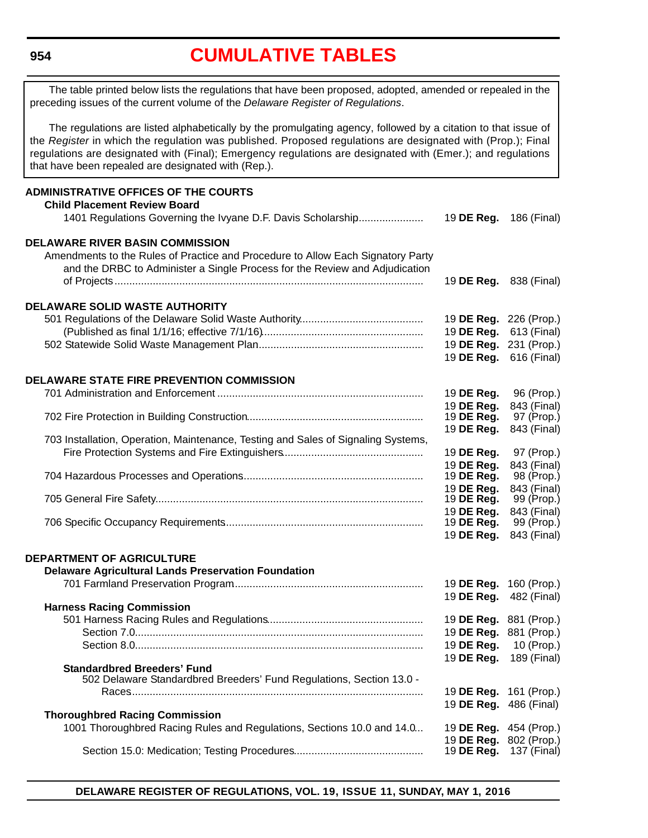#### <span id="page-5-0"></span>**954**

### **CUMULATIVE TABLES**

The table printed below lists the regulations that have been proposed, adopted, amended or repealed in the preceding issues of the current volume of the *Delaware Register of Regulations*.

The regulations are listed alphabetically by the promulgating agency, followed by a citation to that issue of the *Register* in which the regulation was published. Proposed regulations are designated with (Prop.); Final regulations are designated with (Final); Emergency regulations are designated with (Emer.); and regulations that have been repealed are designated with (Rep.).

#### **ADMINISTRATIVE OFFICES OF THE COURTS Child Placement Review Board** 1401 Regulations Governing the Ivyane D.F. Davis Scholarship....................... 19 **DE Reg.** 186 (Final) **DELAWARE RIVER BASIN COMMISSION** Amendments to the Rules of Practice and Procedure to Allow Each Signatory Party and the DRBC to Administer a Single Process for the Review and Adjudication of Projects......................................................................................................... 19 **DE Reg.** 838 (Final) **DELAWARE SOLID WASTE AUTHORITY** 501 Regulations of the Delaware Solid Waste Authority.......................................... 19 **DE Reg.** 226 (Prop.) (Published as final 1/1/16; effective 7/1/16)....................................................... 19 **DE Reg.** 613 (Final) 502 Statewide Solid Waste Management Plan......................................................... 19 **DE Reg.** 231 (Prop.) 19 **DE Reg.** 616 (Final) **DELAWARE STATE FIRE PREVENTION COMMISSION** 701 Administration and Enforcement ...................................................................... 19 **DE Reg.** 96 (Prop.) 19 **DE Reg.** 843 (Final) 702 Fire Protection in Building Construction............................................................ 19 **DE Reg.** 97 (Prop.) 19 **DE Reg.** 843 (Final) 703 Installation, Operation, Maintenance, Testing and Sales of Signaling Systems, Fire Protection Systems and Fire Extinguishers................................................ 19 **DE Reg.** 97 (Prop.) 19 **DE Reg.** 843 (Final) 704 Hazardous Processes and Operations.............................................................. 19 **DE Reg.** 98 (Prop.) 19 **DE Reg.** 843 (Final) 705 General Fire Safety........................................................................................... 19 **DE Reg.** 99 (Prop.) 19 **DE Reg.** 843 (Final) 706 Specific Occupancy Requirements.................................................................... 19 **DE Reg.** 99 (Prop.) 19 **DE Reg.** 843 (Final) **DEPARTMENT OF AGRICULTURE Delaware Agricultural Lands Preservation Foundation** 701 Farmland Preservation Program................................................................. 19 **DE Reg.** 160 (Prop.) 19 **DE Reg.** 482 (Final) **Harness Racing Commission** 501 Harness Racing Rules and Regulations..................................................... 19 **DE Reg.** 881 (Prop.) Section 7.0.................................................................................................. 19 **DE Reg.** 881 (Prop.) Section 8.0.................................................................................................. 19 **DE Reg.** 10 (Prop.) 19 **DE Reg.** 189 (Final) **Standardbred Breeders' Fund** 502 Delaware Standardbred Breeders' Fund Regulations, Section 13.0 - Races.................................................................................................... 19 **DE Reg.** 161 (Prop.) 19 **DE Reg.** 486 (Final) **Thoroughbred Racing Commission** 1001 Thoroughbred Racing Rules and Regulations, Sections 10.0 and 14.0... 19 **DE Reg.** 454 (Prop.) 19 **DE Reg.** 802 (Prop.) Section 15.0: Medication; Testing Procedures............................................ 19 **DE Reg.** 137 (Final)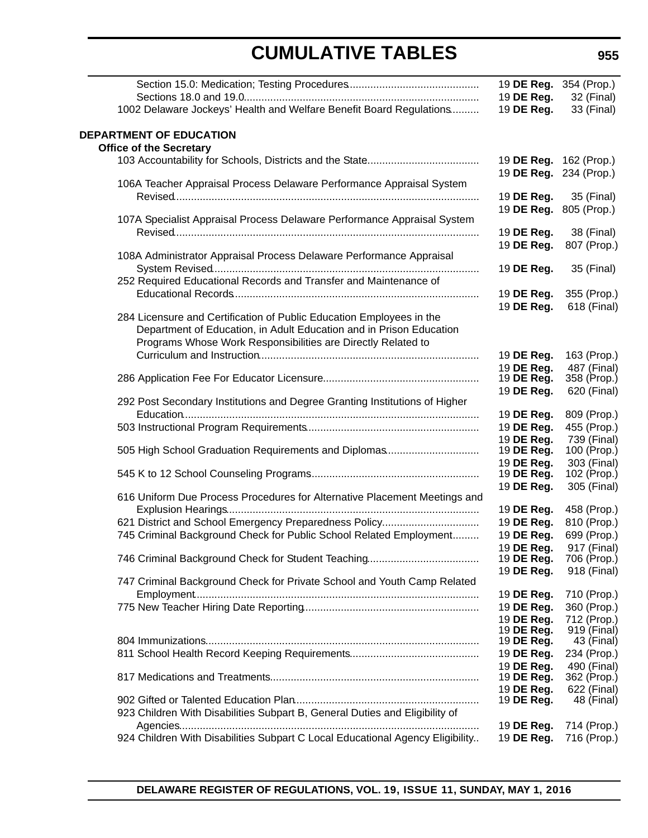|                                                                                                                             | 19 DE Reg.                    | 19 <b>DE Reg.</b> 354 (Prop.) |
|-----------------------------------------------------------------------------------------------------------------------------|-------------------------------|-------------------------------|
| 1002 Delaware Jockeys' Health and Welfare Benefit Board Regulations                                                         | 19 DE Reg.                    | 32 (Final)<br>33 (Final)      |
|                                                                                                                             |                               |                               |
| DEPARTMENT OF EDUCATION                                                                                                     |                               |                               |
| <b>Office of the Secretary</b>                                                                                              |                               |                               |
|                                                                                                                             | 19 <b>DE Reg.</b> 162 (Prop.) |                               |
| 106A Teacher Appraisal Process Delaware Performance Appraisal System                                                        | 19 DE Reg.                    | 234 (Prop.)                   |
|                                                                                                                             | 19 DE Reg.                    | 35 (Final)                    |
|                                                                                                                             | 19 DE Reg.                    | 805 (Prop.)                   |
| 107A Specialist Appraisal Process Delaware Performance Appraisal System                                                     |                               |                               |
|                                                                                                                             | 19 DE Reg.                    | 38 (Final)                    |
|                                                                                                                             | 19 DE Reg.                    | 807 (Prop.)                   |
| 108A Administrator Appraisal Process Delaware Performance Appraisal                                                         |                               |                               |
|                                                                                                                             | 19 DE Reg.                    | 35 (Final)                    |
| 252 Required Educational Records and Transfer and Maintenance of                                                            |                               |                               |
|                                                                                                                             | 19 DE Reg.                    | 355 (Prop.)                   |
| 284 Licensure and Certification of Public Education Employees in the                                                        | 19 DE Reg.                    | 618 (Final)                   |
| Department of Education, in Adult Education and in Prison Education                                                         |                               |                               |
| Programs Whose Work Responsibilities are Directly Related to                                                                |                               |                               |
|                                                                                                                             | 19 DE Reg.                    | 163 (Prop.)                   |
|                                                                                                                             | 19 DE Reg.                    | 487 (Final)                   |
|                                                                                                                             | 19 DE Reg.                    | 358 (Prop.)                   |
|                                                                                                                             | 19 DE Reg.                    | 620 (Final)                   |
| 292 Post Secondary Institutions and Degree Granting Institutions of Higher                                                  |                               |                               |
|                                                                                                                             | 19 DE Reg.                    | 809 (Prop.)                   |
|                                                                                                                             | 19 DE Reg.<br>19 DE Reg.      | 455 (Prop.)<br>739 (Final)    |
| 505 High School Graduation Requirements and Diplomas                                                                        | 19 DE Reg.                    | 100 (Prop.)                   |
|                                                                                                                             | 19 DE Reg.                    | 303 (Final)                   |
|                                                                                                                             | 19 DE Reg.                    | 102 (Prop.)                   |
|                                                                                                                             | 19 DE Reg.                    | 305 (Final)                   |
| 616 Uniform Due Process Procedures for Alternative Placement Meetings and                                                   |                               |                               |
|                                                                                                                             | 19 DE Reg.                    | 458 (Prop.)                   |
| 621 District and School Emergency Preparedness Policy<br>745 Criminal Background Check for Public School Related Employment | 19 DE Reg.<br>19 DE Reg.      | 810 (Prop.)<br>699 (Prop.)    |
|                                                                                                                             | 19 DE Reg.                    | 917 (Final)                   |
|                                                                                                                             | 19 DE Reg.                    | 706 (Prop.)                   |
|                                                                                                                             | 19 DE Reg.                    | 918 (Final)                   |
| 747 Criminal Background Check for Private School and Youth Camp Related                                                     |                               |                               |
|                                                                                                                             | 19 DE Reg.                    | 710 (Prop.)                   |
|                                                                                                                             | 19 DE Reg.                    | 360 (Prop.)                   |
|                                                                                                                             | 19 DE Reg.                    | 712 (Prop.)                   |
|                                                                                                                             | 19 DE Reg.<br>19 DE Reg.      | 919 (Final)<br>43 (Final)     |
|                                                                                                                             | 19 DE Reg.                    | 234 (Prop.)                   |
|                                                                                                                             | 19 DE Reg.                    | 490 (Final)                   |
|                                                                                                                             | 19 DE Reg.                    | 362 (Prop.)                   |
|                                                                                                                             | 19 DE Reg.                    | 622 (Final)                   |
|                                                                                                                             | 19 DE Reg.                    | 48 (Final)                    |
| 923 Children With Disabilities Subpart B, General Duties and Eligibility of                                                 |                               |                               |
|                                                                                                                             | 19 DE Reg.                    | 714 (Prop.)                   |
| 924 Children With Disabilities Subpart C Local Educational Agency Eligibility                                               | 19 DE Reg.                    | 716 (Prop.)                   |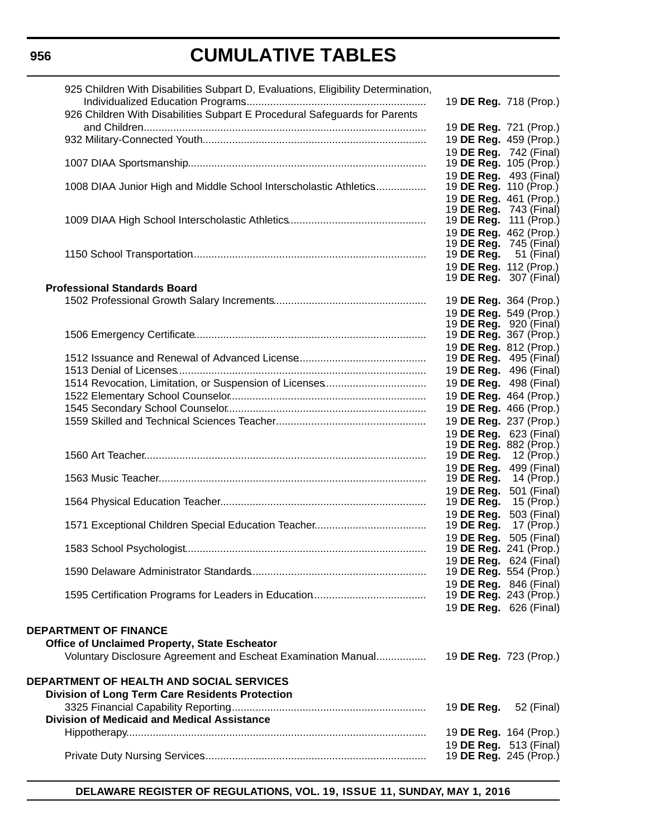### **956**

# **CUMULATIVE TABLES**

| 925 Children With Disabilities Subpart D, Evaluations, Eligibility Determination, |                                                                |                               |
|-----------------------------------------------------------------------------------|----------------------------------------------------------------|-------------------------------|
|                                                                                   |                                                                | 19 DE Reg. 718 (Prop.)        |
| 926 Children With Disabilities Subpart E Procedural Safeguards for Parents        |                                                                |                               |
|                                                                                   |                                                                | 19 DE Reg. 721 (Prop.)        |
|                                                                                   |                                                                | 19 DE Reg. 459 (Prop.)        |
|                                                                                   | 19 DE Reg. 742 (Final)<br>19 <b>DE Reg.</b> 105 (Prop.)        |                               |
|                                                                                   | 19 DE Reg. 493 (Final)                                         |                               |
| 1008 DIAA Junior High and Middle School Interscholastic Athletics                 | 19 <b>DE Reg.</b> 110 (Prop.)                                  |                               |
|                                                                                   | 19 DE Reg. 461 (Prop.)                                         |                               |
|                                                                                   | 19 <b>DE Reg.</b> 743 (Final)<br>19 <b>DE Reg.</b> 111 (Prop.) |                               |
|                                                                                   | 19 DE Reg. 462 (Prop.)                                         |                               |
|                                                                                   | 19 <b>DE Reg.</b> 745 (Final)                                  |                               |
|                                                                                   | 19 <b>DE Reg.</b> 51 (Final)                                   |                               |
|                                                                                   | 19 DE Reg. 112 (Prop.)                                         |                               |
| <b>Professional Standards Board</b>                                               | 19 <b>DE Reg.</b> 307 (Final)                                  |                               |
|                                                                                   | 19 DE Reg. 364 (Prop.)                                         |                               |
|                                                                                   | 19 DE Reg. 549 (Prop.)                                         |                               |
|                                                                                   | 19 <b>DE Reg.</b> 920 (Final)                                  |                               |
|                                                                                   | 19 DE Reg. 367 (Prop.)                                         |                               |
|                                                                                   | 19 DE Reg. 812 (Prop.)                                         |                               |
|                                                                                   | 19 <b>DE Reg.</b> 495 (Final)<br>19 <b>DE Reg.</b> 496 (Final) |                               |
|                                                                                   | 19 <b>DE Reg.</b> 498 (Final)                                  |                               |
|                                                                                   | 19 DE Reg. 464 (Prop.)                                         |                               |
|                                                                                   | 19 DE Reg. 466 (Prop.)                                         |                               |
|                                                                                   | 19 DE Reg. 237 (Prop.)                                         |                               |
|                                                                                   |                                                                | 19 DE Reg. 623 (Final)        |
|                                                                                   | 19 DE Reg. 882 (Prop.)                                         |                               |
|                                                                                   | 19 DE Reg.<br>19 DE Reg.                                       | 12 (Prop.)<br>499 (Final)     |
|                                                                                   | 19 DE Reg.                                                     | 14 (Prop.)                    |
|                                                                                   | 19 DE Reg.                                                     | 501 (Final)                   |
|                                                                                   | 19 DE Reg.                                                     | 15 (Prop.)                    |
|                                                                                   | 19 DE Reg.                                                     | 503 (Final)                   |
|                                                                                   | 19 DE Reg.<br>19 DE Reg. 505 (Final)                           | 17 (Prop.)                    |
|                                                                                   | 19 <b>DE Reg.</b> 241 (Prop.)                                  |                               |
|                                                                                   |                                                                | 19 DE Reg. 624 (Final)        |
|                                                                                   | 19 <b>DE Reg.</b> 554 (Prop.)                                  |                               |
|                                                                                   | 19 DE Reg. 846 (Final)                                         |                               |
|                                                                                   | 19 <b>DE Reg.</b> 243 (Prop.)<br>19 DE Reg. 626 (Final)        |                               |
|                                                                                   |                                                                |                               |
| <b>DEPARTMENT OF FINANCE</b>                                                      |                                                                |                               |
| Office of Unclaimed Property, State Escheator                                     |                                                                |                               |
| Voluntary Disclosure Agreement and Escheat Examination Manual                     | 19 DE Reg. 723 (Prop.)                                         |                               |
|                                                                                   |                                                                |                               |
| <b>DEPARTMENT OF HEALTH AND SOCIAL SERVICES</b>                                   |                                                                |                               |
| <b>Division of Long Term Care Residents Protection</b>                            |                                                                |                               |
| <b>Division of Medicaid and Medical Assistance</b>                                | 19 DE Reg.                                                     | 52 (Final)                    |
|                                                                                   | 19 DE Reg. 164 (Prop.)                                         |                               |
|                                                                                   | 19 <b>DE Reg.</b> 513 (Final)                                  |                               |
|                                                                                   |                                                                | 19 <b>DE Reg.</b> 245 (Prop.) |
|                                                                                   |                                                                |                               |

**DELAWARE REGISTER OF REGULATIONS, VOL. 19, ISSUE 11, SUNDAY, MAY 1, 2016**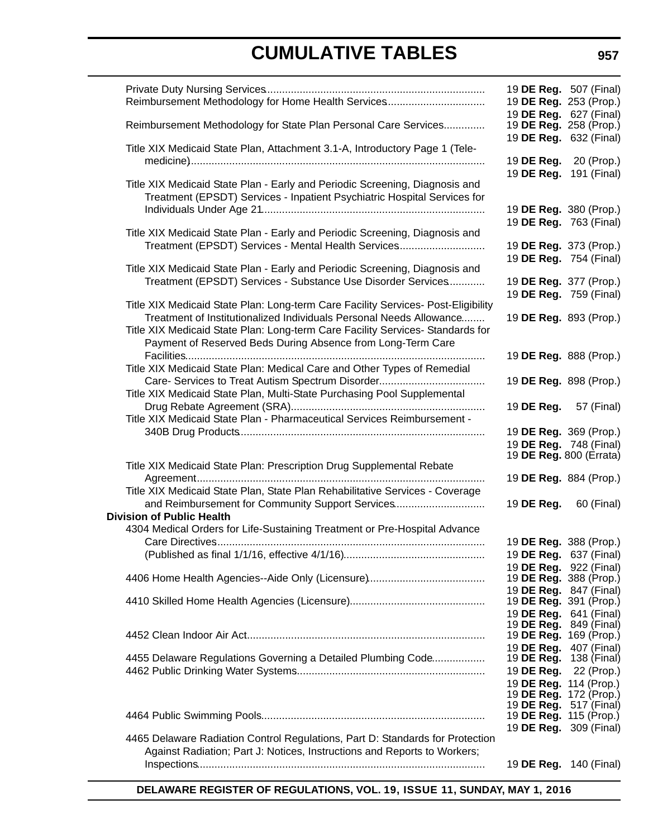| Reimbursement Methodology for Home Health Services                                                                                                                                                                                         | 19 DE Reg. 507 (Final)<br>19 DE Reg. 253 (Prop.)                                                           |            |
|--------------------------------------------------------------------------------------------------------------------------------------------------------------------------------------------------------------------------------------------|------------------------------------------------------------------------------------------------------------|------------|
| Reimbursement Methodology for State Plan Personal Care Services                                                                                                                                                                            | 19 DE Reg. 627 (Final)<br>19 DE Reg. 258 (Prop.)<br>19 DE Reg. 632 (Final)                                 |            |
| Title XIX Medicaid State Plan, Attachment 3.1-A, Introductory Page 1 (Tele-                                                                                                                                                                | 19 DE Reg. 20 (Prop.)                                                                                      |            |
| Title XIX Medicaid State Plan - Early and Periodic Screening, Diagnosis and<br>Treatment (EPSDT) Services - Inpatient Psychiatric Hospital Services for                                                                                    | 19 DE Reg. 191 (Final)                                                                                     |            |
| Title XIX Medicaid State Plan - Early and Periodic Screening, Diagnosis and                                                                                                                                                                | 19 DE Reg. 380 (Prop.)<br>19 DE Reg. 763 (Final)                                                           |            |
| Treatment (EPSDT) Services - Mental Health Services                                                                                                                                                                                        | 19 DE Reg. 373 (Prop.)<br>19 DE Reg. 754 (Final)                                                           |            |
| Title XIX Medicaid State Plan - Early and Periodic Screening, Diagnosis and<br>Treatment (EPSDT) Services - Substance Use Disorder Services                                                                                                | 19 DE Reg. 377 (Prop.)<br>19 DE Reg. 759 (Final)                                                           |            |
| Title XIX Medicaid State Plan: Long-term Care Facility Services- Post-Eligibility<br>Treatment of Institutionalized Individuals Personal Needs Allowance<br>Title XIX Medicaid State Plan: Long-term Care Facility Services- Standards for | 19 DE Reg. 893 (Prop.)                                                                                     |            |
| Payment of Reserved Beds During Absence from Long-Term Care<br>Title XIX Medicaid State Plan: Medical Care and Other Types of Remedial                                                                                                     | 19 DE Reg. 888 (Prop.)                                                                                     |            |
| Title XIX Medicaid State Plan, Multi-State Purchasing Pool Supplemental                                                                                                                                                                    | 19 DE Reg. 898 (Prop.)                                                                                     |            |
| Title XIX Medicaid State Plan - Pharmaceutical Services Reimbursement -                                                                                                                                                                    | 19 DE Reg.                                                                                                 | 57 (Final) |
|                                                                                                                                                                                                                                            | 19 DE Reg. 369 (Prop.)<br>19 DE Reg. 748 (Final)<br>19 <b>DE Reg.</b> 800 (Errata)                         |            |
| Title XIX Medicaid State Plan: Prescription Drug Supplemental Rebate                                                                                                                                                                       | 19 DE Reg. 884 (Prop.)                                                                                     |            |
| Title XIX Medicaid State Plan, State Plan Rehabilitative Services - Coverage<br>and Reimbursement for Community Support Services                                                                                                           | 19 DE Reg. 60 (Final)                                                                                      |            |
| <b>Division of Public Health</b><br>4304 Medical Orders for Life-Sustaining Treatment or Pre-Hospital Advance                                                                                                                              |                                                                                                            |            |
|                                                                                                                                                                                                                                            | 19 DE Reg. 388 (Prop.)                                                                                     |            |
|                                                                                                                                                                                                                                            | 19 DE Reg. 637 (Final)<br>19 <b>DE Reg.</b> 922 (Final)                                                    |            |
|                                                                                                                                                                                                                                            | 19 DE Reg. 388 (Prop.)<br>19 DE Reg. 847 (Final)                                                           |            |
|                                                                                                                                                                                                                                            | 19 <b>DE Reg.</b> 391 (Prop.)<br>19 DE Reg. 641 (Final)                                                    |            |
|                                                                                                                                                                                                                                            | 19 DE Reg. 849 (Final)<br>19 DE Reg. 169 (Prop.)<br>19 DE Reg. 407 (Final)                                 |            |
| 4455 Delaware Regulations Governing a Detailed Plumbing Code                                                                                                                                                                               | 19 <b>DE Reg.</b> 138 (Final)<br>19 DE Reg. 22 (Prop.)<br>19 DE Reg. 114 (Prop.)<br>19 DE Reg. 172 (Prop.) |            |
|                                                                                                                                                                                                                                            | 19 <b>DE Reg.</b> 517 (Final)<br>19 <b>DE Reg.</b> 115 (Prop.)<br>19 DE Reg. 309 (Final)                   |            |
| 4465 Delaware Radiation Control Regulations, Part D: Standards for Protection<br>Against Radiation; Part J: Notices, Instructions and Reports to Workers;                                                                                  |                                                                                                            |            |
|                                                                                                                                                                                                                                            | 19 DE Reg. 140 (Final)                                                                                     |            |

**DELAWARE REGISTER OF REGULATIONS, VOL. 19, ISSUE 11, SUNDAY, MAY 1, 2016**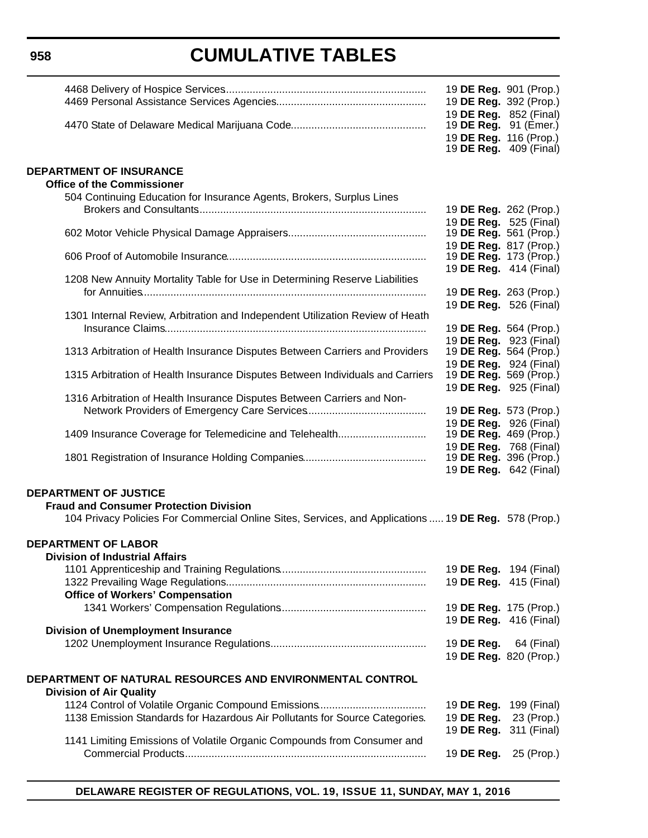|                                                                                                      | 19 DE Reg. 901 (Prop.)<br>19 DE Reg. 392 (Prop.)                                  |                                      |
|------------------------------------------------------------------------------------------------------|-----------------------------------------------------------------------------------|--------------------------------------|
|                                                                                                      | 19 DE Reg. 852 (Final)<br>19 DE Reg. 91 (Emer.)<br>19 DE Reg. 116 (Prop.)         |                                      |
| <b>DEPARTMENT OF INSURANCE</b>                                                                       |                                                                                   | 19 <b>DE Reg.</b> 409 (Final)        |
| <b>Office of the Commissioner</b>                                                                    |                                                                                   |                                      |
| 504 Continuing Education for Insurance Agents, Brokers, Surplus Lines                                |                                                                                   |                                      |
|                                                                                                      | 19 DE Reg. 262 (Prop.)<br>19 DE Reg. 525 (Final)                                  |                                      |
|                                                                                                      | 19 DE Reg. 561 (Prop.)<br>19 DE Reg. 817 (Prop.)                                  |                                      |
|                                                                                                      | 19 <b>DE Reg.</b> 173 (Prop.)                                                     |                                      |
| 1208 New Annuity Mortality Table for Use in Determining Reserve Liabilities                          | 19 DE Reg. 414 (Final)                                                            |                                      |
|                                                                                                      | 19 DE Reg. 263 (Prop.)                                                            |                                      |
| 1301 Internal Review, Arbitration and Independent Utilization Review of Heath                        | 19 DE Reg. 526 (Final)<br>19 DE Reg. 564 (Prop.)                                  |                                      |
| 1313 Arbitration of Health Insurance Disputes Between Carriers and Providers                         | 19 DE Reg. 923 (Final)<br>19 DE Reg. 564 (Prop.)                                  |                                      |
| 1315 Arbitration of Health Insurance Disputes Between Individuals and Carriers                       | 19 DE Reg. 924 (Final)<br>19 DE Reg. 569 (Prop.)                                  |                                      |
| 1316 Arbitration of Health Insurance Disputes Between Carriers and Non-                              | 19 DE Reg. 925 (Final)                                                            |                                      |
|                                                                                                      | 19 DE Reg. 573 (Prop.)                                                            |                                      |
| 1409 Insurance Coverage for Telemedicine and Telehealth                                              | 19 DE Reg. 926 (Final)<br>19 <b>DE Reg.</b> 469 (Prop.)<br>19 DE Reg. 768 (Final) |                                      |
|                                                                                                      | 19 <b>DE Reg.</b> 396 (Prop.)                                                     | 19 DE Reg. 642 (Final)               |
| <b>DEPARTMENT OF JUSTICE</b>                                                                         |                                                                                   |                                      |
| <b>Fraud and Consumer Protection Division</b>                                                        |                                                                                   |                                      |
| 104 Privacy Policies For Commercial Online Sites, Services, and Applications  19 DE Reg. 578 (Prop.) |                                                                                   |                                      |
| <b>DEPARTMENT OF LABOR</b><br><b>Division of Industrial Affairs</b>                                  |                                                                                   |                                      |
|                                                                                                      |                                                                                   | 19 <b>DE Reg.</b> 194 (Final)        |
| <b>Office of Workers' Compensation</b>                                                               |                                                                                   | 19 <b>DE Reg.</b> 415 (Final)        |
|                                                                                                      | 19 DE Reg. 175 (Prop.)<br>19 DE Reg. 416 (Final)                                  |                                      |
| <b>Division of Unemployment Insurance</b>                                                            |                                                                                   |                                      |
|                                                                                                      | 19 DE Reg.                                                                        | 64 (Final)<br>19 DE Reg. 820 (Prop.) |
| DEPARTMENT OF NATURAL RESOURCES AND ENVIRONMENTAL CONTROL<br><b>Division of Air Quality</b>          |                                                                                   |                                      |
|                                                                                                      | 19 DE Reg.                                                                        | 199 (Final)                          |
| 1138 Emission Standards for Hazardous Air Pollutants for Source Categories.                          | 19 DE Reg.<br>19 DE Reg.                                                          | 23 (Prop.)<br>311 (Final)            |
| 1141 Limiting Emissions of Volatile Organic Compounds from Consumer and                              | 19 DE Reg.                                                                        | 25 (Prop.)                           |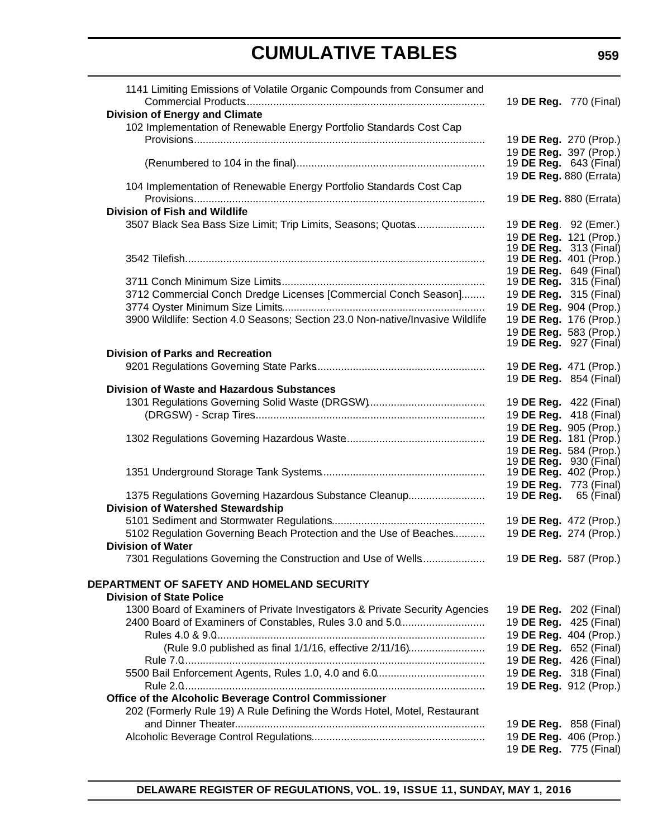| 1141 Limiting Emissions of Volatile Organic Compounds from Consumer and       |                               |                                                         |
|-------------------------------------------------------------------------------|-------------------------------|---------------------------------------------------------|
|                                                                               |                               | 19 DE Reg. 770 (Final)                                  |
| <b>Division of Energy and Climate</b>                                         |                               |                                                         |
| 102 Implementation of Renewable Energy Portfolio Standards Cost Cap           |                               |                                                         |
|                                                                               |                               | 19 DE Reg. 270 (Prop.)                                  |
|                                                                               |                               | 19 DE Reg. 397 (Prop.)<br>19 <b>DE Reg.</b> 643 (Final) |
|                                                                               |                               | 19 DE Reg. 880 (Errata)                                 |
| 104 Implementation of Renewable Energy Portfolio Standards Cost Cap           |                               |                                                         |
|                                                                               |                               | 19 DE Reg. 880 (Errata)                                 |
| <b>Division of Fish and Wildlife</b>                                          |                               |                                                         |
| 3507 Black Sea Bass Size Limit; Trip Limits, Seasons; Quotas                  |                               | 19 DE Reg. 92 (Emer.)                                   |
|                                                                               |                               | 19 DE Reg. 121 (Prop.)                                  |
|                                                                               |                               | 19 <b>DE Reg.</b> 313 (Final)                           |
|                                                                               |                               | 19 DE Reg. 401 (Prop.)                                  |
|                                                                               |                               | 19 DE Reg. 649 (Final)                                  |
|                                                                               |                               | 19 <b>DE Reg.</b> 315 (Final)                           |
| 3712 Commercial Conch Dredge Licenses [Commercial Conch Season]               |                               | 19 DE Reg. 315 (Final)                                  |
|                                                                               |                               | 19 DE Reg. 904 (Prop.)                                  |
| 3900 Wildlife: Section 4.0 Seasons; Section 23.0 Non-native/Invasive Wildlife |                               | 19 DE Reg. 176 (Prop.)                                  |
|                                                                               |                               | 19 DE Reg. 583 (Prop.)                                  |
|                                                                               |                               | 19 <b>DE Reg.</b> 927 (Final)                           |
| <b>Division of Parks and Recreation</b>                                       |                               |                                                         |
|                                                                               |                               | 19 DE Reg. 471 (Prop.)                                  |
|                                                                               |                               | 19 DE Reg. 854 (Final)                                  |
| <b>Division of Waste and Hazardous Substances</b>                             |                               |                                                         |
|                                                                               |                               | 19 <b>DE Reg.</b> 422 (Final)                           |
|                                                                               |                               | 19 DE Reg. 418 (Final)                                  |
|                                                                               | 19 <b>DE Reg.</b> 181 (Prop.) | 19 DE Reg. 905 (Prop.)                                  |
|                                                                               |                               | 19 DE Reg. 584 (Prop.)                                  |
|                                                                               |                               | 19 <b>DE Reg.</b> 930 (Final)                           |
|                                                                               |                               | 19 <b>DE Reg.</b> 402 (Prop.)                           |
|                                                                               |                               | 19 <b>DE Reg.</b> 773 (Final)                           |
| 1375 Regulations Governing Hazardous Substance Cleanup                        |                               | 19 <b>DE Reg.</b> 65 (Final)                            |
| <b>Division of Watershed Stewardship</b>                                      |                               |                                                         |
|                                                                               |                               | 19 DE Reg. 472 (Prop.)                                  |
| 5102 Regulation Governing Beach Protection and the Use of Beaches             |                               | 19 DE Reg. 274 (Prop.)                                  |
| <b>Division of Water</b>                                                      |                               |                                                         |
|                                                                               |                               |                                                         |
|                                                                               |                               |                                                         |
| DEPARTMENT OF SAFETY AND HOMELAND SECURITY                                    |                               |                                                         |
| <b>Division of State Police</b>                                               |                               |                                                         |
| 1300 Board of Examiners of Private Investigators & Private Security Agencies  |                               | 19 <b>DE Reg.</b> 202 (Final)                           |
| 2400 Board of Examiners of Constables, Rules 3.0 and 5.0                      |                               | 19 DE Reg. 425 (Final)                                  |
|                                                                               |                               | 19 DE Reg. 404 (Prop.)                                  |
| (Rule 9.0 published as final 1/1/16, effective 2/11/16)                       |                               | 19 DE Reg. 652 (Final)                                  |
|                                                                               |                               | 19 DE Reg. 426 (Final)                                  |
|                                                                               |                               | 19 DE Reg. 318 (Final)                                  |
|                                                                               |                               | 19 DE Reg. 912 (Prop.)                                  |
| Office of the Alcoholic Beverage Control Commissioner                         |                               |                                                         |
| 202 (Formerly Rule 19) A Rule Defining the Words Hotel, Motel, Restaurant     |                               |                                                         |
|                                                                               |                               | 19 <b>DE Reg.</b> 858 (Final)                           |
|                                                                               |                               | 19 DE Reg. 406 (Prop.)                                  |
|                                                                               |                               | 19 DE Reg. 775 (Final)                                  |
|                                                                               |                               |                                                         |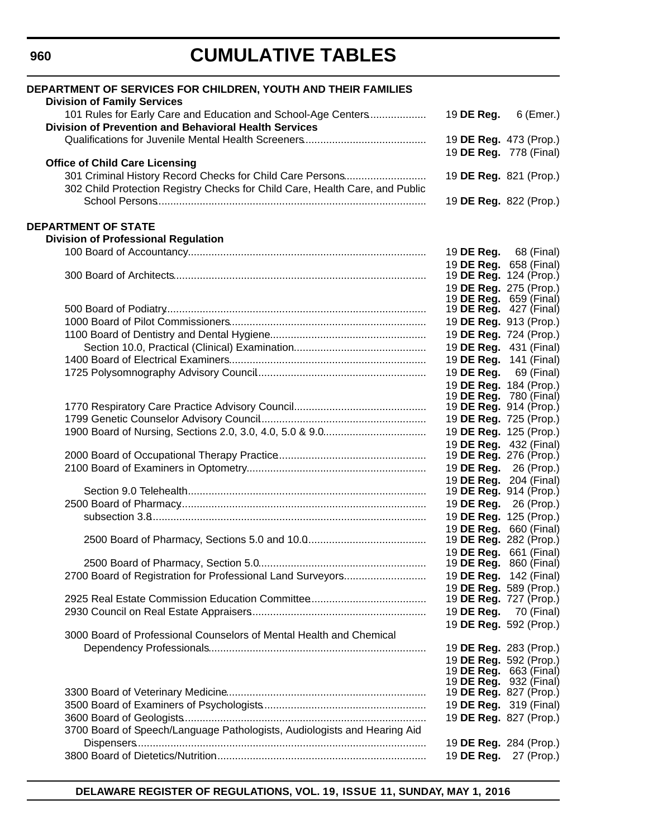| DEPARTMENT OF SERVICES FOR CHILDREN, YOUTH AND THEIR FAMILIES<br><b>Division of Family Services</b>                                                                                |                                                                |                                                  |
|------------------------------------------------------------------------------------------------------------------------------------------------------------------------------------|----------------------------------------------------------------|--------------------------------------------------|
| 101 Rules for Early Care and Education and School-Age Centers<br><b>Division of Prevention and Behavioral Health Services</b>                                                      | 19 DE Reg.                                                     | $6$ (Emer.)                                      |
|                                                                                                                                                                                    |                                                                | 19 DE Reg. 473 (Prop.)<br>19 DE Reg. 778 (Final) |
| <b>Office of Child Care Licensing</b><br>301 Criminal History Record Checks for Child Care Persons<br>302 Child Protection Registry Checks for Child Care, Health Care, and Public | 19 DE Reg. 821 (Prop.)                                         |                                                  |
|                                                                                                                                                                                    |                                                                | 19 DE Reg. 822 (Prop.)                           |
| <b>DEPARTMENT OF STATE</b>                                                                                                                                                         |                                                                |                                                  |
| <b>Division of Professional Regulation</b>                                                                                                                                         |                                                                |                                                  |
|                                                                                                                                                                                    |                                                                | 19 <b>DE Reg.</b> 68 (Final)                     |
|                                                                                                                                                                                    | 19 DE Reg. 658 (Final)<br>19 DE Reg. 124 (Prop.)               |                                                  |
|                                                                                                                                                                                    | 19 DE Reg. 275 (Prop.)<br>19 <b>DE Reg.</b> 659 (Final)        |                                                  |
|                                                                                                                                                                                    | 19 <b>DE Reg.</b> 427 (Final)                                  |                                                  |
|                                                                                                                                                                                    | 19 DE Reg. 913 (Prop.)                                         |                                                  |
|                                                                                                                                                                                    | 19 DE Reg. 724 (Prop.)                                         |                                                  |
|                                                                                                                                                                                    |                                                                | 19 DE Reg. 431 (Final)                           |
|                                                                                                                                                                                    | 19 DE Reg. 141 (Final)                                         |                                                  |
|                                                                                                                                                                                    |                                                                | 19 <b>DE Reg.</b> 69 (Final)                     |
|                                                                                                                                                                                    | 19 DE Reg. 184 (Prop.)                                         |                                                  |
|                                                                                                                                                                                    | 19 <b>DE Reg.</b> 780 (Final)<br>19 <b>DE Reg.</b> 914 (Prop.) |                                                  |
|                                                                                                                                                                                    | 19 DE Reg. 725 (Prop.)                                         |                                                  |
|                                                                                                                                                                                    | 19 DE Reg. 125 (Prop.)                                         |                                                  |
|                                                                                                                                                                                    | 19 DE Reg. 432 (Final)                                         |                                                  |
|                                                                                                                                                                                    | 19 DE Reg. 276 (Prop.)                                         |                                                  |
|                                                                                                                                                                                    | 19 DE Reg.                                                     | 26 (Prop.)                                       |
|                                                                                                                                                                                    | 19 DE Reg. 204 (Final)                                         |                                                  |
|                                                                                                                                                                                    |                                                                | 19 <b>DE Reg.</b> 914 (Prop.)                    |
|                                                                                                                                                                                    | 19 DE Reg. 26 (Prop.)<br>19 DE Reg. 125 (Prop.)                |                                                  |
|                                                                                                                                                                                    | 19 <b>DE Reg.</b> 660 (Final)                                  |                                                  |
|                                                                                                                                                                                    | 19 <b>DE Reg.</b> 282 (Prop.)                                  |                                                  |
|                                                                                                                                                                                    |                                                                | 19 DE Reg. 661 (Final)                           |
|                                                                                                                                                                                    |                                                                | 19 <b>DE Reg.</b> 860 (Final)                    |
| 2700 Board of Registration for Professional Land Surveyors                                                                                                                         |                                                                | 19 <b>DE Reg.</b> 142 (Final)                    |
|                                                                                                                                                                                    |                                                                | 19 DE Reg. 589 (Prop.)                           |
|                                                                                                                                                                                    | 19 DE Reg.                                                     | 19 <b>DE Reg.</b> 727 (Prop.)<br>70 (Final)      |
|                                                                                                                                                                                    | 19 DE Reg. 592 (Prop.)                                         |                                                  |
| 3000 Board of Professional Counselors of Mental Health and Chemical                                                                                                                |                                                                |                                                  |
|                                                                                                                                                                                    | 19 DE Reg. 283 (Prop.)                                         |                                                  |
|                                                                                                                                                                                    | 19 DE Reg. 592 (Prop.)                                         |                                                  |
|                                                                                                                                                                                    | 19 <b>DE Reg.</b> 663 (Final)                                  |                                                  |
|                                                                                                                                                                                    | 19 <b>DE Reg.</b> 932 (Final)<br>19 DE Reg. 827 (Prop.)        |                                                  |
|                                                                                                                                                                                    |                                                                | 19 DE Reg. 319 (Final)                           |
|                                                                                                                                                                                    | 19 DE Reg. 827 (Prop.)                                         |                                                  |
| 3700 Board of Speech/Language Pathologists, Audiologists and Hearing Aid                                                                                                           |                                                                |                                                  |
|                                                                                                                                                                                    | 19 DE Reg. 284 (Prop.)                                         |                                                  |
|                                                                                                                                                                                    | 19 DE Reg.                                                     | 27 (Prop.)                                       |

**DELAWARE REGISTER OF REGULATIONS, VOL. 19, ISSUE 11, SUNDAY, MAY 1, 2016**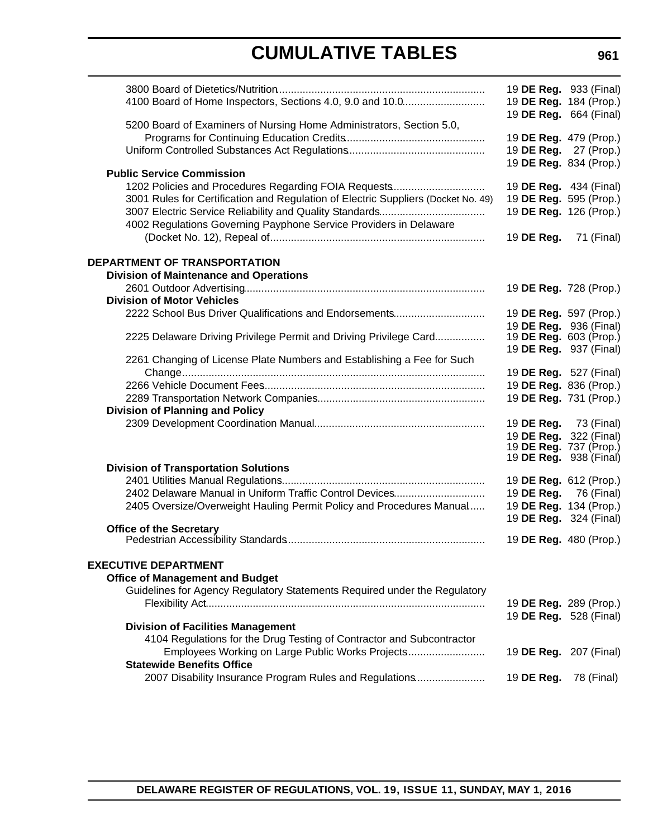| 4100 Board of Home Inspectors, Sections 4.0, 9.0 and 10.0                            |                              | 19 DE Reg. 933 (Final)<br>19 DE Reg. 184 (Prop.)                          |
|--------------------------------------------------------------------------------------|------------------------------|---------------------------------------------------------------------------|
| 5200 Board of Examiners of Nursing Home Administrators, Section 5.0,                 |                              | 19 DE Reg. 664 (Final)<br>19 DE Reg. 479 (Prop.)<br>19 DE Reg. 27 (Prop.) |
| <b>Public Service Commission</b>                                                     |                              | 19 DE Reg. 834 (Prop.)                                                    |
| 1202 Policies and Procedures Regarding FOIA Requests                                 |                              | 19 DE Reg. 434 (Final)                                                    |
| 3001 Rules for Certification and Regulation of Electric Suppliers (Docket No. 49)    |                              | 19 DE Reg. 595 (Prop.)                                                    |
|                                                                                      |                              | 19 DE Reg. 126 (Prop.)                                                    |
| 4002 Regulations Governing Payphone Service Providers in Delaware                    |                              | 19 <b>DE Reg.</b> 71 (Final)                                              |
|                                                                                      |                              |                                                                           |
| <b>DEPARTMENT OF TRANSPORTATION</b>                                                  |                              |                                                                           |
| <b>Division of Maintenance and Operations</b>                                        |                              |                                                                           |
| <b>Division of Motor Vehicles</b>                                                    |                              | 19 DE Reg. 728 (Prop.)                                                    |
| 2222 School Bus Driver Qualifications and Endorsements                               |                              | 19 DE Reg. 597 (Prop.)                                                    |
|                                                                                      |                              | 19 DE Reg. 936 (Final)                                                    |
| 2225 Delaware Driving Privilege Permit and Driving Privilege Card                    |                              | 19 <b>DE Reg.</b> 603 (Prop.)                                             |
| 2261 Changing of License Plate Numbers and Establishing a Fee for Such               |                              | 19 DE Reg. 937 (Final)                                                    |
|                                                                                      |                              | 19 DE Reg. 527 (Final)                                                    |
|                                                                                      |                              | 19 DE Reg. 836 (Prop.)                                                    |
|                                                                                      |                              | 19 DE Reg. 731 (Prop.)                                                    |
| <b>Division of Planning and Policy</b>                                               |                              |                                                                           |
|                                                                                      |                              | 19 <b>DE Reg.</b> 73 (Final)                                              |
|                                                                                      |                              | 19 DE Reg. 322 (Final)                                                    |
|                                                                                      |                              | 19 <b>DE Reg.</b> 737 (Prop.)<br>19 DE Reg. 938 (Final)                   |
| <b>Division of Transportation Solutions</b>                                          |                              |                                                                           |
|                                                                                      |                              | 19 DE Reg. 612 (Prop.)                                                    |
| 2402 Delaware Manual in Uniform Traffic Control Devices                              |                              | 19 DE Reg. 76 (Final)                                                     |
| 2405 Oversize/Overweight Hauling Permit Policy and Procedures Manual                 |                              | 19 DE Reg. 134 (Prop.)                                                    |
| <b>Office of the Secretary</b>                                                       |                              | 19 DE Reg. 324 (Final)                                                    |
|                                                                                      |                              | 19 DE Reg. 480 (Prop.)                                                    |
| <b>EXECUTIVE DEPARTMENT</b>                                                          |                              |                                                                           |
| <b>Office of Management and Budget</b>                                               |                              |                                                                           |
| Guidelines for Agency Regulatory Statements Required under the Regulatory            |                              |                                                                           |
|                                                                                      |                              | 19 DE Reg. 289 (Prop.)                                                    |
|                                                                                      |                              | 19 DE Reg. 528 (Final)                                                    |
| <b>Division of Facilities Management</b>                                             |                              |                                                                           |
| 4104 Regulations for the Drug Testing of Contractor and Subcontractor                |                              |                                                                           |
| Employees Working on Large Public Works Projects<br><b>Statewide Benefits Office</b> |                              | 19 <b>DE Reg.</b> 207 (Final)                                             |
| 2007 Disability Insurance Program Rules and Regulations                              | 19 <b>DE Reg.</b> 78 (Final) |                                                                           |
|                                                                                      |                              |                                                                           |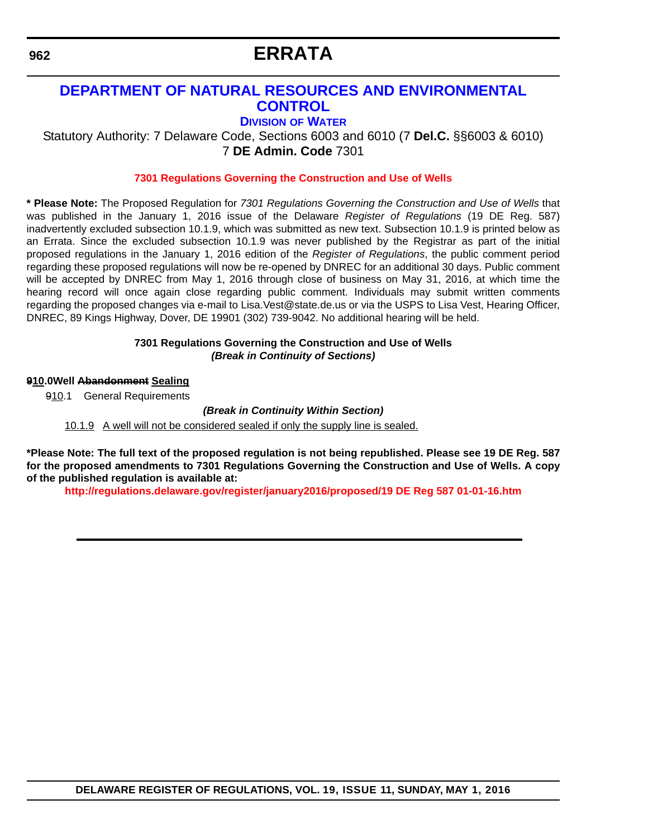# **ERRATA**

### <span id="page-13-0"></span>**[DEPARTMENT OF NATURAL RESOURCES AND ENVIRONMENTAL](http://www.dnrec.delaware.gov/Pages/Portal.aspx)  CONTROL**

**DIVISION [OF WATER](http://www.dnrec.delaware.gov/wr/Pages/Default.aspx)**

Statutory Authority: 7 Delaware Code, Sections 6003 and 6010 (7 **Del.C.** §§6003 & 6010) 7 **DE Admin. Code** 7301

#### **[7301 Regulations Governing the Construction and Use of Wells](#page-3-0)**

**\* Please Note:** The Proposed Regulation for *7301 Regulations Governing the Construction and Use of Wells* that was published in the January 1, 2016 issue of the Delaware *Register of Regulations* (19 DE Reg. 587) inadvertently excluded subsection 10.1.9, which was submitted as new text. Subsection 10.1.9 is printed below as an Errata. Since the excluded subsection 10.1.9 was never published by the Registrar as part of the initial proposed regulations in the January 1, 2016 edition of the *Register of Regulations*, the public comment period regarding these proposed regulations will now be re-opened by DNREC for an additional 30 days. Public comment will be accepted by DNREC from May 1, 2016 through close of business on May 31, 2016, at which time the hearing record will once again close regarding public comment. Individuals may submit written comments regarding the proposed changes via e-mail to Lisa.Vest@state.de.us or via the USPS to Lisa Vest, Hearing Officer, DNREC, 89 Kings Highway, Dover, DE 19901 (302) 739-9042. No additional hearing will be held.

#### **7301 Regulations Governing the Construction and Use of Wells** *(Break in Continuity of Sections)*

#### **910.0Well Abandonment Sealing**

910.1 General Requirements

*(Break in Continuity Within Section)*

10.1.9 A well will not be considered sealed if only the supply line is sealed.

**\*Please Note: The full text of the proposed regulation is not being republished. Please see 19 DE Reg. 587 for the proposed amendments to 7301 Regulations Governing the Construction and Use of Wells. A copy of the published regulation is available at:**

**<http://regulations.delaware.gov/register/january2016/proposed/19 DE Reg 587 01-01-16.htm>**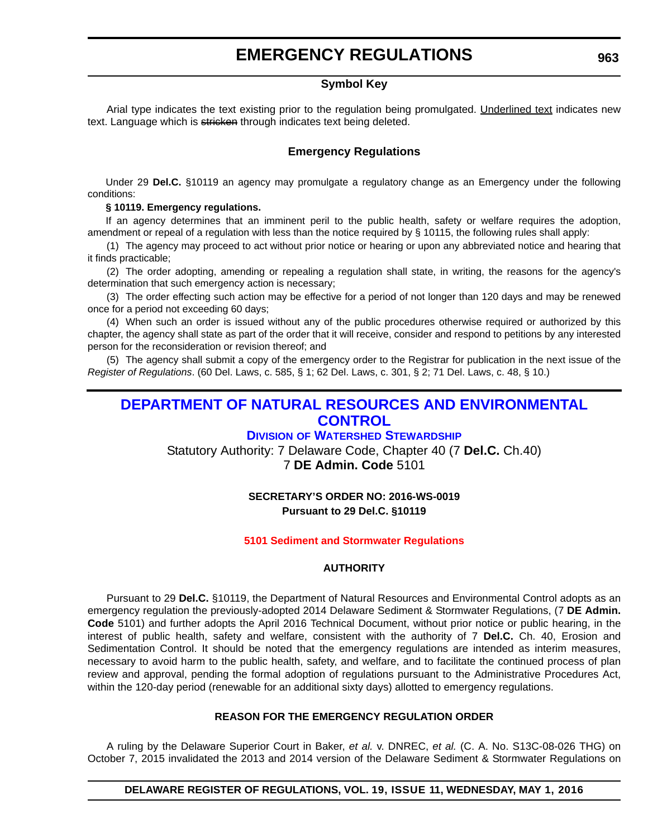#### **Symbol Key**

<span id="page-14-0"></span>Arial type indicates the text existing prior to the regulation being promulgated. Underlined text indicates new text. Language which is stricken through indicates text being deleted.

#### **Emergency Regulations**

Under 29 **Del.C.** §10119 an agency may promulgate a regulatory change as an Emergency under the following conditions:

#### **§ 10119. Emergency regulations.**

If an agency determines that an imminent peril to the public health, safety or welfare requires the adoption, amendment or repeal of a regulation with less than the notice required by § 10115, the following rules shall apply:

(1) The agency may proceed to act without prior notice or hearing or upon any abbreviated notice and hearing that it finds practicable;

(2) The order adopting, amending or repealing a regulation shall state, in writing, the reasons for the agency's determination that such emergency action is necessary;

(3) The order effecting such action may be effective for a period of not longer than 120 days and may be renewed once for a period not exceeding 60 days;

(4) When such an order is issued without any of the public procedures otherwise required or authorized by this chapter, the agency shall state as part of the order that it will receive, consider and respond to petitions by any interested person for the reconsideration or revision thereof; and

(5) The agency shall submit a copy of the emergency order to the Registrar for publication in the next issue of the *Register of Regulations*. (60 Del. Laws, c. 585, § 1; 62 Del. Laws, c. 301, § 2; 71 Del. Laws, c. 48, § 10.)

### **[DEPARTMENT OF NATURAL RESOURCES AND ENVIRONMENTAL](http://www.dnrec.delaware.gov/Pages/Portal.aspx)  CONTROL**

#### **DIVISION [OF WATERSHED STEWARDSHIP](http://www.dnrec.delaware.gov/swc/Pages/portal.aspx)**

Statutory Authority: 7 Delaware Code, Chapter 40 (7 **Del.C.** Ch.40) 7 **DE Admin. Code** 5101

#### **SECRETARY'S ORDER NO: 2016-WS-0019 Pursuant to 29 Del.C. §10119**

#### **[5101 Sediment and Stormwater Regulations](#page-3-0)**

#### **AUTHORITY**

Pursuant to 29 **Del.C.** §10119, the Department of Natural Resources and Environmental Control adopts as an emergency regulation the previously-adopted 2014 Delaware Sediment & Stormwater Regulations, (7 **DE Admin. Code** 5101) and further adopts the April 2016 Technical Document, without prior notice or public hearing, in the interest of public health, safety and welfare, consistent with the authority of 7 **Del.C.** Ch. 40, Erosion and Sedimentation Control. It should be noted that the emergency regulations are intended as interim measures, necessary to avoid harm to the public health, safety, and welfare, and to facilitate the continued process of plan review and approval, pending the formal adoption of regulations pursuant to the Administrative Procedures Act, within the 120-day period (renewable for an additional sixty days) allotted to emergency regulations.

#### **REASON FOR THE EMERGENCY REGULATION ORDER**

A ruling by the Delaware Superior Court in Baker, *et al.* v. DNREC, *et al.* (C. A. No. S13C-08-026 THG) on October 7, 2015 invalidated the 2013 and 2014 version of the Delaware Sediment & Stormwater Regulations on

**DELAWARE REGISTER OF REGULATIONS, VOL. 19, ISSUE 11, WEDNESDAY, MAY 1, 2016**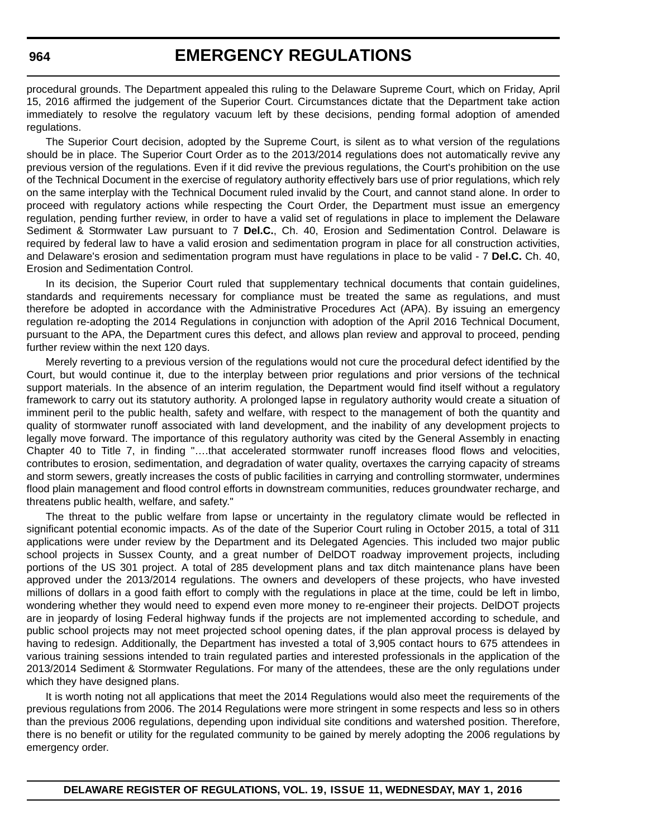procedural grounds. The Department appealed this ruling to the Delaware Supreme Court, which on Friday, April 15, 2016 affirmed the judgement of the Superior Court. Circumstances dictate that the Department take action immediately to resolve the regulatory vacuum left by these decisions, pending formal adoption of amended regulations.

The Superior Court decision, adopted by the Supreme Court, is silent as to what version of the regulations should be in place. The Superior Court Order as to the 2013/2014 regulations does not automatically revive any previous version of the regulations. Even if it did revive the previous regulations, the Court's prohibition on the use of the Technical Document in the exercise of regulatory authority effectively bars use of prior regulations, which rely on the same interplay with the Technical Document ruled invalid by the Court, and cannot stand alone. In order to proceed with regulatory actions while respecting the Court Order, the Department must issue an emergency regulation, pending further review, in order to have a valid set of regulations in place to implement the Delaware Sediment & Stormwater Law pursuant to 7 **Del.C.**, Ch. 40, Erosion and Sedimentation Control. Delaware is required by federal law to have a valid erosion and sedimentation program in place for all construction activities, and Delaware's erosion and sedimentation program must have regulations in place to be valid - 7 **Del.C.** Ch. 40, Erosion and Sedimentation Control.

In its decision, the Superior Court ruled that supplementary technical documents that contain guidelines, standards and requirements necessary for compliance must be treated the same as regulations, and must therefore be adopted in accordance with the Administrative Procedures Act (APA). By issuing an emergency regulation re-adopting the 2014 Regulations in conjunction with adoption of the April 2016 Technical Document, pursuant to the APA, the Department cures this defect, and allows plan review and approval to proceed, pending further review within the next 120 days.

Merely reverting to a previous version of the regulations would not cure the procedural defect identified by the Court, but would continue it, due to the interplay between prior regulations and prior versions of the technical support materials. In the absence of an interim regulation, the Department would find itself without a regulatory framework to carry out its statutory authority. A prolonged lapse in regulatory authority would create a situation of imminent peril to the public health, safety and welfare, with respect to the management of both the quantity and quality of stormwater runoff associated with land development, and the inability of any development projects to legally move forward. The importance of this regulatory authority was cited by the General Assembly in enacting Chapter 40 to Title 7, in finding "….that accelerated stormwater runoff increases flood flows and velocities, contributes to erosion, sedimentation, and degradation of water quality, overtaxes the carrying capacity of streams and storm sewers, greatly increases the costs of public facilities in carrying and controlling stormwater, undermines flood plain management and flood control efforts in downstream communities, reduces groundwater recharge, and threatens public health, welfare, and safety."

The threat to the public welfare from lapse or uncertainty in the regulatory climate would be reflected in significant potential economic impacts. As of the date of the Superior Court ruling in October 2015, a total of 311 applications were under review by the Department and its Delegated Agencies. This included two major public school projects in Sussex County, and a great number of DelDOT roadway improvement projects, including portions of the US 301 project. A total of 285 development plans and tax ditch maintenance plans have been approved under the 2013/2014 regulations. The owners and developers of these projects, who have invested millions of dollars in a good faith effort to comply with the regulations in place at the time, could be left in limbo, wondering whether they would need to expend even more money to re-engineer their projects. DelDOT projects are in jeopardy of losing Federal highway funds if the projects are not implemented according to schedule, and public school projects may not meet projected school opening dates, if the plan approval process is delayed by having to redesign. Additionally, the Department has invested a total of 3,905 contact hours to 675 attendees in various training sessions intended to train regulated parties and interested professionals in the application of the 2013/2014 Sediment & Stormwater Regulations. For many of the attendees, these are the only regulations under which they have designed plans.

It is worth noting not all applications that meet the 2014 Regulations would also meet the requirements of the previous regulations from 2006. The 2014 Regulations were more stringent in some respects and less so in others than the previous 2006 regulations, depending upon individual site conditions and watershed position. Therefore, there is no benefit or utility for the regulated community to be gained by merely adopting the 2006 regulations by emergency order.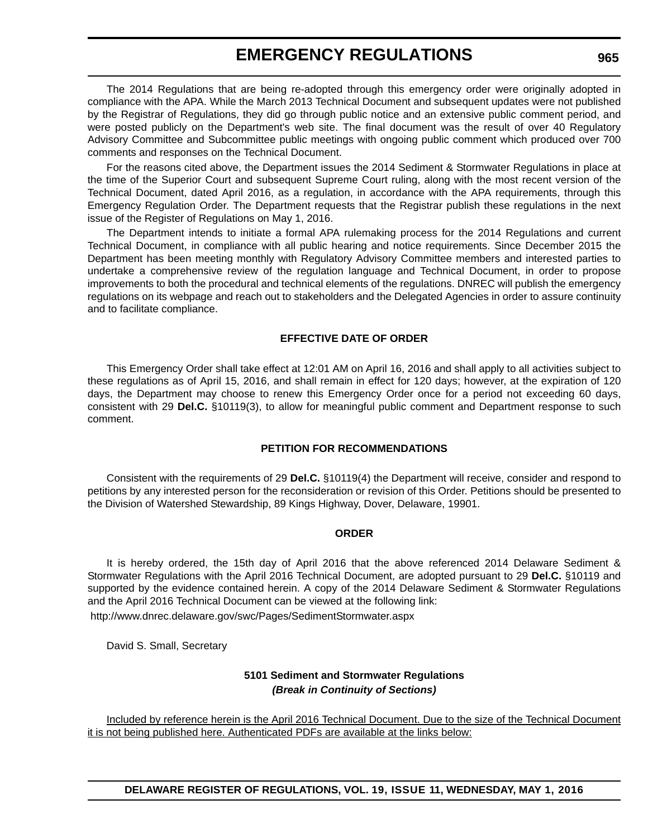The 2014 Regulations that are being re-adopted through this emergency order were originally adopted in compliance with the APA. While the March 2013 Technical Document and subsequent updates were not published by the Registrar of Regulations, they did go through public notice and an extensive public comment period, and were posted publicly on the Department's web site. The final document was the result of over 40 Regulatory Advisory Committee and Subcommittee public meetings with ongoing public comment which produced over 700 comments and responses on the Technical Document.

For the reasons cited above, the Department issues the 2014 Sediment & Stormwater Regulations in place at the time of the Superior Court and subsequent Supreme Court ruling, along with the most recent version of the Technical Document, dated April 2016, as a regulation, in accordance with the APA requirements, through this Emergency Regulation Order. The Department requests that the Registrar publish these regulations in the next issue of the Register of Regulations on May 1, 2016.

The Department intends to initiate a formal APA rulemaking process for the 2014 Regulations and current Technical Document, in compliance with all public hearing and notice requirements. Since December 2015 the Department has been meeting monthly with Regulatory Advisory Committee members and interested parties to undertake a comprehensive review of the regulation language and Technical Document, in order to propose improvements to both the procedural and technical elements of the regulations. DNREC will publish the emergency regulations on its webpage and reach out to stakeholders and the Delegated Agencies in order to assure continuity and to facilitate compliance.

#### **EFFECTIVE DATE OF ORDER**

This Emergency Order shall take effect at 12:01 AM on April 16, 2016 and shall apply to all activities subject to these regulations as of April 15, 2016, and shall remain in effect for 120 days; however, at the expiration of 120 days, the Department may choose to renew this Emergency Order once for a period not exceeding 60 days, consistent with 29 **Del.C.** §10119(3), to allow for meaningful public comment and Department response to such comment.

#### **PETITION FOR RECOMMENDATIONS**

Consistent with the requirements of 29 **Del.C.** §10119(4) the Department will receive, consider and respond to petitions by any interested person for the reconsideration or revision of this Order. Petitions should be presented to the Division of Watershed Stewardship, 89 Kings Highway, Dover, Delaware, 19901.

#### **ORDER**

It is hereby ordered, the 15th day of April 2016 that the above referenced 2014 Delaware Sediment & Stormwater Regulations with the April 2016 Technical Document, are adopted pursuant to 29 **Del.C.** §10119 and supported by the evidence contained herein. A copy of the 2014 Delaware Sediment & Stormwater Regulations and the April 2016 Technical Document can be viewed at the following link:

<http://www.dnrec.delaware.gov/swc/Pages/SedimentStormwater.aspx>

David S. Small, Secretary

#### **5101 Sediment and Stormwater Regulations** *(Break in Continuity of Sections)*

Included by reference herein is the April 2016 Technical Document. Due to the size of the Technical Document it is not being published here. Authenticated PDFs are available at the links below: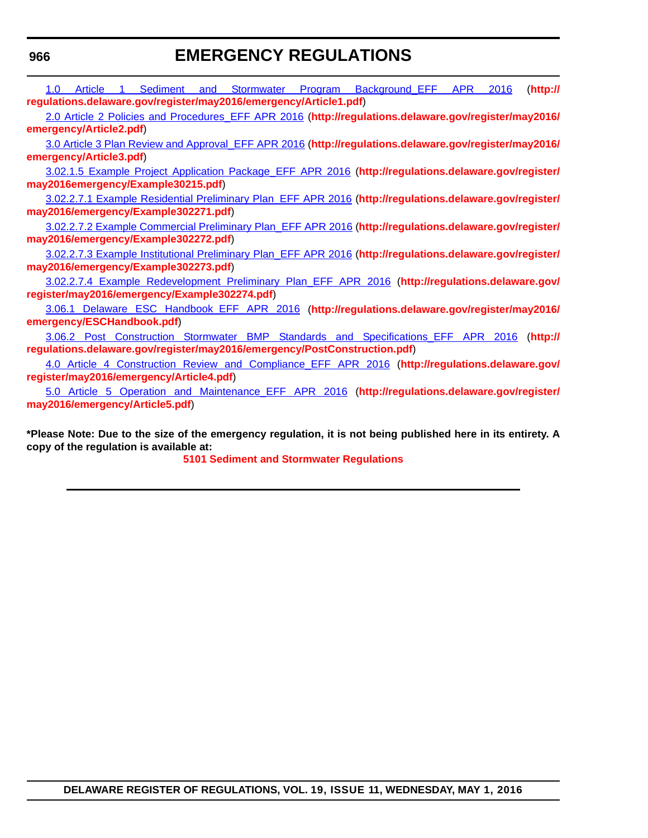**[regulations.delaware.gov/register/may2016/emergency/Article1.pdf](http://regulations.delaware.gov/register/may2016/emergency/Article1.pdf)**)

[1.0 Article 1 Sediment and Stormwater Program Background\\_EFF APR 2016](http://regulations.delaware.gov/register/may2016/emergency/Article1.pdf) (**[http://](http://regulations.delaware.gov/register/may2016/emergency/Article1.pdf)**

[2.0 Article 2 Policies and Procedures\\_EFF APR 2016](http://regulations.delaware.gov/register/may2016/emergency/Article2.pdf) (**[http://regulations.delaware.gov/register/may2016/](http://regulations.delaware.gov/register/may2016/emergency/Article2.pdf) [emergency/Article2.pdf](http://regulations.delaware.gov/register/may2016/emergency/Article2.pdf)**) [3.0 Article 3 Plan Review and Approval\\_EFF APR 2016](http://regulations.delaware.gov/register/may2016/emergency/Article3.pdf) (**[http://regulations.delaware.gov/register/may2016/](http://regulations.delaware.gov/register/may2016/emergency/Article3.pdf) [emergency/Article3.pdf](http://regulations.delaware.gov/register/may2016/emergency/Article3.pdf)**) [3.02.1.5 Example Project Application Package\\_EFF APR 2016](http://regulations.delaware.gov/register/may2016/emergency/Example30215.pdf) (**[http://regulations.delaware.gov/register/](http://regulations.delaware.gov/register/may2016emergency/Example30215.pdf) [may2016emergency/Example30215.pdf](http://regulations.delaware.gov/register/may2016emergency/Example30215.pdf)**) [3.02.2.7.1 Example Residential Preliminary Plan\\_EFF APR 2016](http://regulations.delaware.gov/register/may2016/emergency/Example302271.pdf) (**[http://regulations.delaware.gov/register/](http://regulations.delaware.gov/register/may2016/emergency/Example302271.pdf) [may2016/emergency/Example302271.pdf](http://regulations.delaware.gov/register/may2016/emergency/Example302271.pdf)**) [3.02.2.7.2 Example Commercial Preliminary Plan\\_EFF APR 2016](http://regulations.delaware.gov/register/may2016/emergency/Example302272.pdf) (**[http://regulations.delaware.gov/register/](http://regulations.delaware.gov/register/may2016/emergency/Example302272.pdf) [may2016/emergency/Example302272.pdf](http://regulations.delaware.gov/register/may2016/emergency/Example302272.pdf)**) [3.02.2.7.3 Example Institutional Preliminary Plan\\_EFF APR 2016](http://regulations.delaware.gov/register/may2016/emergency/Example302273.pdf) (**[http://regulations.delaware.gov/register/](http://regulations.delaware.gov/register/may2016/emergency/Example302273.pdf) [may2016/emergency/Example302273.pdf](http://regulations.delaware.gov/register/may2016/emergency/Example302273.pdf)**) [3.02.2.7.4 Example Redevelopment Preliminary Plan\\_EFF APR 2016](http://regulations.delaware.gov/register/may2016/emergency/Example302274.pdf) (**[http://regulations.delaware.gov/](http://regulations.delaware.gov/register/may2016/emergency/Example302274.pdf) [register/may2016/emergency/Example302274.pdf](http://regulations.delaware.gov/register/may2016/emergency/Example302274.pdf)**) [3.06.1 Delaware ESC Handbook\\_EFF APR 2016](http://regulations.delaware.gov/register/may2016/emergency/ESCHandbook.pdf) (**[http://regulations.delaware.gov/register/may2016/](http://regulations.delaware.gov/register/may2016/emergency/ESCHandbook.pdf) [emergency/ESCHandbook.pdf](http://regulations.delaware.gov/register/may2016/emergency/ESCHandbook.pdf)**) [3.06.2 Post Construction Stormwater BMP Standards and Specifications\\_EFF APR 2016](http://regulations.delaware.gov/register/may2016/emergency/PostConstruction.pdf) (**[http://](http://regulations.delaware.gov/register/may2016/emergency/PostConstruction.pdf) [regulations.delaware.gov/register/may2016/emergency/PostConstruction.pdf](http://regulations.delaware.gov/register/may2016/emergency/PostConstruction.pdf)**) [4.0 Article 4 Construction Review and Compliance\\_EFF APR 2016](http://regulations.delaware.gov/register/may2016/emergency/Article4.pdf) (**[http://regulations.delaware.gov/](http://regulations.delaware.gov/register/may2016/emergency/Article4.pdf) [register/may2016/emergency/Article4.pdf](http://regulations.delaware.gov/register/may2016/emergency/Article4.pdf)**) [5.0 Article 5 Operation and Maintenance\\_EFF APR 2016](http://regulations.delaware.gov/register/may2016/emergency/Article5.pdf) (**[http://regulations.delaware.gov/register/](http://regulations.delaware.gov/register/may2016/emergency/Article5.pdf) [may2016/emergency/Article5.pdf](http://regulations.delaware.gov/register/may2016/emergency/Article5.pdf)**) **\*Please Note: Due to the size of the emergency regulation, it is not being published here in its entirety. A copy of the regulation is available at: [5101 Sediment and Stormwater Regulations](http://regulations.delaware.gov/register/may2016/emergency/19 DE Reg 963 05-01-16.htm)**

**DELAWARE REGISTER OF REGULATIONS, VOL. 19, ISSUE 11, WEDNESDAY, MAY 1, 2016**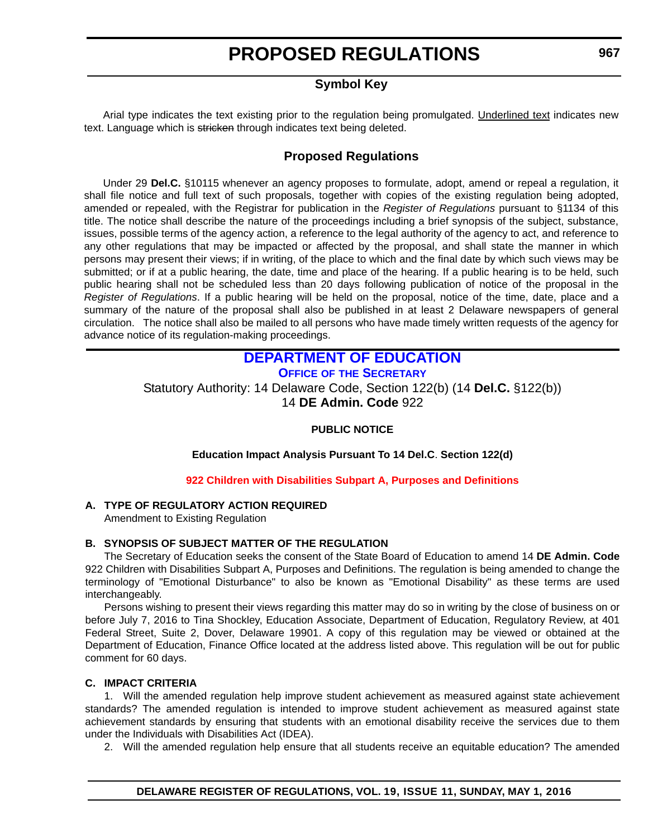#### **Symbol Key**

<span id="page-18-0"></span>Arial type indicates the text existing prior to the regulation being promulgated. Underlined text indicates new text. Language which is stricken through indicates text being deleted.

#### **Proposed Regulations**

Under 29 **Del.C.** §10115 whenever an agency proposes to formulate, adopt, amend or repeal a regulation, it shall file notice and full text of such proposals, together with copies of the existing regulation being adopted, amended or repealed, with the Registrar for publication in the *Register of Regulations* pursuant to §1134 of this title. The notice shall describe the nature of the proceedings including a brief synopsis of the subject, substance, issues, possible terms of the agency action, a reference to the legal authority of the agency to act, and reference to any other regulations that may be impacted or affected by the proposal, and shall state the manner in which persons may present their views; if in writing, of the place to which and the final date by which such views may be submitted; or if at a public hearing, the date, time and place of the hearing. If a public hearing is to be held, such public hearing shall not be scheduled less than 20 days following publication of notice of the proposal in the *Register of Regulations*. If a public hearing will be held on the proposal, notice of the time, date, place and a summary of the nature of the proposal shall also be published in at least 2 Delaware newspapers of general circulation. The notice shall also be mailed to all persons who have made timely written requests of the agency for advance notice of its regulation-making proceedings.

### **[DEPARTMENT OF EDUCATION](http://www.doe.k12.de.us/)**

**OFFICE OF [THE SECRETARY](https://pubapps.doe.k12.de.us/EducationalDirectoryPublic/pages/DDOE/Branches.aspx?page=branches&BID=1)**

Statutory Authority: 14 Delaware Code, Section 122(b) (14 **Del.C.** §122(b)) 14 **DE Admin. Code** 922

#### **PUBLIC NOTICE**

**Education Impact Analysis Pursuant To 14 Del.C**. **Section 122(d)**

**[922 Children with Disabilities Subpart A, Purposes and Definitions](#page-3-0)**

#### **A. TYPE OF REGULATORY ACTION REQUIRED**

Amendment to Existing Regulation

#### **B. SYNOPSIS OF SUBJECT MATTER OF THE REGULATION**

The Secretary of Education seeks the consent of the State Board of Education to amend 14 **DE Admin. Code** 922 Children with Disabilities Subpart A, Purposes and Definitions. The regulation is being amended to change the terminology of "Emotional Disturbance" to also be known as "Emotional Disability" as these terms are used interchangeably.

Persons wishing to present their views regarding this matter may do so in writing by the close of business on or before July 7, 2016 to Tina Shockley, Education Associate, Department of Education, Regulatory Review, at 401 Federal Street, Suite 2, Dover, Delaware 19901. A copy of this regulation may be viewed or obtained at the Department of Education, Finance Office located at the address listed above. This regulation will be out for public comment for 60 days.

#### **C. IMPACT CRITERIA**

1. Will the amended regulation help improve student achievement as measured against state achievement standards? The amended regulation is intended to improve student achievement as measured against state achievement standards by ensuring that students with an emotional disability receive the services due to them under the Individuals with Disabilities Act (IDEA).

2. Will the amended regulation help ensure that all students receive an equitable education? The amended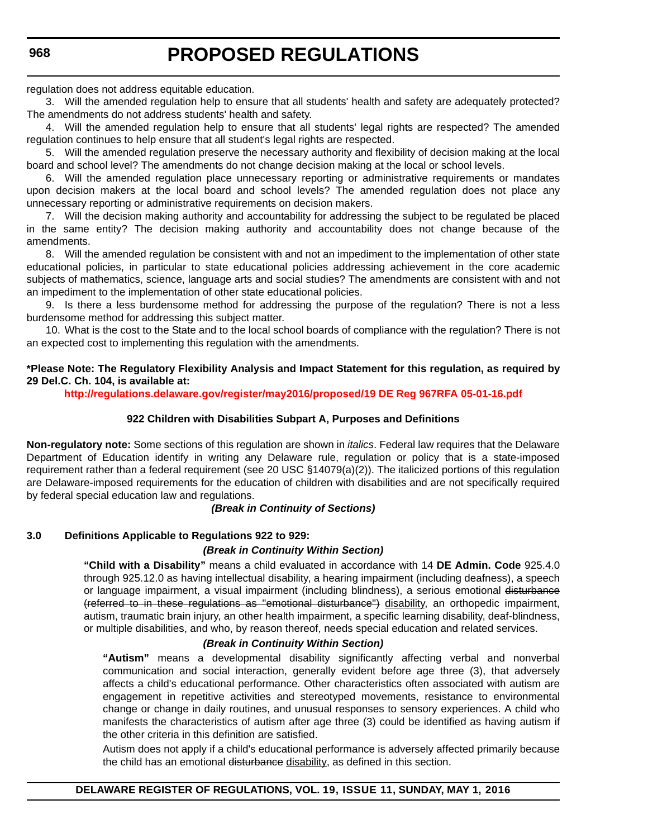regulation does not address equitable education.

3. Will the amended regulation help to ensure that all students' health and safety are adequately protected? The amendments do not address students' health and safety.

4. Will the amended regulation help to ensure that all students' legal rights are respected? The amended regulation continues to help ensure that all student's legal rights are respected.

5. Will the amended regulation preserve the necessary authority and flexibility of decision making at the local board and school level? The amendments do not change decision making at the local or school levels.

6. Will the amended regulation place unnecessary reporting or administrative requirements or mandates upon decision makers at the local board and school levels? The amended regulation does not place any unnecessary reporting or administrative requirements on decision makers.

7. Will the decision making authority and accountability for addressing the subject to be regulated be placed in the same entity? The decision making authority and accountability does not change because of the amendments.

8. Will the amended regulation be consistent with and not an impediment to the implementation of other state educational policies, in particular to state educational policies addressing achievement in the core academic subjects of mathematics, science, language arts and social studies? The amendments are consistent with and not an impediment to the implementation of other state educational policies.

9. Is there a less burdensome method for addressing the purpose of the regulation? There is not a less burdensome method for addressing this subject matter.

10. What is the cost to the State and to the local school boards of compliance with the regulation? There is not an expected cost to implementing this regulation with the amendments.

#### **\*Please Note: The Regulatory Flexibility Analysis and Impact Statement for this regulation, as required by 29 Del.C. Ch. 104, is available at:**

**<http://regulations.delaware.gov/register/may2016/proposed/19 DE Reg 967RFA 05-01-16.pdf>**

#### **922 Children with Disabilities Subpart A, Purposes and Definitions**

**Non-regulatory note:** Some sections of this regulation are shown in *italics*. Federal law requires that the Delaware Department of Education identify in writing any Delaware rule, regulation or policy that is a state-imposed requirement rather than a federal requirement (see 20 USC §14079(a)(2)). The italicized portions of this regulation are Delaware-imposed requirements for the education of children with disabilities and are not specifically required by federal special education law and regulations.

#### *(Break in Continuity of Sections)*

#### **3.0 Definitions Applicable to Regulations 922 to 929:**

#### *(Break in Continuity Within Section)*

**"Child with a Disability"** means a child evaluated in accordance with 14 **DE Admin. Code** 925.4.0 through 925.12.0 as having intellectual disability, a hearing impairment (including deafness), a speech or language impairment, a visual impairment (including blindness), a serious emotional disturbance (referred to in these regulations as ''emotional disturbance'') disability, an orthopedic impairment, autism, traumatic brain injury, an other health impairment, a specific learning disability, deaf-blindness, or multiple disabilities, and who, by reason thereof, needs special education and related services.

#### *(Break in Continuity Within Section)*

**"Autism"** means a developmental disability significantly affecting verbal and nonverbal communication and social interaction, generally evident before age three (3), that adversely affects a child's educational performance. Other characteristics often associated with autism are engagement in repetitive activities and stereotyped movements, resistance to environmental change or change in daily routines, and unusual responses to sensory experiences. A child who manifests the characteristics of autism after age three (3) could be identified as having autism if the other criteria in this definition are satisfied.

Autism does not apply if a child's educational performance is adversely affected primarily because the child has an emotional disturbance disability, as defined in this section.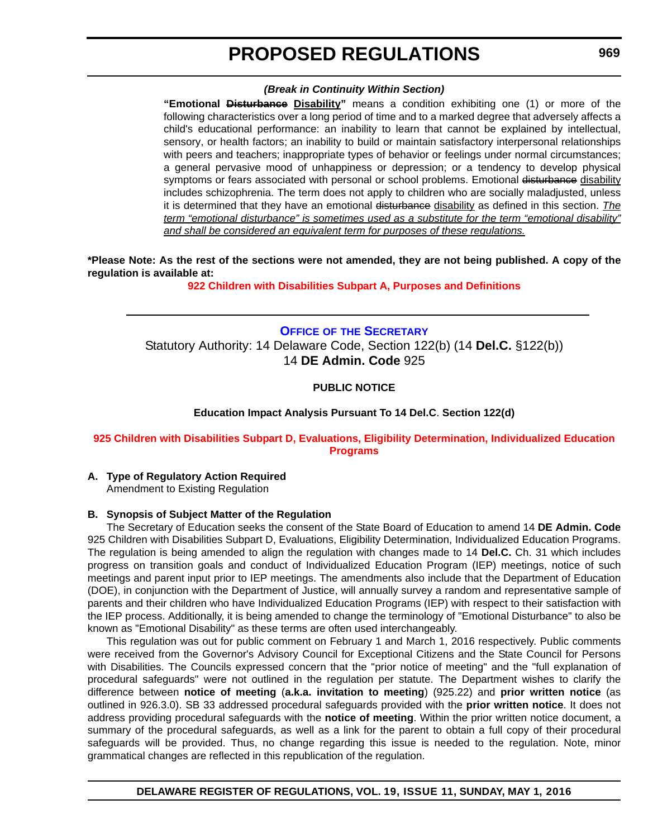#### *(Break in Continuity Within Section)*

<span id="page-20-0"></span>**"Emotional Disturbance Disability"** means a condition exhibiting one (1) or more of the following characteristics over a long period of time and to a marked degree that adversely affects a child's educational performance: an inability to learn that cannot be explained by intellectual, sensory, or health factors; an inability to build or maintain satisfactory interpersonal relationships with peers and teachers; inappropriate types of behavior or feelings under normal circumstances; a general pervasive mood of unhappiness or depression; or a tendency to develop physical symptoms or fears associated with personal or school problems. Emotional disturbance disability includes schizophrenia. The term does not apply to children who are socially maladjusted, unless it is determined that they have an emotional disturbance disability as defined in this section. *The term "emotional disturbance" is sometimes used as a substitute for the term "emotional disability" and shall be considered an equivalent term for purposes of these regulations.*

**\*Please Note: As the rest of the sections were not amended, they are not being published. A copy of the regulation is available at:**

**[922 Children with Disabilities Subpart A, Purposes and Definitions](http://regulations.delaware.gov/register/may2016/proposed/19 DE Reg 967 05-01-16.htm)**

**OFFICE OF [THE SECRETARY](https://pubapps.doe.k12.de.us/EducationalDirectoryPublic/pages/DDOE/Branches.aspx?page=branches&BID=1)** Statutory Authority: 14 Delaware Code, Section 122(b) (14 **Del.C.** §122(b)) 14 **DE Admin. Code** 925

#### **PUBLIC NOTICE**

**Education Impact Analysis Pursuant To 14 Del.C**. **Section 122(d)**

#### **[925 Children with Disabilities Subpart D, Evaluations, Eligibility Determination, Individualized Education](#page-3-0)  Programs**

**A. Type of Regulatory Action Required**

Amendment to Existing Regulation

#### **B. Synopsis of Subject Matter of the Regulation**

The Secretary of Education seeks the consent of the State Board of Education to amend 14 **DE Admin. Code** 925 Children with Disabilities Subpart D, Evaluations, Eligibility Determination, Individualized Education Programs. The regulation is being amended to align the regulation with changes made to 14 **Del.C.** Ch. 31 which includes progress on transition goals and conduct of Individualized Education Program (IEP) meetings, notice of such meetings and parent input prior to IEP meetings. The amendments also include that the Department of Education (DOE), in conjunction with the Department of Justice, will annually survey a random and representative sample of parents and their children who have Individualized Education Programs (IEP) with respect to their satisfaction with the IEP process. Additionally, it is being amended to change the terminology of "Emotional Disturbance" to also be known as "Emotional Disability" as these terms are often used interchangeably.

This regulation was out for public comment on February 1 and March 1, 2016 respectively. Public comments were received from the Governor's Advisory Council for Exceptional Citizens and the State Council for Persons with Disabilities. The Councils expressed concern that the "prior notice of meeting" and the "full explanation of procedural safeguards" were not outlined in the regulation per statute. The Department wishes to clarify the difference between **notice of meeting** (**a.k.a. invitation to meeting**) (925.22) and **prior written notice** (as outlined in 926.3.0). SB 33 addressed procedural safeguards provided with the **prior written notice**. It does not address providing procedural safeguards with the **notice of meeting**. Within the prior written notice document, a summary of the procedural safeguards, as well as a link for the parent to obtain a full copy of their procedural safeguards will be provided. Thus, no change regarding this issue is needed to the regulation. Note, minor grammatical changes are reflected in this republication of the regulation.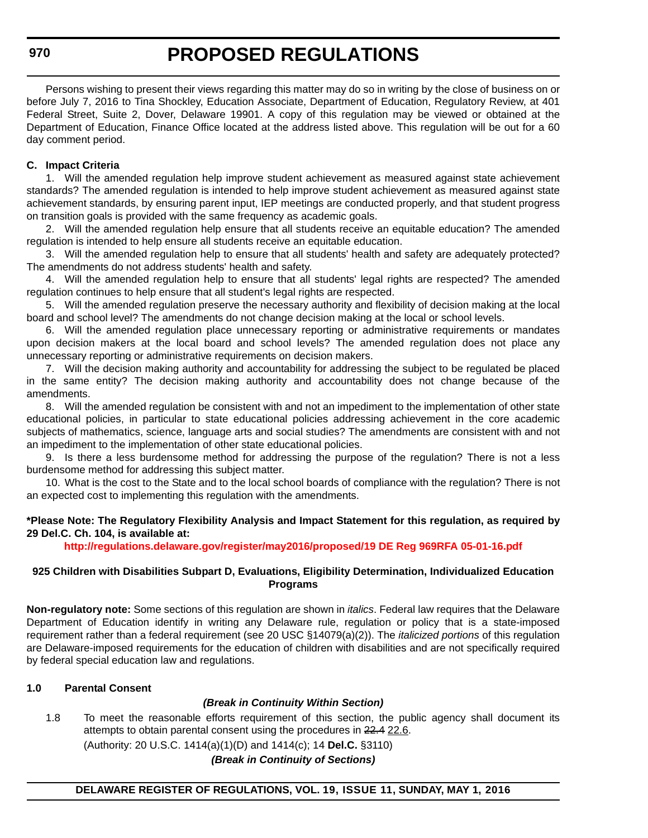Persons wishing to present their views regarding this matter may do so in writing by the close of business on or before July 7, 2016 to Tina Shockley, Education Associate, Department of Education, Regulatory Review, at 401 Federal Street, Suite 2, Dover, Delaware 19901. A copy of this regulation may be viewed or obtained at the Department of Education, Finance Office located at the address listed above. This regulation will be out for a 60 day comment period.

#### **C. Impact Criteria**

1. Will the amended regulation help improve student achievement as measured against state achievement standards? The amended regulation is intended to help improve student achievement as measured against state achievement standards, by ensuring parent input, IEP meetings are conducted properly, and that student progress on transition goals is provided with the same frequency as academic goals.

2. Will the amended regulation help ensure that all students receive an equitable education? The amended regulation is intended to help ensure all students receive an equitable education.

3. Will the amended regulation help to ensure that all students' health and safety are adequately protected? The amendments do not address students' health and safety.

4. Will the amended regulation help to ensure that all students' legal rights are respected? The amended regulation continues to help ensure that all student's legal rights are respected.

5. Will the amended regulation preserve the necessary authority and flexibility of decision making at the local board and school level? The amendments do not change decision making at the local or school levels.

6. Will the amended regulation place unnecessary reporting or administrative requirements or mandates upon decision makers at the local board and school levels? The amended regulation does not place any unnecessary reporting or administrative requirements on decision makers.

7. Will the decision making authority and accountability for addressing the subject to be regulated be placed in the same entity? The decision making authority and accountability does not change because of the amendments.

8. Will the amended regulation be consistent with and not an impediment to the implementation of other state educational policies, in particular to state educational policies addressing achievement in the core academic subjects of mathematics, science, language arts and social studies? The amendments are consistent with and not an impediment to the implementation of other state educational policies.

9. Is there a less burdensome method for addressing the purpose of the regulation? There is not a less burdensome method for addressing this subject matter.

10. What is the cost to the State and to the local school boards of compliance with the regulation? There is not an expected cost to implementing this regulation with the amendments.

#### **\*Please Note: The Regulatory Flexibility Analysis and Impact Statement for this regulation, as required by 29 Del.C. Ch. 104, is available at:**

**<http://regulations.delaware.gov/register/may2016/proposed/19 DE Reg 969RFA 05-01-16.pdf>**

#### **925 Children with Disabilities Subpart D, Evaluations, Eligibility Determination, Individualized Education Programs**

**Non-regulatory note:** Some sections of this regulation are shown in *italics*. Federal law requires that the Delaware Department of Education identify in writing any Delaware rule, regulation or policy that is a state-imposed requirement rather than a federal requirement (see 20 USC §14079(a)(2)). The *italicized portions* of this regulation are Delaware-imposed requirements for the education of children with disabilities and are not specifically required by federal special education law and regulations.

#### **1.0 Parental Consent**

#### *(Break in Continuity Within Section)*

1.8 To meet the reasonable efforts requirement of this section, the public agency shall document its attempts to obtain parental consent using the procedures in 22.4 22.6.

(Authority: 20 U.S.C. 1414(a)(1)(D) and 1414(c); 14 **Del.C.** §3110)

*(Break in Continuity of Sections)*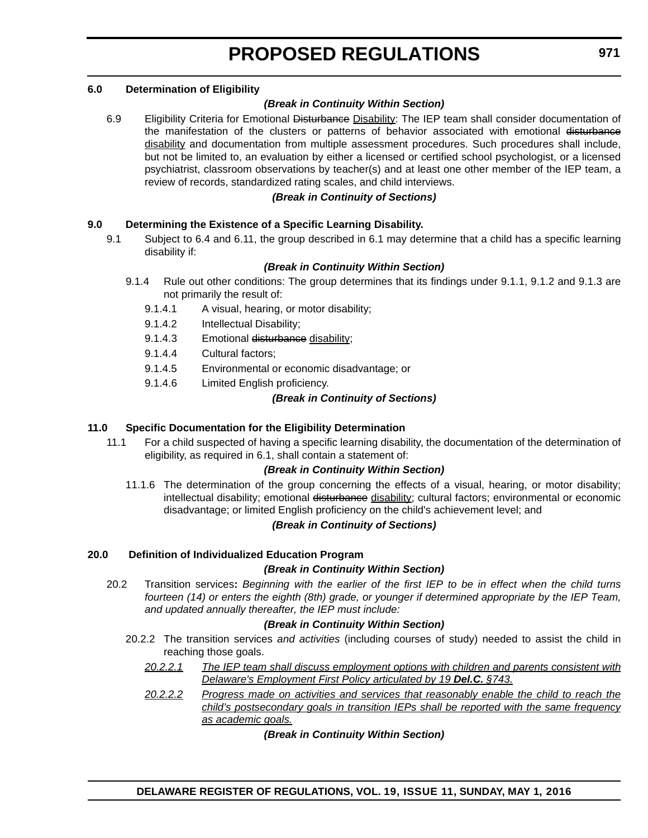#### **6.0 Determination of Eligibility**

#### *(Break in Continuity Within Section)*

6.9 Eligibility Criteria for Emotional Disturbance Disability: The IEP team shall consider documentation of the manifestation of the clusters or patterns of behavior associated with emotional disturbance disability and documentation from multiple assessment procedures. Such procedures shall include, but not be limited to, an evaluation by either a licensed or certified school psychologist, or a licensed psychiatrist, classroom observations by teacher(s) and at least one other member of the IEP team, a review of records, standardized rating scales, and child interviews.

#### *(Break in Continuity of Sections)*

#### **9.0 Determining the Existence of a Specific Learning Disability.**

9.1 Subject to 6.4 and 6.11, the group described in 6.1 may determine that a child has a specific learning disability if:

#### *(Break in Continuity Within Section)*

- 9.1.4 Rule out other conditions: The group determines that its findings under 9.1.1, 9.1.2 and 9.1.3 are not primarily the result of:
	- 9.1.4.1 A visual, hearing, or motor disability;
	- 9.1.4.2 Intellectual Disability;
	- 9.1.4.3 Emotional disturbance disability;
	- 9.1.4.4 Cultural factors;
	- 9.1.4.5 Environmental or economic disadvantage; or
	- 9.1.4.6 Limited English proficiency.

#### *(Break in Continuity of Sections)*

#### **11.0 Specific Documentation for the Eligibility Determination**

11.1 For a child suspected of having a specific learning disability, the documentation of the determination of eligibility, as required in 6.1, shall contain a statement of:

#### *(Break in Continuity Within Section)*

11.1.6 The determination of the group concerning the effects of a visual, hearing, or motor disability; intellectual disability; emotional disturbance disability; cultural factors; environmental or economic disadvantage; or limited English proficiency on the child's achievement level; and

#### *(Break in Continuity of Sections)*

#### **20.0 Definition of Individualized Education Program**

#### *(Break in Continuity Within Section)*

20.2 Transition services**:** *Beginning with the earlier of the first IEP to be in effect when the child turns fourteen (14) or enters the eighth (8th) grade, or younger if determined appropriate by the IEP Team, and updated annually thereafter, the IEP must include:*

#### *(Break in Continuity Within Section)*

- 20.2.2 The transition services *and activities* (including courses of study) needed to assist the child in reaching those goals.
	- *20.2.2.1 The IEP team shall discuss employment options with children and parents consistent with Delaware's Employment First Policy articulated by 19 Del.C. §743.*
	- *20.2.2.2 Progress made on activities and services that reasonably enable the child to reach the child's postsecondary goals in transition IEPs shall be reported with the same frequency as academic goals.*

*(Break in Continuity Within Section)*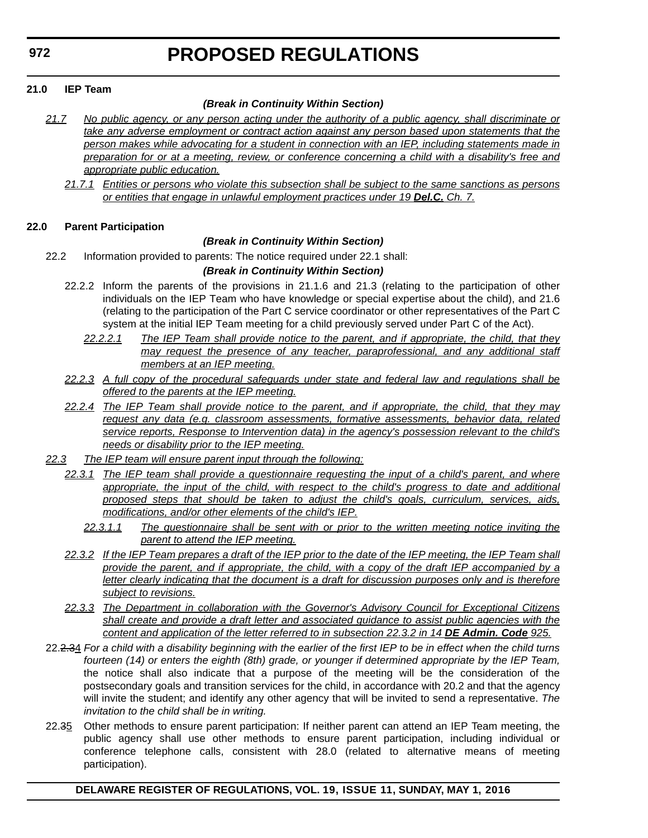#### **21.0 IEP Team**

#### *(Break in Continuity Within Section)*

- *21.7 No public agency, or any person acting under the authority of a public agency, shall discriminate or take any adverse employment or contract action against any person based upon statements that the person makes while advocating for a student in connection with an IEP, including statements made in preparation for or at a meeting, review, or conference concerning a child with a disability's free and appropriate public education.*
	- *21.7.1 Entities or persons who violate this subsection shall be subject to the same sanctions as persons or entities that engage in unlawful employment practices under 19 Del.C. Ch. 7.*

#### **22.0 Parent Participation**

#### *(Break in Continuity Within Section)*

22.2 Information provided to parents: The notice required under 22.1 shall:

#### *(Break in Continuity Within Section)*

- 22.2.2 Inform the parents of the provisions in 21.1.6 and 21.3 (relating to the participation of other individuals on the IEP Team who have knowledge or special expertise about the child), and 21.6 (relating to the participation of the Part C service coordinator or other representatives of the Part C system at the initial IEP Team meeting for a child previously served under Part C of the Act).
	- *22.2.2.1 The IEP Team shall provide notice to the parent, and if appropriate, the child, that they may request the presence of any teacher, paraprofessional, and any additional staff members at an IEP meeting.*
- *22.2.3 A full copy of the procedural safeguards under state and federal law and regulations shall be offered to the parents at the IEP meeting.*
- *22.2.4 The IEP Team shall provide notice to the parent, and if appropriate, the child, that they may request any data (e.g. classroom assessments, formative assessments, behavior data, related service reports, Response to Intervention data) in the agency's possession relevant to the child's needs or disability prior to the IEP meeting.*
- *22.3 The IEP team will ensure parent input through the following:*
	- *22.3.1 The IEP team shall provide a questionnaire requesting the input of a child's parent, and where appropriate, the input of the child, with respect to the child's progress to date and additional proposed steps that should be taken to adjust the child's goals, curriculum, services, aids, modifications, and/or other elements of the child's IEP.*
		- *22.3.1.1 The questionnaire shall be sent with or prior to the written meeting notice inviting the parent to attend the IEP meeting.*
	- *22.3.2 If the IEP Team prepares a draft of the IEP prior to the date of the IEP meeting, the IEP Team shall provide the parent, and if appropriate, the child, with a copy of the draft IEP accompanied by a letter clearly indicating that the document is a draft for discussion purposes only and is therefore subject to revisions.*
	- *22.3.3 The Department in collaboration with the Governor's Advisory Council for Exceptional Citizens shall create and provide a draft letter and associated guidance to assist public agencies with the content and application of the letter referred to in subsection 22.3.2 in 14 DE Admin. Code 925.*
- 22.2.34 *For a child with a disability beginning with the earlier of the first IEP to be in effect when the child turns fourteen (14) or enters the eighth (8th) grade, or younger if determined appropriate by the IEP Team,* the notice shall also indicate that a purpose of the meeting will be the consideration of the postsecondary goals and transition services for the child, in accordance with 20.2 and that the agency will invite the student; and identify any other agency that will be invited to send a representative. *The invitation to the child shall be in writing.*
- 22.35 Other methods to ensure parent participation: If neither parent can attend an IEP Team meeting, the public agency shall use other methods to ensure parent participation, including individual or conference telephone calls, consistent with 28.0 (related to alternative means of meeting participation).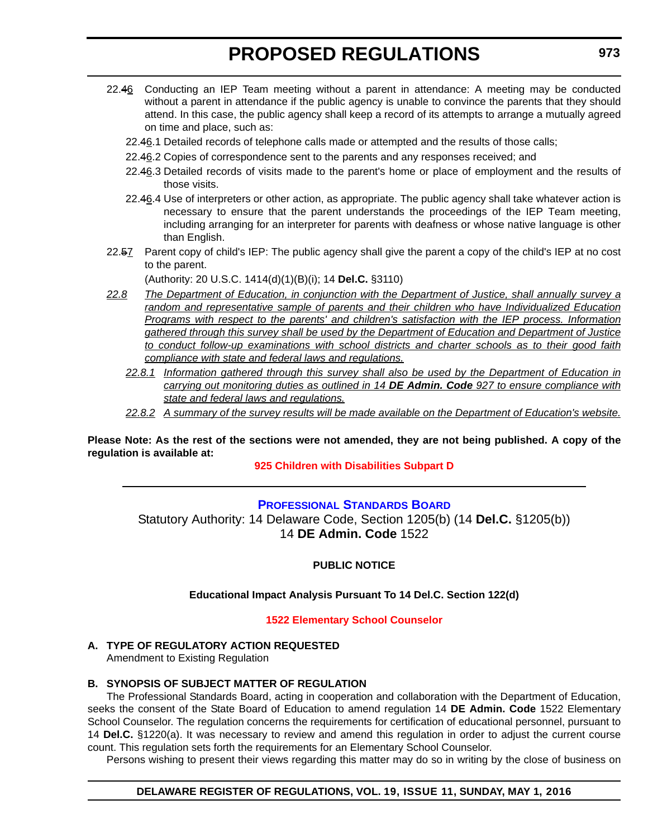- <span id="page-24-0"></span>22.46 Conducting an IEP Team meeting without a parent in attendance: A meeting may be conducted without a parent in attendance if the public agency is unable to convince the parents that they should attend. In this case, the public agency shall keep a record of its attempts to arrange a mutually agreed on time and place, such as:
	- 22.46.1 Detailed records of telephone calls made or attempted and the results of those calls;
	- 22.46.2 Copies of correspondence sent to the parents and any responses received; and
	- 22.46.3 Detailed records of visits made to the parent's home or place of employment and the results of those visits.
	- 22.46.4 Use of interpreters or other action, as appropriate. The public agency shall take whatever action is necessary to ensure that the parent understands the proceedings of the IEP Team meeting, including arranging for an interpreter for parents with deafness or whose native language is other than English.
- 22.57 Parent copy of child's IEP: The public agency shall give the parent a copy of the child's IEP at no cost to the parent.

(Authority: 20 U.S.C. 1414(d)(1)(B)(i); 14 **Del.C.** §3110)

- *22.8 The Department of Education, in conjunction with the Department of Justice, shall annually survey a random and representative sample of parents and their children who have Individualized Education Programs with respect to the parents' and children's satisfaction with the IEP process. Information gathered through this survey shall be used by the Department of Education and Department of Justice to conduct follow-up examinations with school districts and charter schools as to their good faith compliance with state and federal laws and regulations.*
	- *22.8.1 Information gathered through this survey shall also be used by the Department of Education in carrying out monitoring duties as outlined in 14 DE Admin. Code 927 to ensure compliance with state and federal laws and regulations.*
	- *22.8.2 A summary of the survey results will be made available on the Department of Education's website.*

**Please Note: As the rest of the sections were not amended, they are not being published. A copy of the regulation is available at:**

**[925 Children with Disabilities Subpart D](http://regulations.delaware.gov/register/may2016/proposed/19 DE Reg 969 05-01-16.htm)**

#### **[PROFESSIONAL STANDARDS BOARD](https://pubapps.doe.k12.de.us/EducationalDirectoryPublic/pages/DDOE/WorkGroupStaff.aspx?page=branches&WGID=75&BID=1)**

Statutory Authority: 14 Delaware Code, Section 1205(b) (14 **Del.C.** §1205(b)) 14 **DE Admin. Code** 1522

**PUBLIC NOTICE**

#### **Educational Impact Analysis Pursuant To 14 Del.C. Section 122(d)**

#### **[1522 Elementary School Counselor](#page-3-0)**

#### **A. TYPE OF REGULATORY ACTION REQUESTED**

Amendment to Existing Regulation

#### **B. SYNOPSIS OF SUBJECT MATTER OF REGULATION**

The Professional Standards Board, acting in cooperation and collaboration with the Department of Education, seeks the consent of the State Board of Education to amend regulation 14 **DE Admin. Code** 1522 Elementary School Counselor. The regulation concerns the requirements for certification of educational personnel, pursuant to 14 **Del.C.** §1220(a). It was necessary to review and amend this regulation in order to adjust the current course count. This regulation sets forth the requirements for an Elementary School Counselor.

Persons wishing to present their views regarding this matter may do so in writing by the close of business on

#### **DELAWARE REGISTER OF REGULATIONS, VOL. 19, ISSUE 11, SUNDAY, MAY 1, 2016**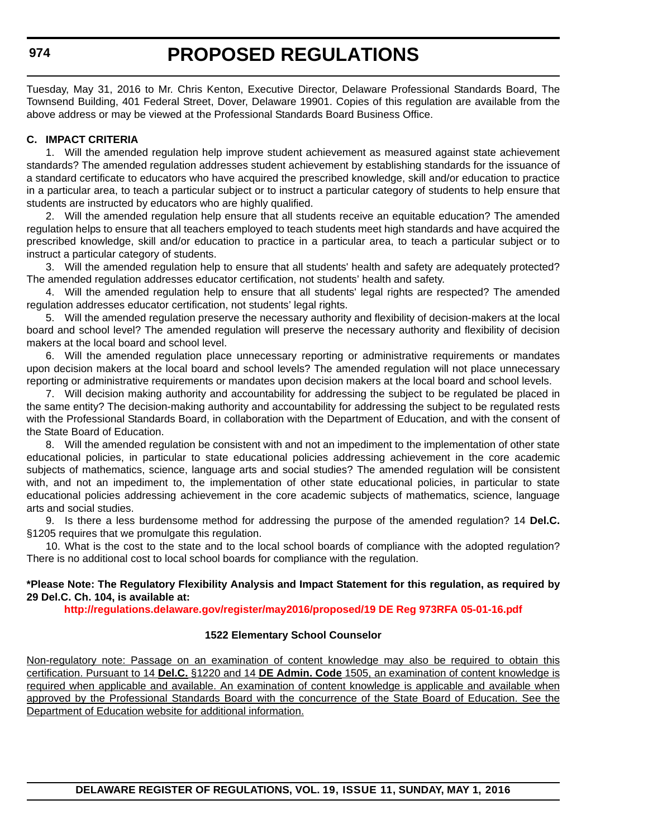#### **974**

Tuesday, May 31, 2016 to Mr. Chris Kenton, Executive Director, Delaware Professional Standards Board, The Townsend Building, 401 Federal Street, Dover, Delaware 19901. Copies of this regulation are available from the above address or may be viewed at the Professional Standards Board Business Office.

#### **C. IMPACT CRITERIA**

1. Will the amended regulation help improve student achievement as measured against state achievement standards? The amended regulation addresses student achievement by establishing standards for the issuance of a standard certificate to educators who have acquired the prescribed knowledge, skill and/or education to practice in a particular area, to teach a particular subject or to instruct a particular category of students to help ensure that students are instructed by educators who are highly qualified.

2. Will the amended regulation help ensure that all students receive an equitable education? The amended regulation helps to ensure that all teachers employed to teach students meet high standards and have acquired the prescribed knowledge, skill and/or education to practice in a particular area, to teach a particular subject or to instruct a particular category of students.

3. Will the amended regulation help to ensure that all students' health and safety are adequately protected? The amended regulation addresses educator certification, not students' health and safety.

4. Will the amended regulation help to ensure that all students' legal rights are respected? The amended regulation addresses educator certification, not students' legal rights.

5. Will the amended regulation preserve the necessary authority and flexibility of decision-makers at the local board and school level? The amended regulation will preserve the necessary authority and flexibility of decision makers at the local board and school level.

6. Will the amended regulation place unnecessary reporting or administrative requirements or mandates upon decision makers at the local board and school levels? The amended regulation will not place unnecessary reporting or administrative requirements or mandates upon decision makers at the local board and school levels.

7. Will decision making authority and accountability for addressing the subject to be regulated be placed in the same entity? The decision-making authority and accountability for addressing the subject to be regulated rests with the Professional Standards Board, in collaboration with the Department of Education, and with the consent of the State Board of Education.

8. Will the amended regulation be consistent with and not an impediment to the implementation of other state educational policies, in particular to state educational policies addressing achievement in the core academic subjects of mathematics, science, language arts and social studies? The amended regulation will be consistent with, and not an impediment to, the implementation of other state educational policies, in particular to state educational policies addressing achievement in the core academic subjects of mathematics, science, language arts and social studies.

9. Is there a less burdensome method for addressing the purpose of the amended regulation? 14 **Del.C.** §1205 requires that we promulgate this regulation.

10. What is the cost to the state and to the local school boards of compliance with the adopted regulation? There is no additional cost to local school boards for compliance with the regulation.

#### **\*Please Note: The Regulatory Flexibility Analysis and Impact Statement for this regulation, as required by 29 Del.C. Ch. 104, is available at:**

**<http://regulations.delaware.gov/register/may2016/proposed/19 DE Reg 973RFA 05-01-16.pdf>**

#### **1522 Elementary School Counselor**

Non-regulatory note: Passage on an examination of content knowledge may also be required to obtain this certification. Pursuant to 14 **Del.C.** §1220 and 14 **DE Admin. Code** 1505, an examination of content knowledge is required when applicable and available. An examination of content knowledge is applicable and available when approved by the Professional Standards Board with the concurrence of the State Board of Education. See the Department of Education website for additional information.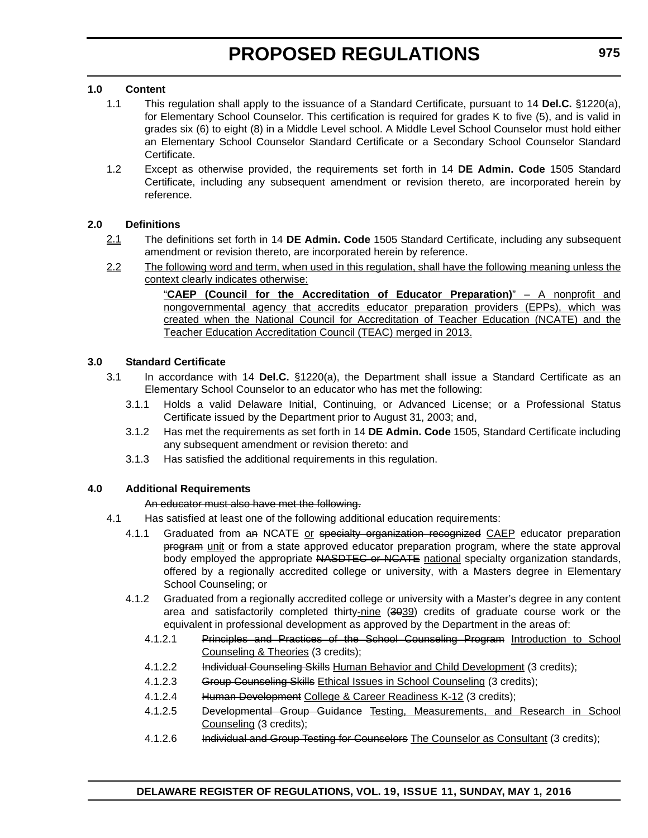#### **1.0 Content**

- 1.1 This regulation shall apply to the issuance of a Standard Certificate, pursuant to 14 **Del.C.** §1220(a), for Elementary School Counselor. This certification is required for grades K to five (5), and is valid in grades six (6) to eight (8) in a Middle Level school. A Middle Level School Counselor must hold either an Elementary School Counselor Standard Certificate or a Secondary School Counselor Standard Certificate.
- 1.2 Except as otherwise provided, the requirements set forth in 14 **DE Admin. Code** 1505 Standard Certificate, including any subsequent amendment or revision thereto, are incorporated herein by reference.

#### **2.0 Definitions**

- 2.1 The definitions set forth in 14 **DE Admin. Code** 1505 Standard Certificate, including any subsequent amendment or revision thereto, are incorporated herein by reference.
- 2.2 The following word and term, when used in this regulation, shall have the following meaning unless the context clearly indicates otherwise:

"**CAEP (Council for the Accreditation of Educator Preparation)**" – A nonprofit and nongovernmental agency that accredits educator preparation providers (EPPs), which was created when the National Council for Accreditation of Teacher Education (NCATE) and the Teacher Education Accreditation Council (TEAC) merged in 2013.

#### **3.0 Standard Certificate**

- 3.1 In accordance with 14 **Del.C.** §1220(a), the Department shall issue a Standard Certificate as an Elementary School Counselor to an educator who has met the following:
	- 3.1.1 Holds a valid Delaware Initial, Continuing, or Advanced License; or a Professional Status Certificate issued by the Department prior to August 31, 2003; and,
	- 3.1.2 Has met the requirements as set forth in 14 **DE Admin. Code** 1505, Standard Certificate including any subsequent amendment or revision thereto: and
	- 3.1.3 Has satisfied the additional requirements in this regulation.

#### **4.0 Additional Requirements**

An educator must also have met the following.

- 4.1 Has satisfied at least one of the following additional education requirements:
	- 4.1.1 Graduated from an NCATE or specialty organization recognized CAEP educator preparation program unit or from a state approved educator preparation program, where the state approval body employed the appropriate NASDTEC or NCATE national specialty organization standards, offered by a regionally accredited college or university, with a Masters degree in Elementary School Counseling; or
	- 4.1.2 Graduated from a regionally accredited college or university with a Master's degree in any content area and satisfactorily completed thirty-nine (3039) credits of graduate course work or the equivalent in professional development as approved by the Department in the areas of:
		- 4.1.2.1 Principles and Practices of the School Counseling Program Introduction to School Counseling & Theories (3 credits);
		- 4.1.2.2 Individual Counseling Skills Human Behavior and Child Development (3 credits);
		- 4.1.2.3 Group Counseling Skills Ethical Issues in School Counseling (3 credits);
		- 4.1.2.4 Human Development College & Career Readiness K-12 (3 credits);
		- 4.1.2.5 Developmental Group Guidance Testing, Measurements, and Research in School Counseling (3 credits);
		- 4.1.2.6 Individual and Group Testing for Counselors The Counselor as Consultant (3 credits);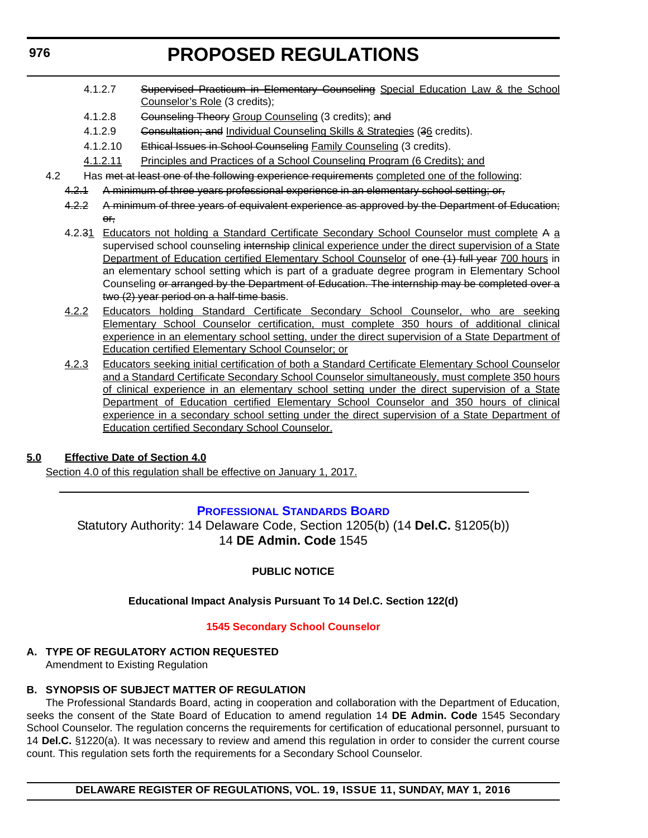- <span id="page-27-0"></span>4.1.2.7 Supervised Practicum in Elementary Counseling Special Education Law & the School Counselor's Role (3 credits);
- 4.1.2.8 Counseling Theory Group Counseling (3 credits); and
- 4.1.2.9 Consultation; and Individual Counseling Skills & Strategies (36 credits).
- 4.1.2.10 Ethical Issues in School Counseling Family Counseling (3 credits).
- 4.1.2.11 Principles and Practices of a School Counseling Program (6 Credits); and
- 4.2 Has met at least one of the following experience requirements completed one of the following:
	- 4.2.1 A minimum of three years professional experience in an elementary school setting; or,
	- 4.2.2 A minimum of three years of equivalent experience as approved by the Department of Education; or,
	- 4.2.31 Educators not holding a Standard Certificate Secondary School Counselor must complete A a supervised school counseling internship clinical experience under the direct supervision of a State Department of Education certified Elementary School Counselor of one (1) full year 700 hours in an elementary school setting which is part of a graduate degree program in Elementary School Counseling or arranged by the Department of Education. The internship may be completed over a two (2) year period on a half-time basis.
	- 4.2.2 Educators holding Standard Certificate Secondary School Counselor, who are seeking Elementary School Counselor certification, must complete 350 hours of additional clinical experience in an elementary school setting, under the direct supervision of a State Department of Education certified Elementary School Counselor; or
	- 4.2.3 Educators seeking initial certification of both a Standard Certificate Elementary School Counselor and a Standard Certificate Secondary School Counselor simultaneously, must complete 350 hours of clinical experience in an elementary school setting under the direct supervision of a State Department of Education certified Elementary School Counselor and 350 hours of clinical experience in a secondary school setting under the direct supervision of a State Department of Education certified Secondary School Counselor.

#### **5.0 Effective Date of Section 4.0**

Section 4.0 of this regulation shall be effective on January 1, 2017.

#### **[PROFESSIONAL STANDARDS BOARD](https://pubapps.doe.k12.de.us/EducationalDirectoryPublic/pages/DDOE/WorkGroupStaff.aspx?page=branches&WGID=75&BID=1)**

Statutory Authority: 14 Delaware Code, Section 1205(b) (14 **Del.C.** §1205(b)) 14 **DE Admin. Code** 1545

#### **PUBLIC NOTICE**

#### **Educational Impact Analysis Pursuant To 14 Del.C. Section 122(d)**

#### **[1545 Secondary School Counselor](#page-3-0)**

### **A. TYPE OF REGULATORY ACTION REQUESTED**

Amendment to Existing Regulation

#### **B. SYNOPSIS OF SUBJECT MATTER OF REGULATION**

The Professional Standards Board, acting in cooperation and collaboration with the Department of Education, seeks the consent of the State Board of Education to amend regulation 14 **DE Admin. Code** 1545 Secondary School Counselor. The regulation concerns the requirements for certification of educational personnel, pursuant to 14 **Del.C.** §1220(a). It was necessary to review and amend this regulation in order to consider the current course count. This regulation sets forth the requirements for a Secondary School Counselor.

**DELAWARE REGISTER OF REGULATIONS, VOL. 19, ISSUE 11, SUNDAY, MAY 1, 2016**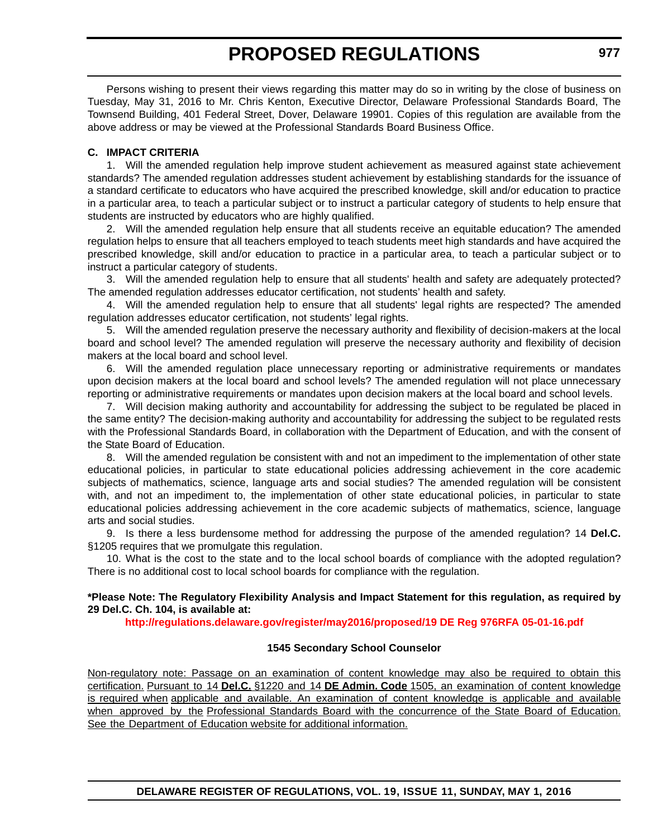Persons wishing to present their views regarding this matter may do so in writing by the close of business on Tuesday, May 31, 2016 to Mr. Chris Kenton, Executive Director, Delaware Professional Standards Board, The Townsend Building, 401 Federal Street, Dover, Delaware 19901. Copies of this regulation are available from the above address or may be viewed at the Professional Standards Board Business Office.

#### **C. IMPACT CRITERIA**

1. Will the amended regulation help improve student achievement as measured against state achievement standards? The amended regulation addresses student achievement by establishing standards for the issuance of a standard certificate to educators who have acquired the prescribed knowledge, skill and/or education to practice in a particular area, to teach a particular subject or to instruct a particular category of students to help ensure that students are instructed by educators who are highly qualified.

2. Will the amended regulation help ensure that all students receive an equitable education? The amended regulation helps to ensure that all teachers employed to teach students meet high standards and have acquired the prescribed knowledge, skill and/or education to practice in a particular area, to teach a particular subject or to instruct a particular category of students.

3. Will the amended regulation help to ensure that all students' health and safety are adequately protected? The amended regulation addresses educator certification, not students' health and safety.

4. Will the amended regulation help to ensure that all students' legal rights are respected? The amended regulation addresses educator certification, not students' legal rights.

5. Will the amended regulation preserve the necessary authority and flexibility of decision-makers at the local board and school level? The amended regulation will preserve the necessary authority and flexibility of decision makers at the local board and school level.

6. Will the amended regulation place unnecessary reporting or administrative requirements or mandates upon decision makers at the local board and school levels? The amended regulation will not place unnecessary reporting or administrative requirements or mandates upon decision makers at the local board and school levels.

7. Will decision making authority and accountability for addressing the subject to be regulated be placed in the same entity? The decision-making authority and accountability for addressing the subject to be regulated rests with the Professional Standards Board, in collaboration with the Department of Education, and with the consent of the State Board of Education.

8. Will the amended regulation be consistent with and not an impediment to the implementation of other state educational policies, in particular to state educational policies addressing achievement in the core academic subjects of mathematics, science, language arts and social studies? The amended regulation will be consistent with, and not an impediment to, the implementation of other state educational policies, in particular to state educational policies addressing achievement in the core academic subjects of mathematics, science, language arts and social studies.

9. Is there a less burdensome method for addressing the purpose of the amended regulation? 14 **Del.C.** §1205 requires that we promulgate this regulation.

10. What is the cost to the state and to the local school boards of compliance with the adopted regulation? There is no additional cost to local school boards for compliance with the regulation.

#### **\*Please Note: The Regulatory Flexibility Analysis and Impact Statement for this regulation, as required by 29 Del.C. Ch. 104, is available at:**

**<http://regulations.delaware.gov/register/may2016/proposed/19 DE Reg 976RFA 05-01-16.pdf>**

#### **1545 Secondary School Counselor**

Non-regulatory note: Passage on an examination of content knowledge may also be required to obtain this certification. Pursuant to 14 **Del.C.** §1220 and 14 **DE Admin. Code** 1505, an examination of content knowledge is required when applicable and available. An examination of content knowledge is applicable and available when approved by the Professional Standards Board with the concurrence of the State Board of Education. See the Department of Education website for additional information.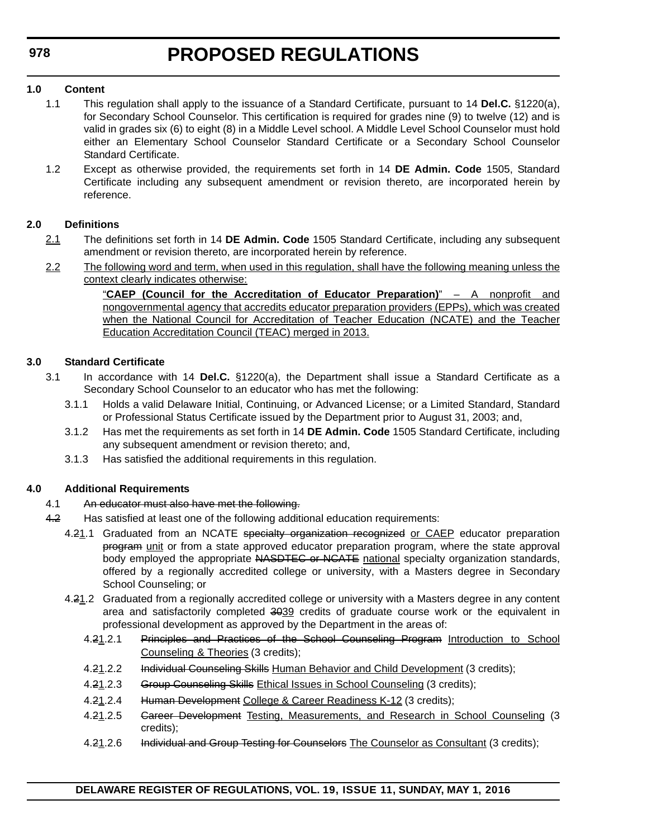#### **1.0 Content**

- 1.1 This regulation shall apply to the issuance of a Standard Certificate, pursuant to 14 **Del.C.** §1220(a), for Secondary School Counselor. This certification is required for grades nine (9) to twelve (12) and is valid in grades six (6) to eight (8) in a Middle Level school. A Middle Level School Counselor must hold either an Elementary School Counselor Standard Certificate or a Secondary School Counselor Standard Certificate.
- 1.2 Except as otherwise provided, the requirements set forth in 14 **DE Admin. Code** 1505, Standard Certificate including any subsequent amendment or revision thereto, are incorporated herein by reference.

#### **2.0 Definitions**

- 2.1 The definitions set forth in 14 **DE Admin. Code** 1505 Standard Certificate, including any subsequent amendment or revision thereto, are incorporated herein by reference.
- 2.2 The following word and term, when used in this regulation, shall have the following meaning unless the context clearly indicates otherwise:

"**CAEP (Council for the Accreditation of Educator Preparation)**" – A nonprofit and nongovernmental agency that accredits educator preparation providers (EPPs), which was created when the National Council for Accreditation of Teacher Education (NCATE) and the Teacher Education Accreditation Council (TEAC) merged in 2013.

#### **3.0 Standard Certificate**

- 3.1 In accordance with 14 **Del.C.** §1220(a), the Department shall issue a Standard Certificate as a Secondary School Counselor to an educator who has met the following:
	- 3.1.1 Holds a valid Delaware Initial, Continuing, or Advanced License; or a Limited Standard, Standard or Professional Status Certificate issued by the Department prior to August 31, 2003; and,
	- 3.1.2 Has met the requirements as set forth in 14 **DE Admin. Code** 1505 Standard Certificate, including any subsequent amendment or revision thereto; and,
	- 3.1.3 Has satisfied the additional requirements in this regulation.

#### **4.0 Additional Requirements**

- 4.1 An educator must also have met the following.
- 4.2 Has satisfied at least one of the following additional education requirements:
	- 4.21.1 Graduated from an NCATE specialty organization recognized or CAEP educator preparation program unit or from a state approved educator preparation program, where the state approval body employed the appropriate NASDTEC or NCATE national specialty organization standards, offered by a regionally accredited college or university, with a Masters degree in Secondary School Counseling; or
	- 4.21.2 Graduated from a regionally accredited college or university with a Masters degree in any content area and satisfactorily completed 3039 credits of graduate course work or the equivalent in professional development as approved by the Department in the areas of:
		- 4.21.2.1 Principles and Practices of the School Counseling Program Introduction to School Counseling & Theories (3 credits);
		- 4.21.2.2 Individual Counseling Skills Human Behavior and Child Development (3 credits);
		- 4.21.2.3 Group Counseling Skills Ethical Issues in School Counseling (3 credits);
		- 4.21.2.4 Human Development College & Career Readiness K-12 (3 credits);
		- 4.21.2.5 Gareer Development Testing, Measurements, and Research in School Counseling (3 credits);
		- 4.21.2.6 Individual and Group Testing for Counselors The Counselor as Consultant (3 credits);

**DELAWARE REGISTER OF REGULATIONS, VOL. 19, ISSUE 11, SUNDAY, MAY 1, 2016**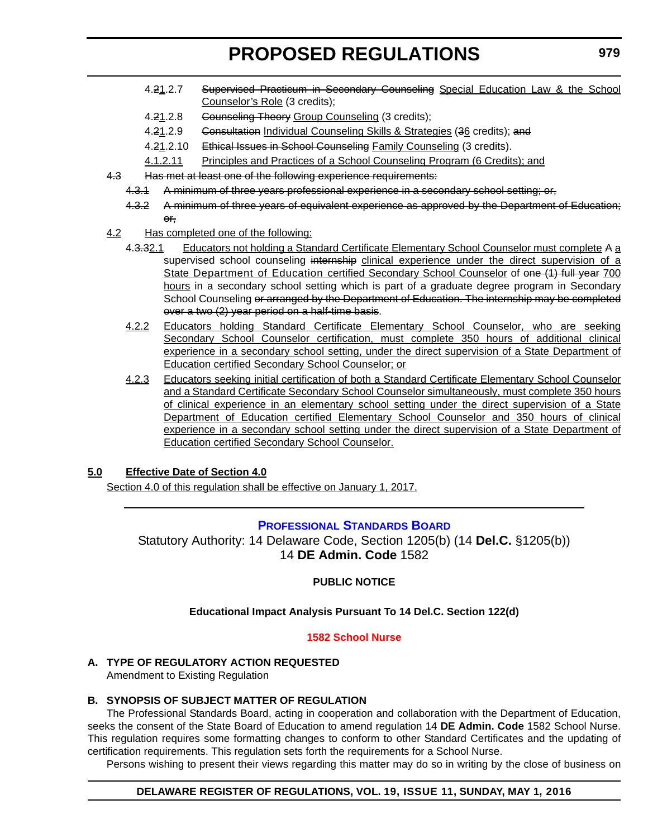- <span id="page-30-0"></span>4.21.2.7 Supervised Practicum in Secondary Counseling Special Education Law & the School Counselor's Role (3 credits);
- 4.21.2.8 Gounseling Theory Group Counseling (3 credits);
- 4.21.2.9 Gonsultation Individual Counseling Skills & Strategies (36 credits); and
- 4.21.2.10 Ethical Issues in School Counseling Family Counseling (3 credits).
- 4.1.2.11 Principles and Practices of a School Counseling Program (6 Credits); and
- 4.3 Has met at least one of the following experience requirements:
	- 4.3.1 A minimum of three years professional experience in a secondary school setting; or,
	- 4.3.2 A minimum of three years of equivalent experience as approved by the Department of Education; or,
- 4.2 Has completed one of the following:
	- 4.3.32.1 Educators not holding a Standard Certificate Elementary School Counselor must complete A a supervised school counseling internship clinical experience under the direct supervision of a State Department of Education certified Secondary School Counselor of one (1) full year 700 hours in a secondary school setting which is part of a graduate degree program in Secondary School Counseling or arranged by the Department of Education. The internship may be completed over a two (2) year period on a half-time basis.
	- 4.2.2 Educators holding Standard Certificate Elementary School Counselor, who are seeking Secondary School Counselor certification, must complete 350 hours of additional clinical experience in a secondary school setting, under the direct supervision of a State Department of Education certified Secondary School Counselor; or
	- 4.2.3 Educators seeking initial certification of both a Standard Certificate Elementary School Counselor and a Standard Certificate Secondary School Counselor simultaneously, must complete 350 hours of clinical experience in an elementary school setting under the direct supervision of a State Department of Education certified Elementary School Counselor and 350 hours of clinical experience in a secondary school setting under the direct supervision of a State Department of Education certified Secondary School Counselor.

#### **5.0 Effective Date of Section 4.0**

Section 4.0 of this regulation shall be effective on January 1, 2017.

#### **[PROFESSIONAL STANDARDS BOARD](https://pubapps.doe.k12.de.us/EducationalDirectoryPublic/pages/DDOE/WorkGroupStaff.aspx?page=branches&WGID=75&BID=1)**

Statutory Authority: 14 Delaware Code, Section 1205(b) (14 **Del.C.** §1205(b)) 14 **DE Admin. Code** 1582

#### **PUBLIC NOTICE**

#### **Educational Impact Analysis Pursuant To 14 Del.C. Section 122(d)**

#### **[1582 School Nurse](#page-3-0)**

#### **A. TYPE OF REGULATORY ACTION REQUESTED**

Amendment to Existing Regulation

#### **B. SYNOPSIS OF SUBJECT MATTER OF REGULATION**

The Professional Standards Board, acting in cooperation and collaboration with the Department of Education, seeks the consent of the State Board of Education to amend regulation 14 **DE Admin. Code** 1582 School Nurse. This regulation requires some formatting changes to conform to other Standard Certificates and the updating of certification requirements. This regulation sets forth the requirements for a School Nurse.

Persons wishing to present their views regarding this matter may do so in writing by the close of business on

#### **DELAWARE REGISTER OF REGULATIONS, VOL. 19, ISSUE 11, SUNDAY, MAY 1, 2016**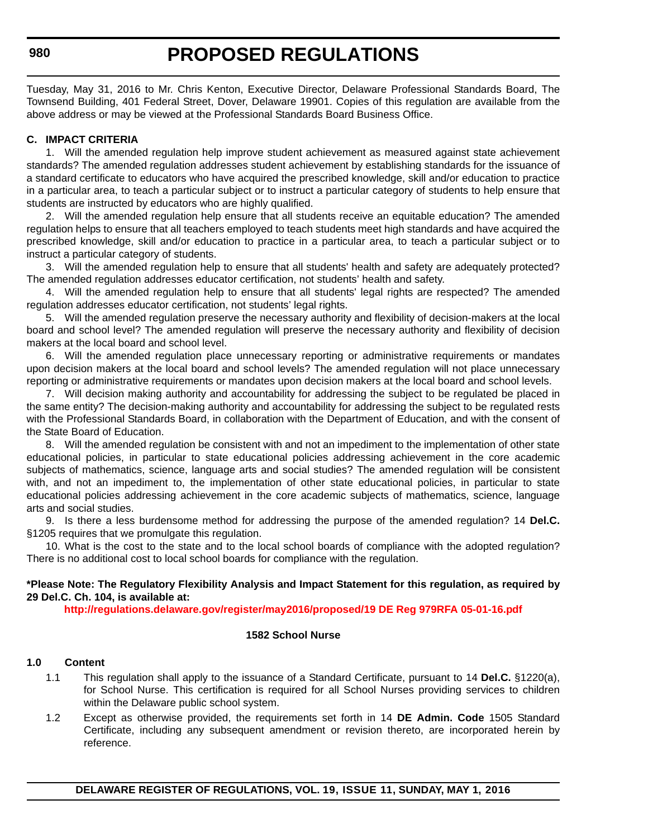#### **980**

# **PROPOSED REGULATIONS**

Tuesday, May 31, 2016 to Mr. Chris Kenton, Executive Director, Delaware Professional Standards Board, The Townsend Building, 401 Federal Street, Dover, Delaware 19901. Copies of this regulation are available from the above address or may be viewed at the Professional Standards Board Business Office.

#### **C. IMPACT CRITERIA**

1. Will the amended regulation help improve student achievement as measured against state achievement standards? The amended regulation addresses student achievement by establishing standards for the issuance of a standard certificate to educators who have acquired the prescribed knowledge, skill and/or education to practice in a particular area, to teach a particular subject or to instruct a particular category of students to help ensure that students are instructed by educators who are highly qualified.

2. Will the amended regulation help ensure that all students receive an equitable education? The amended regulation helps to ensure that all teachers employed to teach students meet high standards and have acquired the prescribed knowledge, skill and/or education to practice in a particular area, to teach a particular subject or to instruct a particular category of students.

3. Will the amended regulation help to ensure that all students' health and safety are adequately protected? The amended regulation addresses educator certification, not students' health and safety.

4. Will the amended regulation help to ensure that all students' legal rights are respected? The amended regulation addresses educator certification, not students' legal rights.

5. Will the amended regulation preserve the necessary authority and flexibility of decision-makers at the local board and school level? The amended regulation will preserve the necessary authority and flexibility of decision makers at the local board and school level.

6. Will the amended regulation place unnecessary reporting or administrative requirements or mandates upon decision makers at the local board and school levels? The amended regulation will not place unnecessary reporting or administrative requirements or mandates upon decision makers at the local board and school levels.

7. Will decision making authority and accountability for addressing the subject to be regulated be placed in the same entity? The decision-making authority and accountability for addressing the subject to be regulated rests with the Professional Standards Board, in collaboration with the Department of Education, and with the consent of the State Board of Education.

8. Will the amended regulation be consistent with and not an impediment to the implementation of other state educational policies, in particular to state educational policies addressing achievement in the core academic subjects of mathematics, science, language arts and social studies? The amended regulation will be consistent with, and not an impediment to, the implementation of other state educational policies, in particular to state educational policies addressing achievement in the core academic subjects of mathematics, science, language arts and social studies.

9. Is there a less burdensome method for addressing the purpose of the amended regulation? 14 **Del.C.** §1205 requires that we promulgate this regulation.

10. What is the cost to the state and to the local school boards of compliance with the adopted regulation? There is no additional cost to local school boards for compliance with the regulation.

#### **\*Please Note: The Regulatory Flexibility Analysis and Impact Statement for this regulation, as required by 29 Del.C. Ch. 104, is available at:**

**<http://regulations.delaware.gov/register/may2016/proposed/19 DE Reg 979RFA 05-01-16.pdf>**

#### **1582 School Nurse**

#### **1.0 Content**

- 1.1 This regulation shall apply to the issuance of a Standard Certificate, pursuant to 14 **Del.C.** §1220(a), for School Nurse. This certification is required for all School Nurses providing services to children within the Delaware public school system.
- 1.2 Except as otherwise provided, the requirements set forth in 14 **DE Admin. Code** 1505 Standard Certificate, including any subsequent amendment or revision thereto, are incorporated herein by reference.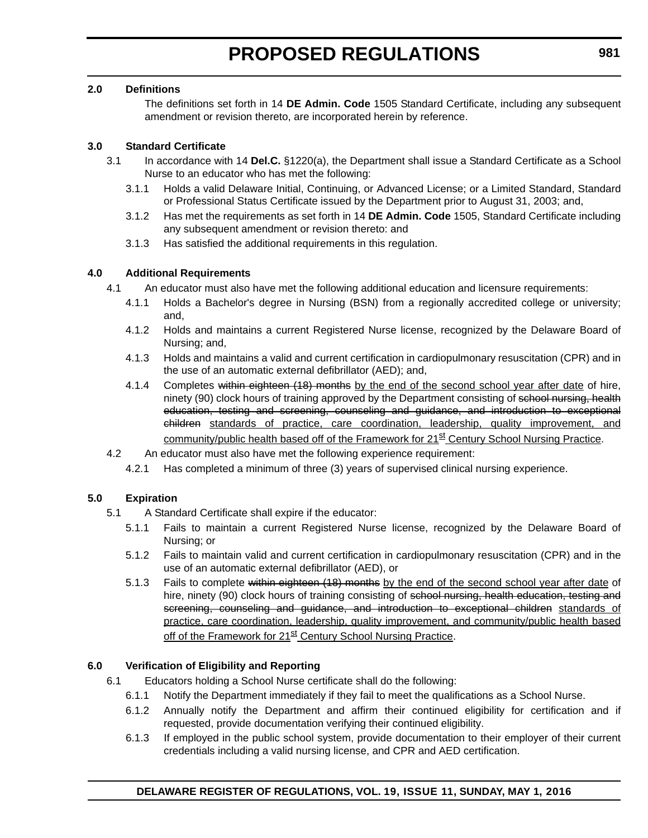#### **2.0 Definitions**

The definitions set forth in 14 **DE Admin. Code** 1505 Standard Certificate, including any subsequent amendment or revision thereto, are incorporated herein by reference.

#### **3.0 Standard Certificate**

- 3.1 In accordance with 14 **Del.C.** §1220(a), the Department shall issue a Standard Certificate as a School Nurse to an educator who has met the following:
	- 3.1.1 Holds a valid Delaware Initial, Continuing, or Advanced License; or a Limited Standard, Standard or Professional Status Certificate issued by the Department prior to August 31, 2003; and,
	- 3.1.2 Has met the requirements as set forth in 14 **DE Admin. Code** 1505, Standard Certificate including any subsequent amendment or revision thereto: and
	- 3.1.3 Has satisfied the additional requirements in this regulation.

#### **4.0 Additional Requirements**

- 4.1 An educator must also have met the following additional education and licensure requirements:
	- 4.1.1 Holds a Bachelor's degree in Nursing (BSN) from a regionally accredited college or university; and,
	- 4.1.2 Holds and maintains a current Registered Nurse license, recognized by the Delaware Board of Nursing; and,
	- 4.1.3 Holds and maintains a valid and current certification in cardiopulmonary resuscitation (CPR) and in the use of an automatic external defibrillator (AED); and,
	- 4.1.4 Completes within eighteen (18) months by the end of the second school year after date of hire, ninety (90) clock hours of training approved by the Department consisting of school nursing, health education, testing and screening, counseling and guidance, and introduction to exceptional children standards of practice, care coordination, leadership, quality improvement, and community/public health based off of the Framework for 21<sup>st</sup> Century School Nursing Practice.
- 4.2 An educator must also have met the following experience requirement:
	- 4.2.1 Has completed a minimum of three (3) years of supervised clinical nursing experience.

#### **5.0 Expiration**

- 5.1 A Standard Certificate shall expire if the educator:
	- 5.1.1 Fails to maintain a current Registered Nurse license, recognized by the Delaware Board of Nursing; or
	- 5.1.2 Fails to maintain valid and current certification in cardiopulmonary resuscitation (CPR) and in the use of an automatic external defibrillator (AED), or
	- 5.1.3 Fails to complete within eighteen (18) months by the end of the second school year after date of hire, ninety (90) clock hours of training consisting of school nursing, health education, testing and screening, counseling and guidance, and introduction to exceptional children standards of practice, care coordination, leadership, quality improvement, and community/public health based off of the Framework for 21<sup>st</sup> Century School Nursing Practice.

#### **6.0 Verification of Eligibility and Reporting**

- 6.1 Educators holding a School Nurse certificate shall do the following:
	- 6.1.1 Notify the Department immediately if they fail to meet the qualifications as a School Nurse.
	- 6.1.2 Annually notify the Department and affirm their continued eligibility for certification and if requested, provide documentation verifying their continued eligibility.
	- 6.1.3 If employed in the public school system, provide documentation to their employer of their current credentials including a valid nursing license, and CPR and AED certification.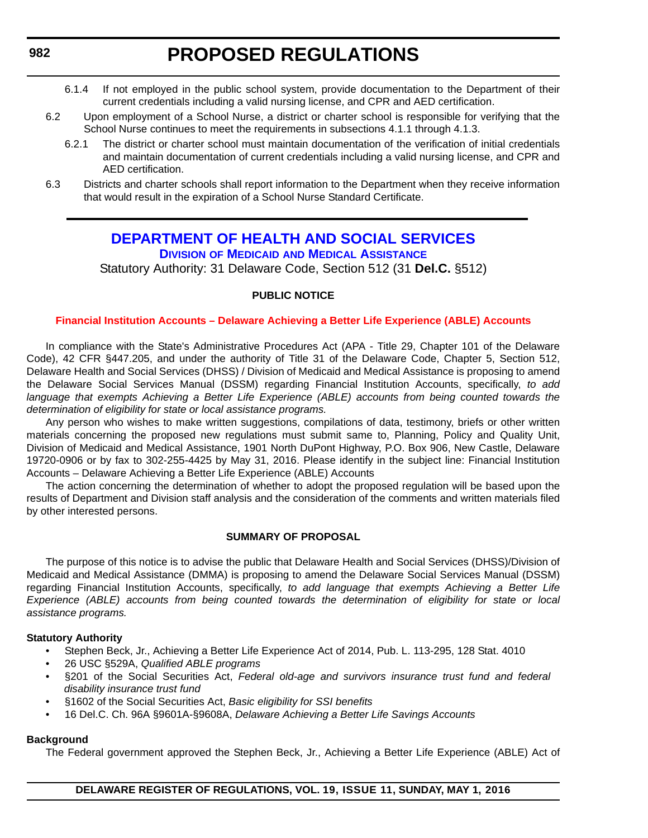- <span id="page-33-0"></span>6.1.4 If not employed in the public school system, provide documentation to the Department of their current credentials including a valid nursing license, and CPR and AED certification.
- 6.2 Upon employment of a School Nurse, a district or charter school is responsible for verifying that the School Nurse continues to meet the requirements in subsections 4.1.1 through 4.1.3.
	- 6.2.1 The district or charter school must maintain documentation of the verification of initial credentials and maintain documentation of current credentials including a valid nursing license, and CPR and AED certification.
- 6.3 Districts and charter schools shall report information to the Department when they receive information that would result in the expiration of a School Nurse Standard Certificate.

#### **[DEPARTMENT OF HEALTH AND SOCIAL SERVICES](www.dhss.delaware.gov/dhss/index.html) DIVISION OF MEDICAID [AND MEDICAL ASSISTANCE](http://www.dhss.delaware.gov/dhss/dmma/)**

Statutory Authority: 31 Delaware Code, Section 512 (31 **Del.C.** §512)

#### **PUBLIC NOTICE**

#### **[Financial Institution Accounts – Delaware Achieving a Better Life Experience \(ABLE\) Accounts](#page-3-0)**

In compliance with the State's Administrative Procedures Act (APA - Title 29, Chapter 101 of the Delaware Code), 42 CFR §447.205, and under the authority of Title 31 of the Delaware Code, Chapter 5, Section 512, Delaware Health and Social Services (DHSS) / Division of Medicaid and Medical Assistance is proposing to amend the Delaware Social Services Manual (DSSM) regarding Financial Institution Accounts, specifically, *to add language that exempts Achieving a Better Life Experience (ABLE) accounts from being counted towards the determination of eligibility for state or local assistance programs.*

Any person who wishes to make written suggestions, compilations of data, testimony, briefs or other written materials concerning the proposed new regulations must submit same to, Planning, Policy and Quality Unit, Division of Medicaid and Medical Assistance, 1901 North DuPont Highway, P.O. Box 906, New Castle, Delaware 19720-0906 or by fax to 302-255-4425 by May 31, 2016. Please identify in the subject line: Financial Institution Accounts – Delaware Achieving a Better Life Experience (ABLE) Accounts

The action concerning the determination of whether to adopt the proposed regulation will be based upon the results of Department and Division staff analysis and the consideration of the comments and written materials filed by other interested persons.

#### **SUMMARY OF PROPOSAL**

The purpose of this notice is to advise the public that Delaware Health and Social Services (DHSS)/Division of Medicaid and Medical Assistance (DMMA) is proposing to amend the Delaware Social Services Manual (DSSM) regarding Financial Institution Accounts, specifically, *to add language that exempts Achieving a Better Life Experience (ABLE) accounts from being counted towards the determination of eligibility for state or local assistance programs.*

#### **Statutory Authority**

- Stephen Beck, Jr., Achieving a Better Life Experience Act of 2014, Pub. L. 113-295, 128 Stat. 4010
- 26 USC §529A, *Qualified ABLE programs*
- §201 of the Social Securities Act, *Federal old-age and survivors insurance trust fund and federal disability insurance trust fund*
- §1602 of the Social Securities Act, *Basic eligibility for SSI benefits*
- 16 Del.C. Ch. 96A §9601A-§9608A, *Delaware Achieving a Better Life Savings Accounts*

#### **Background**

The Federal government approved the Stephen Beck, Jr., Achieving a Better Life Experience (ABLE) Act of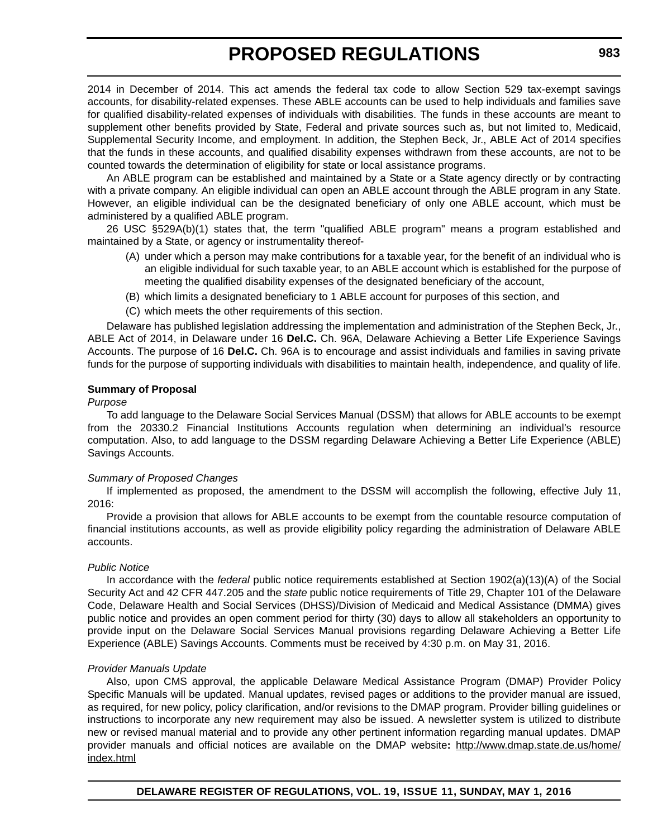2014 in December of 2014. This act amends the federal tax code to allow Section 529 tax-exempt savings accounts, for disability-related expenses. These ABLE accounts can be used to help individuals and families save for qualified disability-related expenses of individuals with disabilities. The funds in these accounts are meant to supplement other benefits provided by State, Federal and private sources such as, but not limited to, Medicaid, Supplemental Security Income, and employment. In addition, the Stephen Beck, Jr., ABLE Act of 2014 specifies that the funds in these accounts, and qualified disability expenses withdrawn from these accounts, are not to be counted towards the determination of eligibility for state or local assistance programs.

An ABLE program can be established and maintained by a State or a State agency directly or by contracting with a private company. An eligible individual can open an ABLE account through the ABLE program in any State. However, an eligible individual can be the designated beneficiary of only one ABLE account, which must be administered by a qualified ABLE program.

26 USC §529A(b)(1) states that, the term "qualified ABLE program" means a program established and maintained by a State, or agency or instrumentality thereof-

- (A) under which a person may make contributions for a taxable year, for the benefit of an individual who is an eligible individual for such taxable year, to an ABLE account which is established for the purpose of meeting the qualified disability expenses of the designated beneficiary of the account,
- (B) which limits a designated beneficiary to 1 ABLE account for purposes of this section, and
- (C) which meets the other requirements of this section.

Delaware has published legislation addressing the implementation and administration of the Stephen Beck, Jr., ABLE Act of 2014, in Delaware under 16 **Del.C.** Ch. 96A, Delaware Achieving a Better Life Experience Savings Accounts. The purpose of 16 **Del.C.** Ch. 96A is to encourage and assist individuals and families in saving private funds for the purpose of supporting individuals with disabilities to maintain health, independence, and quality of life.

#### **Summary of Proposal**

#### *Purpose*

To add language to the Delaware Social Services Manual (DSSM) that allows for ABLE accounts to be exempt from the 20330.2 Financial Institutions Accounts regulation when determining an individual's resource computation. Also, to add language to the DSSM regarding Delaware Achieving a Better Life Experience (ABLE) Savings Accounts.

#### *Summary of Proposed Changes*

If implemented as proposed, the amendment to the DSSM will accomplish the following, effective July 11, 2016:

Provide a provision that allows for ABLE accounts to be exempt from the countable resource computation of financial institutions accounts, as well as provide eligibility policy regarding the administration of Delaware ABLE accounts.

#### *Public Notice*

In accordance with the *federal* public notice requirements established at Section 1902(a)(13)(A) of the Social Security Act and 42 CFR 447.205 and the *state* public notice requirements of Title 29, Chapter 101 of the Delaware Code, Delaware Health and Social Services (DHSS)/Division of Medicaid and Medical Assistance (DMMA) gives public notice and provides an open comment period for thirty (30) days to allow all stakeholders an opportunity to provide input on the Delaware Social Services Manual provisions regarding Delaware Achieving a Better Life Experience (ABLE) Savings Accounts. Comments must be received by 4:30 p.m. on May 31, 2016.

#### *Provider Manuals Update*

Also, upon CMS approval, the applicable Delaware Medical Assistance Program (DMAP) Provider Policy Specific Manuals will be updated. Manual updates, revised pages or additions to the provider manual are issued, as required, for new policy, policy clarification, and/or revisions to the DMAP program. Provider billing guidelines or instructions to incorporate any new requirement may also be issued. A newsletter system is utilized to distribute new or revised manual material and to provide any other pertinent information regarding manual updates. DMAP provider manuals and official notices are available on the DMAP website**:** http://www.dmap.state.de.us/home/ index.html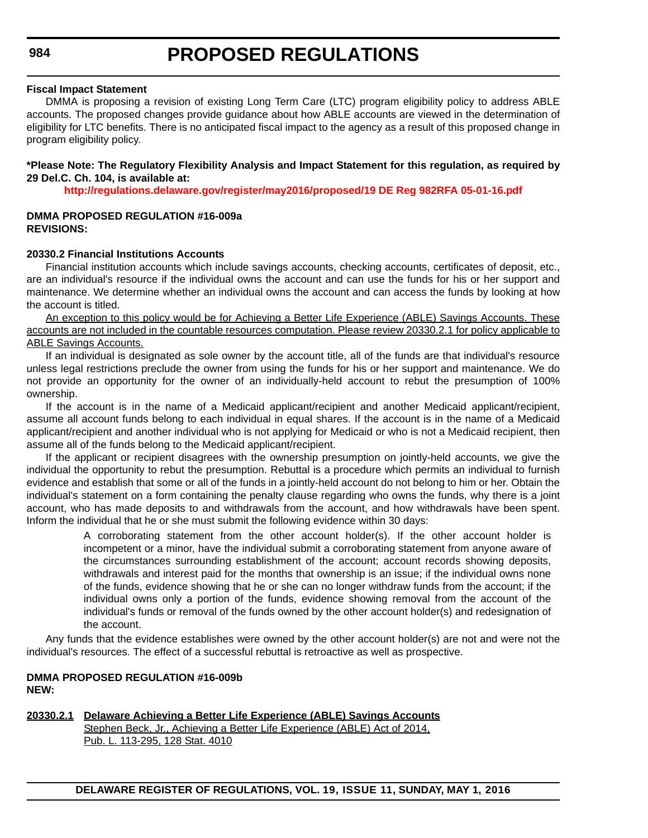If the applicant or recipient disagrees with the ownership presumption on jointly-held accounts, we give the individual the opportunity to rebut the presumption. Rebuttal is a procedure which permits an individual to furnish evidence and establish that some or all of the funds in a jointly-held account do not belong to him or her. Obtain the individual's statement on a form containing the penalty clause regarding who owns the funds, why there is a joint account, who has made deposits to and withdrawals from the account, and how withdrawals have been spent. Inform the individual that he or she must submit the following evidence within 30 days:

A corroborating statement from the other account holder(s). If the other account holder is

incompetent or a minor, have the individual submit a corroborating statement from anyone aware of the circumstances surrounding establishment of the account; account records showing deposits, withdrawals and interest paid for the months that ownership is an issue; if the individual owns none of the funds, evidence showing that he or she can no longer withdraw funds from the account; if the individual owns only a portion of the funds, evidence showing removal from the account of the individual's funds or removal of the funds owned by the other account holder(s) and redesignation of the account.

Any funds that the evidence establishes were owned by the other account holder(s) are not and were not the individual's resources. The effect of a successful rebuttal is retroactive as well as prospective.

#### **DMMA PROPOSED REGULATION #16-009b NEW:**

#### **20330.2.1 Delaware Achieving a Better Life Experience (ABLE) Savings Accounts** Stephen Beck, Jr., Achieving a Better Life Experience (ABLE) Act of 2014, Pub. L. 113-295, 128 Stat. 4010

**DELAWARE REGISTER OF REGULATIONS, VOL. 19, ISSUE 11, SUNDAY, MAY 1, 2016**

### **PROPOSED REGULATIONS**

#### **Fiscal Impact Statement**

DMMA is proposing a revision of existing Long Term Care (LTC) program eligibility policy to address ABLE accounts. The proposed changes provide guidance about how ABLE accounts are viewed in the determination of eligibility for LTC benefits. There is no anticipated fiscal impact to the agency as a result of this proposed change in program eligibility policy.

#### **\*Please Note: The Regulatory Flexibility Analysis and Impact Statement for this regulation, as required by 29 Del.C. Ch. 104, is available at:**

**<http://regulations.delaware.gov/register/may2016/proposed/19 DE Reg 982RFA 05-01-16.pdf>**

#### **DMMA PROPOSED REGULATION #16-009a REVISIONS:**

#### **20330.2 Financial Institutions Accounts**

Financial institution accounts which include savings accounts, checking accounts, certificates of deposit, etc., are an individual's resource if the individual owns the account and can use the funds for his or her support and maintenance. We determine whether an individual owns the account and can access the funds by looking at how the account is titled.

An exception to this policy would be for Achieving a Better Life Experience (ABLE) Savings Accounts. These accounts are not included in the countable resources computation. Please review 20330.2.1 for policy applicable to ABLE Savings Accounts.

If an individual is designated as sole owner by the account title, all of the funds are that individual's resource unless legal restrictions preclude the owner from using the funds for his or her support and maintenance. We do not provide an opportunity for the owner of an individually-held account to rebut the presumption of 100%

ownership. If the account is in the name of a Medicaid applicant/recipient and another Medicaid applicant/recipient, assume all account funds belong to each individual in equal shares. If the account is in the name of a Medicaid applicant/recipient and another individual who is not applying for Medicaid or who is not a Medicaid recipient, then assume all of the funds belong to the Medicaid applicant/recipient.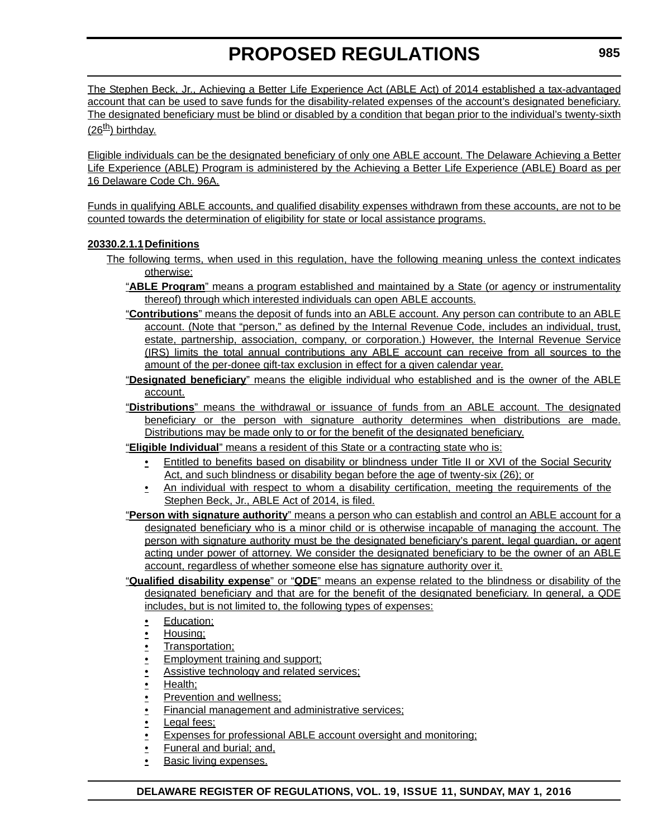The Stephen Beck, Jr., Achieving a Better Life Experience Act (ABLE Act) of 2014 established a tax-advantaged account that can be used to save funds for the disability-related expenses of the account's designated beneficiary. The designated beneficiary must be blind or disabled by a condition that began prior to the individual's twenty-sixth  $(26<sup>th</sup>)$  birthday.

Eligible individuals can be the designated beneficiary of only one ABLE account. The Delaware Achieving a Better Life Experience (ABLE) Program is administered by the Achieving a Better Life Experience (ABLE) Board as per 16 Delaware Code Ch. 96A.

Funds in qualifying ABLE accounts, and qualified disability expenses withdrawn from these accounts, are not to be counted towards the determination of eligibility for state or local assistance programs.

# **20330.2.1.1Definitions**

- The following terms, when used in this regulation, have the following meaning unless the context indicates otherwise:
	- "**ABLE Program**" means a program established and maintained by a State (or agency or instrumentality thereof) through which interested individuals can open ABLE accounts.
	- "**Contributions**" means the deposit of funds into an ABLE account. Any person can contribute to an ABLE account. (Note that "person," as defined by the Internal Revenue Code, includes an individual, trust, estate, partnership, association, company, or corporation.) However, the Internal Revenue Service (IRS) limits the total annual contributions any ABLE account can receive from all sources to the amount of the per-donee gift-tax exclusion in effect for a given calendar year.
	- "**Designated beneficiary**" means the eligible individual who established and is the owner of the ABLE account.
	- "**Distributions**" means the withdrawal or issuance of funds from an ABLE account. The designated beneficiary or the person with signature authority determines when distributions are made. Distributions may be made only to or for the benefit of the designated beneficiary.

"**Eligible Individual**" means a resident of this State or a contracting state who is:

- Entitled to benefits based on disability or blindness under Title II or XVI of the Social Security Act, and such blindness or disability began before the age of twenty-six (26); or
- An individual with respect to whom a disability certification, meeting the requirements of the Stephen Beck, Jr., ABLE Act of 2014, is filed.
- "**Person with signature authority**" means a person who can establish and control an ABLE account for a designated beneficiary who is a minor child or is otherwise incapable of managing the account. The person with signature authority must be the designated beneficiary's parent, legal guardian, or agent acting under power of attorney. We consider the designated beneficiary to be the owner of an ABLE account, regardless of whether someone else has signature authority over it.
- "**Qualified disability expense**" or "**QDE**" means an expense related to the blindness or disability of the designated beneficiary and that are for the benefit of the designated beneficiary. In general, a QDE includes, but is not limited to, the following types of expenses:
	- Education;
	- Housing;
	- Transportation;
	- Employment training and support;
	- Assistive technology and related services:
	- Health;
	- Prevention and wellness:
	- Financial management and administrative services;
	- Legal fees;
	- Expenses for professional ABLE account oversight and monitoring:
	- Funeral and burial; and,
	- Basic living expenses.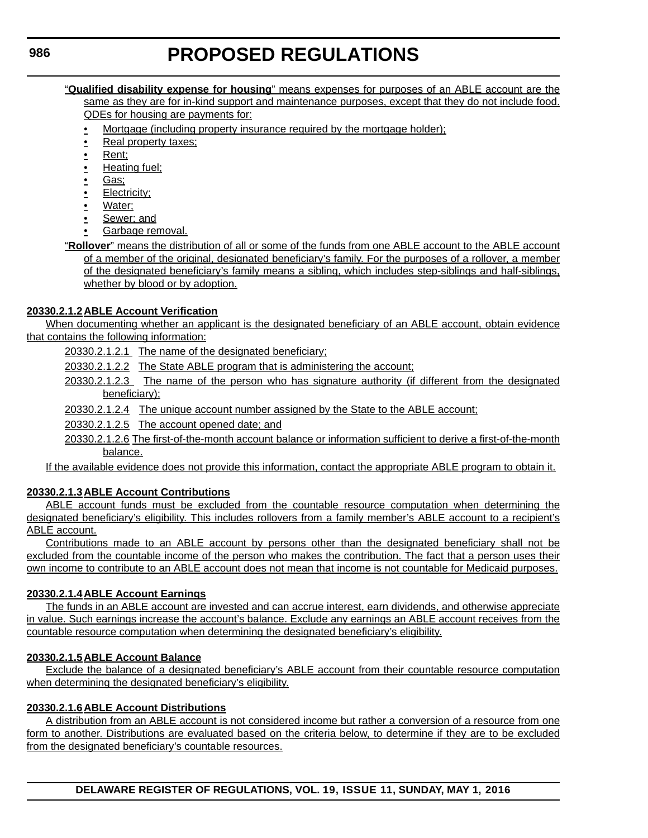#### "**Qualified disability expense for housing**" means expenses for purposes of an ABLE account are the same as they are for in-kind support and maintenance purposes, except that they do not include food. QDEs for housing are payments for:

- Mortgage (including property insurance required by the mortgage holder);
- Real property taxes;
- Rent;
- Heating fuel;
- Gas;
- Electricity;
- Water;
- Sewer; and
- Garbage removal.

"**Rollover**" means the distribution of all or some of the funds from one ABLE account to the ABLE account of a member of the original, designated beneficiary's family. For the purposes of a rollover, a member of the designated beneficiary's family means a sibling, which includes step-siblings and half-siblings, whether by blood or by adoption.

# **20330.2.1.2ABLE Account Verification**

When documenting whether an applicant is the designated beneficiary of an ABLE account, obtain evidence that contains the following information:

20330.2.1.2.1 The name of the designated beneficiary;

20330.2.1.2.2 The State ABLE program that is administering the account;

20330.2.1.2.3 The name of the person who has signature authority (if different from the designated beneficiary);

20330.2.1.2.4 The unique account number assigned by the State to the ABLE account;

20330.2.1.2.5 The account opened date; and

20330.2.1.2.6 The first-of-the-month account balance or information sufficient to derive a first-of-the-month balance.

If the available evidence does not provide this information, contact the appropriate ABLE program to obtain it.

# **20330.2.1.3ABLE Account Contributions**

ABLE account funds must be excluded from the countable resource computation when determining the designated beneficiary's eligibility. This includes rollovers from a family member's ABLE account to a recipient's ABLE account.

Contributions made to an ABLE account by persons other than the designated beneficiary shall not be excluded from the countable income of the person who makes the contribution. The fact that a person uses their own income to contribute to an ABLE account does not mean that income is not countable for Medicaid purposes.

# **20330.2.1.4ABLE Account Earnings**

The funds in an ABLE account are invested and can accrue interest, earn dividends, and otherwise appreciate in value. Such earnings increase the account's balance. Exclude any earnings an ABLE account receives from the countable resource computation when determining the designated beneficiary's eligibility.

# **20330.2.1.5ABLE Account Balance**

Exclude the balance of a designated beneficiary's ABLE account from their countable resource computation when determining the designated beneficiary's eligibility.

# **20330.2.1.6ABLE Account Distributions**

A distribution from an ABLE account is not considered income but rather a conversion of a resource from one form to another. Distributions are evaluated based on the criteria below, to determine if they are to be excluded from the designated beneficiary's countable resources.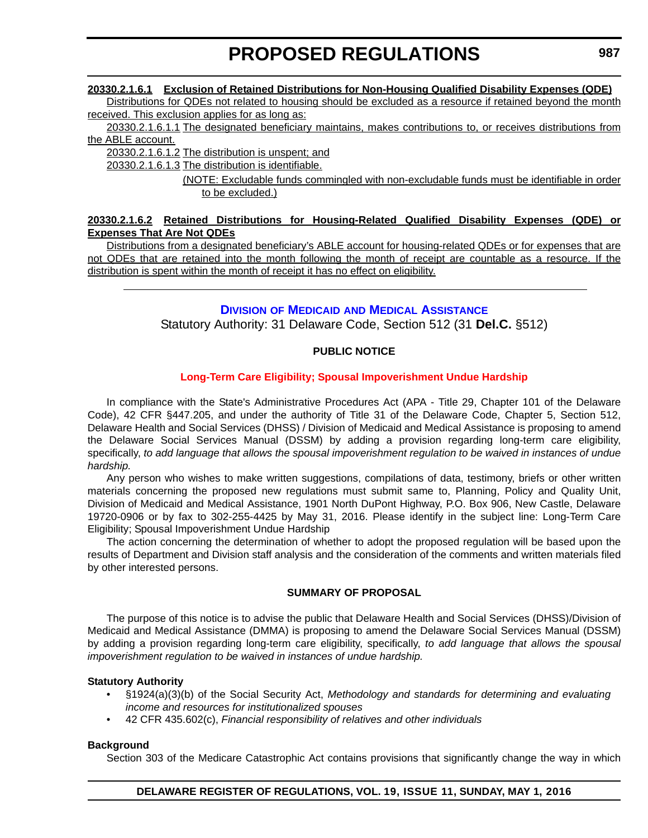# **20330.2.1.6.1 Exclusion of Retained Distributions for Non-Housing Qualified Disability Expenses (QDE)**

Distributions for QDEs not related to housing should be excluded as a resource if retained beyond the month received. This exclusion applies for as long as:

20330.2.1.6.1.1 The designated beneficiary maintains, makes contributions to, or receives distributions from the ABLE account.

20330.2.1.6.1.2 The distribution is unspent; and

20330.2.1.6.1.3 The distribution is identifiable.

(NOTE: Excludable funds commingled with non-excludable funds must be identifiable in order to be excluded.)

# **20330.2.1.6.2 Retained Distributions for Housing-Related Qualified Disability Expenses (QDE) or Expenses That Are Not QDEs**

Distributions from a designated beneficiary's ABLE account for housing-related QDEs or for expenses that are not QDEs that are retained into the month following the month of receipt are countable as a resource. If the distribution is spent within the month of receipt it has no effect on eligibility.

# **DIVISION OF MEDICAID [AND MEDICAL ASSISTANCE](http://www.dhss.delaware.gov/dhss/dmma/)**

Statutory Authority: 31 Delaware Code, Section 512 (31 **Del.C.** §512)

# **PUBLIC NOTICE**

# **[Long-Term Care Eligibility; Spousal Impoverishment Undue Hardship](#page-3-0)**

In compliance with the State's Administrative Procedures Act (APA - Title 29, Chapter 101 of the Delaware Code), 42 CFR §447.205, and under the authority of Title 31 of the Delaware Code, Chapter 5, Section 512, Delaware Health and Social Services (DHSS) / Division of Medicaid and Medical Assistance is proposing to amend the Delaware Social Services Manual (DSSM) by adding a provision regarding long-term care eligibility, specifically, *to add language that allows the spousal impoverishment regulation to be waived in instances of undue hardship.*

Any person who wishes to make written suggestions, compilations of data, testimony, briefs or other written materials concerning the proposed new regulations must submit same to, Planning, Policy and Quality Unit, Division of Medicaid and Medical Assistance, 1901 North DuPont Highway, P.O. Box 906, New Castle, Delaware 19720-0906 or by fax to 302-255-4425 by May 31, 2016. Please identify in the subject line: Long-Term Care Eligibility; Spousal Impoverishment Undue Hardship

The action concerning the determination of whether to adopt the proposed regulation will be based upon the results of Department and Division staff analysis and the consideration of the comments and written materials filed by other interested persons.

# **SUMMARY OF PROPOSAL**

The purpose of this notice is to advise the public that Delaware Health and Social Services (DHSS)/Division of Medicaid and Medical Assistance (DMMA) is proposing to amend the Delaware Social Services Manual (DSSM) by adding a provision regarding long-term care eligibility, specifically, *to add language that allows the spousal impoverishment regulation to be waived in instances of undue hardship.*

# **Statutory Authority**

- §1924(a)(3)(b) of the Social Security Act, *Methodology and standards for determining and evaluating income and resources for institutionalized spouses*
- 42 CFR 435.602(c), *Financial responsibility of relatives and other individuals*

# **Background**

Section 303 of the Medicare Catastrophic Act contains provisions that significantly change the way in which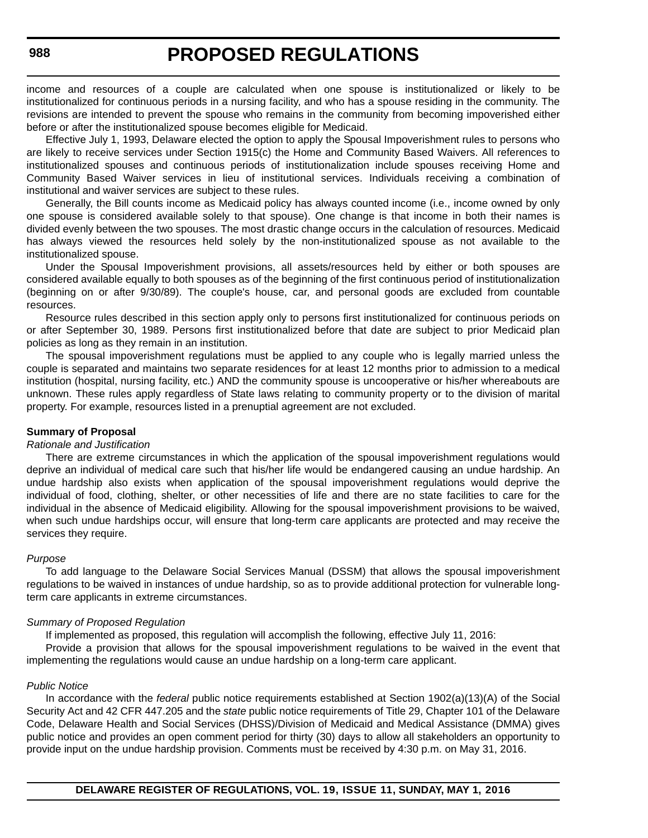income and resources of a couple are calculated when one spouse is institutionalized or likely to be institutionalized for continuous periods in a nursing facility, and who has a spouse residing in the community. The revisions are intended to prevent the spouse who remains in the community from becoming impoverished either before or after the institutionalized spouse becomes eligible for Medicaid.

Effective July 1, 1993, Delaware elected the option to apply the Spousal Impoverishment rules to persons who are likely to receive services under Section 1915(c) the Home and Community Based Waivers. All references to institutionalized spouses and continuous periods of institutionalization include spouses receiving Home and Community Based Waiver services in lieu of institutional services. Individuals receiving a combination of institutional and waiver services are subject to these rules.

Generally, the Bill counts income as Medicaid policy has always counted income (i.e., income owned by only one spouse is considered available solely to that spouse). One change is that income in both their names is divided evenly between the two spouses. The most drastic change occurs in the calculation of resources. Medicaid has always viewed the resources held solely by the non-institutionalized spouse as not available to the institutionalized spouse.

Under the Spousal Impoverishment provisions, all assets/resources held by either or both spouses are considered available equally to both spouses as of the beginning of the first continuous period of institutionalization (beginning on or after 9/30/89). The couple's house, car, and personal goods are excluded from countable resources.

Resource rules described in this section apply only to persons first institutionalized for continuous periods on or after September 30, 1989. Persons first institutionalized before that date are subject to prior Medicaid plan policies as long as they remain in an institution.

The spousal impoverishment regulations must be applied to any couple who is legally married unless the couple is separated and maintains two separate residences for at least 12 months prior to admission to a medical institution (hospital, nursing facility, etc.) AND the community spouse is uncooperative or his/her whereabouts are unknown. These rules apply regardless of State laws relating to community property or to the division of marital property. For example, resources listed in a prenuptial agreement are not excluded.

#### **Summary of Proposal**

#### *Rationale and Justification*

There are extreme circumstances in which the application of the spousal impoverishment regulations would deprive an individual of medical care such that his/her life would be endangered causing an undue hardship. An undue hardship also exists when application of the spousal impoverishment regulations would deprive the individual of food, clothing, shelter, or other necessities of life and there are no state facilities to care for the individual in the absence of Medicaid eligibility. Allowing for the spousal impoverishment provisions to be waived, when such undue hardships occur, will ensure that long-term care applicants are protected and may receive the services they require.

#### *Purpose*

To add language to the Delaware Social Services Manual (DSSM) that allows the spousal impoverishment regulations to be waived in instances of undue hardship, so as to provide additional protection for vulnerable longterm care applicants in extreme circumstances.

#### *Summary of Proposed Regulation*

If implemented as proposed, this regulation will accomplish the following, effective July 11, 2016:

Provide a provision that allows for the spousal impoverishment regulations to be waived in the event that implementing the regulations would cause an undue hardship on a long-term care applicant.

#### *Public Notice*

In accordance with the *federal* public notice requirements established at Section 1902(a)(13)(A) of the Social Security Act and 42 CFR 447.205 and the *state* public notice requirements of Title 29, Chapter 101 of the Delaware Code, Delaware Health and Social Services (DHSS)/Division of Medicaid and Medical Assistance (DMMA) gives public notice and provides an open comment period for thirty (30) days to allow all stakeholders an opportunity to provide input on the undue hardship provision. Comments must be received by 4:30 p.m. on May 31, 2016.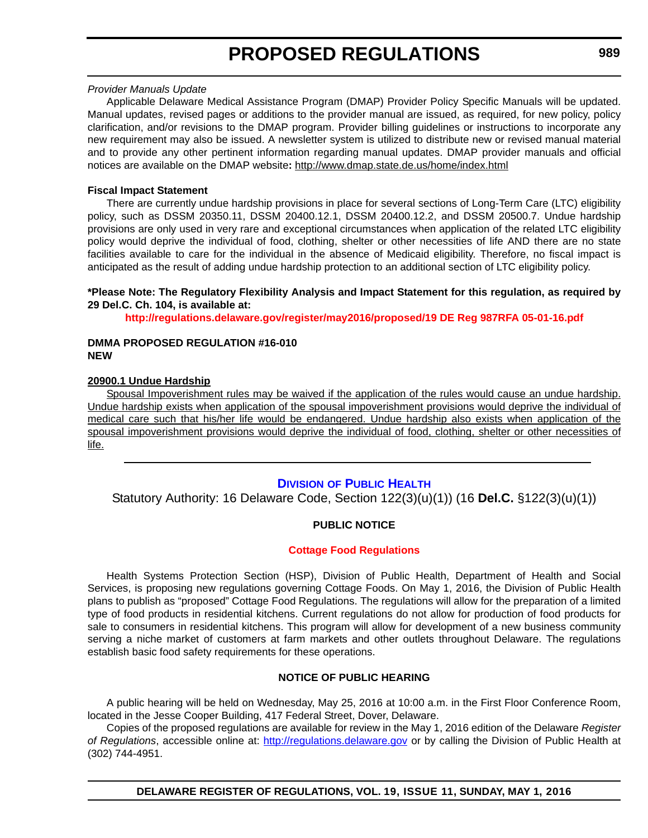#### *Provider Manuals Update*

Applicable Delaware Medical Assistance Program (DMAP) Provider Policy Specific Manuals will be updated. Manual updates, revised pages or additions to the provider manual are issued, as required, for new policy, policy clarification, and/or revisions to the DMAP program. Provider billing guidelines or instructions to incorporate any new requirement may also be issued. A newsletter system is utilized to distribute new or revised manual material and to provide any other pertinent information regarding manual updates. DMAP provider manuals and official notices are available on the DMAP website**:** http://www.dmap.state.de.us/home/index.html

### **Fiscal Impact Statement**

There are currently undue hardship provisions in place for several sections of Long-Term Care (LTC) eligibility policy, such as DSSM 20350.11, DSSM 20400.12.1, DSSM 20400.12.2, and DSSM 20500.7. Undue hardship provisions are only used in very rare and exceptional circumstances when application of the related LTC eligibility policy would deprive the individual of food, clothing, shelter or other necessities of life AND there are no state facilities available to care for the individual in the absence of Medicaid eligibility. Therefore, no fiscal impact is anticipated as the result of adding undue hardship protection to an additional section of LTC eligibility policy.

#### **\*Please Note: The Regulatory Flexibility Analysis and Impact Statement for this regulation, as required by 29 Del.C. Ch. 104, is available at:**

**<http://regulations.delaware.gov/register/may2016/proposed/19 DE Reg 987RFA 05-01-16.pdf>**

#### **DMMA PROPOSED REGULATION #16-010 NEW**

### **20900.1 Undue Hardship**

Spousal Impoverishment rules may be waived if the application of the rules would cause an undue hardship. Undue hardship exists when application of the spousal impoverishment provisions would deprive the individual of medical care such that his/her life would be endangered. Undue hardship also exists when application of the spousal impoverishment provisions would deprive the individual of food, clothing, shelter or other necessities of life.

# **DIVISION [OF PUBLIC HEALTH](http://www.dhss.delaware.gov/dhss/dph/index.html)**

Statutory Authority: 16 Delaware Code, Section 122(3)(u)(1)) (16 **Del.C.** §122(3)(u)(1))

# **PUBLIC NOTICE**

#### **[Cottage Food Regulations](#page-3-0)**

Health Systems Protection Section (HSP), Division of Public Health, Department of Health and Social Services, is proposing new regulations governing Cottage Foods. On May 1, 2016, the Division of Public Health plans to publish as "proposed" Cottage Food Regulations. The regulations will allow for the preparation of a limited type of food products in residential kitchens. Current regulations do not allow for production of food products for sale to consumers in residential kitchens. This program will allow for development of a new business community serving a niche market of customers at farm markets and other outlets throughout Delaware. The regulations establish basic food safety requirements for these operations.

#### **NOTICE OF PUBLIC HEARING**

A public hearing will be held on Wednesday, May 25, 2016 at 10:00 a.m. in the First Floor Conference Room, located in the Jesse Cooper Building, 417 Federal Street, Dover, Delaware.

Copies of the proposed regulations are available for review in the May 1, 2016 edition of the Delaware *Register of Regulations*, accessible online at: <http://regulations.delaware.gov> or by calling the Division of Public Health at (302) 744-4951.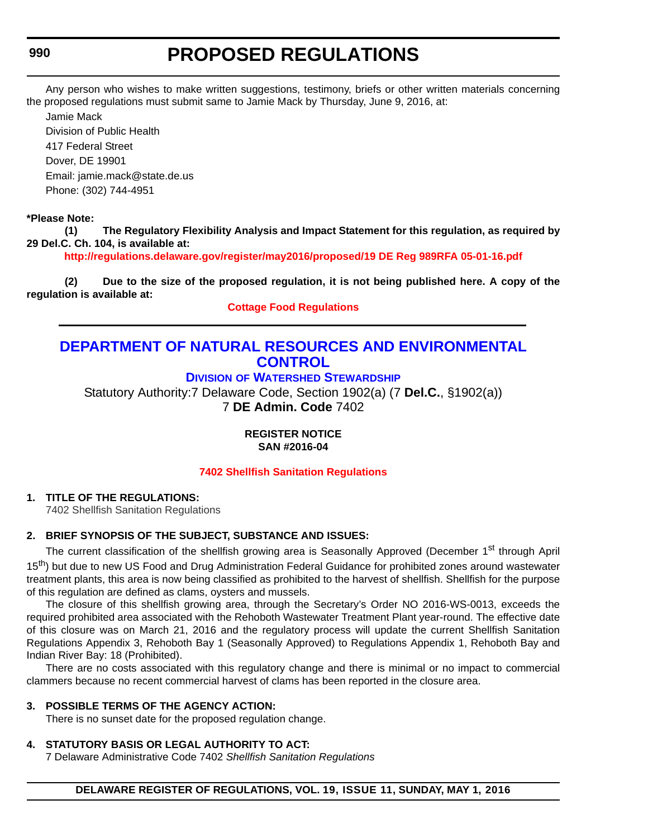Any person who wishes to make written suggestions, testimony, briefs or other written materials concerning the proposed regulations must submit same to Jamie Mack by Thursday, June 9, 2016, at:

Jamie Mack

Division of Public Health 417 Federal Street Dover, DE 19901 Email: jamie.mack@state.de.us Phone: (302) 744-4951

# **\*Please Note:**

**(1) The Regulatory Flexibility Analysis and Impact Statement for this regulation, as required by 29 Del.C. Ch. 104, is available at:**

**<http://regulations.delaware.gov/register/may2016/proposed/19 DE Reg 989RFA 05-01-16.pdf>**

**(2) Due to the size of the proposed regulation, it is not being published here. A copy of the regulation is available at:**

**[Cottage Food Regulations](http://regulations.delaware.gov/register/may2016/proposed/19 DE Reg 989 05-01-16.htm)**

# **[DEPARTMENT OF NATURAL RESOURCES AND ENVIRONMENTAL](http://www.dnrec.delaware.gov/Pages/Portal.aspx)  CONTROL**

**DIVISION [OF WATERSHED STEWARDSHIP](http://www.dnrec.delaware.gov/swc/Pages/portal.aspx)**

Statutory Authority:7 Delaware Code, Section 1902(a) (7 **Del.C.**, §1902(a)) 7 **DE Admin. Code** 7402

> **REGISTER NOTICE SAN #2016-04**

**[7402 Shellfish Sanitation Regulations](#page-3-0)**

# **1. TITLE OF THE REGULATIONS:**

7402 Shellfish Sanitation Regulations

# **2. BRIEF SYNOPSIS OF THE SUBJECT, SUBSTANCE AND ISSUES:**

The current classification of the shellfish growing area is Seasonally Approved (December 1<sup>st</sup> through April 15<sup>th</sup>) but due to new US Food and Drug Administration Federal Guidance for prohibited zones around wastewater treatment plants, this area is now being classified as prohibited to the harvest of shellfish. Shellfish for the purpose of this regulation are defined as clams, oysters and mussels.

The closure of this shellfish growing area, through the Secretary's Order NO 2016-WS-0013, exceeds the required prohibited area associated with the Rehoboth Wastewater Treatment Plant year-round. The effective date of this closure was on March 21, 2016 and the regulatory process will update the current Shellfish Sanitation Regulations Appendix 3, Rehoboth Bay 1 (Seasonally Approved) to Regulations Appendix 1, Rehoboth Bay and Indian River Bay: 18 (Prohibited).

There are no costs associated with this regulatory change and there is minimal or no impact to commercial clammers because no recent commercial harvest of clams has been reported in the closure area.

# **3. POSSIBLE TERMS OF THE AGENCY ACTION:**

There is no sunset date for the proposed regulation change.

# **4. STATUTORY BASIS OR LEGAL AUTHORITY TO ACT:**

7 Delaware Administrative Code 7402 *Shellfish Sanitation Regulations*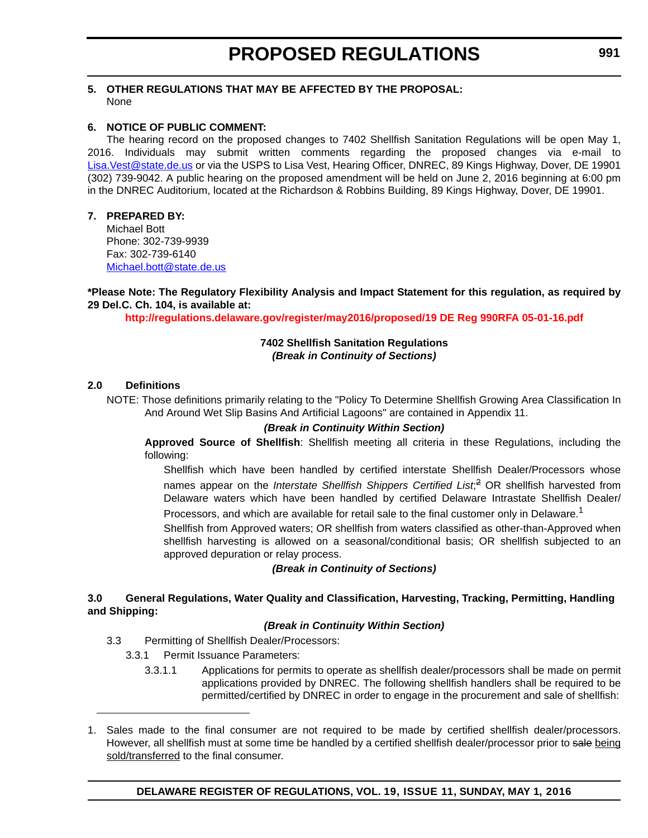### **5. OTHER REGULATIONS THAT MAY BE AFFECTED BY THE PROPOSAL:** None

# **6. NOTICE OF PUBLIC COMMENT:**

The hearing record on the proposed changes to 7402 Shellfish Sanitation Regulations will be open May 1, 2016. Individuals may submit written comments regarding the proposed changes via e-mail to [Lisa.Vest@state.de.us](mailto:Lisa.Vest@state.de.us) or via the USPS to Lisa Vest, Hearing Officer, DNREC, 89 Kings Highway, Dover, DE 19901 (302) 739-9042. A public hearing on the proposed amendment will be held on June 2, 2016 beginning at 6:00 pm in the DNREC Auditorium, located at the Richardson & Robbins Building, 89 Kings Highway, Dover, DE 19901.

### **7. PREPARED BY:**

Michael Bott Phone: 302-739-9939 Fax: 302-739-6140 [Michael.bott@state.de.us](mailto:Michael.bott@state.de.us)

**\*Please Note: The Regulatory Flexibility Analysis and Impact Statement for this regulation, as required by 29 Del.C. Ch. 104, is available at:**

**<http://regulations.delaware.gov/register/may2016/proposed/19 DE Reg 990RFA 05-01-16.pdf>**

#### **7402 Shellfish Sanitation Regulations** *(Break in Continuity of Sections)*

#### **2.0 Definitions**

NOTE: Those definitions primarily relating to the "Policy To Determine Shellfish Growing Area Classification In And Around Wet Slip Basins And Artificial Lagoons" are contained in Appendix 11.

#### *(Break in Continuity Within Section)*

**Approved Source of Shellfish**: Shellfish meeting all criteria in these Regulations, including the following:

Shellfish which have been handled by certified interstate Shellfish Dealer/Processors whose names appear on the *Interstate Shellfish Shippers Certified List*; 2 OR shellfish harvested from Delaware waters which have been handled by certified Delaware Intrastate Shellfish Dealer/ Processors, and which are available for retail sale to the final customer only in Delaware.<sup>1</sup>

Shellfish from Approved waters; OR shellfish from waters classified as other-than-Approved when

shellfish harvesting is allowed on a seasonal/conditional basis; OR shellfish subjected to an approved depuration or relay process.

#### *(Break in Continuity of Sections)*

#### **3.0 General Regulations, Water Quality and Classification, Harvesting, Tracking, Permitting, Handling and Shipping:**

#### *(Break in Continuity Within Section)*

- 3.3 Permitting of Shellfish Dealer/Processors:
	- 3.3.1 Permit Issuance Parameters:
		- 3.3.1.1 Applications for permits to operate as shellfish dealer/processors shall be made on permit applications provided by DNREC. The following shellfish handlers shall be required to be permitted/certified by DNREC in order to engage in the procurement and sale of shellfish:
- 1. Sales made to the final consumer are not required to be made by certified shellfish dealer/processors. However, all shellfish must at some time be handled by a certified shellfish dealer/processor prior to sale being sold/transferred to the final consumer.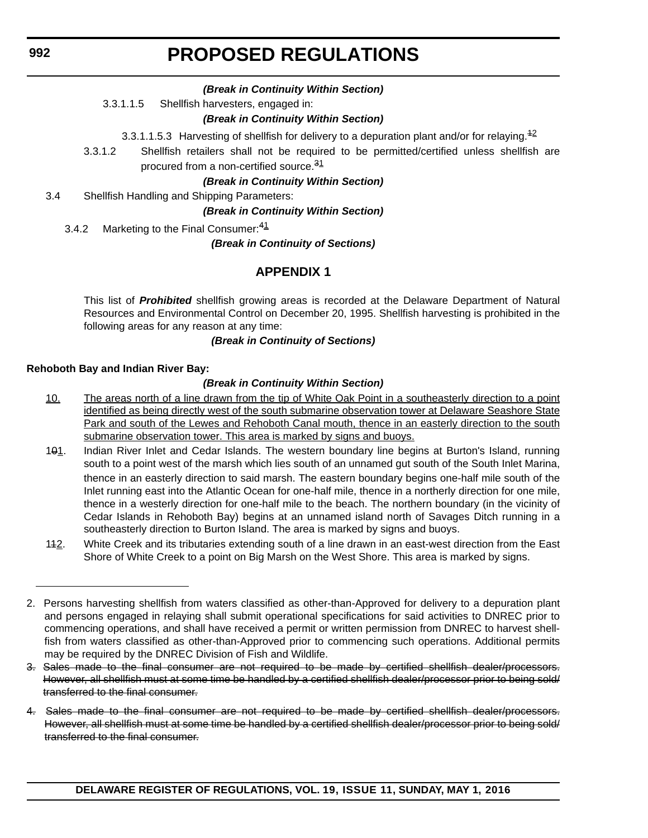# *(Break in Continuity Within Section)*

3.3.1.1.5 Shellfish harvesters, engaged in:

# *(Break in Continuity Within Section)*

3.3.1.1.5.3 Harvesting of shellfish for delivery to a depuration plant and/or for relaying.<sup>42</sup>

3.3.1.2 Shellfish retailers shall not be required to be permitted/certified unless shellfish are procured from a non-certified source.<sup>31</sup>

# *(Break in Continuity Within Section)*

3.4 Shellfish Handling and Shipping Parameters:

*(Break in Continuity Within Section)*

3.4.2 Marketing to the Final Consumer: <sup>41</sup>

*(Break in Continuity of Sections)*

# **APPENDIX 1**

This list of *Prohibited* shellfish growing areas is recorded at the Delaware Department of Natural Resources and Environmental Control on December 20, 1995. Shellfish harvesting is prohibited in the following areas for any reason at any time:

#### *(Break in Continuity of Sections)*

# **Rehoboth Bay and Indian River Bay:**

# *(Break in Continuity Within Section)*

- 10. The areas north of a line drawn from the tip of White Oak Point in a southeasterly direction to a point identified as being directly west of the south submarine observation tower at Delaware Seashore State Park and south of the Lewes and Rehoboth Canal mouth, thence in an easterly direction to the south submarine observation tower. This area is marked by signs and buoys.
- 101. Indian River Inlet and Cedar Islands. The western boundary line begins at Burton's Island, running south to a point west of the marsh which lies south of an unnamed gut south of the South Inlet Marina, thence in an easterly direction to said marsh. The eastern boundary begins one-half mile south of the Inlet running east into the Atlantic Ocean for one-half mile, thence in a northerly direction for one mile, thence in a westerly direction for one-half mile to the beach. The northern boundary (in the vicinity of Cedar Islands in Rehoboth Bay) begins at an unnamed island north of Savages Ditch running in a southeasterly direction to Burton Island. The area is marked by signs and buoys.
- 112. White Creek and its tributaries extending south of a line drawn in an east-west direction from the East Shore of White Creek to a point on Big Marsh on the West Shore. This area is marked by signs.

<sup>2.</sup> Persons harvesting shellfish from waters classified as other-than-Approved for delivery to a depuration plant and persons engaged in relaying shall submit operational specifications for said activities to DNREC prior to commencing operations, and shall have received a permit or written permission from DNREC to harvest shellfish from waters classified as other-than-Approved prior to commencing such operations. Additional permits may be required by the DNREC Division of Fish and Wildlife.

<sup>3.</sup> Sales made to the final consumer are not required to be made by certified shellfish dealer/processors. However, all shellfish must at some time be handled by a certified shellfish dealer/processor prior to being sold/ transferred to the final consumer.

<sup>4.</sup> Sales made to the final consumer are not required to be made by certified shellfish dealer/processors. However, all shellfish must at some time be handled by a certified shellfish dealer/processor prior to being sold/ transferred to the final consumer.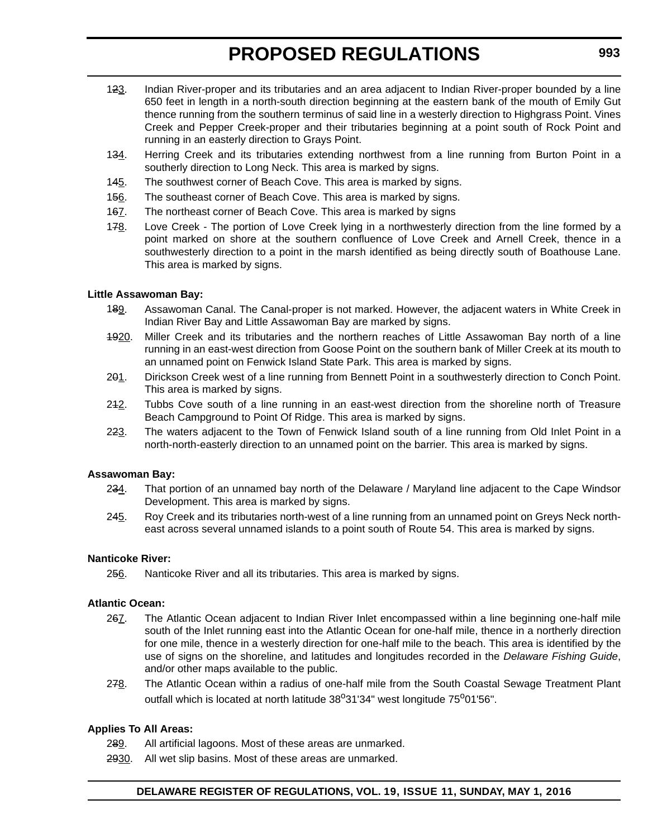- 123. Indian River-proper and its tributaries and an area adjacent to Indian River-proper bounded by a line 650 feet in length in a north-south direction beginning at the eastern bank of the mouth of Emily Gut thence running from the southern terminus of said line in a westerly direction to Highgrass Point. Vines Creek and Pepper Creek-proper and their tributaries beginning at a point south of Rock Point and running in an easterly direction to Grays Point.
- 134. Herring Creek and its tributaries extending northwest from a line running from Burton Point in a southerly direction to Long Neck. This area is marked by signs.
- 145. The southwest corner of Beach Cove. This area is marked by signs.
- 156. The southeast corner of Beach Cove. This area is marked by signs.
- 167. The northeast corner of Beach Cove. This area is marked by signs
- 178. Love Creek The portion of Love Creek lying in a northwesterly direction from the line formed by a point marked on shore at the southern confluence of Love Creek and Arnell Creek, thence in a southwesterly direction to a point in the marsh identified as being directly south of Boathouse Lane. This area is marked by signs.

#### **Little Assawoman Bay:**

- 189. Assawoman Canal. The Canal-proper is not marked. However, the adjacent waters in White Creek in Indian River Bay and Little Assawoman Bay are marked by signs.
- 4920. Miller Creek and its tributaries and the northern reaches of Little Assawoman Bay north of a line running in an east-west direction from Goose Point on the southern bank of Miller Creek at its mouth to an unnamed point on Fenwick Island State Park. This area is marked by signs.
- 201. Dirickson Creek west of a line running from Bennett Point in a southwesterly direction to Conch Point. This area is marked by signs.
- 212. Tubbs Cove south of a line running in an east-west direction from the shoreline north of Treasure Beach Campground to Point Of Ridge. This area is marked by signs.
- 223. The waters adjacent to the Town of Fenwick Island south of a line running from Old Inlet Point in a north-north-easterly direction to an unnamed point on the barrier. This area is marked by signs.

#### **Assawoman Bay:**

- 234. That portion of an unnamed bay north of the Delaware / Maryland line adjacent to the Cape Windsor Development. This area is marked by signs.
- 245. Roy Creek and its tributaries north-west of a line running from an unnamed point on Greys Neck northeast across several unnamed islands to a point south of Route 54. This area is marked by signs.

#### **Nanticoke River:**

256. Nanticoke River and all its tributaries. This area is marked by signs.

#### **Atlantic Ocean:**

- 267. The Atlantic Ocean adjacent to Indian River Inlet encompassed within a line beginning one-half mile south of the Inlet running east into the Atlantic Ocean for one-half mile, thence in a northerly direction for one mile, thence in a westerly direction for one-half mile to the beach. This area is identified by the use of signs on the shoreline, and latitudes and longitudes recorded in the *Delaware Fishing Guide*, and/or other maps available to the public.
- 278. The Atlantic Ocean within a radius of one-half mile from the South Coastal Sewage Treatment Plant outfall which is located at north latitude  $38^{\circ}31'34''$  west longitude  $75^{\circ}01'56''$ .

#### **Applies To All Areas:**

- 289. All artificial lagoons. Most of these areas are unmarked.
- 2930. All wet slip basins. Most of these areas are unmarked.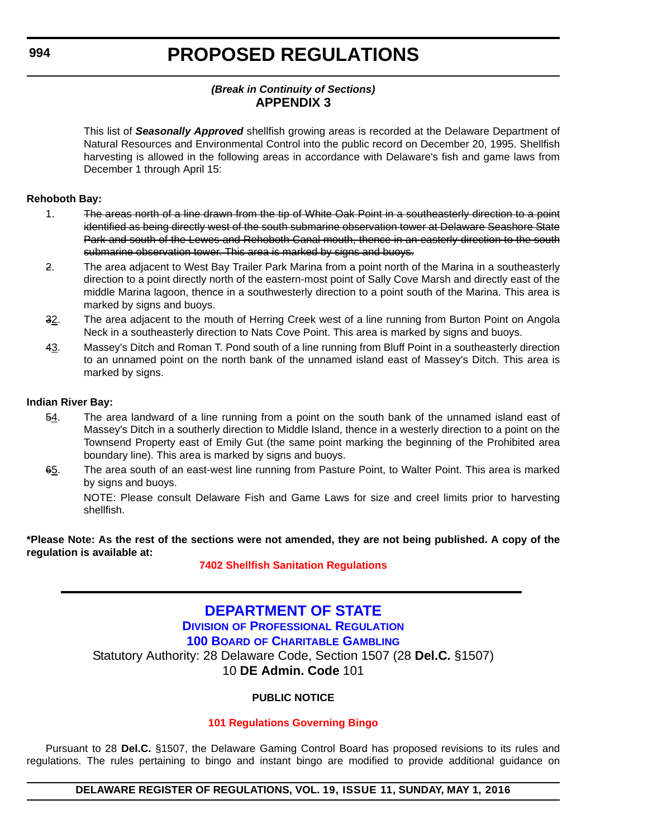# *(Break in Continuity of Sections)* **APPENDIX 3**

This list of *Seasonally Approved* shellfish growing areas is recorded at the Delaware Department of Natural Resources and Environmental Control into the public record on December 20, 1995. Shellfish harvesting is allowed in the following areas in accordance with Delaware's fish and game laws from December 1 through April 15:

### **Rehoboth Bay:**

- 1. The areas north of a line drawn from the tip of White Oak Point in a southeasterly direction to a point identified as being directly west of the south submarine observation tower at Delaware Seashore State Park and south of the Lewes and Rehoboth Canal mouth, thence in an easterly direction to the south submarine observation tower. This area is marked by signs and buoys.
- 2. The area adjacent to West Bay Trailer Park Marina from a point north of the Marina in a southeasterly direction to a point directly north of the eastern-most point of Sally Cove Marsh and directly east of the middle Marina lagoon, thence in a southwesterly direction to a point south of the Marina. This area is marked by signs and buoys.
- 32. The area adjacent to the mouth of Herring Creek west of a line running from Burton Point on Angola Neck in a southeasterly direction to Nats Cove Point. This area is marked by signs and buoys.
- 43. Massey's Ditch and Roman T. Pond south of a line running from Bluff Point in a southeasterly direction to an unnamed point on the north bank of the unnamed island east of Massey's Ditch. This area is marked by signs.

#### **Indian River Bay:**

- 54. The area landward of a line running from a point on the south bank of the unnamed island east of Massey's Ditch in a southerly direction to Middle Island, thence in a westerly direction to a point on the Townsend Property east of Emily Gut (the same point marking the beginning of the Prohibited area boundary line). This area is marked by signs and buoys.
- 65. The area south of an east-west line running from Pasture Point, to Walter Point. This area is marked by signs and buoys.

NOTE: Please consult Delaware Fish and Game Laws for size and creel limits prior to harvesting shellfish.

**\*Please Note: As the rest of the sections were not amended, they are not being published. A copy of the regulation is available at:**

# **[7402 Shellfish Sanitation Regulations](http://regulations.delaware.gov/register/may2016/proposed/19 DE Reg 990 05-01-16.htm)**

# **[DEPARTMENT OF STATE](http://sos.delaware.gov/) DIVISION [OF PROFESSIONAL REGULATION](http://dpr.delaware.gov/) 100 BOARD [OF CHARITABLE GAMBLING](http://dpr.delaware.gov/boards/gaming/index.shtml)** Statutory Authority: 28 Delaware Code, Section 1507 (28 **Del.C.** §1507) 10 **DE Admin. Code** 101

# **PUBLIC NOTICE**

# **[101 Regulations Governing Bingo](#page-3-0)**

Pursuant to 28 **Del.C.** §1507, the Delaware Gaming Control Board has proposed revisions to its rules and regulations. The rules pertaining to bingo and instant bingo are modified to provide additional guidance on

#### **DELAWARE REGISTER OF REGULATIONS, VOL. 19, ISSUE 11, SUNDAY, MAY 1, 2016**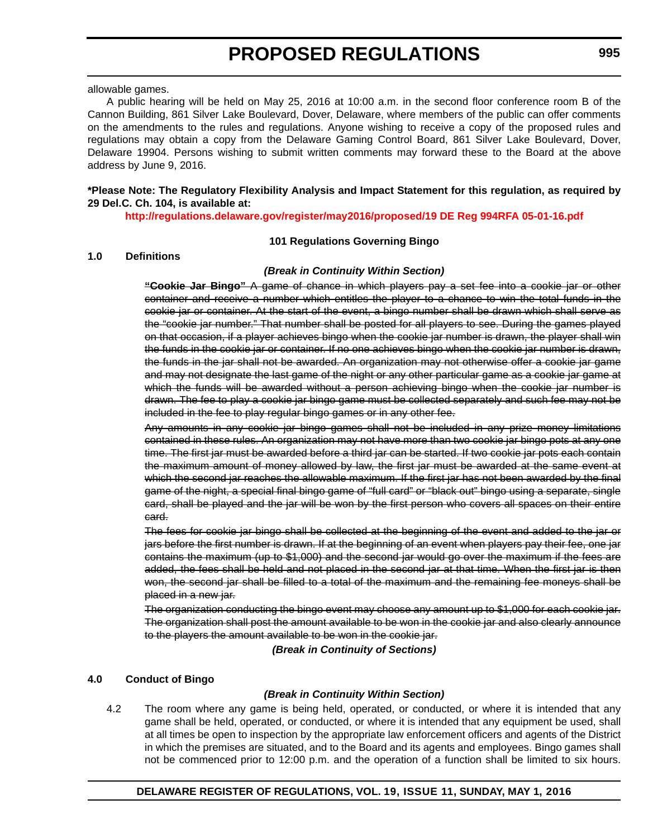allowable games.

A public hearing will be held on May 25, 2016 at 10:00 a.m. in the second floor conference room B of the Cannon Building, 861 Silver Lake Boulevard, Dover, Delaware, where members of the public can offer comments on the amendments to the rules and regulations. Anyone wishing to receive a copy of the proposed rules and regulations may obtain a copy from the Delaware Gaming Control Board, 861 Silver Lake Boulevard, Dover, Delaware 19904. Persons wishing to submit written comments may forward these to the Board at the above address by June 9, 2016.

### **\*Please Note: The Regulatory Flexibility Analysis and Impact Statement for this regulation, as required by 29 Del.C. Ch. 104, is available at:**

**<http://regulations.delaware.gov/register/may2016/proposed/19 DE Reg 994RFA 05-01-16.pdf>**

#### **101 Regulations Governing Bingo**

#### **1.0 Definitions**

#### *(Break in Continuity Within Section)*

**"Cookie Jar Bingo"** A game of chance in which players pay a set fee into a cookie jar or other container and receive a number which entitles the player to a chance to win the total funds in the cookie jar or container. At the start of the event, a bingo number shall be drawn which shall serve as the "cookie jar number." That number shall be posted for all players to see. During the games played on that occasion, if a player achieves bingo when the cookie jar number is drawn, the player shall win the funds in the cookie jar or container. If no one achieves bingo when the cookie jar number is drawn, the funds in the jar shall not be awarded. An organization may not otherwise offer a cookie jar game and may not designate the last game of the night or any other particular game as a cookie jar game at which the funds will be awarded without a person achieving bingo when the cookie jar number is drawn. The fee to play a cookie jar bingo game must be collected separately and such fee may not be included in the fee to play regular bingo games or in any other fee.

Any amounts in any cookie jar bingo games shall not be included in any prize money limitations contained in these rules. An organization may not have more than two cookie jar bingo pots at any one time. The first jar must be awarded before a third jar can be started. If two cookie jar pots each contain the maximum amount of money allowed by law, the first jar must be awarded at the same event at which the second jar reaches the allowable maximum. If the first jar has not been awarded by the final game of the night, a special final bingo game of "full card" or "black out" bingo using a separate, single card, shall be played and the jar will be won by the first person who covers all spaces on their entire card.

The fees for cookie jar bingo shall be collected at the beginning of the event and added to the jar or jars before the first number is drawn. If at the beginning of an event when players pay their fee, one jar contains the maximum (up to \$1,000) and the second jar would go over the maximum if the fees are added, the fees shall be held and not placed in the second jar at that time. When the first jar is then won, the second jar shall be filled to a total of the maximum and the remaining fee moneys shall be placed in a new jar.

The organization conducting the bingo event may choose any amount up to \$1,000 for each cookie jar. The organization shall post the amount available to be won in the cookie jar and also clearly announce to the players the amount available to be won in the cookie jar.

*(Break in Continuity of Sections)*

#### **4.0 Conduct of Bingo**

#### *(Break in Continuity Within Section)*

4.2 The room where any game is being held, operated, or conducted, or where it is intended that any game shall be held, operated, or conducted, or where it is intended that any equipment be used, shall at all times be open to inspection by the appropriate law enforcement officers and agents of the District in which the premises are situated, and to the Board and its agents and employees. Bingo games shall not be commenced prior to 12:00 p.m. and the operation of a function shall be limited to six hours.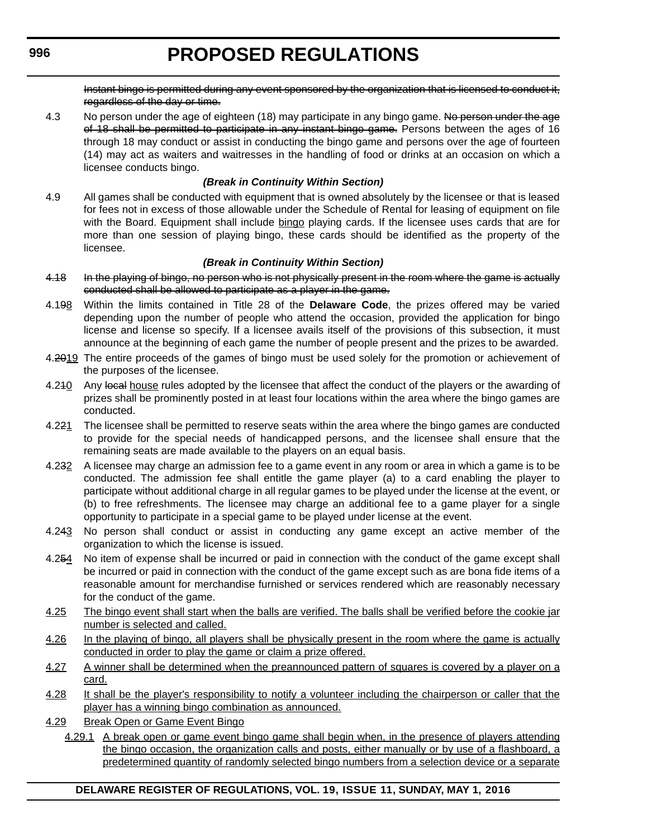Instant bingo is permitted during any event sponsored by the organization that is licensed to conduct it, regardless of the day or time.

4.3 No person under the age of eighteen (18) may participate in any bingo game. No person under the age of 18 shall be permitted to participate in any instant bingo game. Persons between the ages of 16 through 18 may conduct or assist in conducting the bingo game and persons over the age of fourteen (14) may act as waiters and waitresses in the handling of food or drinks at an occasion on which a licensee conducts bingo.

# *(Break in Continuity Within Section)*

4.9 All games shall be conducted with equipment that is owned absolutely by the licensee or that is leased for fees not in excess of those allowable under the Schedule of Rental for leasing of equipment on file with the Board. Equipment shall include bingo playing cards. If the licensee uses cards that are for more than one session of playing bingo, these cards should be identified as the property of the licensee.

# *(Break in Continuity Within Section)*

- 4.18 In the playing of bingo, no person who is not physically present in the room where the game is actually conducted shall be allowed to participate as a player in the game.
- 4.198 Within the limits contained in Title 28 of the **Delaware Code**, the prizes offered may be varied depending upon the number of people who attend the occasion, provided the application for bingo license and license so specify. If a licensee avails itself of the provisions of this subsection, it must announce at the beginning of each game the number of people present and the prizes to be awarded.
- 4.2019 The entire proceeds of the games of bingo must be used solely for the promotion or achievement of the purposes of the licensee.
- 4.240 Any local house rules adopted by the licensee that affect the conduct of the players or the awarding of prizes shall be prominently posted in at least four locations within the area where the bingo games are conducted.
- 4.221 The licensee shall be permitted to reserve seats within the area where the bingo games are conducted to provide for the special needs of handicapped persons, and the licensee shall ensure that the remaining seats are made available to the players on an equal basis.
- 4.232 A licensee may charge an admission fee to a game event in any room or area in which a game is to be conducted. The admission fee shall entitle the game player (a) to a card enabling the player to participate without additional charge in all regular games to be played under the license at the event, or (b) to free refreshments. The licensee may charge an additional fee to a game player for a single opportunity to participate in a special game to be played under license at the event.
- 4.243 No person shall conduct or assist in conducting any game except an active member of the organization to which the license is issued.
- 4.254 No item of expense shall be incurred or paid in connection with the conduct of the game except shall be incurred or paid in connection with the conduct of the game except such as are bona fide items of a reasonable amount for merchandise furnished or services rendered which are reasonably necessary for the conduct of the game.
- 4.25 The bingo event shall start when the balls are verified. The balls shall be verified before the cookie jar number is selected and called.
- 4.26 In the playing of bingo, all players shall be physically present in the room where the game is actually conducted in order to play the game or claim a prize offered.
- 4.27 A winner shall be determined when the preannounced pattern of squares is covered by a player on a card.
- 4.28 It shall be the player's responsibility to notify a volunteer including the chairperson or caller that the player has a winning bingo combination as announced.
- 4.29 Break Open or Game Event Bingo
	- 4.29.1 A break open or game event bingo game shall begin when, in the presence of players attending the bingo occasion, the organization calls and posts, either manually or by use of a flashboard, a predetermined quantity of randomly selected bingo numbers from a selection device or a separate

# **DELAWARE REGISTER OF REGULATIONS, VOL. 19, ISSUE 11, SUNDAY, MAY 1, 2016**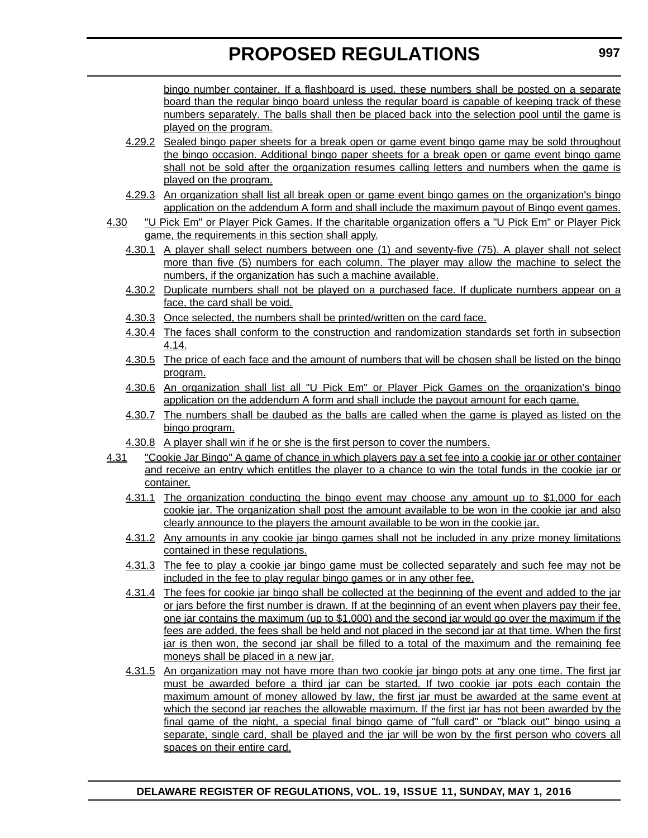bingo number container. If a flashboard is used, these numbers shall be posted on a separate board than the regular bingo board unless the regular board is capable of keeping track of these numbers separately. The balls shall then be placed back into the selection pool until the game is played on the program.

- 4.29.2 Sealed bingo paper sheets for a break open or game event bingo game may be sold throughout the bingo occasion. Additional bingo paper sheets for a break open or game event bingo game shall not be sold after the organization resumes calling letters and numbers when the game is played on the program.
- 4.29.3 An organization shall list all break open or game event bingo games on the organization's bingo application on the addendum A form and shall include the maximum payout of Bingo event games.
- 4.30 "U Pick Em" or Player Pick Games. If the charitable organization offers a "U Pick Em" or Player Pick game, the requirements in this section shall apply.
	- 4.30.1 A player shall select numbers between one (1) and seventy-five (75). A player shall not select more than five (5) numbers for each column. The player may allow the machine to select the numbers, if the organization has such a machine available.
	- 4.30.2 Duplicate numbers shall not be played on a purchased face. If duplicate numbers appear on a face, the card shall be void.
	- 4.30.3 Once selected, the numbers shall be printed/written on the card face.
	- 4.30.4 The faces shall conform to the construction and randomization standards set forth in subsection 4.14.
	- 4.30.5 The price of each face and the amount of numbers that will be chosen shall be listed on the bingo program.
	- 4.30.6 An organization shall list all "U Pick Em" or Player Pick Games on the organization's bingo application on the addendum A form and shall include the payout amount for each game.
	- 4.30.7 The numbers shall be daubed as the balls are called when the game is played as listed on the bingo program.
	- 4.30.8 A player shall win if he or she is the first person to cover the numbers.
- 4.31 "Cookie Jar Bingo" A game of chance in which players pay a set fee into a cookie jar or other container and receive an entry which entitles the player to a chance to win the total funds in the cookie jar or container.
	- 4.31.1 The organization conducting the bingo event may choose any amount up to \$1,000 for each cookie jar. The organization shall post the amount available to be won in the cookie jar and also clearly announce to the players the amount available to be won in the cookie jar.
	- 4.31.2 Any amounts in any cookie jar bingo games shall not be included in any prize money limitations contained in these regulations.
	- 4.31.3 The fee to play a cookie jar bingo game must be collected separately and such fee may not be included in the fee to play regular bingo games or in any other fee.
	- 4.31.4 The fees for cookie jar bingo shall be collected at the beginning of the event and added to the jar or jars before the first number is drawn. If at the beginning of an event when players pay their fee, one jar contains the maximum (up to \$1,000) and the second jar would go over the maximum if the fees are added, the fees shall be held and not placed in the second jar at that time. When the first jar is then won, the second jar shall be filled to a total of the maximum and the remaining fee moneys shall be placed in a new jar.
	- 4.31.5 An organization may not have more than two cookie jar bingo pots at any one time. The first jar must be awarded before a third jar can be started. If two cookie jar pots each contain the maximum amount of money allowed by law, the first jar must be awarded at the same event at which the second jar reaches the allowable maximum. If the first jar has not been awarded by the final game of the night, a special final bingo game of "full card" or "black out" bingo using a separate, single card, shall be played and the jar will be won by the first person who covers all spaces on their entire card.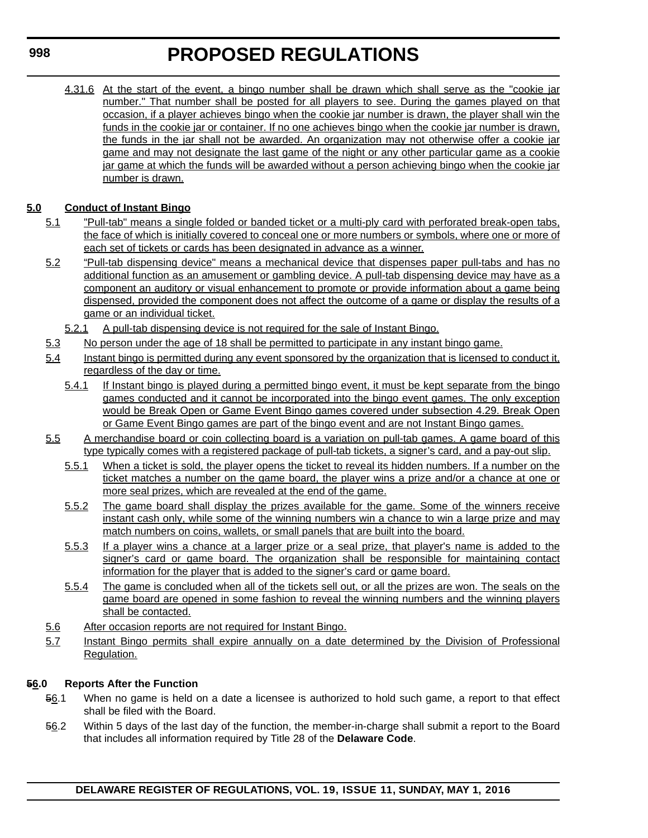4.31.6 At the start of the event, a bingo number shall be drawn which shall serve as the "cookie jar number." That number shall be posted for all players to see. During the games played on that occasion, if a player achieves bingo when the cookie jar number is drawn, the player shall win the funds in the cookie jar or container. If no one achieves bingo when the cookie jar number is drawn, the funds in the jar shall not be awarded. An organization may not otherwise offer a cookie jar game and may not designate the last game of the night or any other particular game as a cookie jar game at which the funds will be awarded without a person achieving bingo when the cookie jar number is drawn.

# **5.0 Conduct of Instant Bingo**

- 5.1 "Pull-tab" means a single folded or banded ticket or a multi-ply card with perforated break-open tabs, the face of which is initially covered to conceal one or more numbers or symbols, where one or more of each set of tickets or cards has been designated in advance as a winner.
- 5.2 "Pull-tab dispensing device" means a mechanical device that dispenses paper pull-tabs and has no additional function as an amusement or gambling device. A pull-tab dispensing device may have as a component an auditory or visual enhancement to promote or provide information about a game being dispensed, provided the component does not affect the outcome of a game or display the results of a game or an individual ticket.
	- 5.2.1 A pull-tab dispensing device is not required for the sale of Instant Bingo.
- 5.3 No person under the age of 18 shall be permitted to participate in any instant bingo game.
- 5.4 Instant bingo is permitted during any event sponsored by the organization that is licensed to conduct it, regardless of the day or time.
	- 5.4.1 If Instant bingo is played during a permitted bingo event, it must be kept separate from the bingo games conducted and it cannot be incorporated into the bingo event games. The only exception would be Break Open or Game Event Bingo games covered under subsection 4.29. Break Open or Game Event Bingo games are part of the bingo event and are not Instant Bingo games.
- 5.5 A merchandise board or coin collecting board is a variation on pull-tab games. A game board of this type typically comes with a registered package of pull-tab tickets, a signer's card, and a pay-out slip.
	- 5.5.1 When a ticket is sold, the player opens the ticket to reveal its hidden numbers. If a number on the ticket matches a number on the game board, the player wins a prize and/or a chance at one or more seal prizes, which are revealed at the end of the game.
	- 5.5.2 The game board shall display the prizes available for the game. Some of the winners receive instant cash only, while some of the winning numbers win a chance to win a large prize and may match numbers on coins, wallets, or small panels that are built into the board.
	- 5.5.3 If a player wins a chance at a larger prize or a seal prize, that player's name is added to the signer's card or game board. The organization shall be responsible for maintaining contact information for the player that is added to the signer's card or game board.
	- 5.5.4 The game is concluded when all of the tickets sell out, or all the prizes are won. The seals on the game board are opened in some fashion to reveal the winning numbers and the winning players shall be contacted.
- 5.6 After occasion reports are not required for Instant Bingo.
- 5.7 Instant Bingo permits shall expire annually on a date determined by the Division of Professional Regulation.

# **56.0 Reports After the Function**

- 56.1 When no game is held on a date a licensee is authorized to hold such game, a report to that effect shall be filed with the Board.
- 56.2 Within 5 days of the last day of the function, the member-in-charge shall submit a report to the Board that includes all information required by Title 28 of the **Delaware Code**.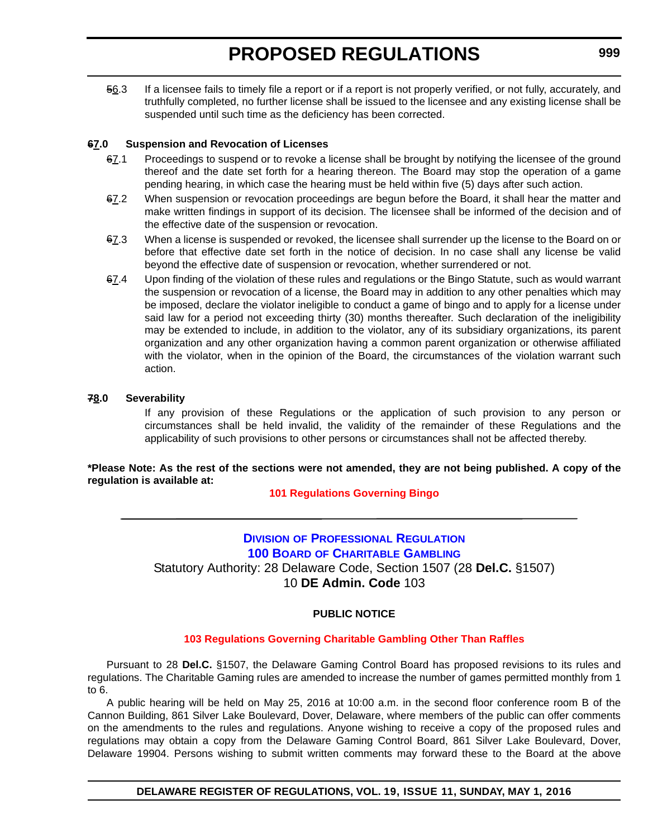56.3 If a licensee fails to timely file a report or if a report is not properly verified, or not fully, accurately, and truthfully completed, no further license shall be issued to the licensee and any existing license shall be suspended until such time as the deficiency has been corrected.

# **67.0 Suspension and Revocation of Licenses**

- 67.1 Proceedings to suspend or to revoke a license shall be brought by notifying the licensee of the ground thereof and the date set forth for a hearing thereon. The Board may stop the operation of a game pending hearing, in which case the hearing must be held within five (5) days after such action.
- 67.2 When suspension or revocation proceedings are begun before the Board, it shall hear the matter and make written findings in support of its decision. The licensee shall be informed of the decision and of the effective date of the suspension or revocation.
- 67.3 When a license is suspended or revoked, the licensee shall surrender up the license to the Board on or before that effective date set forth in the notice of decision. In no case shall any license be valid beyond the effective date of suspension or revocation, whether surrendered or not.
- 67.4 Upon finding of the violation of these rules and regulations or the Bingo Statute, such as would warrant the suspension or revocation of a license, the Board may in addition to any other penalties which may be imposed, declare the violator ineligible to conduct a game of bingo and to apply for a license under said law for a period not exceeding thirty (30) months thereafter. Such declaration of the ineligibility may be extended to include, in addition to the violator, any of its subsidiary organizations, its parent organization and any other organization having a common parent organization or otherwise affiliated with the violator, when in the opinion of the Board, the circumstances of the violation warrant such action.

# **78.0 Severability**

If any provision of these Regulations or the application of such provision to any person or circumstances shall be held invalid, the validity of the remainder of these Regulations and the applicability of such provisions to other persons or circumstances shall not be affected thereby.

# **\*Please Note: As the rest of the sections were not amended, they are not being published. A copy of the regulation is available at:**

# **[101 Regulations Governing Bingo](http://regulations.delaware.gov/register/may2016/proposed/19 DE Reg 994 05-01-16.htm)**

# **DIVISION [OF PROFESSIONAL REGULATION](http://dpr.delaware.gov/) 100 BOARD [OF CHARITABLE GAMBLING](http://dpr.delaware.gov/boards/gaming/index.shtml)** Statutory Authority: 28 Delaware Code, Section 1507 (28 **Del.C.** §1507) 10 **DE Admin. Code** 103

# **PUBLIC NOTICE**

# **[103 Regulations Governing Charitable Gambling Other Than Raffles](#page-3-0)**

Pursuant to 28 **Del.C.** §1507, the Delaware Gaming Control Board has proposed revisions to its rules and regulations. The Charitable Gaming rules are amended to increase the number of games permitted monthly from 1 to 6.

A public hearing will be held on May 25, 2016 at 10:00 a.m. in the second floor conference room B of the Cannon Building, 861 Silver Lake Boulevard, Dover, Delaware, where members of the public can offer comments on the amendments to the rules and regulations. Anyone wishing to receive a copy of the proposed rules and regulations may obtain a copy from the Delaware Gaming Control Board, 861 Silver Lake Boulevard, Dover, Delaware 19904. Persons wishing to submit written comments may forward these to the Board at the above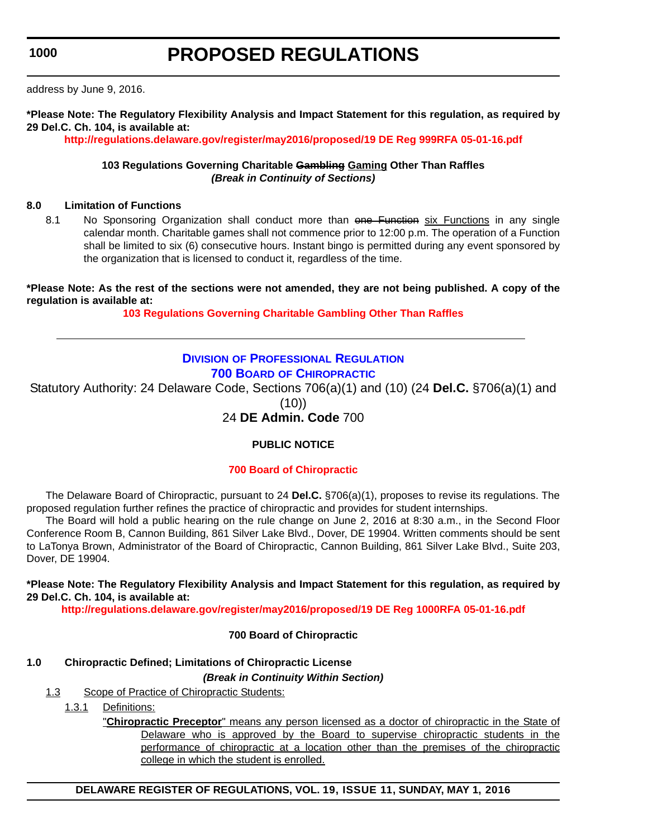address by June 9, 2016.

**\*Please Note: The Regulatory Flexibility Analysis and Impact Statement for this regulation, as required by 29 Del.C. Ch. 104, is available at:**

**<http://regulations.delaware.gov/register/may2016/proposed/19 DE Reg 999RFA 05-01-16.pdf>**

# **103 Regulations Governing Charitable Gambling Gaming Other Than Raffles** *(Break in Continuity of Sections)*

# **8.0 Limitation of Functions**

8.1 No Sponsoring Organization shall conduct more than one Function six Functions in any single calendar month. Charitable games shall not commence prior to 12:00 p.m. The operation of a Function shall be limited to six (6) consecutive hours. Instant bingo is permitted during any event sponsored by the organization that is licensed to conduct it, regardless of the time.

**\*Please Note: As the rest of the sections were not amended, they are not being published. A copy of the regulation is available at:**

**[103 Regulations Governing Charitable Gambling Other Than Raffles](http://regulations.delaware.gov/register/may2016/proposed/19 DE Reg 999 05-01-16.htm)**

# **DIVISION [OF PROFESSIONAL REGULATION](http://dpr.delaware.gov/) 700 BOARD [OF CHIROPRACTIC](http://dpr.delaware.gov/boards/chiropractic/index.shtml)**

Statutory Authority: 24 Delaware Code, Sections 706(a)(1) and (10) (24 **Del.C.** §706(a)(1) and  $(10)$ 

# 24 **DE Admin. Code** 700

# **PUBLIC NOTICE**

# **[700 Board of Chiropractic](#page-3-0)**

The Delaware Board of Chiropractic, pursuant to 24 **Del.C.** §706(a)(1), proposes to revise its regulations. The proposed regulation further refines the practice of chiropractic and provides for student internships.

The Board will hold a public hearing on the rule change on June 2, 2016 at 8:30 a.m., in the Second Floor Conference Room B, Cannon Building, 861 Silver Lake Blvd., Dover, DE 19904. Written comments should be sent to LaTonya Brown, Administrator of the Board of Chiropractic, Cannon Building, 861 Silver Lake Blvd., Suite 203, Dover, DE 19904.

**\*Please Note: The Regulatory Flexibility Analysis and Impact Statement for this regulation, as required by 29 Del.C. Ch. 104, is available at:**

**<http://regulations.delaware.gov/register/may2016/proposed/19 DE Reg 1000RFA 05-01-16.pdf>**

# **700 Board of Chiropractic**

# **1.0 Chiropractic Defined; Limitations of Chiropractic License**

*(Break in Continuity Within Section)*

- 1.3 Scope of Practice of Chiropractic Students:
	- 1.3.1 Definitions:

"**Chiropractic Preceptor**" means any person licensed as a doctor of chiropractic in the State of Delaware who is approved by the Board to supervise chiropractic students in the performance of chiropractic at a location other than the premises of the chiropractic college in which the student is enrolled.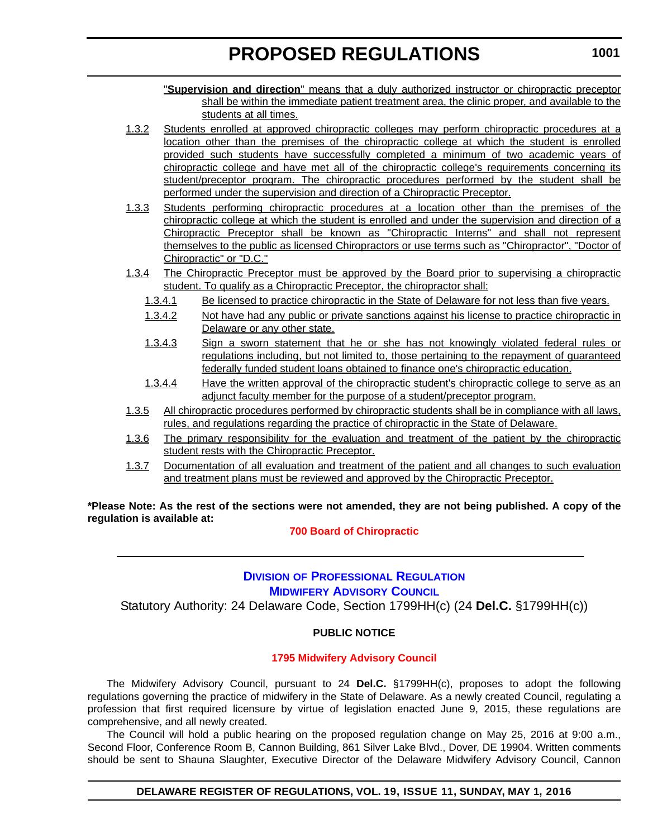"**Supervision and direction**" means that a duly authorized instructor or chiropractic preceptor shall be within the immediate patient treatment area, the clinic proper, and available to the students at all times.

- 1.3.2 Students enrolled at approved chiropractic colleges may perform chiropractic procedures at a location other than the premises of the chiropractic college at which the student is enrolled provided such students have successfully completed a minimum of two academic years of chiropractic college and have met all of the chiropractic college's requirements concerning its student/preceptor program. The chiropractic procedures performed by the student shall be performed under the supervision and direction of a Chiropractic Preceptor.
- 1.3.3 Students performing chiropractic procedures at a location other than the premises of the chiropractic college at which the student is enrolled and under the supervision and direction of a Chiropractic Preceptor shall be known as "Chiropractic Interns" and shall not represent themselves to the public as licensed Chiropractors or use terms such as "Chiropractor", "Doctor of Chiropractic" or "D.C."
- 1.3.4 The Chiropractic Preceptor must be approved by the Board prior to supervising a chiropractic student. To qualify as a Chiropractic Preceptor, the chiropractor shall:
	- 1.3.4.1 Be licensed to practice chiropractic in the State of Delaware for not less than five years.
	- 1.3.4.2 Not have had any public or private sanctions against his license to practice chiropractic in Delaware or any other state.
	- 1.3.4.3 Sign a sworn statement that he or she has not knowingly violated federal rules or regulations including, but not limited to, those pertaining to the repayment of guaranteed federally funded student loans obtained to finance one's chiropractic education.
	- 1.3.4.4 Have the written approval of the chiropractic student's chiropractic college to serve as an adjunct faculty member for the purpose of a student/preceptor program.
- 1.3.5 All chiropractic procedures performed by chiropractic students shall be in compliance with all laws, rules, and regulations regarding the practice of chiropractic in the State of Delaware.
- 1.3.6 The primary responsibility for the evaluation and treatment of the patient by the chiropractic student rests with the Chiropractic Preceptor.
- 1.3.7 Documentation of all evaluation and treatment of the patient and all changes to such evaluation and treatment plans must be reviewed and approved by the Chiropractic Preceptor.

**\*Please Note: As the rest of the sections were not amended, they are not being published. A copy of the regulation is available at:**

**[700 Board of Chiropractic](http://regulations.delaware.gov/register/may2016/proposed/19 DE Reg 1000 05-01-16.htm)**

# **DIVISION [OF PROFESSIONAL REGULATION](http://dpr.delaware.gov/) [MIDWIFERY ADVISORY COUNCIL](http://dpr.delaware.gov/)**

Statutory Authority: 24 Delaware Code, Section 1799HH(c) (24 **Del.C.** §1799HH(c))

# **PUBLIC NOTICE**

# **[1795 Midwifery Advisory Council](#page-3-0)**

The Midwifery Advisory Council, pursuant to 24 **Del.C.** §1799HH(c), proposes to adopt the following regulations governing the practice of midwifery in the State of Delaware. As a newly created Council, regulating a profession that first required licensure by virtue of legislation enacted June 9, 2015, these regulations are comprehensive, and all newly created.

The Council will hold a public hearing on the proposed regulation change on May 25, 2016 at 9:00 a.m., Second Floor, Conference Room B, Cannon Building, 861 Silver Lake Blvd., Dover, DE 19904. Written comments should be sent to Shauna Slaughter, Executive Director of the Delaware Midwifery Advisory Council, Cannon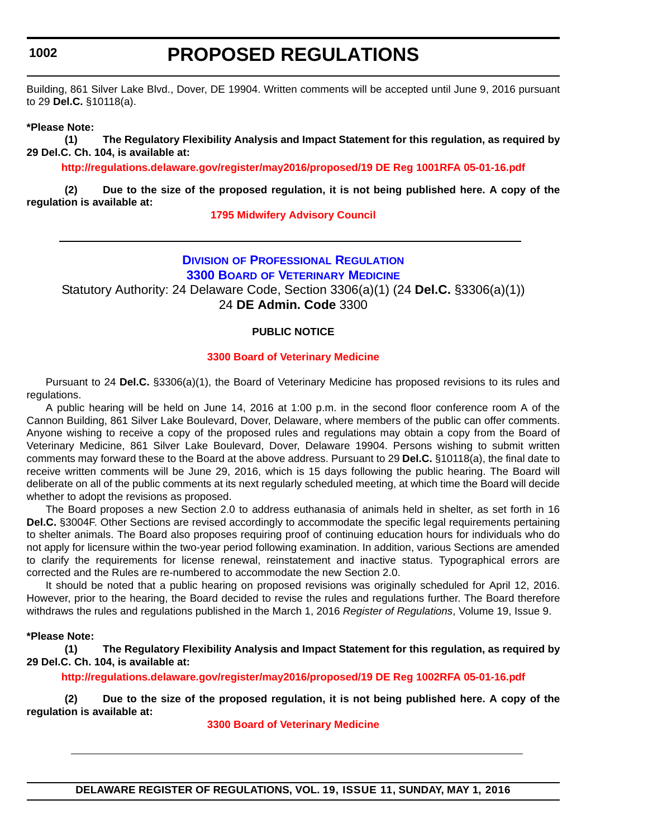# **PROPOSED REGULATIONS**

Building, 861 Silver Lake Blvd., Dover, DE 19904. Written comments will be accepted until June 9, 2016 pursuant to 29 **Del.C.** §10118(a).

**\*Please Note:** 

**(1) The Regulatory Flexibility Analysis and Impact Statement for this regulation, as required by 29 Del.C. Ch. 104, is available at:**

**<http://regulations.delaware.gov/register/may2016/proposed/19 DE Reg 1001RFA 05-01-16.pdf>**

**(2) Due to the size of the proposed regulation, it is not being published here. A copy of the regulation is available at:**

**[1795 Midwifery Advisory Council](http://regulations.delaware.gov/register/may2016/proposed/19 DE Reg 1001 05-01-16.htm)**

#### **DIVISION [OF PROFESSIONAL REGULATION](http://dpr.delaware.gov/) 3300 BOARD [OF VETERINARY MEDICINE](http://dpr.delaware.gov/boards/veterinarymedicine/index.shtml)**

Statutory Authority: 24 Delaware Code, Section 3306(a)(1) (24 **Del.C.** §3306(a)(1)) 24 **DE Admin. Code** 3300

# **PUBLIC NOTICE**

# **[3300 Board of Veterinary Medicine](#page-3-0)**

Pursuant to 24 **Del.C.** §3306(a)(1), the Board of Veterinary Medicine has proposed revisions to its rules and regulations.

A public hearing will be held on June 14, 2016 at 1:00 p.m. in the second floor conference room A of the Cannon Building, 861 Silver Lake Boulevard, Dover, Delaware, where members of the public can offer comments. Anyone wishing to receive a copy of the proposed rules and regulations may obtain a copy from the Board of Veterinary Medicine, 861 Silver Lake Boulevard, Dover, Delaware 19904. Persons wishing to submit written comments may forward these to the Board at the above address. Pursuant to 29 **Del.C.** §10118(a), the final date to receive written comments will be June 29, 2016, which is 15 days following the public hearing. The Board will deliberate on all of the public comments at its next regularly scheduled meeting, at which time the Board will decide whether to adopt the revisions as proposed.

The Board proposes a new Section 2.0 to address euthanasia of animals held in shelter, as set forth in 16 **Del.C.** §3004F. Other Sections are revised accordingly to accommodate the specific legal requirements pertaining to shelter animals. The Board also proposes requiring proof of continuing education hours for individuals who do not apply for licensure within the two-year period following examination. In addition, various Sections are amended to clarify the requirements for license renewal, reinstatement and inactive status. Typographical errors are corrected and the Rules are re-numbered to accommodate the new Section 2.0.

It should be noted that a public hearing on proposed revisions was originally scheduled for April 12, 2016. However, prior to the hearing, the Board decided to revise the rules and regulations further. The Board therefore withdraws the rules and regulations published in the March 1, 2016 *Register of Regulations*, Volume 19, Issue 9.

#### **\*Please Note:**

**(1) The Regulatory Flexibility Analysis and Impact Statement for this regulation, as required by 29 Del.C. Ch. 104, is available at:**

**<http://regulations.delaware.gov/register/may2016/proposed/19 DE Reg 1002RFA 05-01-16.pdf>**

**(2) Due to the size of the proposed regulation, it is not being published here. A copy of the regulation is available at:**

**[3300 Board of Veterinary Medicine](http://regulations.delaware.gov/register/may2016/proposed/19 DE Reg 1002 05-01-16.htm)**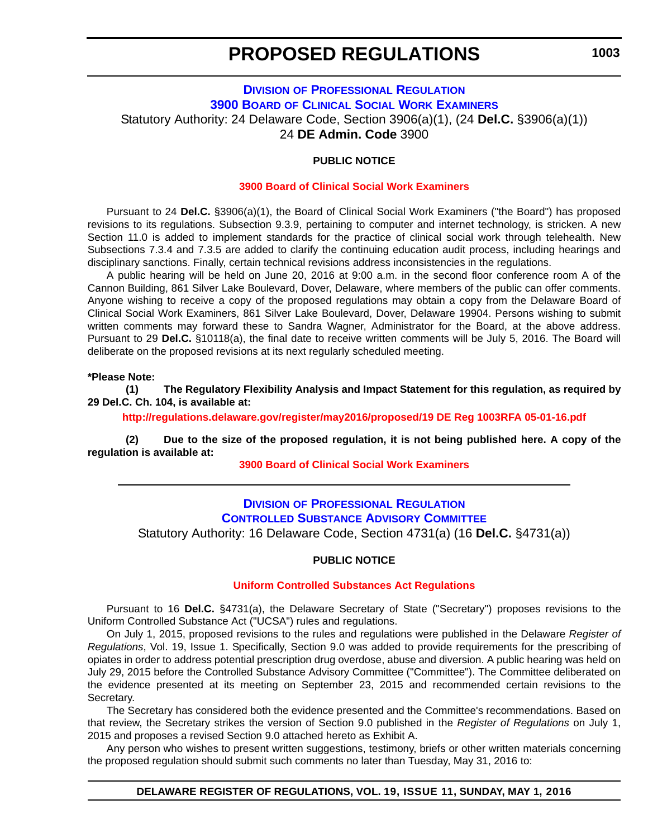# **DIVISION [OF PROFESSIONAL REGULATION](http://dpr.delaware.gov/) 3900 BOARD [OF CLINICAL SOCIAL WORK EXAMINERS](http://dpr.delaware.gov/boards/socialworkers/index.shtml)** Statutory Authority: 24 Delaware Code, Section 3906(a)(1), (24 **Del.C.** §3906(a)(1)) 24 **DE Admin. Code** 3900

# **PUBLIC NOTICE**

### **[3900 Board of Clinical Social Work Examiners](#page-3-0)**

Pursuant to 24 **Del.C.** §3906(a)(1), the Board of Clinical Social Work Examiners ("the Board") has proposed revisions to its regulations. Subsection 9.3.9, pertaining to computer and internet technology, is stricken. A new Section 11.0 is added to implement standards for the practice of clinical social work through telehealth. New Subsections 7.3.4 and 7.3.5 are added to clarify the continuing education audit process, including hearings and disciplinary sanctions. Finally, certain technical revisions address inconsistencies in the regulations.

A public hearing will be held on June 20, 2016 at 9:00 a.m. in the second floor conference room A of the Cannon Building, 861 Silver Lake Boulevard, Dover, Delaware, where members of the public can offer comments. Anyone wishing to receive a copy of the proposed regulations may obtain a copy from the Delaware Board of Clinical Social Work Examiners, 861 Silver Lake Boulevard, Dover, Delaware 19904. Persons wishing to submit written comments may forward these to Sandra Wagner, Administrator for the Board, at the above address. Pursuant to 29 **Del.C.** §10118(a), the final date to receive written comments will be July 5, 2016. The Board will deliberate on the proposed revisions at its next regularly scheduled meeting.

#### **\*Please Note:**

**(1) The Regulatory Flexibility Analysis and Impact Statement for this regulation, as required by 29 Del.C. Ch. 104, is available at:**

**<http://regulations.delaware.gov/register/may2016/proposed/19 DE Reg 1003RFA 05-01-16.pdf>**

**(2) Due to the size of the proposed regulation, it is not being published here. A copy of the regulation is available at:**

**[3900 Board of Clinical Social Work Examiners](http://regulations.delaware.gov/register/may2016/proposed/19 DE Reg 1003 05-01-16.htm)**

# **DIVISION [OF PROFESSIONAL REGULATION](http://dpr.delaware.gov/) [CONTROLLED SUBSTANCE ADVISORY COMMITTEE](http://dpr.delaware.gov/boards/controlledsubstances/index.shtml)** Statutory Authority: 16 Delaware Code, Section 4731(a) (16 **Del.C.** §4731(a))

#### **PUBLIC NOTICE**

#### **[Uniform Controlled Substances Act Regulations](#page-3-0)**

Pursuant to 16 **Del.C.** §4731(a), the Delaware Secretary of State ("Secretary") proposes revisions to the Uniform Controlled Substance Act ("UCSA") rules and regulations.

On July 1, 2015, proposed revisions to the rules and regulations were published in the Delaware *Register of Regulations*, Vol. 19, Issue 1. Specifically, Section 9.0 was added to provide requirements for the prescribing of opiates in order to address potential prescription drug overdose, abuse and diversion. A public hearing was held on July 29, 2015 before the Controlled Substance Advisory Committee ("Committee"). The Committee deliberated on the evidence presented at its meeting on September 23, 2015 and recommended certain revisions to the Secretary.

The Secretary has considered both the evidence presented and the Committee's recommendations. Based on that review, the Secretary strikes the version of Section 9.0 published in the *Register of Regulations* on July 1, 2015 and proposes a revised Section 9.0 attached hereto as Exhibit A.

Any person who wishes to present written suggestions, testimony, briefs or other written materials concerning the proposed regulation should submit such comments no later than Tuesday, May 31, 2016 to:

#### **DELAWARE REGISTER OF REGULATIONS, VOL. 19, ISSUE 11, SUNDAY, MAY 1, 2016**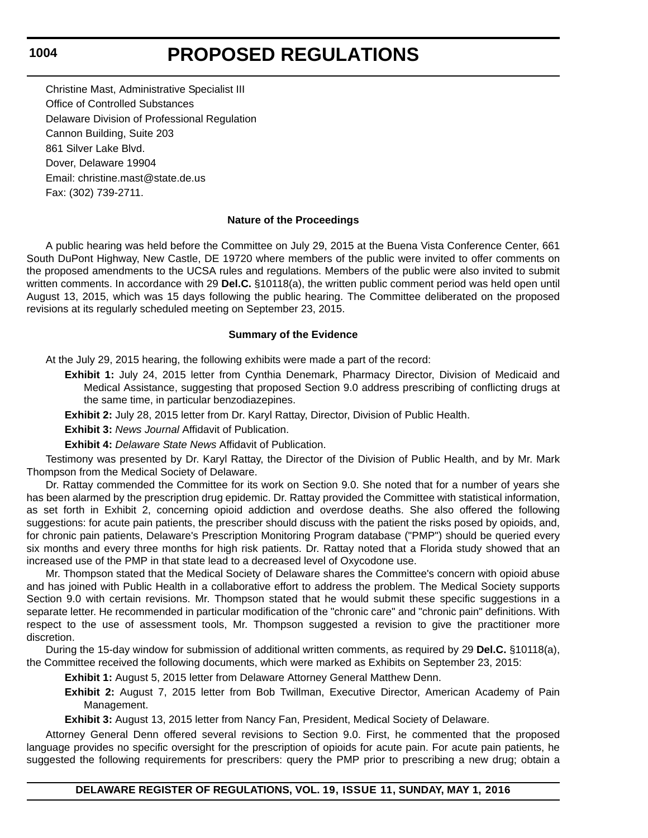# **PROPOSED REGULATIONS**

Christine Mast, Administrative Specialist III Office of Controlled Substances Delaware Division of Professional Regulation Cannon Building, Suite 203 861 Silver Lake Blvd. Dover, Delaware 19904 Email: christine.mast@state.de.us Fax: (302) 739-2711.

#### **Nature of the Proceedings**

A public hearing was held before the Committee on July 29, 2015 at the Buena Vista Conference Center, 661 South DuPont Highway, New Castle, DE 19720 where members of the public were invited to offer comments on the proposed amendments to the UCSA rules and regulations. Members of the public were also invited to submit written comments. In accordance with 29 **Del.C.** §10118(a), the written public comment period was held open until August 13, 2015, which was 15 days following the public hearing. The Committee deliberated on the proposed revisions at its regularly scheduled meeting on September 23, 2015.

#### **Summary of the Evidence**

At the July 29, 2015 hearing, the following exhibits were made a part of the record:

- **Exhibit 1:** July 24, 2015 letter from Cynthia Denemark, Pharmacy Director, Division of Medicaid and Medical Assistance, suggesting that proposed Section 9.0 address prescribing of conflicting drugs at the same time, in particular benzodiazepines.
- **Exhibit 2:** July 28, 2015 letter from Dr. Karyl Rattay, Director, Division of Public Health.

**Exhibit 3:** *News Journal* Affidavit of Publication.

**Exhibit 4:** *Delaware State News* Affidavit of Publication.

Testimony was presented by Dr. Karyl Rattay, the Director of the Division of Public Health, and by Mr. Mark Thompson from the Medical Society of Delaware.

Dr. Rattay commended the Committee for its work on Section 9.0. She noted that for a number of years she has been alarmed by the prescription drug epidemic. Dr. Rattay provided the Committee with statistical information, as set forth in Exhibit 2, concerning opioid addiction and overdose deaths. She also offered the following suggestions: for acute pain patients, the prescriber should discuss with the patient the risks posed by opioids, and, for chronic pain patients, Delaware's Prescription Monitoring Program database ("PMP") should be queried every six months and every three months for high risk patients. Dr. Rattay noted that a Florida study showed that an increased use of the PMP in that state lead to a decreased level of Oxycodone use.

Mr. Thompson stated that the Medical Society of Delaware shares the Committee's concern with opioid abuse and has joined with Public Health in a collaborative effort to address the problem. The Medical Society supports Section 9.0 with certain revisions. Mr. Thompson stated that he would submit these specific suggestions in a separate letter. He recommended in particular modification of the "chronic care" and "chronic pain" definitions. With respect to the use of assessment tools, Mr. Thompson suggested a revision to give the practitioner more discretion.

During the 15-day window for submission of additional written comments, as required by 29 **Del.C.** §10118(a), the Committee received the following documents, which were marked as Exhibits on September 23, 2015:

**Exhibit 1:** August 5, 2015 letter from Delaware Attorney General Matthew Denn.

**Exhibit 2:** August 7, 2015 letter from Bob Twillman, Executive Director, American Academy of Pain Management.

**Exhibit 3:** August 13, 2015 letter from Nancy Fan, President, Medical Society of Delaware.

Attorney General Denn offered several revisions to Section 9.0. First, he commented that the proposed language provides no specific oversight for the prescription of opioids for acute pain. For acute pain patients, he suggested the following requirements for prescribers: query the PMP prior to prescribing a new drug; obtain a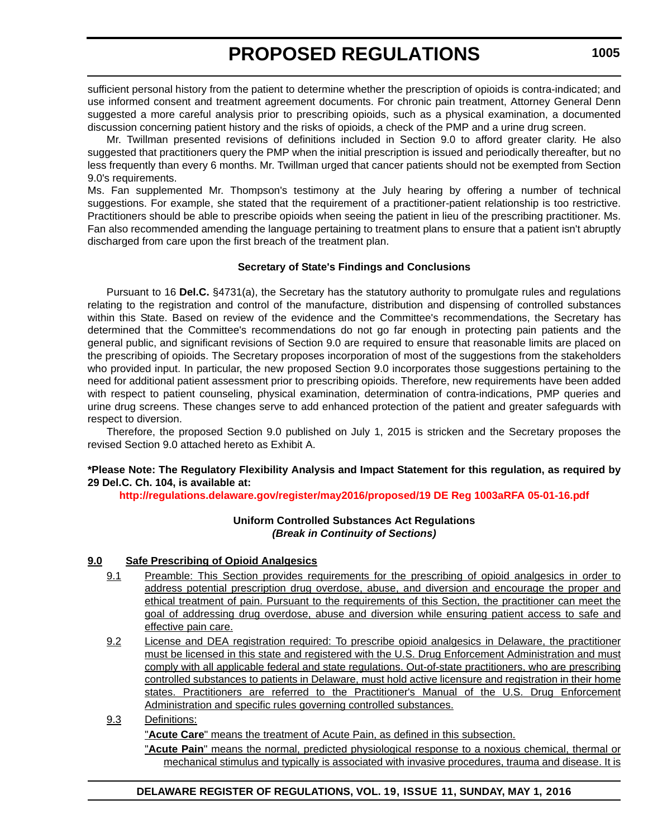sufficient personal history from the patient to determine whether the prescription of opioids is contra-indicated; and use informed consent and treatment agreement documents. For chronic pain treatment, Attorney General Denn suggested a more careful analysis prior to prescribing opioids, such as a physical examination, a documented discussion concerning patient history and the risks of opioids, a check of the PMP and a urine drug screen.

Mr. Twillman presented revisions of definitions included in Section 9.0 to afford greater clarity. He also suggested that practitioners query the PMP when the initial prescription is issued and periodically thereafter, but no less frequently than every 6 months. Mr. Twillman urged that cancer patients should not be exempted from Section 9.0's requirements.

Ms. Fan supplemented Mr. Thompson's testimony at the July hearing by offering a number of technical suggestions. For example, she stated that the requirement of a practitioner-patient relationship is too restrictive. Practitioners should be able to prescribe opioids when seeing the patient in lieu of the prescribing practitioner. Ms. Fan also recommended amending the language pertaining to treatment plans to ensure that a patient isn't abruptly discharged from care upon the first breach of the treatment plan.

# **Secretary of State's Findings and Conclusions**

Pursuant to 16 **Del.C.** §4731(a), the Secretary has the statutory authority to promulgate rules and regulations relating to the registration and control of the manufacture, distribution and dispensing of controlled substances within this State. Based on review of the evidence and the Committee's recommendations, the Secretary has determined that the Committee's recommendations do not go far enough in protecting pain patients and the general public, and significant revisions of Section 9.0 are required to ensure that reasonable limits are placed on the prescribing of opioids. The Secretary proposes incorporation of most of the suggestions from the stakeholders who provided input. In particular, the new proposed Section 9.0 incorporates those suggestions pertaining to the need for additional patient assessment prior to prescribing opioids. Therefore, new requirements have been added with respect to patient counseling, physical examination, determination of contra-indications, PMP queries and urine drug screens. These changes serve to add enhanced protection of the patient and greater safeguards with respect to diversion.

Therefore, the proposed Section 9.0 published on July 1, 2015 is stricken and the Secretary proposes the revised Section 9.0 attached hereto as Exhibit A.

**\*Please Note: The Regulatory Flexibility Analysis and Impact Statement for this regulation, as required by 29 Del.C. Ch. 104, is available at:**

**<http://regulations.delaware.gov/register/may2016/proposed/19 DE Reg 1003aRFA 05-01-16.pdf>**

# **Uniform Controlled Substances Act Regulations** *(Break in Continuity of Sections)*

# **9.0 Safe Prescribing of Opioid Analgesics**

- 9.1 Preamble: This Section provides requirements for the prescribing of opioid analgesics in order to address potential prescription drug overdose, abuse, and diversion and encourage the proper and ethical treatment of pain. Pursuant to the requirements of this Section, the practitioner can meet the goal of addressing drug overdose, abuse and diversion while ensuring patient access to safe and effective pain care.
- 9.2 License and DEA registration required: To prescribe opioid analgesics in Delaware, the practitioner must be licensed in this state and registered with the U.S. Drug Enforcement Administration and must comply with all applicable federal and state regulations. Out-of-state practitioners, who are prescribing controlled substances to patients in Delaware, must hold active licensure and registration in their home states. Practitioners are referred to the Practitioner's Manual of the U.S. Drug Enforcement Administration and specific rules governing controlled substances.
- 9.3 Definitions:

"**Acute Care**" means the treatment of Acute Pain, as defined in this subsection.

"**Acute Pain**" means the normal, predicted physiological response to a noxious chemical, thermal or mechanical stimulus and typically is associated with invasive procedures, trauma and disease. It is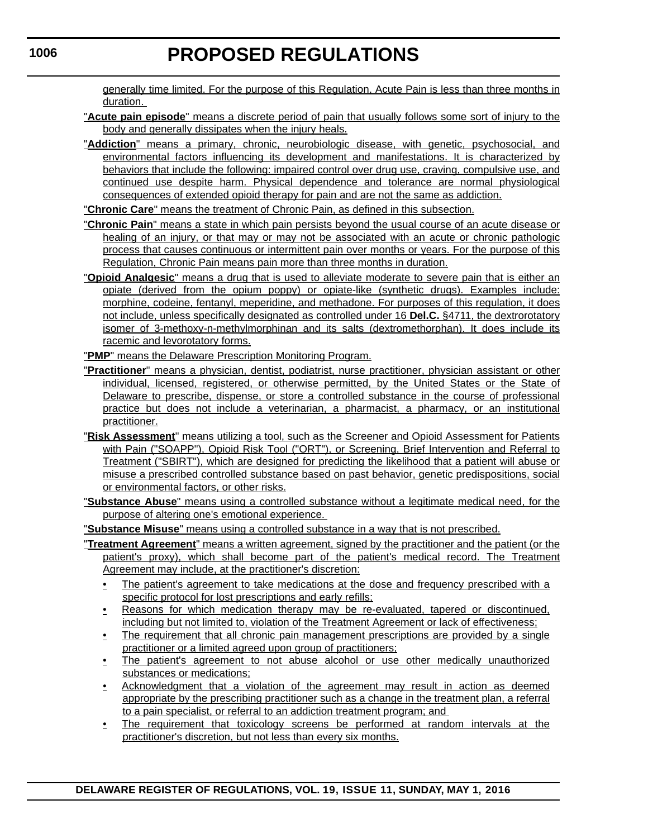generally time limited. For the purpose of this Regulation, Acute Pain is less than three months in duration.

- "**Acute pain episode**" means a discrete period of pain that usually follows some sort of injury to the body and generally dissipates when the injury heals.
- "**Addiction**" means a primary, chronic, neurobiologic disease, with genetic, psychosocial, and environmental factors influencing its development and manifestations. It is characterized by behaviors that include the following: impaired control over drug use, craving, compulsive use, and continued use despite harm. Physical dependence and tolerance are normal physiological consequences of extended opioid therapy for pain and are not the same as addiction.

"**Chronic Care**" means the treatment of Chronic Pain, as defined in this subsection.

- "**Chronic Pain**" means a state in which pain persists beyond the usual course of an acute disease or healing of an injury, or that may or may not be associated with an acute or chronic pathologic process that causes continuous or intermittent pain over months or years. For the purpose of this Regulation, Chronic Pain means pain more than three months in duration.
- "**Opioid Analgesic**" means a drug that is used to alleviate moderate to severe pain that is either an opiate (derived from the opium poppy) or opiate-like (synthetic drugs). Examples include: morphine, codeine, fentanyl, meperidine, and methadone. For purposes of this regulation, it does not include, unless specifically designated as controlled under 16 **Del.C.** §4711, the dextrorotatory isomer of 3-methoxy-n-methylmorphinan and its salts (dextromethorphan). It does include its racemic and levorotatory forms.
- "**PMP**" means the Delaware Prescription Monitoring Program.
- "**Practitioner**" means a physician, dentist, podiatrist, nurse practitioner, physician assistant or other individual, licensed, registered, or otherwise permitted, by the United States or the State of Delaware to prescribe, dispense, or store a controlled substance in the course of professional practice but does not include a veterinarian, a pharmacist, a pharmacy, or an institutional practitioner.
- "**Risk Assessment**" means utilizing a tool, such as the Screener and Opioid Assessment for Patients with Pain ("SOAPP"), Opioid Risk Tool ("ORT"), or Screening, Brief Intervention and Referral to Treatment ("SBIRT"), which are designed for predicting the likelihood that a patient will abuse or misuse a prescribed controlled substance based on past behavior, genetic predispositions, social or environmental factors, or other risks.
- "**Substance Abuse**" means using a controlled substance without a legitimate medical need, for the purpose of altering one's emotional experience.

"**Substance Misuse**" means using a controlled substance in a way that is not prescribed.

- "**Treatment Agreement**" means a written agreement, signed by the practitioner and the patient (or the patient's proxy), which shall become part of the patient's medical record. The Treatment Agreement may include, at the practitioner's discretion:
	- The patient's agreement to take medications at the dose and frequency prescribed with a specific protocol for lost prescriptions and early refills;
	- Reasons for which medication therapy may be re-evaluated, tapered or discontinued, including but not limited to, violation of the Treatment Agreement or lack of effectiveness;
	- The requirement that all chronic pain management prescriptions are provided by a single practitioner or a limited agreed upon group of practitioners;
	- The patient's agreement to not abuse alcohol or use other medically unauthorized substances or medications;
	- Acknowledgment that a violation of the agreement may result in action as deemed appropriate by the prescribing practitioner such as a change in the treatment plan, a referral to a pain specialist, or referral to an addiction treatment program; and
	- The requirement that toxicology screens be performed at random intervals at the practitioner's discretion, but not less than every six months.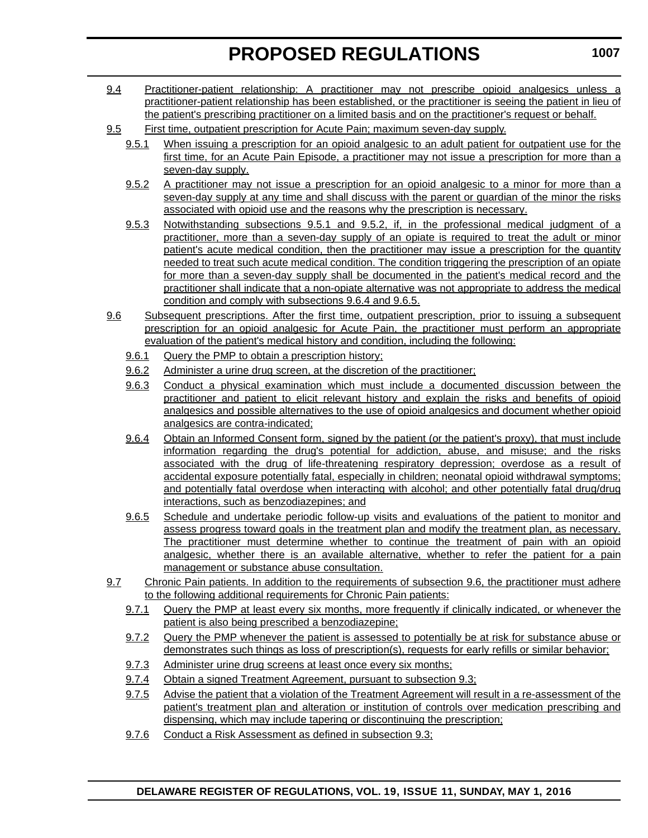- 9.4 Practitioner-patient relationship: A practitioner may not prescribe opioid analgesics unless a practitioner-patient relationship has been established, or the practitioner is seeing the patient in lieu of the patient's prescribing practitioner on a limited basis and on the practitioner's request or behalf.
- 9.5 First time, outpatient prescription for Acute Pain; maximum seven-day supply.
	- 9.5.1 When issuing a prescription for an opioid analgesic to an adult patient for outpatient use for the first time, for an Acute Pain Episode, a practitioner may not issue a prescription for more than a seven-day supply.
	- 9.5.2 A practitioner may not issue a prescription for an opioid analgesic to a minor for more than a seven-day supply at any time and shall discuss with the parent or guardian of the minor the risks associated with opioid use and the reasons why the prescription is necessary.
	- 9.5.3 Notwithstanding subsections 9.5.1 and 9.5.2, if, in the professional medical judgment of a practitioner, more than a seven-day supply of an opiate is required to treat the adult or minor patient's acute medical condition, then the practitioner may issue a prescription for the quantity needed to treat such acute medical condition. The condition triggering the prescription of an opiate for more than a seven-day supply shall be documented in the patient's medical record and the practitioner shall indicate that a non-opiate alternative was not appropriate to address the medical condition and comply with subsections 9.6.4 and 9.6.5.
- 9.6 Subsequent prescriptions. After the first time, outpatient prescription, prior to issuing a subsequent prescription for an opioid analgesic for Acute Pain, the practitioner must perform an appropriate evaluation of the patient's medical history and condition, including the following:
	- 9.6.1 Query the PMP to obtain a prescription history;
	- 9.6.2 Administer a urine drug screen, at the discretion of the practitioner;
	- 9.6.3 Conduct a physical examination which must include a documented discussion between the practitioner and patient to elicit relevant history and explain the risks and benefits of opioid analgesics and possible alternatives to the use of opioid analgesics and document whether opioid analgesics are contra-indicated;
	- 9.6.4 Obtain an Informed Consent form, signed by the patient (or the patient's proxy), that must include information regarding the drug's potential for addiction, abuse, and misuse; and the risks associated with the drug of life-threatening respiratory depression; overdose as a result of accidental exposure potentially fatal, especially in children; neonatal opioid withdrawal symptoms; and potentially fatal overdose when interacting with alcohol; and other potentially fatal drug/drug interactions, such as benzodiazepines; and
	- 9.6.5 Schedule and undertake periodic follow-up visits and evaluations of the patient to monitor and assess progress toward goals in the treatment plan and modify the treatment plan, as necessary. The practitioner must determine whether to continue the treatment of pain with an opioid analgesic, whether there is an available alternative, whether to refer the patient for a pain management or substance abuse consultation.
- 9.7 Chronic Pain patients. In addition to the requirements of subsection 9.6, the practitioner must adhere to the following additional requirements for Chronic Pain patients:
	- 9.7.1 Query the PMP at least every six months, more frequently if clinically indicated, or whenever the patient is also being prescribed a benzodiazepine;
	- 9.7.2 Query the PMP whenever the patient is assessed to potentially be at risk for substance abuse or demonstrates such things as loss of prescription(s), requests for early refills or similar behavior;
	- 9.7.3 Administer urine drug screens at least once every six months;
	- 9.7.4 Obtain a signed Treatment Agreement, pursuant to subsection 9.3;
	- 9.7.5 Advise the patient that a violation of the Treatment Agreement will result in a re-assessment of the patient's treatment plan and alteration or institution of controls over medication prescribing and dispensing, which may include tapering or discontinuing the prescription;
	- 9.7.6 Conduct a Risk Assessment as defined in subsection 9.3;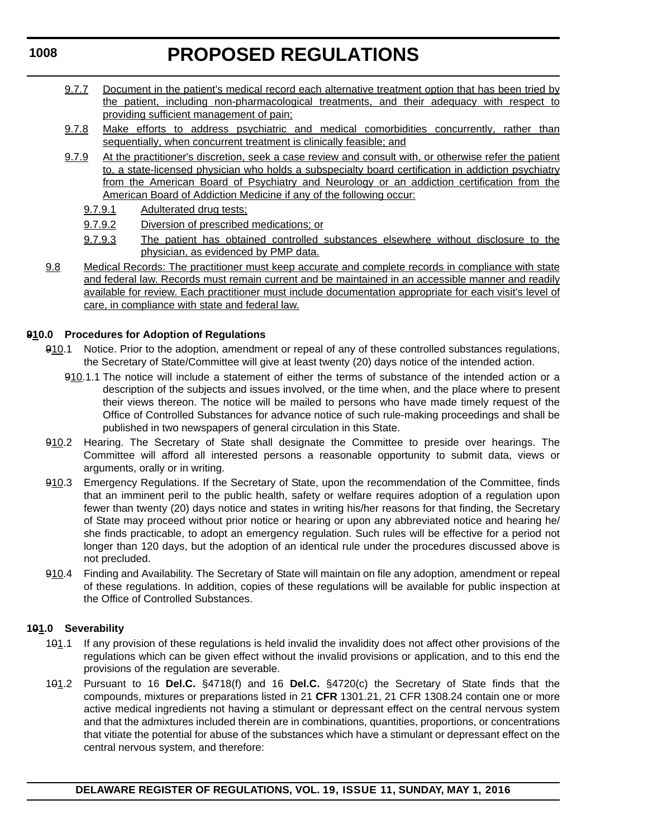# **PROPOSED REGULATIONS**

- 9.7.7 Document in the patient's medical record each alternative treatment option that has been tried by the patient, including non-pharmacological treatments, and their adequacy with respect to providing sufficient management of pain;
- 9.7.8 Make efforts to address psychiatric and medical comorbidities concurrently, rather than sequentially, when concurrent treatment is clinically feasible; and
- 9.7.9 At the practitioner's discretion, seek a case review and consult with, or otherwise refer the patient to, a state-licensed physician who holds a subspecialty board certification in addiction psychiatry from the American Board of Psychiatry and Neurology or an addiction certification from the American Board of Addiction Medicine if any of the following occur:
	- 9.7.9.1 Adulterated drug tests;
	- 9.7.9.2 Diversion of prescribed medications; or
	- 9.7.9.3 The patient has obtained controlled substances elsewhere without disclosure to the physician, as evidenced by PMP data.
- 9.8 Medical Records: The practitioner must keep accurate and complete records in compliance with state and federal law. Records must remain current and be maintained in an accessible manner and readily available for review. Each practitioner must include documentation appropriate for each visit's level of care, in compliance with state and federal law.

# **910.0 Procedures for Adoption of Regulations**

- 910.1 Notice. Prior to the adoption, amendment or repeal of any of these controlled substances regulations, the Secretary of State/Committee will give at least twenty (20) days notice of the intended action.
	- 910.1.1 The notice will include a statement of either the terms of substance of the intended action or a description of the subjects and issues involved, or the time when, and the place where to present their views thereon. The notice will be mailed to persons who have made timely request of the Office of Controlled Substances for advance notice of such rule-making proceedings and shall be published in two newspapers of general circulation in this State.
- 910.2 Hearing. The Secretary of State shall designate the Committee to preside over hearings. The Committee will afford all interested persons a reasonable opportunity to submit data, views or arguments, orally or in writing.
- 910.3 Emergency Regulations. If the Secretary of State, upon the recommendation of the Committee, finds that an imminent peril to the public health, safety or welfare requires adoption of a regulation upon fewer than twenty (20) days notice and states in writing his/her reasons for that finding, the Secretary of State may proceed without prior notice or hearing or upon any abbreviated notice and hearing he/ she finds practicable, to adopt an emergency regulation. Such rules will be effective for a period not longer than 120 days, but the adoption of an identical rule under the procedures discussed above is not precluded.
- 910.4 Finding and Availability. The Secretary of State will maintain on file any adoption, amendment or repeal of these regulations. In addition, copies of these regulations will be available for public inspection at the Office of Controlled Substances.

# **101.0 Severability**

- 101.1 If any provision of these regulations is held invalid the invalidity does not affect other provisions of the regulations which can be given effect without the invalid provisions or application, and to this end the provisions of the regulation are severable.
- 101.2 Pursuant to 16 **Del.C.** §4718(f) and 16 **Del.C.** §4720(c) the Secretary of State finds that the compounds, mixtures or preparations listed in 21 **CFR** 1301.21, 21 CFR 1308.24 contain one or more active medical ingredients not having a stimulant or depressant effect on the central nervous system and that the admixtures included therein are in combinations, quantities, proportions, or concentrations that vitiate the potential for abuse of the substances which have a stimulant or depressant effect on the central nervous system, and therefore: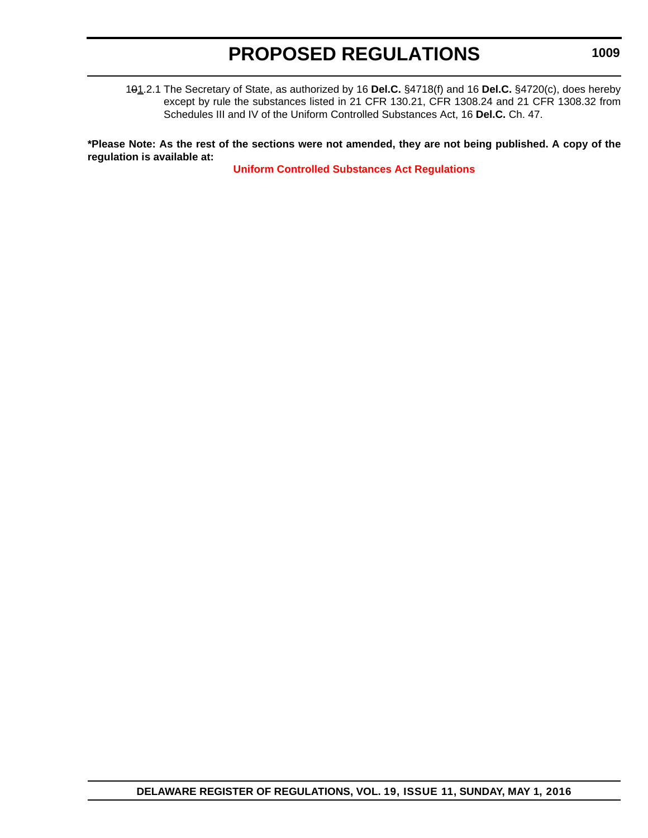101.2.1 The Secretary of State, as authorized by 16 **Del.C.** §4718(f) and 16 **Del.C.** §4720(c), does hereby except by rule the substances listed in 21 CFR 130.21, CFR 1308.24 and 21 CFR 1308.32 from Schedules III and IV of the Uniform Controlled Substances Act, 16 **Del.C.** Ch. 47.

**\*Please Note: As the rest of the sections were not amended, they are not being published. A copy of the regulation is available at:**

**[Uniform Controlled Substances Act Regulations](http://regulations.delaware.gov/register/may2016/proposed/19 DE Reg 1003a 05-01-16.htm)**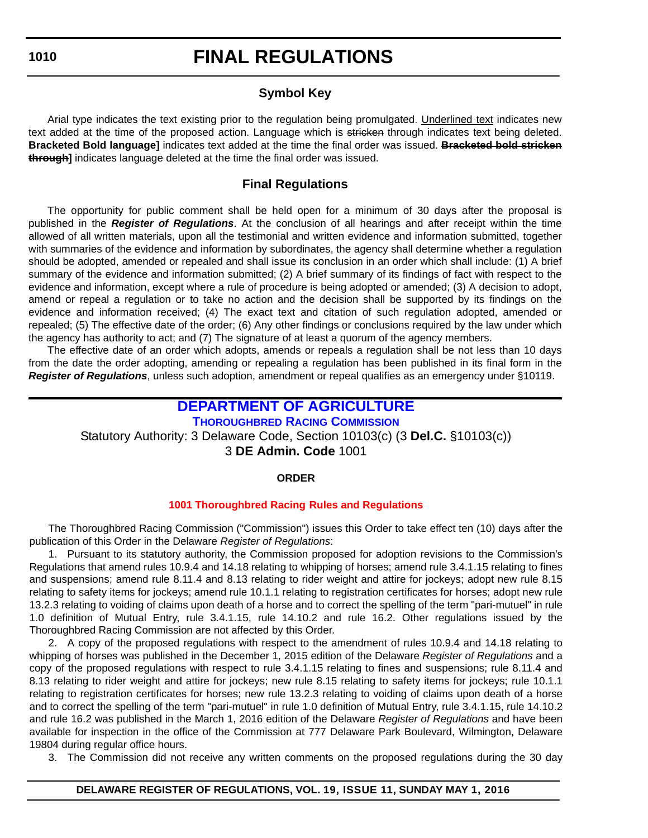# **FINAL REGULATIONS**

# **Symbol Key**

Arial type indicates the text existing prior to the regulation being promulgated. Underlined text indicates new text added at the time of the proposed action. Language which is stricken through indicates text being deleted. **Bracketed Bold language]** indicates text added at the time the final order was issued. **Bracketed bold stricken through]** indicates language deleted at the time the final order was issued.

# **Final Regulations**

The opportunity for public comment shall be held open for a minimum of 30 days after the proposal is published in the *Register of Regulations*. At the conclusion of all hearings and after receipt within the time allowed of all written materials, upon all the testimonial and written evidence and information submitted, together with summaries of the evidence and information by subordinates, the agency shall determine whether a regulation should be adopted, amended or repealed and shall issue its conclusion in an order which shall include: (1) A brief summary of the evidence and information submitted; (2) A brief summary of its findings of fact with respect to the evidence and information, except where a rule of procedure is being adopted or amended; (3) A decision to adopt, amend or repeal a regulation or to take no action and the decision shall be supported by its findings on the evidence and information received; (4) The exact text and citation of such regulation adopted, amended or repealed; (5) The effective date of the order; (6) Any other findings or conclusions required by the law under which the agency has authority to act; and (7) The signature of at least a quorum of the agency members.

The effective date of an order which adopts, amends or repeals a regulation shall be not less than 10 days from the date the order adopting, amending or repealing a regulation has been published in its final form in the *Register of Regulations*, unless such adoption, amendment or repeal qualifies as an emergency under §10119.

# **[DEPARTMENT OF AGRICULTURE](http://dda.delaware.gov/)**

**[THOROUGHBRED RACING COMMISSION](http://dda.delaware.gov/harness/index.shtml)**

Statutory Authority: 3 Delaware Code, Section 10103(c) (3 **Del.C.** §10103(c))

3 **DE Admin. Code** 1001

# **ORDER**

# **[1001 Thoroughbred Racing](#page-4-0) Rules and Regulations**

The Thoroughbred Racing Commission ("Commission") issues this Order to take effect ten (10) days after the publication of this Order in the Delaware *Register of Regulations*:

1. Pursuant to its statutory authority, the Commission proposed for adoption revisions to the Commission's Regulations that amend rules 10.9.4 and 14.18 relating to whipping of horses; amend rule 3.4.1.15 relating to fines and suspensions; amend rule 8.11.4 and 8.13 relating to rider weight and attire for jockeys; adopt new rule 8.15 relating to safety items for jockeys; amend rule 10.1.1 relating to registration certificates for horses; adopt new rule 13.2.3 relating to voiding of claims upon death of a horse and to correct the spelling of the term "pari-mutuel" in rule 1.0 definition of Mutual Entry, rule 3.4.1.15, rule 14.10.2 and rule 16.2. Other regulations issued by the Thoroughbred Racing Commission are not affected by this Order.

2. A copy of the proposed regulations with respect to the amendment of rules 10.9.4 and 14.18 relating to whipping of horses was published in the December 1, 2015 edition of the Delaware *Register of Regulations* and a copy of the proposed regulations with respect to rule 3.4.1.15 relating to fines and suspensions; rule 8.11.4 and 8.13 relating to rider weight and attire for jockeys; new rule 8.15 relating to safety items for jockeys; rule 10.1.1 relating to registration certificates for horses; new rule 13.2.3 relating to voiding of claims upon death of a horse and to correct the spelling of the term "pari-mutuel" in rule 1.0 definition of Mutual Entry, rule 3.4.1.15, rule 14.10.2 and rule 16.2 was published in the March 1, 2016 edition of the Delaware *Register of Regulations* and have been available for inspection in the office of the Commission at 777 Delaware Park Boulevard, Wilmington, Delaware 19804 during regular office hours.

3. The Commission did not receive any written comments on the proposed regulations during the 30 day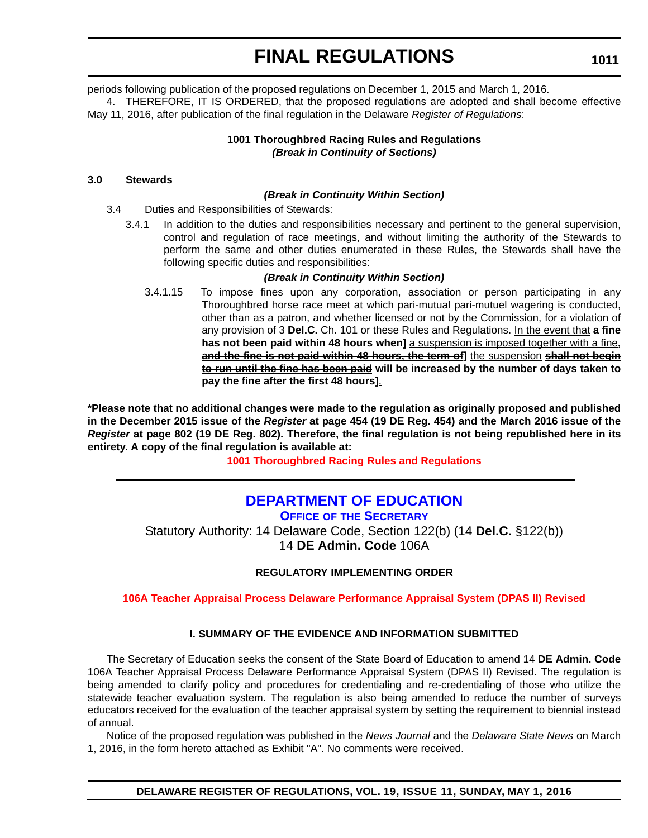periods following publication of the proposed regulations on December 1, 2015 and March 1, 2016.

4. THEREFORE, IT IS ORDERED, that the proposed regulations are adopted and shall become effective May 11, 2016, after publication of the final regulation in the Delaware *Register of Regulations*:

> **1001 Thoroughbred Racing Rules and Regulations** *(Break in Continuity of Sections)*

# **3.0 Stewards**

#### *(Break in Continuity Within Section)*

- 3.4 Duties and Responsibilities of Stewards:
	- 3.4.1 In addition to the duties and responsibilities necessary and pertinent to the general supervision, control and regulation of race meetings, and without limiting the authority of the Stewards to perform the same and other duties enumerated in these Rules, the Stewards shall have the following specific duties and responsibilities:

#### *(Break in Continuity Within Section)*

3.4.1.15 To impose fines upon any corporation, association or person participating in any Thoroughbred horse race meet at which pari-mutual pari-mutuel wagering is conducted, other than as a patron, and whether licensed or not by the Commission, for a violation of any provision of 3 **Del.C.** Ch. 101 or these Rules and Regulations. In the event that **a fine has not been paid within 48 hours when]** a suspension is imposed together with a fine**, and the fine is not paid within 48 hours, the term of]** the suspension **shall not begin to run until the fine has been paid will be increased by the number of days taken to pay the fine after the first 48 hours]**.

**\*Please note that no additional changes were made to the regulation as originally proposed and published in the December 2015 issue of the** *Register* **at page 454 (19 DE Reg. 454) and the March 2016 issue of the** *Register* **at page 802 (19 DE Reg. 802). Therefore, the final regulation is not being republished here in its entirety. A copy of the final regulation is available at:**

**[1001 Thoroughbred Racing](http://regulations.delaware.gov/register/may2016/final/19 DE Reg 1010 05-01-16.htm) Rules and Regulations**

# **[DEPARTMENT OF EDUCATION](http://www.doe.k12.de.us/)**

**OFFICE OF [THE SECRETARY](https://pubapps.doe.k12.de.us/EducationalDirectoryPublic/pages/DDOE/Branches.aspx?page=branches&BID=1)**

Statutory Authority: 14 Delaware Code, Section 122(b) (14 **Del.C.** §122(b)) 14 **DE Admin. Code** 106A

# **REGULATORY IMPLEMENTING ORDER**

**[106A Teacher Appraisal Process Delaware Performance Appraisal System \(DPAS II\) Revised](#page-4-0)**

# **I. SUMMARY OF THE EVIDENCE AND INFORMATION SUBMITTED**

The Secretary of Education seeks the consent of the State Board of Education to amend 14 **DE Admin. Code** 106A Teacher Appraisal Process Delaware Performance Appraisal System (DPAS II) Revised. The regulation is being amended to clarify policy and procedures for credentialing and re-credentialing of those who utilize the statewide teacher evaluation system. The regulation is also being amended to reduce the number of surveys educators received for the evaluation of the teacher appraisal system by setting the requirement to biennial instead of annual.

Notice of the proposed regulation was published in the *News Journal* and the *Delaware State News* on March 1, 2016, in the form hereto attached as Exhibit "A". No comments were received.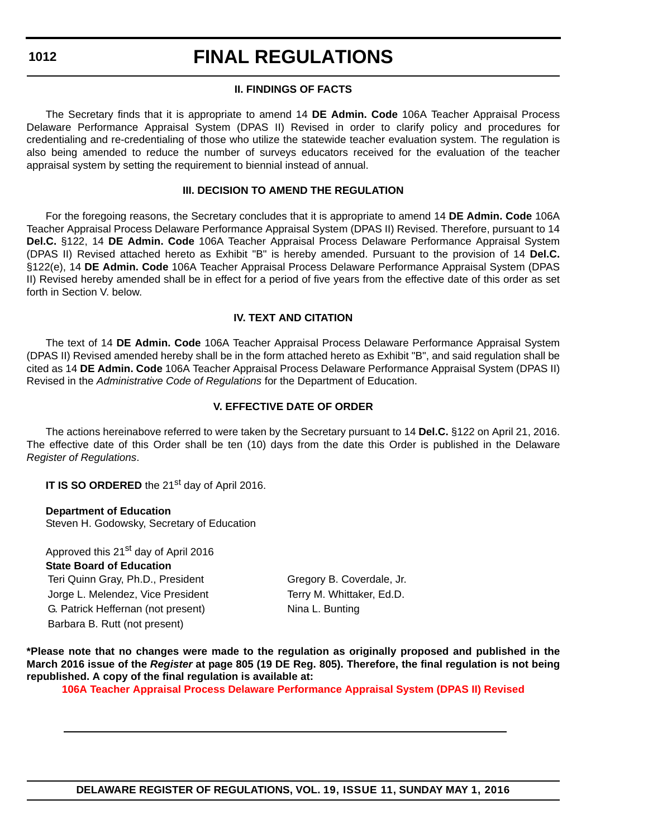# **FINAL REGULATIONS**

### **II. FINDINGS OF FACTS**

The Secretary finds that it is appropriate to amend 14 **DE Admin. Code** 106A Teacher Appraisal Process Delaware Performance Appraisal System (DPAS II) Revised in order to clarify policy and procedures for credentialing and re-credentialing of those who utilize the statewide teacher evaluation system. The regulation is also being amended to reduce the number of surveys educators received for the evaluation of the teacher appraisal system by setting the requirement to biennial instead of annual.

#### **III. DECISION TO AMEND THE REGULATION**

For the foregoing reasons, the Secretary concludes that it is appropriate to amend 14 **DE Admin. Code** 106A Teacher Appraisal Process Delaware Performance Appraisal System (DPAS II) Revised. Therefore, pursuant to 14 **Del.C.** §122, 14 **DE Admin. Code** 106A Teacher Appraisal Process Delaware Performance Appraisal System (DPAS II) Revised attached hereto as Exhibit "B" is hereby amended. Pursuant to the provision of 14 **Del.C.** §122(e), 14 **DE Admin. Code** 106A Teacher Appraisal Process Delaware Performance Appraisal System (DPAS II) Revised hereby amended shall be in effect for a period of five years from the effective date of this order as set forth in Section V. below.

# **IV. TEXT AND CITATION**

The text of 14 **DE Admin. Code** 106A Teacher Appraisal Process Delaware Performance Appraisal System (DPAS II) Revised amended hereby shall be in the form attached hereto as Exhibit "B", and said regulation shall be cited as 14 **DE Admin. Code** 106A Teacher Appraisal Process Delaware Performance Appraisal System (DPAS II) Revised in the *Administrative Code of Regulations* for the Department of Education.

# **V. EFFECTIVE DATE OF ORDER**

The actions hereinabove referred to were taken by the Secretary pursuant to 14 **Del.C.** §122 on April 21, 2016. The effective date of this Order shall be ten (10) days from the date this Order is published in the Delaware *Register of Regulations*.

**IT IS SO ORDERED** the 21<sup>st</sup> day of April 2016.

**Department of Education** Steven H. Godowsky, Secretary of Education

Approved this 21<sup>st</sup> day of April 2016 **State Board of Education** Teri Quinn Gray, Ph.D., President Gregory B. Coverdale, Jr. Jorge L. Melendez, Vice President Terry M. Whittaker, Ed.D. G. Patrick Heffernan (not present) Nina L. Bunting Barbara B. Rutt (not present)

**\*Please note that no changes were made to the regulation as originally proposed and published in the March 2016 issue of the** *Register* **at page 805 (19 DE Reg. 805). Therefore, the final regulation is not being republished. A copy of the final regulation is available at:**

**[106A Teacher Appraisal Process Delaware Performance Appraisal System \(DPAS II\) Revised](http://regulations.delaware.gov/register/may2016/final/19 DE Reg 1011 05-01-16.htm)**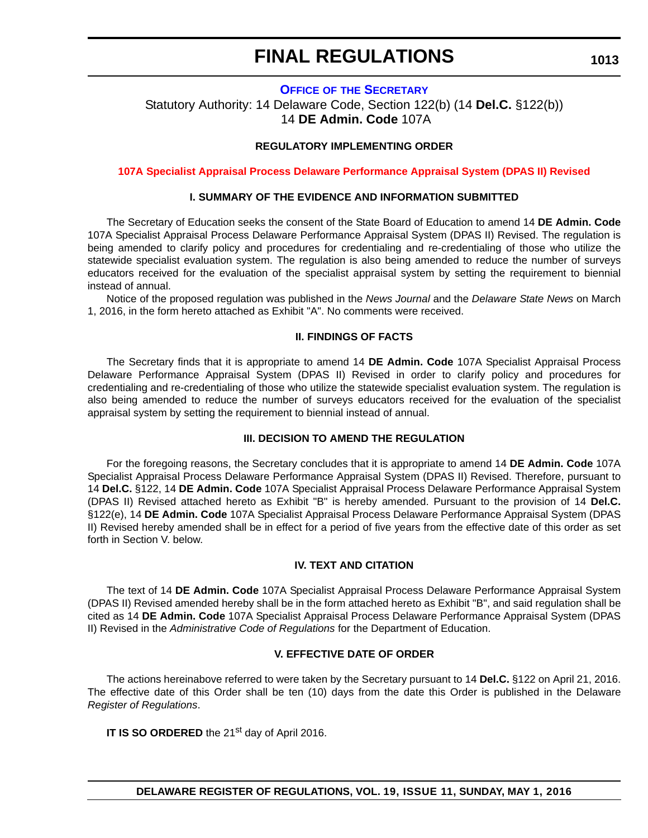# **FINAL REGULATIONS**

### **OFFICE OF [THE SECRETARY](https://pubapps.doe.k12.de.us/EducationalDirectoryPublic/pages/DDOE/Branches.aspx?page=branches&BID=1)**

Statutory Authority: 14 Delaware Code, Section 122(b) (14 **Del.C.** §122(b)) 14 **DE Admin. Code** 107A

#### **REGULATORY IMPLEMENTING ORDER**

**[107A Specialist Appraisal Process Delaware Performance Appraisal System \(DPAS II\) Revised](#page-4-0)**

#### **I. SUMMARY OF THE EVIDENCE AND INFORMATION SUBMITTED**

The Secretary of Education seeks the consent of the State Board of Education to amend 14 **DE Admin. Code** 107A Specialist Appraisal Process Delaware Performance Appraisal System (DPAS II) Revised. The regulation is being amended to clarify policy and procedures for credentialing and re-credentialing of those who utilize the statewide specialist evaluation system. The regulation is also being amended to reduce the number of surveys educators received for the evaluation of the specialist appraisal system by setting the requirement to biennial instead of annual.

Notice of the proposed regulation was published in the *News Journal* and the *Delaware State News* on March 1, 2016, in the form hereto attached as Exhibit "A". No comments were received.

#### **II. FINDINGS OF FACTS**

The Secretary finds that it is appropriate to amend 14 **DE Admin. Code** 107A Specialist Appraisal Process Delaware Performance Appraisal System (DPAS II) Revised in order to clarify policy and procedures for credentialing and re-credentialing of those who utilize the statewide specialist evaluation system. The regulation is also being amended to reduce the number of surveys educators received for the evaluation of the specialist appraisal system by setting the requirement to biennial instead of annual.

#### **III. DECISION TO AMEND THE REGULATION**

For the foregoing reasons, the Secretary concludes that it is appropriate to amend 14 **DE Admin. Code** 107A Specialist Appraisal Process Delaware Performance Appraisal System (DPAS II) Revised. Therefore, pursuant to 14 **Del.C.** §122, 14 **DE Admin. Code** 107A Specialist Appraisal Process Delaware Performance Appraisal System (DPAS II) Revised attached hereto as Exhibit "B" is hereby amended. Pursuant to the provision of 14 **Del.C.** §122(e), 14 **DE Admin. Code** 107A Specialist Appraisal Process Delaware Performance Appraisal System (DPAS II) Revised hereby amended shall be in effect for a period of five years from the effective date of this order as set forth in Section V. below.

#### **IV. TEXT AND CITATION**

The text of 14 **DE Admin. Code** 107A Specialist Appraisal Process Delaware Performance Appraisal System (DPAS II) Revised amended hereby shall be in the form attached hereto as Exhibit "B", and said regulation shall be cited as 14 **DE Admin. Code** 107A Specialist Appraisal Process Delaware Performance Appraisal System (DPAS II) Revised in the *Administrative Code of Regulations* for the Department of Education.

#### **V. EFFECTIVE DATE OF ORDER**

The actions hereinabove referred to were taken by the Secretary pursuant to 14 **Del.C.** §122 on April 21, 2016. The effective date of this Order shall be ten (10) days from the date this Order is published in the Delaware *Register of Regulations*.

**IT IS SO ORDERED** the 21<sup>st</sup> day of April 2016.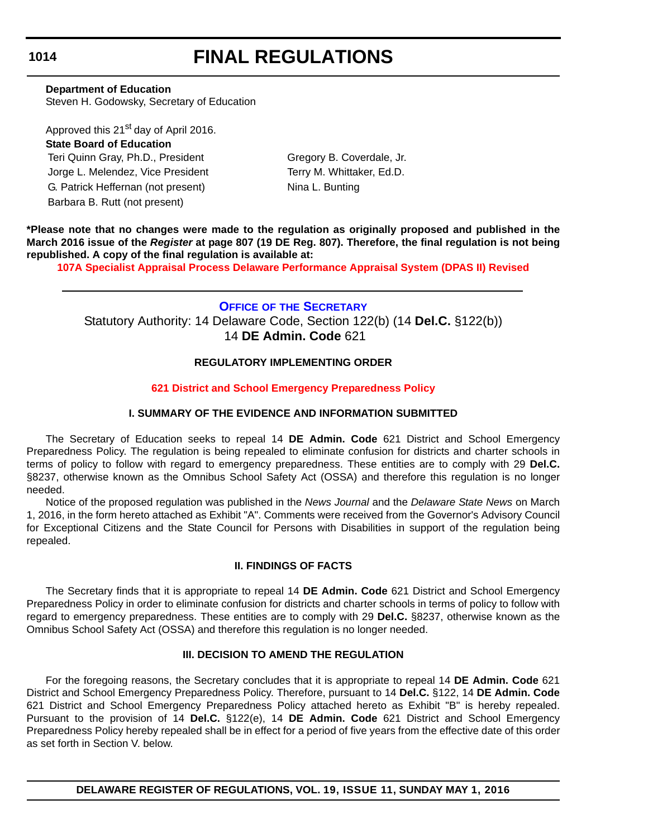# **FINAL REGULATIONS**

**Department of Education**

Steven H. Godowsky, Secretary of Education

Approved this 21<sup>st</sup> day of April 2016.

# **State Board of Education**

Teri Quinn Gray, Ph.D., President Gregory B. Coverdale, Jr. Jorge L. Melendez, Vice President Terry M. Whittaker, Ed.D. G. Patrick Heffernan (not present) Nina L. Bunting Barbara B. Rutt (not present)

**\*Please note that no changes were made to the regulation as originally proposed and published in the March 2016 issue of the** *Register* **at page 807 (19 DE Reg. 807). Therefore, the final regulation is not being republished. A copy of the final regulation is available at:**

**[107A Specialist Appraisal Process Delaware Performance Appraisal System \(DPAS II\) Revised](http://regulations.delaware.gov/register/may2016/final/19 DE Reg 1013 05-01-16.htm)**

**OFFICE OF [THE SECRETARY](https://pubapps.doe.k12.de.us/EducationalDirectoryPublic/pages/DDOE/Branches.aspx?page=branches&BID=1)** Statutory Authority: 14 Delaware Code, Section 122(b) (14 **Del.C.** §122(b)) 14 **DE Admin. Code** 621

# **REGULATORY IMPLEMENTING ORDER**

# **[621 District and School Emergency Preparedness Policy](#page-4-0)**

# **I. SUMMARY OF THE EVIDENCE AND INFORMATION SUBMITTED**

The Secretary of Education seeks to repeal 14 **DE Admin. Code** 621 District and School Emergency Preparedness Policy. The regulation is being repealed to eliminate confusion for districts and charter schools in terms of policy to follow with regard to emergency preparedness. These entities are to comply with 29 **Del.C.** §8237, otherwise known as the Omnibus School Safety Act (OSSA) and therefore this regulation is no longer needed.

Notice of the proposed regulation was published in the *News Journal* and the *Delaware State News* on March 1, 2016, in the form hereto attached as Exhibit "A". Comments were received from the Governor's Advisory Council for Exceptional Citizens and the State Council for Persons with Disabilities in support of the regulation being repealed.

# **II. FINDINGS OF FACTS**

The Secretary finds that it is appropriate to repeal 14 **DE Admin. Code** 621 District and School Emergency Preparedness Policy in order to eliminate confusion for districts and charter schools in terms of policy to follow with regard to emergency preparedness. These entities are to comply with 29 **Del.C.** §8237, otherwise known as the Omnibus School Safety Act (OSSA) and therefore this regulation is no longer needed.

# **III. DECISION TO AMEND THE REGULATION**

For the foregoing reasons, the Secretary concludes that it is appropriate to repeal 14 **DE Admin. Code** 621 District and School Emergency Preparedness Policy. Therefore, pursuant to 14 **Del.C.** §122, 14 **DE Admin. Code** 621 District and School Emergency Preparedness Policy attached hereto as Exhibit "B" is hereby repealed. Pursuant to the provision of 14 **Del.C.** §122(e), 14 **DE Admin. Code** 621 District and School Emergency Preparedness Policy hereby repealed shall be in effect for a period of five years from the effective date of this order as set forth in Section V. below.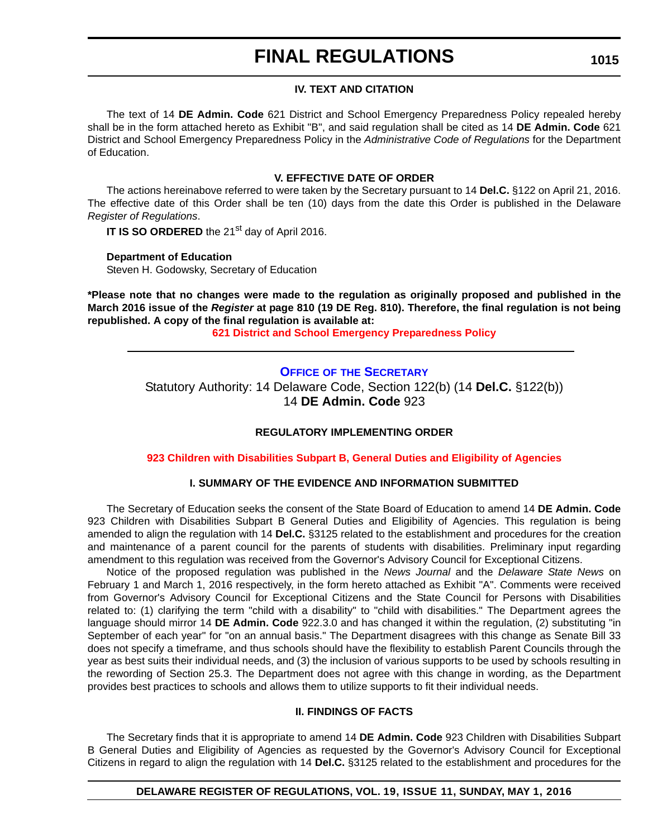# **FINAL REGULATIONS**

### **IV. TEXT AND CITATION**

The text of 14 **DE Admin. Code** 621 District and School Emergency Preparedness Policy repealed hereby shall be in the form attached hereto as Exhibit "B", and said regulation shall be cited as 14 **DE Admin. Code** 621 District and School Emergency Preparedness Policy in the *Administrative Code of Regulations* for the Department of Education.

#### **V. EFFECTIVE DATE OF ORDER**

The actions hereinabove referred to were taken by the Secretary pursuant to 14 **Del.C.** §122 on April 21, 2016. The effective date of this Order shall be ten (10) days from the date this Order is published in the Delaware *Register of Regulations*.

**IT IS SO ORDERED** the 21<sup>st</sup> day of April 2016.

**Department of Education**

Steven H. Godowsky, Secretary of Education

**\*Please note that no changes were made to the regulation as originally proposed and published in the March 2016 issue of the** *Register* **at page 810 (19 DE Reg. 810). Therefore, the final regulation is not being republished. A copy of the final regulation is available at:**

**[621 District and School Emergency Preparedness Policy](http://regulations.delaware.gov/register/may2016/final/19 DE Reg 1014 05-01-16.htm)**

# **OFFICE OF [THE SECRETARY](https://pubapps.doe.k12.de.us/EducationalDirectoryPublic/pages/DDOE/Branches.aspx?page=branches&BID=1)** Statutory Authority: 14 Delaware Code, Section 122(b) (14 **Del.C.** §122(b)) 14 **DE Admin. Code** 923

# **REGULATORY IMPLEMENTING ORDER**

**[923 Children with Disabilities Subpart B, General Duties and Eligibility of Agencies](#page-4-0)**

# **I. SUMMARY OF THE EVIDENCE AND INFORMATION SUBMITTED**

The Secretary of Education seeks the consent of the State Board of Education to amend 14 **DE Admin. Code** 923 Children with Disabilities Subpart B General Duties and Eligibility of Agencies. This regulation is being amended to align the regulation with 14 **Del.C.** §3125 related to the establishment and procedures for the creation and maintenance of a parent council for the parents of students with disabilities. Preliminary input regarding amendment to this regulation was received from the Governor's Advisory Council for Exceptional Citizens.

Notice of the proposed regulation was published in the *News Journal* and the *Delaware State News* on February 1 and March 1, 2016 respectively, in the form hereto attached as Exhibit "A". Comments were received from Governor's Advisory Council for Exceptional Citizens and the State Council for Persons with Disabilities related to: (1) clarifying the term "child with a disability" to "child with disabilities." The Department agrees the language should mirror 14 **DE Admin. Code** 922.3.0 and has changed it within the regulation, (2) substituting "in September of each year" for "on an annual basis." The Department disagrees with this change as Senate Bill 33 does not specify a timeframe, and thus schools should have the flexibility to establish Parent Councils through the year as best suits their individual needs, and (3) the inclusion of various supports to be used by schools resulting in the rewording of Section 25.3. The Department does not agree with this change in wording, as the Department provides best practices to schools and allows them to utilize supports to fit their individual needs.

# **II. FINDINGS OF FACTS**

The Secretary finds that it is appropriate to amend 14 **DE Admin. Code** 923 Children with Disabilities Subpart B General Duties and Eligibility of Agencies as requested by the Governor's Advisory Council for Exceptional Citizens in regard to align the regulation with 14 **Del.C.** §3125 related to the establishment and procedures for the

# **DELAWARE REGISTER OF REGULATIONS, VOL. 19, ISSUE 11, SUNDAY, MAY 1, 2016**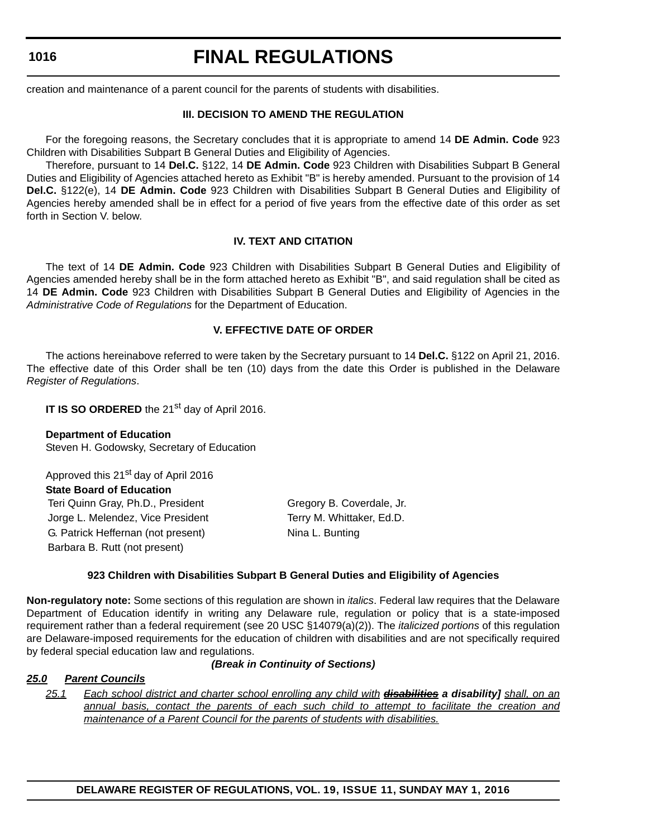# **FINAL REGULATIONS**

creation and maintenance of a parent council for the parents of students with disabilities.

### **III. DECISION TO AMEND THE REGULATION**

For the foregoing reasons, the Secretary concludes that it is appropriate to amend 14 **DE Admin. Code** 923 Children with Disabilities Subpart B General Duties and Eligibility of Agencies.

Therefore, pursuant to 14 **Del.C.** §122, 14 **DE Admin. Code** 923 Children with Disabilities Subpart B General Duties and Eligibility of Agencies attached hereto as Exhibit "B" is hereby amended. Pursuant to the provision of 14 **Del.C.** §122(e), 14 **DE Admin. Code** 923 Children with Disabilities Subpart B General Duties and Eligibility of Agencies hereby amended shall be in effect for a period of five years from the effective date of this order as set forth in Section V. below.

#### **IV. TEXT AND CITATION**

The text of 14 **DE Admin. Code** 923 Children with Disabilities Subpart B General Duties and Eligibility of Agencies amended hereby shall be in the form attached hereto as Exhibit "B", and said regulation shall be cited as 14 **DE Admin. Code** 923 Children with Disabilities Subpart B General Duties and Eligibility of Agencies in the *Administrative Code of Regulations* for the Department of Education.

#### **V. EFFECTIVE DATE OF ORDER**

The actions hereinabove referred to were taken by the Secretary pursuant to 14 **Del.C.** §122 on April 21, 2016. The effective date of this Order shall be ten (10) days from the date this Order is published in the Delaware *Register of Regulations*.

**IT IS SO ORDERED** the 21<sup>st</sup> day of April 2016.

**Department of Education** Steven H. Godowsky, Secretary of Education

Approved this 21<sup>st</sup> day of April 2016 **State Board of Education** Teri Quinn Gray, Ph.D., President Gregory B. Coverdale, Jr. Jorge L. Melendez, Vice President Terry M. Whittaker, Ed.D. G. Patrick Heffernan (not present) Nina L. Bunting Barbara B. Rutt (not present)

#### **923 Children with Disabilities Subpart B General Duties and Eligibility of Agencies**

**Non-regulatory note:** Some sections of this regulation are shown in *italics*. Federal law requires that the Delaware Department of Education identify in writing any Delaware rule, regulation or policy that is a state-imposed requirement rather than a federal requirement (see 20 USC §14079(a)(2)). The *italicized portions* of this regulation are Delaware-imposed requirements for the education of children with disabilities and are not specifically required by federal special education law and regulations.

# *(Break in Continuity of Sections)*

#### *25.0 Parent Councils*

*25.1 Each school district and charter school enrolling any child with disabilities a disability] shall, on an annual basis, contact the parents of each such child to attempt to facilitate the creation and maintenance of a Parent Council for the parents of students with disabilities.*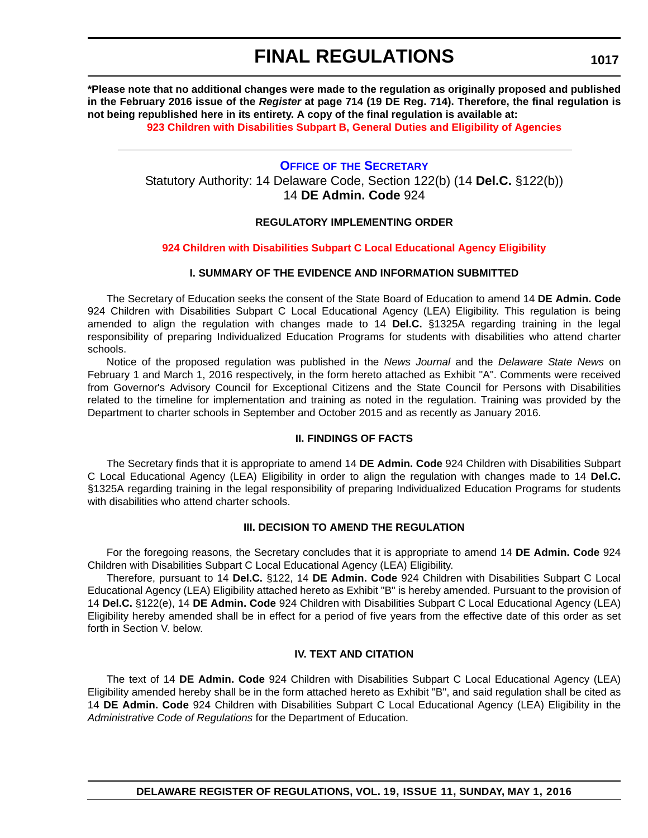# **FINAL REGULATIONS**

**\*Please note that no additional changes were made to the regulation as originally proposed and published in the February 2016 issue of the** *Register* **at page 714 (19 DE Reg. 714). Therefore, the final regulation is not being republished here in its entirety. A copy of the final regulation is available at:**

**[923 Children with Disabilities Subpart B, General Duties and Eligibility of Agencies](http://regulations.delaware.gov/register/may2016/final/19 DE Reg 1015 05-01-16.htm)**

**OFFICE OF [THE SECRETARY](https://pubapps.doe.k12.de.us/EducationalDirectoryPublic/pages/DDOE/Branches.aspx?page=branches&BID=1)** Statutory Authority: 14 Delaware Code, Section 122(b) (14 **Del.C.** §122(b)) 14 **DE Admin. Code** 924

# **REGULATORY IMPLEMENTING ORDER**

# **[924 Children with Disabilities Subpart C Local Educational Agency Eligibility](#page-4-0)**

# **I. SUMMARY OF THE EVIDENCE AND INFORMATION SUBMITTED**

The Secretary of Education seeks the consent of the State Board of Education to amend 14 **DE Admin. Code** 924 Children with Disabilities Subpart C Local Educational Agency (LEA) Eligibility. This regulation is being amended to align the regulation with changes made to 14 **Del.C.** §1325A regarding training in the legal responsibility of preparing Individualized Education Programs for students with disabilities who attend charter schools.

Notice of the proposed regulation was published in the *News Journal* and the *Delaware State News* on February 1 and March 1, 2016 respectively, in the form hereto attached as Exhibit "A". Comments were received from Governor's Advisory Council for Exceptional Citizens and the State Council for Persons with Disabilities related to the timeline for implementation and training as noted in the regulation. Training was provided by the Department to charter schools in September and October 2015 and as recently as January 2016.

# **II. FINDINGS OF FACTS**

The Secretary finds that it is appropriate to amend 14 **DE Admin. Code** 924 Children with Disabilities Subpart C Local Educational Agency (LEA) Eligibility in order to align the regulation with changes made to 14 **Del.C.** §1325A regarding training in the legal responsibility of preparing Individualized Education Programs for students with disabilities who attend charter schools.

# **III. DECISION TO AMEND THE REGULATION**

For the foregoing reasons, the Secretary concludes that it is appropriate to amend 14 **DE Admin. Code** 924 Children with Disabilities Subpart C Local Educational Agency (LEA) Eligibility.

Therefore, pursuant to 14 **Del.C.** §122, 14 **DE Admin. Code** 924 Children with Disabilities Subpart C Local Educational Agency (LEA) Eligibility attached hereto as Exhibit "B" is hereby amended. Pursuant to the provision of 14 **Del.C.** §122(e), 14 **DE Admin. Code** 924 Children with Disabilities Subpart C Local Educational Agency (LEA) Eligibility hereby amended shall be in effect for a period of five years from the effective date of this order as set forth in Section V. below.

# **IV. TEXT AND CITATION**

The text of 14 **DE Admin. Code** 924 Children with Disabilities Subpart C Local Educational Agency (LEA) Eligibility amended hereby shall be in the form attached hereto as Exhibit "B", and said regulation shall be cited as 14 **DE Admin. Code** 924 Children with Disabilities Subpart C Local Educational Agency (LEA) Eligibility in the *Administrative Code of Regulations* for the Department of Education.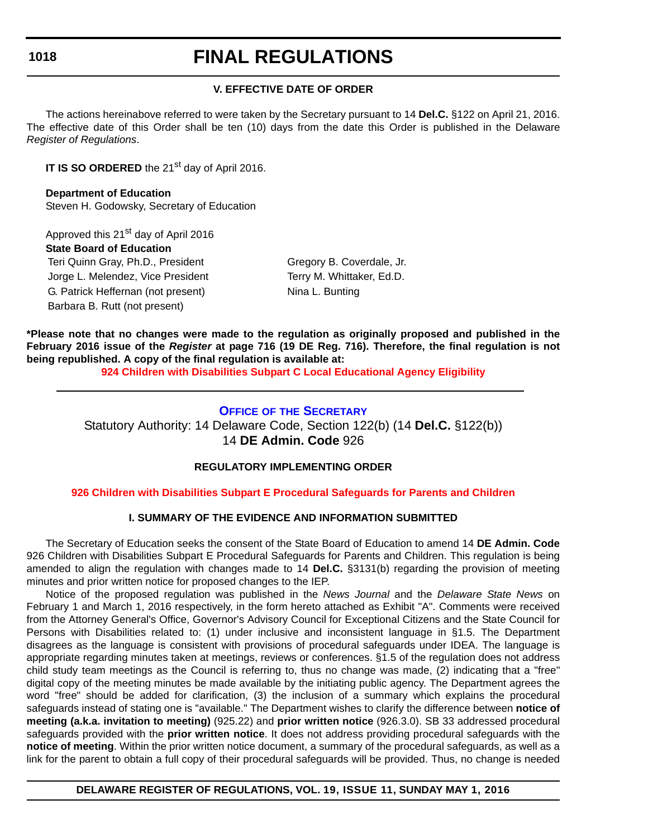# **FINAL REGULATIONS**

# **V. EFFECTIVE DATE OF ORDER**

The actions hereinabove referred to were taken by the Secretary pursuant to 14 **Del.C.** §122 on April 21, 2016. The effective date of this Order shall be ten (10) days from the date this Order is published in the Delaware *Register of Regulations*.

**IT IS SO ORDERED** the 21<sup>st</sup> day of April 2016.

**Department of Education** Steven H. Godowsky, Secretary of Education

Approved this 21<sup>st</sup> day of April 2016 **State Board of Education** Teri Quinn Gray, Ph.D., President Gregory B. Coverdale, Jr. Jorge L. Melendez, Vice President Terry M. Whittaker, Ed.D. G. Patrick Heffernan (not present) Nina L. Bunting Barbara B. Rutt (not present)

**\*Please note that no changes were made to the regulation as originally proposed and published in the February 2016 issue of the** *Register* **at page 716 (19 DE Reg. 716). Therefore, the final regulation is not being republished. A copy of the final regulation is available at:**

**[924 Children with Disabilities Subpart C Local Educational Agency Eligibility](http://regulations.delaware.gov/register/may2016/final/19 DE Reg 1017 05-01-16.htm)**

# **OFFICE OF [THE SECRETARY](https://pubapps.doe.k12.de.us/EducationalDirectoryPublic/pages/DDOE/Branches.aspx?page=branches&BID=1)**

Statutory Authority: 14 Delaware Code, Section 122(b) (14 **Del.C.** §122(b)) 14 **DE Admin. Code** 926

# **REGULATORY IMPLEMENTING ORDER**

# **[926 Children with Disabilities Subpart E Procedural Safeguards for Parents and Children](#page-4-0)**

# **I. SUMMARY OF THE EVIDENCE AND INFORMATION SUBMITTED**

The Secretary of Education seeks the consent of the State Board of Education to amend 14 **DE Admin. Code** 926 Children with Disabilities Subpart E Procedural Safeguards for Parents and Children. This regulation is being amended to align the regulation with changes made to 14 **Del.C.** §3131(b) regarding the provision of meeting minutes and prior written notice for proposed changes to the IEP.

Notice of the proposed regulation was published in the *News Journal* and the *Delaware State News* on February 1 and March 1, 2016 respectively, in the form hereto attached as Exhibit "A". Comments were received from the Attorney General's Office, Governor's Advisory Council for Exceptional Citizens and the State Council for Persons with Disabilities related to: (1) under inclusive and inconsistent language in §1.5. The Department disagrees as the language is consistent with provisions of procedural safeguards under IDEA. The language is appropriate regarding minutes taken at meetings, reviews or conferences. §1.5 of the regulation does not address child study team meetings as the Council is referring to, thus no change was made, (2) indicating that a "free" digital copy of the meeting minutes be made available by the initiating public agency. The Department agrees the word "free" should be added for clarification, (3) the inclusion of a summary which explains the procedural safeguards instead of stating one is "available." The Department wishes to clarify the difference between **notice of meeting (a.k.a. invitation to meeting)** (925.22) and **prior written notice** (926.3.0). SB 33 addressed procedural safeguards provided with the **prior written notice**. It does not address providing procedural safeguards with the **notice of meeting**. Within the prior written notice document, a summary of the procedural safeguards, as well as a link for the parent to obtain a full copy of their procedural safeguards will be provided. Thus, no change is needed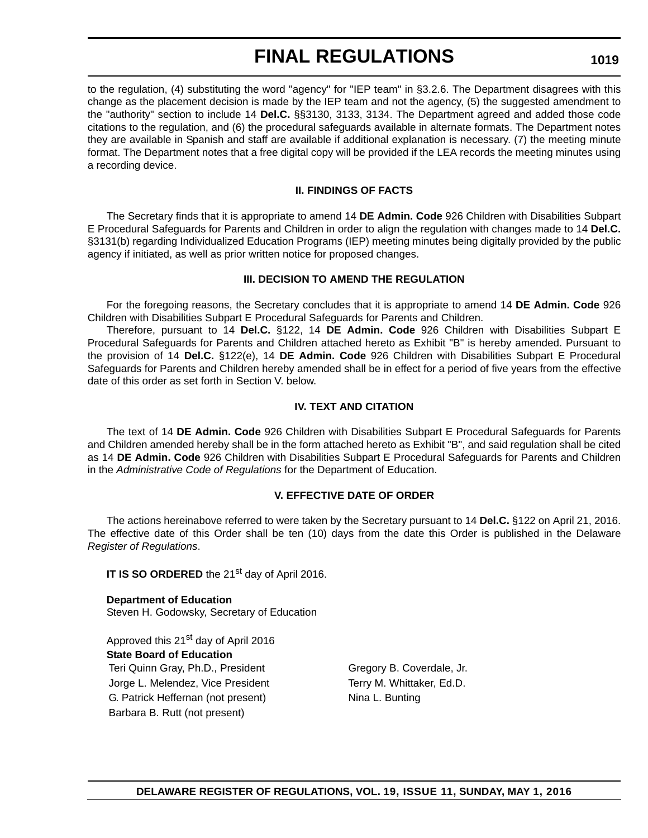# **FINAL REGULATIONS**

to the regulation, (4) substituting the word "agency" for "IEP team" in §3.2.6. The Department disagrees with this change as the placement decision is made by the IEP team and not the agency, (5) the suggested amendment to the "authority" section to include 14 **Del.C.** §§3130, 3133, 3134. The Department agreed and added those code citations to the regulation, and (6) the procedural safeguards available in alternate formats. The Department notes they are available in Spanish and staff are available if additional explanation is necessary. (7) the meeting minute format. The Department notes that a free digital copy will be provided if the LEA records the meeting minutes using a recording device.

# **II. FINDINGS OF FACTS**

The Secretary finds that it is appropriate to amend 14 **DE Admin. Code** 926 Children with Disabilities Subpart E Procedural Safeguards for Parents and Children in order to align the regulation with changes made to 14 **Del.C.** §3131(b) regarding Individualized Education Programs (IEP) meeting minutes being digitally provided by the public agency if initiated, as well as prior written notice for proposed changes.

# **III. DECISION TO AMEND THE REGULATION**

For the foregoing reasons, the Secretary concludes that it is appropriate to amend 14 **DE Admin. Code** 926 Children with Disabilities Subpart E Procedural Safeguards for Parents and Children.

Therefore, pursuant to 14 **Del.C.** §122, 14 **DE Admin. Code** 926 Children with Disabilities Subpart E Procedural Safeguards for Parents and Children attached hereto as Exhibit "B" is hereby amended. Pursuant to the provision of 14 **Del.C.** §122(e), 14 **DE Admin. Code** 926 Children with Disabilities Subpart E Procedural Safeguards for Parents and Children hereby amended shall be in effect for a period of five years from the effective date of this order as set forth in Section V. below.

#### **IV. TEXT AND CITATION**

The text of 14 **DE Admin. Code** 926 Children with Disabilities Subpart E Procedural Safeguards for Parents and Children amended hereby shall be in the form attached hereto as Exhibit "B", and said regulation shall be cited as 14 **DE Admin. Code** 926 Children with Disabilities Subpart E Procedural Safeguards for Parents and Children in the *Administrative Code of Regulations* for the Department of Education.

# **V. EFFECTIVE DATE OF ORDER**

The actions hereinabove referred to were taken by the Secretary pursuant to 14 **Del.C.** §122 on April 21, 2016. The effective date of this Order shall be ten (10) days from the date this Order is published in the Delaware *Register of Regulations*.

**IT IS SO ORDERED** the 21<sup>st</sup> day of April 2016.

**Department of Education** Steven H. Godowsky, Secretary of Education

Approved this 21<sup>st</sup> day of April 2016 **State Board of Education** Teri Quinn Gray, Ph.D., President Gregory B. Coverdale, Jr. Jorge L. Melendez, Vice President Terry M. Whittaker, Ed.D. G. Patrick Heffernan (not present) Nina L. Bunting Barbara B. Rutt (not present)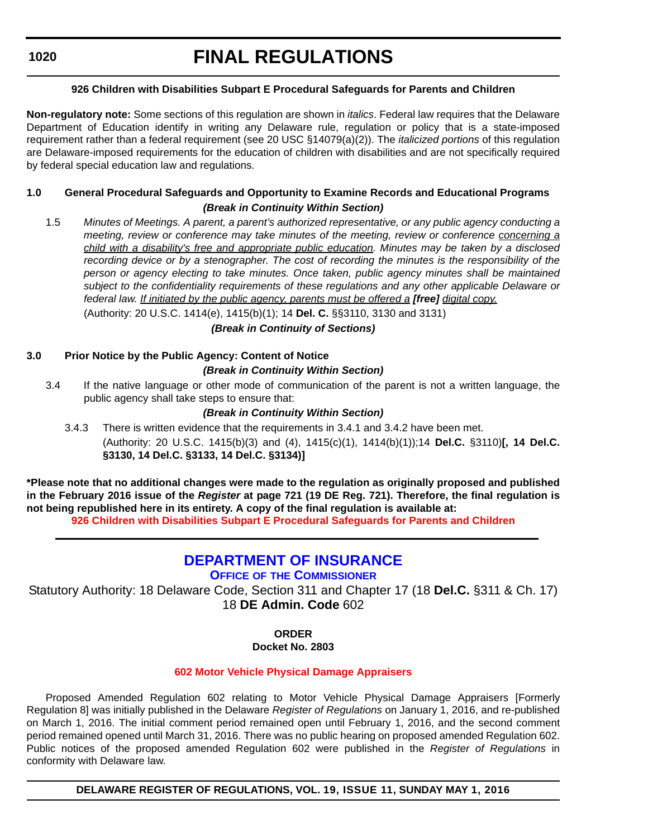# **FINAL REGULATIONS**

# **926 Children with Disabilities Subpart E Procedural Safeguards for Parents and Children**

**Non-regulatory note:** Some sections of this regulation are shown in *italics*. Federal law requires that the Delaware Department of Education identify in writing any Delaware rule, regulation or policy that is a state-imposed requirement rather than a federal requirement (see 20 USC §14079(a)(2)). The *italicized portions* of this regulation are Delaware-imposed requirements for the education of children with disabilities and are not specifically required by federal special education law and regulations.

# **1.0 General Procedural Safeguards and Opportunity to Examine Records and Educational Programs** *(Break in Continuity Within Section)*

1.5 *Minutes of Meetings. A parent, a parent's authorized representative, or any public agency conducting a meeting, review or conference may take minutes of the meeting, review or conference concerning a child with a disability's free and appropriate public education. Minutes may be taken by a disclosed recording device or by a stenographer. The cost of recording the minutes is the responsibility of the person or agency electing to take minutes. Once taken, public agency minutes shall be maintained subject to the confidentiality requirements of these regulations and any other applicable Delaware or federal law. If initiated by the public agency, parents must be offered a [free] digital copy.*

(Authority: 20 U.S.C. 1414(e), 1415(b)(1); 14 **Del. C.** §§3110, 3130 and 3131)

*(Break in Continuity of Sections)*

# **3.0 Prior Notice by the Public Agency: Content of Notice**

# *(Break in Continuity Within Section)*

3.4 If the native language or other mode of communication of the parent is not a written language, the public agency shall take steps to ensure that:

# *(Break in Continuity Within Section)*

3.4.3 There is written evidence that the requirements in 3.4.1 and 3.4.2 have been met. (Authority: 20 U.S.C. 1415(b)(3) and (4), 1415(c)(1), 1414(b)(1));14 **Del.C.** §3110)**[, 14 Del.C. §3130, 14 Del.C. §3133, 14 Del.C. §3134)]**

**\*Please note that no additional changes were made to the regulation as originally proposed and published in the February 2016 issue of the** *Register* **at page 721 (19 DE Reg. 721). Therefore, the final regulation is not being republished here in its entirety. A copy of the final regulation is available at:**

**[926 Children with Disabilities Subpart E Procedural Safeguards for Parents and Children](http://regulations.delaware.gov/register/may2016/final/19 DE Reg 1018 05-01-16.htm)**

# **[DEPARTMENT OF INSURANCE](http://www.delawareinsurance.gov/)**

**OFFICE OF [THE COMMISSIONER](http://www.delawareinsurance.gov/contact.shtml)**

Statutory Authority: 18 Delaware Code, Section 311 and Chapter 17 (18 **Del.C.** §311 & Ch. 17) 18 **DE Admin. Code** 602

**ORDER**

# **Docket No. 2803**

# **[602 Motor Vehicle Physical Damage Appraisers](#page-4-0)**

Proposed Amended Regulation 602 relating to Motor Vehicle Physical Damage Appraisers [Formerly Regulation 8] was initially published in the Delaware *Register of Regulations* on January 1, 2016, and re-published on March 1, 2016. The initial comment period remained open until February 1, 2016, and the second comment period remained opened until March 31, 2016. There was no public hearing on proposed amended Regulation 602. Public notices of the proposed amended Regulation 602 were published in the *Register of Regulations* in conformity with Delaware law.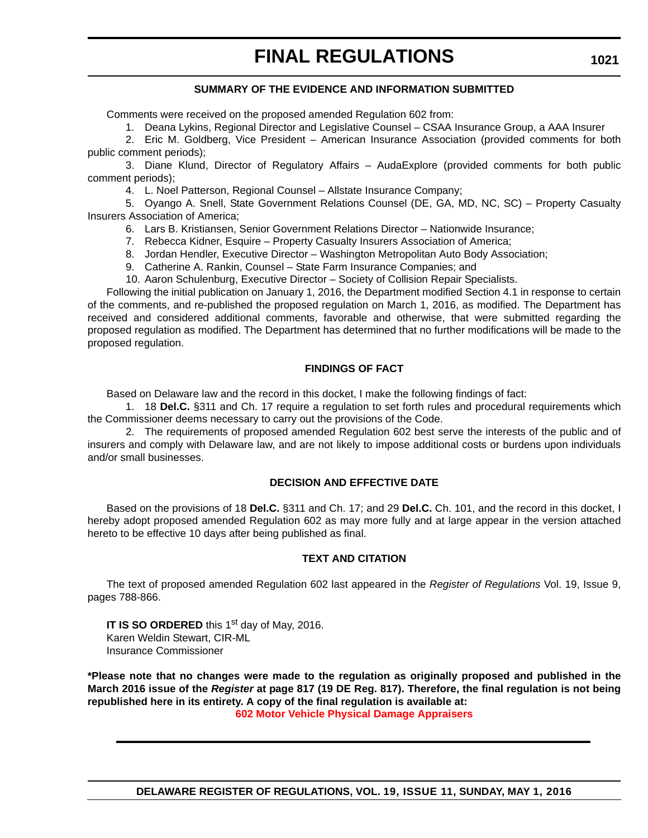#### **SUMMARY OF THE EVIDENCE AND INFORMATION SUBMITTED**

Comments were received on the proposed amended Regulation 602 from:

1. Deana Lykins, Regional Director and Legislative Counsel – CSAA Insurance Group, a AAA Insurer

2. Eric M. Goldberg, Vice President – American Insurance Association (provided comments for both public comment periods);

3. Diane Klund, Director of Regulatory Affairs – AudaExplore (provided comments for both public comment periods);

4. L. Noel Patterson, Regional Counsel – Allstate Insurance Company;

5. Oyango A. Snell, State Government Relations Counsel (DE, GA, MD, NC, SC) – Property Casualty Insurers Association of America;

6. Lars B. Kristiansen, Senior Government Relations Director – Nationwide Insurance;

- 7. Rebecca Kidner, Esquire Property Casualty Insurers Association of America;
- 8. Jordan Hendler, Executive Director Washington Metropolitan Auto Body Association;
- 9. Catherine A. Rankin, Counsel State Farm Insurance Companies; and

10. Aaron Schulenburg, Executive Director – Society of Collision Repair Specialists.

Following the initial publication on January 1, 2016, the Department modified Section 4.1 in response to certain of the comments, and re-published the proposed regulation on March 1, 2016, as modified. The Department has received and considered additional comments, favorable and otherwise, that were submitted regarding the proposed regulation as modified. The Department has determined that no further modifications will be made to the proposed regulation.

#### **FINDINGS OF FACT**

Based on Delaware law and the record in this docket, I make the following findings of fact:

1. 18 **Del.C.** §311 and Ch. 17 require a regulation to set forth rules and procedural requirements which the Commissioner deems necessary to carry out the provisions of the Code.

2. The requirements of proposed amended Regulation 602 best serve the interests of the public and of insurers and comply with Delaware law, and are not likely to impose additional costs or burdens upon individuals and/or small businesses.

#### **DECISION AND EFFECTIVE DATE**

Based on the provisions of 18 **Del.C.** §311 and Ch. 17; and 29 **Del.C.** Ch. 101, and the record in this docket, I hereby adopt proposed amended Regulation 602 as may more fully and at large appear in the version attached hereto to be effective 10 days after being published as final.

#### **TEXT AND CITATION**

The text of proposed amended Regulation 602 last appeared in the *Register of Regulations* Vol. 19, Issue 9, pages 788-866.

**IT IS SO ORDERED** this 1<sup>st</sup> day of May, 2016. Karen Weldin Stewart, CIR-ML Insurance Commissioner

**\*Please note that no changes were made to the regulation as originally proposed and published in the March 2016 issue of the** *Register* **at page 817 (19 DE Reg. 817). Therefore, the final regulation is not being republished here in its entirety. A copy of the final regulation is available at: [602 Motor Vehicle Physical Damage Appraisers](http://regulations.delaware.gov/register/may2016/final/19 DE Reg 1020 05-01-16.htm)**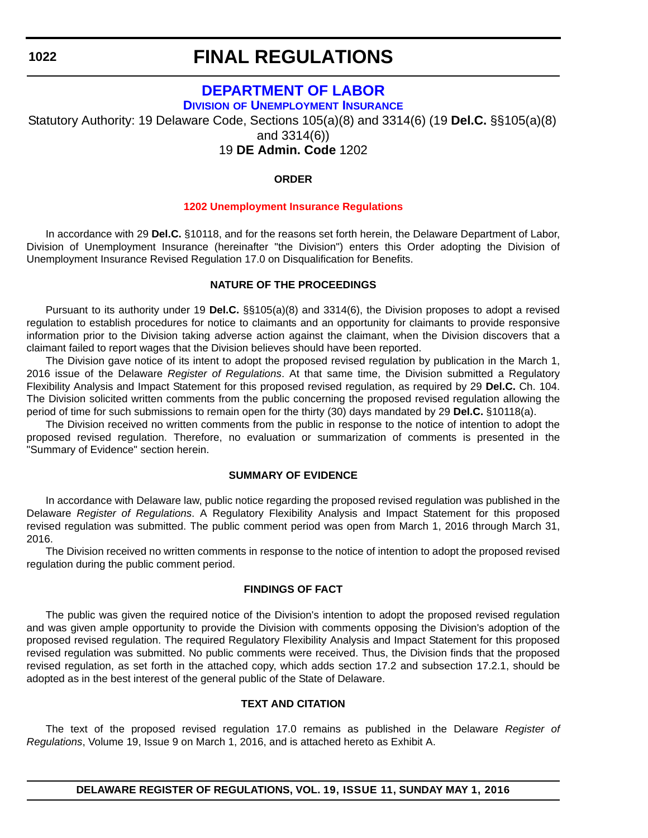# **FINAL REGULATIONS**

# **[DEPARTMENT OF LABOR](http://dol.delaware.gov/)**

**DIVISION [OF UNEMPLOYMENT INSURANCE](https://ui.delawareworks.com/)**

Statutory Authority: 19 Delaware Code, Sections 105(a)(8) and 3314(6) (19 **Del.C.** §§105(a)(8) and 3314(6))

19 **DE Admin. Code** 1202

#### **ORDER**

#### **[1202 Unemployment Insurance Regulations](#page-4-0)**

In accordance with 29 **Del.C.** §10118, and for the reasons set forth herein, the Delaware Department of Labor, Division of Unemployment Insurance (hereinafter "the Division") enters this Order adopting the Division of Unemployment Insurance Revised Regulation 17.0 on Disqualification for Benefits.

#### **NATURE OF THE PROCEEDINGS**

Pursuant to its authority under 19 **Del.C.** §§105(a)(8) and 3314(6), the Division proposes to adopt a revised regulation to establish procedures for notice to claimants and an opportunity for claimants to provide responsive information prior to the Division taking adverse action against the claimant, when the Division discovers that a claimant failed to report wages that the Division believes should have been reported.

The Division gave notice of its intent to adopt the proposed revised regulation by publication in the March 1, 2016 issue of the Delaware *Register of Regulations*. At that same time, the Division submitted a Regulatory Flexibility Analysis and Impact Statement for this proposed revised regulation, as required by 29 **Del.C.** Ch. 104. The Division solicited written comments from the public concerning the proposed revised regulation allowing the period of time for such submissions to remain open for the thirty (30) days mandated by 29 **Del.C.** §10118(a).

The Division received no written comments from the public in response to the notice of intention to adopt the proposed revised regulation. Therefore, no evaluation or summarization of comments is presented in the "Summary of Evidence" section herein.

#### **SUMMARY OF EVIDENCE**

In accordance with Delaware law, public notice regarding the proposed revised regulation was published in the Delaware *Register of Regulations*. A Regulatory Flexibility Analysis and Impact Statement for this proposed revised regulation was submitted. The public comment period was open from March 1, 2016 through March 31, 2016.

The Division received no written comments in response to the notice of intention to adopt the proposed revised regulation during the public comment period.

#### **FINDINGS OF FACT**

The public was given the required notice of the Division's intention to adopt the proposed revised regulation and was given ample opportunity to provide the Division with comments opposing the Division's adoption of the proposed revised regulation. The required Regulatory Flexibility Analysis and Impact Statement for this proposed revised regulation was submitted. No public comments were received. Thus, the Division finds that the proposed revised regulation, as set forth in the attached copy, which adds section 17.2 and subsection 17.2.1, should be adopted as in the best interest of the general public of the State of Delaware.

#### **TEXT AND CITATION**

The text of the proposed revised regulation 17.0 remains as published in the Delaware *Register of Regulations*, Volume 19, Issue 9 on March 1, 2016, and is attached hereto as Exhibit A.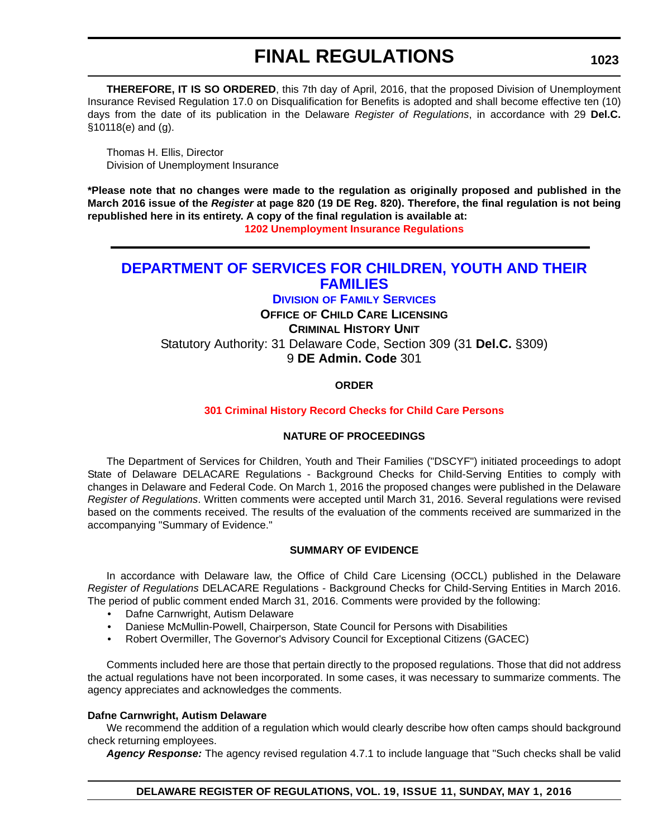**THEREFORE, IT IS SO ORDERED**, this 7th day of April, 2016, that the proposed Division of Unemployment Insurance Revised Regulation 17.0 on Disqualification for Benefits is adopted and shall become effective ten (10) days from the date of its publication in the Delaware *Register of Regulations*, in accordance with 29 **Del.C.** §10118(e) and (g).

Thomas H. Ellis, Director Division of Unemployment Insurance

**\*Please note that no changes were made to the regulation as originally proposed and published in the March 2016 issue of the** *Register* **at page 820 (19 DE Reg. 820). Therefore, the final regulation is not being republished here in its entirety. A copy of the final regulation is available at:**

**[1202 Unemployment Insurance Regulations](http://regulations.delaware.gov/register/may2016/final/19 DE Reg 1022 05-01-16.htm)**

### **[DEPARTMENT OF SERVICES FOR CHILDREN, YOUTH AND THEIR](http://kids.delaware.gov/)  FAMILIES**

**DIVISION [OF FAMILY SERVICES](http://kids.delaware.gov/fs/fs.shtml) OFFICE OF CHILD CARE LICENSING CRIMINAL HISTORY UNIT** Statutory Authority: 31 Delaware Code, Section 309 (31 **Del.C.** §309)

9 **DE Admin. Code** 301

**ORDER**

#### **[301 Criminal History Record Checks for Child Care Persons](#page-4-0)**

#### **NATURE OF PROCEEDINGS**

The Department of Services for Children, Youth and Their Families ("DSCYF") initiated proceedings to adopt State of Delaware DELACARE Regulations - Background Checks for Child-Serving Entities to comply with changes in Delaware and Federal Code. On March 1, 2016 the proposed changes were published in the Delaware *Register of Regulations*. Written comments were accepted until March 31, 2016. Several regulations were revised based on the comments received. The results of the evaluation of the comments received are summarized in the accompanying "Summary of Evidence."

#### **SUMMARY OF EVIDENCE**

In accordance with Delaware law, the Office of Child Care Licensing (OCCL) published in the Delaware *Register of Regulations* DELACARE Regulations - Background Checks for Child-Serving Entities in March 2016. The period of public comment ended March 31, 2016. Comments were provided by the following:

- Dafne Carnwright, Autism Delaware
- Daniese McMullin-Powell, Chairperson, State Council for Persons with Disabilities
- Robert Overmiller, The Governor's Advisory Council for Exceptional Citizens (GACEC)

Comments included here are those that pertain directly to the proposed regulations. Those that did not address the actual regulations have not been incorporated. In some cases, it was necessary to summarize comments. The agency appreciates and acknowledges the comments.

#### **Dafne Carnwright, Autism Delaware**

We recommend the addition of a regulation which would clearly describe how often camps should background check returning employees.

*Agency Response:* The agency revised regulation 4.7.1 to include language that "Such checks shall be valid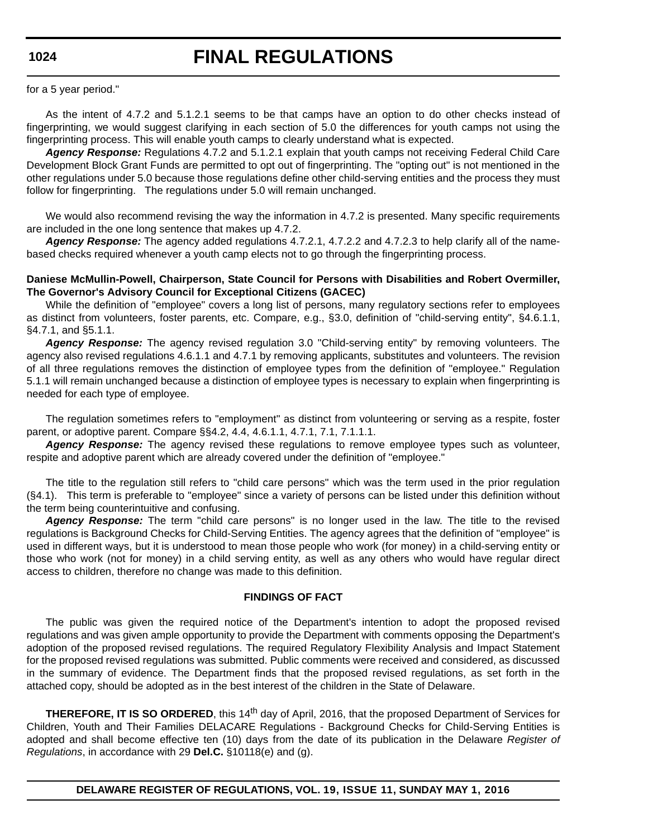# **FINAL REGULATIONS**

for a 5 year period."

As the intent of 4.7.2 and 5.1.2.1 seems to be that camps have an option to do other checks instead of fingerprinting, we would suggest clarifying in each section of 5.0 the differences for youth camps not using the fingerprinting process. This will enable youth camps to clearly understand what is expected.

*Agency Response:* Regulations 4.7.2 and 5.1.2.1 explain that youth camps not receiving Federal Child Care Development Block Grant Funds are permitted to opt out of fingerprinting. The "opting out" is not mentioned in the other regulations under 5.0 because those regulations define other child-serving entities and the process they must follow for fingerprinting. The regulations under 5.0 will remain unchanged.

We would also recommend revising the way the information in 4.7.2 is presented. Many specific requirements are included in the one long sentence that makes up 4.7.2.

*Agency Response:* The agency added regulations 4.7.2.1, 4.7.2.2 and 4.7.2.3 to help clarify all of the namebased checks required whenever a youth camp elects not to go through the fingerprinting process.

#### **Daniese McMullin-Powell, Chairperson, State Council for Persons with Disabilities and Robert Overmiller, The Governor's Advisory Council for Exceptional Citizens (GACEC)**

While the definition of "employee" covers a long list of persons, many regulatory sections refer to employees as distinct from volunteers, foster parents, etc. Compare, e.g., §3.0, definition of "child-serving entity", §4.6.1.1, §4.7.1, and §5.1.1.

*Agency Response:* The agency revised regulation 3.0 "Child-serving entity" by removing volunteers. The agency also revised regulations 4.6.1.1 and 4.7.1 by removing applicants, substitutes and volunteers. The revision of all three regulations removes the distinction of employee types from the definition of "employee." Regulation 5.1.1 will remain unchanged because a distinction of employee types is necessary to explain when fingerprinting is needed for each type of employee.

The regulation sometimes refers to "employment" as distinct from volunteering or serving as a respite, foster parent, or adoptive parent. Compare §§4.2, 4.4, 4.6.1.1, 4.7.1, 7.1, 7.1.1.1.

*Agency Response:* The agency revised these regulations to remove employee types such as volunteer, respite and adoptive parent which are already covered under the definition of "employee."

The title to the regulation still refers to "child care persons" which was the term used in the prior regulation (§4.1). This term is preferable to "employee" since a variety of persons can be listed under this definition without the term being counterintuitive and confusing.

*Agency Response:* The term "child care persons" is no longer used in the law. The title to the revised regulations is Background Checks for Child-Serving Entities. The agency agrees that the definition of "employee" is used in different ways, but it is understood to mean those people who work (for money) in a child-serving entity or those who work (not for money) in a child serving entity, as well as any others who would have regular direct access to children, therefore no change was made to this definition.

#### **FINDINGS OF FACT**

The public was given the required notice of the Department's intention to adopt the proposed revised regulations and was given ample opportunity to provide the Department with comments opposing the Department's adoption of the proposed revised regulations. The required Regulatory Flexibility Analysis and Impact Statement for the proposed revised regulations was submitted. Public comments were received and considered, as discussed in the summary of evidence. The Department finds that the proposed revised regulations, as set forth in the attached copy, should be adopted as in the best interest of the children in the State of Delaware.

**THEREFORE, IT IS SO ORDERED**, this 14<sup>th</sup> day of April, 2016, that the proposed Department of Services for Children, Youth and Their Families DELACARE Regulations - Background Checks for Child-Serving Entities is adopted and shall become effective ten (10) days from the date of its publication in the Delaware *Register of Regulations*, in accordance with 29 **Del.C.** §10118(e) and (g).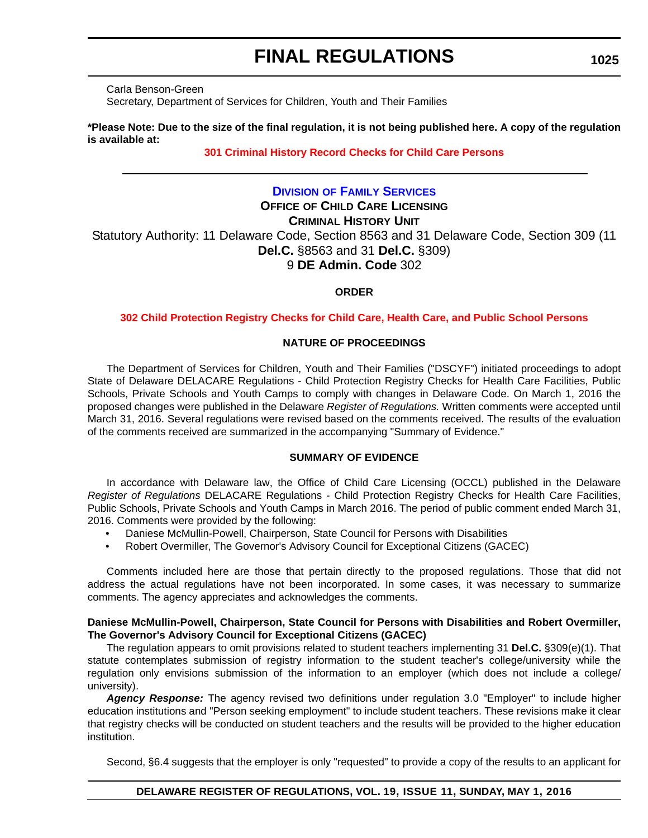Carla Benson-Green Secretary, Department of Services for Children, Youth and Their Families

#### **\*Please Note: Due to the size of the final regulation, it is not being published here. A copy of the regulation is available at:**

#### **[301 Criminal History Record Checks for Child Care Persons](http://regulations.delaware.gov/register/may2016/final/19 DE Reg 1023 05-01-16.htm)**

#### **DIVISION [OF FAMILY SERVICES](http://kids.delaware.gov/fs/fs.shtml)**

**OFFICE OF CHILD CARE LICENSING**

#### **CRIMINAL HISTORY UNIT**

Statutory Authority: 11 Delaware Code, Section 8563 and 31 Delaware Code, Section 309 (11 **Del.C.** §8563 and 31 **Del.C.** §309) 9 **DE Admin. Code** 302

#### **ORDER**

#### **[302 Child Protection Registry Checks for Child Care, Health Care, and Public School Persons](#page-4-0)**

#### **NATURE OF PROCEEDINGS**

The Department of Services for Children, Youth and Their Families ("DSCYF") initiated proceedings to adopt State of Delaware DELACARE Regulations - Child Protection Registry Checks for Health Care Facilities, Public Schools, Private Schools and Youth Camps to comply with changes in Delaware Code. On March 1, 2016 the proposed changes were published in the Delaware *Register of Regulations.* Written comments were accepted until March 31, 2016. Several regulations were revised based on the comments received. The results of the evaluation of the comments received are summarized in the accompanying "Summary of Evidence."

#### **SUMMARY OF EVIDENCE**

In accordance with Delaware law, the Office of Child Care Licensing (OCCL) published in the Delaware *Register of Regulations* DELACARE Regulations - Child Protection Registry Checks for Health Care Facilities, Public Schools, Private Schools and Youth Camps in March 2016. The period of public comment ended March 31, 2016. Comments were provided by the following:

- Daniese McMullin-Powell, Chairperson, State Council for Persons with Disabilities
- Robert Overmiller, The Governor's Advisory Council for Exceptional Citizens (GACEC)

Comments included here are those that pertain directly to the proposed regulations. Those that did not address the actual regulations have not been incorporated. In some cases, it was necessary to summarize comments. The agency appreciates and acknowledges the comments.

#### **Daniese McMullin-Powell, Chairperson, State Council for Persons with Disabilities and Robert Overmiller, The Governor's Advisory Council for Exceptional Citizens (GACEC)**

The regulation appears to omit provisions related to student teachers implementing 31 **Del.C.** §309(e)(1). That statute contemplates submission of registry information to the student teacher's college/university while the regulation only envisions submission of the information to an employer (which does not include a college/ university).

*Agency Response:* The agency revised two definitions under regulation 3.0 "Employer" to include higher education institutions and "Person seeking employment" to include student teachers. These revisions make it clear that registry checks will be conducted on student teachers and the results will be provided to the higher education institution.

Second, §6.4 suggests that the employer is only "requested" to provide a copy of the results to an applicant for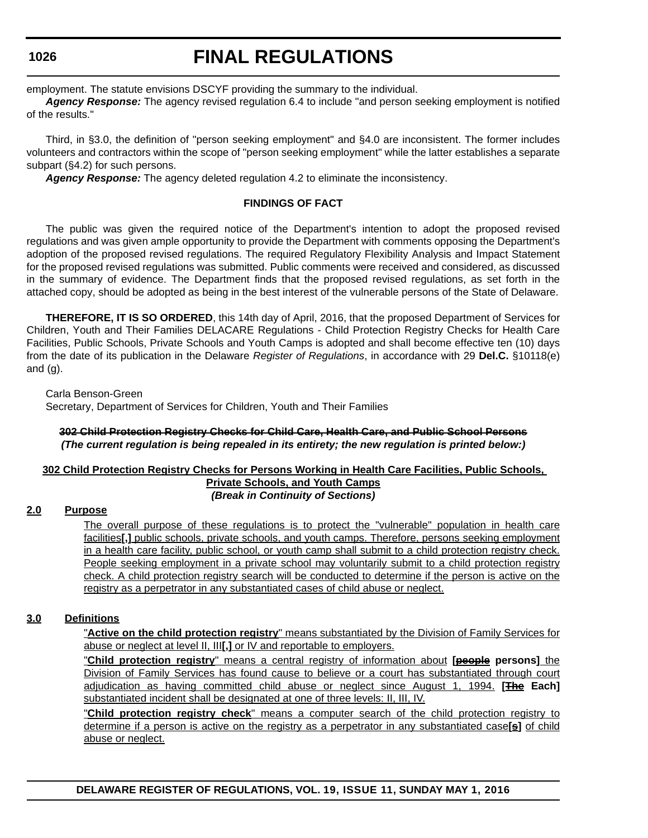# **FINAL REGULATIONS**

employment. The statute envisions DSCYF providing the summary to the individual.

*Agency Response:* The agency revised regulation 6.4 to include "and person seeking employment is notified of the results."

Third, in §3.0, the definition of "person seeking employment" and §4.0 are inconsistent. The former includes volunteers and contractors within the scope of "person seeking employment" while the latter establishes a separate subpart (§4.2) for such persons.

*Agency Response:* The agency deleted regulation 4.2 to eliminate the inconsistency.

#### **FINDINGS OF FACT**

The public was given the required notice of the Department's intention to adopt the proposed revised regulations and was given ample opportunity to provide the Department with comments opposing the Department's adoption of the proposed revised regulations. The required Regulatory Flexibility Analysis and Impact Statement for the proposed revised regulations was submitted. Public comments were received and considered, as discussed in the summary of evidence. The Department finds that the proposed revised regulations, as set forth in the attached copy, should be adopted as being in the best interest of the vulnerable persons of the State of Delaware.

**THEREFORE, IT IS SO ORDERED**, this 14th day of April, 2016, that the proposed Department of Services for Children, Youth and Their Families DELACARE Regulations - Child Protection Registry Checks for Health Care Facilities, Public Schools, Private Schools and Youth Camps is adopted and shall become effective ten (10) days from the date of its publication in the Delaware *Register of Regulations*, in accordance with 29 **Del.C.** §10118(e) and  $(a)$ .

Carla Benson-Green

Secretary, Department of Services for Children, Youth and Their Families

#### **302 Child Protection Registry Checks for Child Care, Health Care, and Public School Persons** *(The current regulation is being repealed in its entirety; the new regulation is printed below:)*

#### **302 Child Protection Registry Checks for Persons Working in Health Care Facilities, Public Schools, Private Schools, and Youth Camps** *(Break in Continuity of Sections)*

#### **2.0 Purpose**

The overall purpose of these regulations is to protect the "vulnerable" population in health care facilities**[,]** public schools, private schools, and youth camps. Therefore, persons seeking employment in a health care facility, public school, or youth camp shall submit to a child protection registry check. People seeking employment in a private school may voluntarily submit to a child protection registry check. A child protection registry search will be conducted to determine if the person is active on the registry as a perpetrator in any substantiated cases of child abuse or neglect.

#### **3.0 Definitions**

"**Active on the child protection registry**" means substantiated by the Division of Family Services for abuse or neglect at level II, III**[,]** or IV and reportable to employers.

"**Child protection registry**" means a central registry of information about **[people persons]** the Division of Family Services has found cause to believe or a court has substantiated through court adjudication as having committed child abuse or neglect since August 1, 1994. **[The Each]** substantiated incident shall be designated at one of three levels: II, III, IV.

"**Child protection registry check**" means a computer search of the child protection registry to determine if a person is active on the registry as a perpetrator in any substantiated case**[s]** of child abuse or neglect.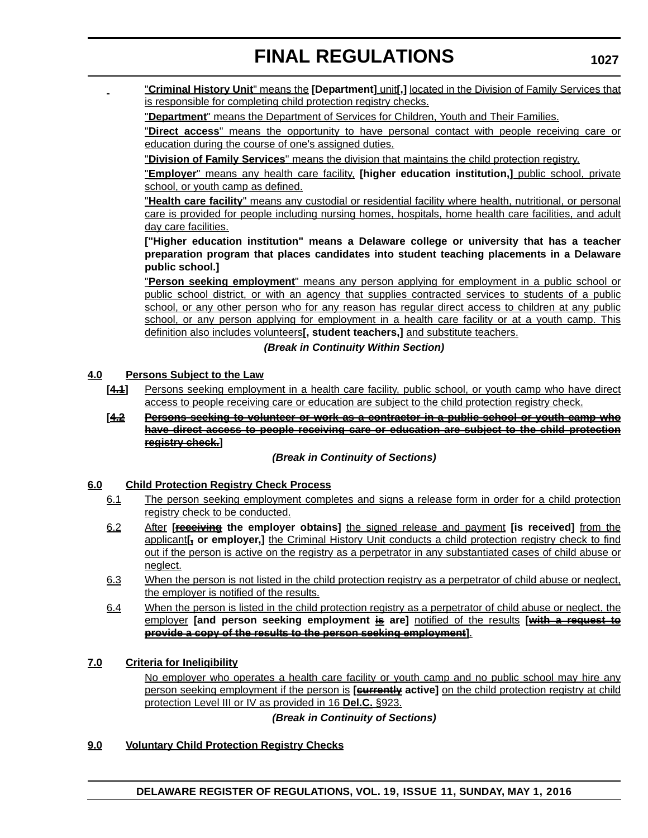"**Criminal History Unit**" means the **[Department]** unit**[,]** located in the Division of Family Services that is responsible for completing child protection registry checks.

"**Department**" means the Department of Services for Children, Youth and Their Families.

"**Direct access**" means the opportunity to have personal contact with people receiving care or education during the course of one's assigned duties.

"**Division of Family Services**" means the division that maintains the child protection registry.

"**Employer**" means any health care facility, **[higher education institution,]** public school, private school, or youth camp as defined.

"**Health care facility**" means any custodial or residential facility where health, nutritional, or personal care is provided for people including nursing homes, hospitals, home health care facilities, and adult day care facilities.

**["Higher education institution" means a Delaware college or university that has a teacher preparation program that places candidates into student teaching placements in a Delaware public school.]**

"**Person seeking employment**" means any person applying for employment in a public school or public school district, or with an agency that supplies contracted services to students of a public school, or any other person who for any reason has regular direct access to children at any public school, or any person applying for employment in a health care facility or at a youth camp. This definition also includes volunteers**[, student teachers,]** and substitute teachers.

#### *(Break in Continuity Within Section)*

#### **4.0 Persons Subject to the Law**

- [4.1] Persons seeking employment in a health care facility, public school, or youth camp who have direct access to people receiving care or education are subject to the child protection registry check.
- **[4.2 Persons seeking to volunteer or work as a contractor in a public school or youth camp who have direct access to people receiving care or education are subject to the child protection registry check.]**

#### *(Break in Continuity of Sections)*

#### **6.0 Child Protection Registry Check Process**

- 6.1 The person seeking employment completes and signs a release form in order for a child protection registry check to be conducted.
- 6.2 After **[receiving the employer obtains]** the signed release and payment **[is received]** from the applicant<sub>[</sub>, or employer,] the Criminal History Unit conducts a child protection registry check to find out if the person is active on the registry as a perpetrator in any substantiated cases of child abuse or neglect.
- 6.3 When the person is not listed in the child protection registry as a perpetrator of child abuse or neglect, the employer is notified of the results.
- 6.4 When the person is listed in the child protection registry as a perpetrator of child abuse or neglect, the employer **[and person seeking employment is are]** notified of the results **[with a request to provide a copy of the results to the person seeking employment]**.

#### **7.0 Criteria for Ineligibility**

No employer who operates a health care facility or youth camp and no public school may hire any person seeking employment if the person is **[currently active]** on the child protection registry at child protection Level III or IV as provided in 16 **Del.C.** §923.

*(Break in Continuity of Sections)*

#### **9.0 Voluntary Child Protection Registry Checks**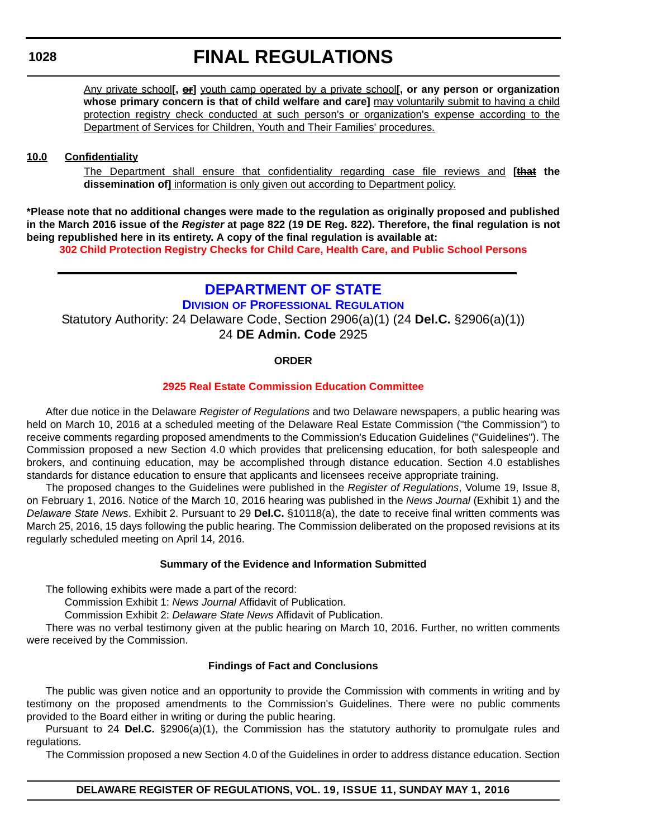Any private school**[, or]** youth camp operated by a private school**[, or any person or organization whose primary concern is that of child welfare and care]** may voluntarily submit to having a child protection registry check conducted at such person's or organization's expense according to the Department of Services for Children, Youth and Their Families' procedures.

#### **10.0 Confidentiality**

The Department shall ensure that confidentiality regarding case file reviews and **[that the dissemination of]** information is only given out according to Department policy.

**\*Please note that no additional changes were made to the regulation as originally proposed and published in the March 2016 issue of the** *Register* **at page 822 (19 DE Reg. 822). Therefore, the final regulation is not being republished here in its entirety. A copy of the final regulation is available at:**

**[302 Child Protection Registry Checks for Child Care, Health Care, and Public School Persons](http://regulations.delaware.gov/register/may2016/final/19 DE Reg 1025 05-01-16.htm)**

## **[DEPARTMENT OF STATE](http://sos.delaware.gov/)**

**DIVISION [OF PROFESSIONAL REGULATION](http://dpr.delaware.gov/)** Statutory Authority: 24 Delaware Code, Section 2906(a)(1) (24 **Del.C.** §2906(a)(1)) 24 **DE Admin. Code** 2925

#### **ORDER**

#### **[2925 Real Estate Commission Education Committee](#page-4-0)**

After due notice in the Delaware *Register of Regulations* and two Delaware newspapers, a public hearing was held on March 10, 2016 at a scheduled meeting of the Delaware Real Estate Commission ("the Commission") to receive comments regarding proposed amendments to the Commission's Education Guidelines ("Guidelines"). The Commission proposed a new Section 4.0 which provides that prelicensing education, for both salespeople and brokers, and continuing education, may be accomplished through distance education. Section 4.0 establishes standards for distance education to ensure that applicants and licensees receive appropriate training.

The proposed changes to the Guidelines were published in the *Register of Regulations*, Volume 19, Issue 8, on February 1, 2016. Notice of the March 10, 2016 hearing was published in the *News Journal* (Exhibit 1) and the *Delaware State News*. Exhibit 2. Pursuant to 29 **Del.C.** §10118(a), the date to receive final written comments was March 25, 2016, 15 days following the public hearing. The Commission deliberated on the proposed revisions at its regularly scheduled meeting on April 14, 2016.

#### **Summary of the Evidence and Information Submitted**

The following exhibits were made a part of the record:

Commission Exhibit 1: *News Journal* Affidavit of Publication.

Commission Exhibit 2: *Delaware State News* Affidavit of Publication.

There was no verbal testimony given at the public hearing on March 10, 2016. Further, no written comments were received by the Commission.

#### **Findings of Fact and Conclusions**

The public was given notice and an opportunity to provide the Commission with comments in writing and by testimony on the proposed amendments to the Commission's Guidelines. There were no public comments provided to the Board either in writing or during the public hearing.

Pursuant to 24 **Del.C.** §2906(a)(1), the Commission has the statutory authority to promulgate rules and regulations.

The Commission proposed a new Section 4.0 of the Guidelines in order to address distance education. Section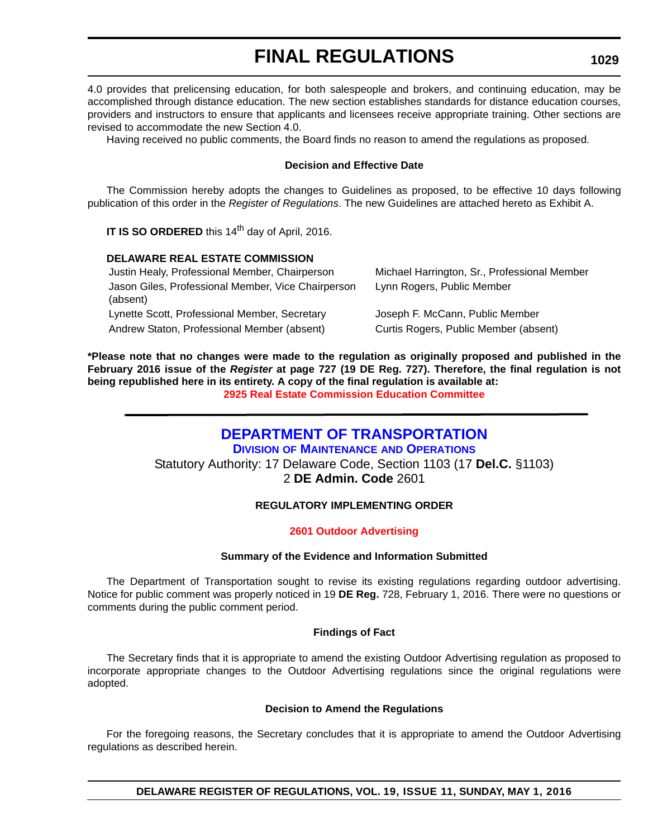4.0 provides that prelicensing education, for both salespeople and brokers, and continuing education, may be accomplished through distance education. The new section establishes standards for distance education courses, providers and instructors to ensure that applicants and licensees receive appropriate training. Other sections are revised to accommodate the new Section 4.0.

Having received no public comments, the Board finds no reason to amend the regulations as proposed.

#### **Decision and Effective Date**

The Commission hereby adopts the changes to Guidelines as proposed, to be effective 10 days following publication of this order in the *Register of Regulations*. The new Guidelines are attached hereto as Exhibit A.

**IT IS SO ORDERED** this 14<sup>th</sup> day of April, 2016.

#### **DELAWARE REAL ESTATE COMMISSION**

| Justin Healy, Professional Member, Chairperson                 | Michael Harrington, Sr., Professional Member |
|----------------------------------------------------------------|----------------------------------------------|
| Jason Giles, Professional Member, Vice Chairperson<br>(absent) | Lynn Rogers, Public Member                   |
| Lynette Scott, Professional Member, Secretary                  | Joseph F. McCann, Public Member              |
| Andrew Staton, Professional Member (absent)                    | Curtis Rogers, Public Member (absent)        |

**\*Please note that no changes were made to the regulation as originally proposed and published in the February 2016 issue of the** *Register* **at page 727 (19 DE Reg. 727). Therefore, the final regulation is not being republished here in its entirety. A copy of the final regulation is available at: [2925 Real Estate Commission Education Committee](http://regulations.delaware.gov/register/may2016/final/19 DE Reg 1028 05-01-16.htm)**

## **[DEPARTMENT OF TRANSPORTATION](http://www.deldot.gov/index.shtml)**

**DIVISION [OF MAINTENANCE](http://www.deldot.gov/home/divisions/) AND OPERATIONS** Statutory Authority: 17 Delaware Code, Section 1103 (17 **Del.C.** §1103) 2 **DE Admin. Code** 2601

#### **REGULATORY IMPLEMENTING ORDER**

#### **[2601 Outdoor Advertising](#page-4-0)**

#### **Summary of the Evidence and Information Submitted**

The Department of Transportation sought to revise its existing regulations regarding outdoor advertising. Notice for public comment was properly noticed in 19 **DE Reg.** 728, February 1, 2016. There were no questions or comments during the public comment period.

#### **Findings of Fact**

The Secretary finds that it is appropriate to amend the existing Outdoor Advertising regulation as proposed to incorporate appropriate changes to the Outdoor Advertising regulations since the original regulations were adopted.

#### **Decision to Amend the Regulations**

For the foregoing reasons, the Secretary concludes that it is appropriate to amend the Outdoor Advertising regulations as described herein.

#### **1029**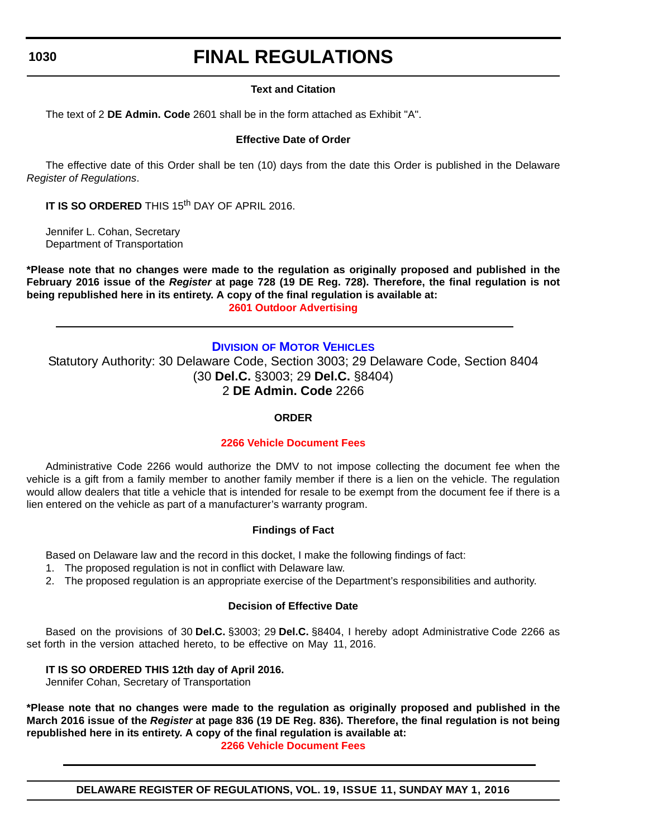# **FINAL REGULATIONS**

#### **Text and Citation**

The text of 2 **DE Admin. Code** 2601 shall be in the form attached as Exhibit "A".

### **Effective Date of Order**

The effective date of this Order shall be ten (10) days from the date this Order is published in the Delaware *Register of Regulations*.

**IT IS SO ORDERED** THIS 15<sup>th</sup> DAY OF APRIL 2016.

Jennifer L. Cohan, Secretary Department of Transportation

**\*Please note that no changes were made to the regulation as originally proposed and published in the February 2016 issue of the** *Register* **at page 728 (19 DE Reg. 728). Therefore, the final regulation is not being republished here in its entirety. A copy of the final regulation is available at: [2601 Outdoor Advertising](http://regulations.delaware.gov/register/may2016/final/19 DE Reg 1029 05-01-16.htm)**

#### **DIVISION [OF MOTOR VEHICLES](http://dmv.de.gov/)**

Statutory Authority: 30 Delaware Code, Section 3003; 29 Delaware Code, Section 8404 (30 **Del.C.** §3003; 29 **Del.C.** §8404) 2 **DE Admin. Code** 2266

#### **ORDER**

#### **[2266 Vehicle Document Fees](#page-4-0)**

Administrative Code 2266 would authorize the DMV to not impose collecting the document fee when the vehicle is a gift from a family member to another family member if there is a lien on the vehicle. The regulation would allow dealers that title a vehicle that is intended for resale to be exempt from the document fee if there is a lien entered on the vehicle as part of a manufacturer's warranty program.

#### **Findings of Fact**

Based on Delaware law and the record in this docket, I make the following findings of fact:

- 1. The proposed regulation is not in conflict with Delaware law.
- 2. The proposed regulation is an appropriate exercise of the Department's responsibilities and authority.

#### **Decision of Effective Date**

Based on the provisions of 30 **Del.C.** §3003; 29 **Del.C.** §8404, I hereby adopt Administrative Code 2266 as set forth in the version attached hereto, to be effective on May 11, 2016.

#### **IT IS SO ORDERED THIS 12th day of April 2016.**

Jennifer Cohan, Secretary of Transportation

**\*Please note that no changes were made to the regulation as originally proposed and published in the March 2016 issue of the** *Register* **at page 836 (19 DE Reg. 836). Therefore, the final regulation is not being republished here in its entirety. A copy of the final regulation is available at:**

**[2266 Vehicle Document Fees](http://regulations.delaware.gov/register/may2016/final/19 DE Reg 1030 05-01-16.htm)**

**DELAWARE REGISTER OF REGULATIONS, VOL. 19, ISSUE 11, SUNDAY MAY 1, 2016**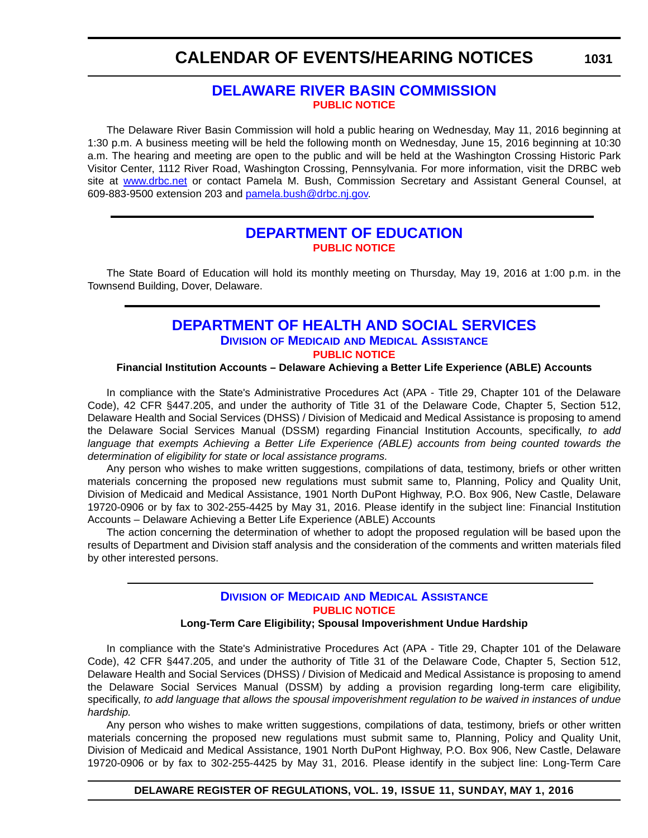# **CALENDAR OF EVENTS/HEARING NOTICES**

### **[DELAWARE RIVER BASIN COMMISSION](http://www.nj.gov/drbc/) [PUBLIC NOTICE](#page-4-0)**

The Delaware River Basin Commission will hold a public hearing on Wednesday, May 11, 2016 beginning at 1:30 p.m. A business meeting will be held the following month on Wednesday, June 15, 2016 beginning at 10:30 a.m. The hearing and meeting are open to the public and will be held at the Washington Crossing Historic Park Visitor Center, 1112 River Road, Washington Crossing, Pennsylvania. For more information, visit the DRBC web site at [www.drbc.net](http://www.drbc.net) or contact Pamela M. Bush, Commission Secretary and Assistant General Counsel, at 609-883-9500 extension 203 and [pamela.bush@drbc.nj.gov.](mailto:pamela.bush@drbc.nj.gov)

### **[DEPARTMENT OF EDUCATION](http://www.doe.k12.de.us/) [PUBLIC NOTICE](#page-4-0)**

The State Board of Education will hold its monthly meeting on Thursday, May 19, 2016 at 1:00 p.m. in the Townsend Building, Dover, Delaware.

### **[DEPARTMENT OF HEALTH AND SOCIAL SERVICES](www.dhss.delaware.gov/dhss/index.html) DIVISION OF MEDICAID [AND MEDICAL ASSISTANCE](http://www.dhss.delaware.gov/dhss/dmma/) [PUBLIC NOTICE](#page-4-0)**

#### **Financial Institution Accounts – Delaware Achieving a Better Life Experience (ABLE) Accounts**

In compliance with the State's Administrative Procedures Act (APA - Title 29, Chapter 101 of the Delaware Code), 42 CFR §447.205, and under the authority of Title 31 of the Delaware Code, Chapter 5, Section 512, Delaware Health and Social Services (DHSS) / Division of Medicaid and Medical Assistance is proposing to amend the Delaware Social Services Manual (DSSM) regarding Financial Institution Accounts, specifically, *to add language that exempts Achieving a Better Life Experience (ABLE) accounts from being counted towards the determination of eligibility for state or local assistance programs.*

Any person who wishes to make written suggestions, compilations of data, testimony, briefs or other written materials concerning the proposed new regulations must submit same to, Planning, Policy and Quality Unit, Division of Medicaid and Medical Assistance, 1901 North DuPont Highway, P.O. Box 906, New Castle, Delaware 19720-0906 or by fax to 302-255-4425 by May 31, 2016. Please identify in the subject line: Financial Institution Accounts – Delaware Achieving a Better Life Experience (ABLE) Accounts

The action concerning the determination of whether to adopt the proposed regulation will be based upon the results of Department and Division staff analysis and the consideration of the comments and written materials filed by other interested persons.

### **DIVISION OF MEDICAID [AND MEDICAL ASSISTANCE](http://www.dhss.delaware.gov/dhss/dmma/) [PUBLIC NOTICE](#page-4-0)**

#### **Long-Term Care Eligibility; Spousal Impoverishment Undue Hardship**

In compliance with the State's Administrative Procedures Act (APA - Title 29, Chapter 101 of the Delaware Code), 42 CFR §447.205, and under the authority of Title 31 of the Delaware Code, Chapter 5, Section 512, Delaware Health and Social Services (DHSS) / Division of Medicaid and Medical Assistance is proposing to amend the Delaware Social Services Manual (DSSM) by adding a provision regarding long-term care eligibility, specifically, *to add language that allows the spousal impoverishment regulation to be waived in instances of undue hardship.*

Any person who wishes to make written suggestions, compilations of data, testimony, briefs or other written materials concerning the proposed new regulations must submit same to, Planning, Policy and Quality Unit, Division of Medicaid and Medical Assistance, 1901 North DuPont Highway, P.O. Box 906, New Castle, Delaware 19720-0906 or by fax to 302-255-4425 by May 31, 2016. Please identify in the subject line: Long-Term Care

#### **1031**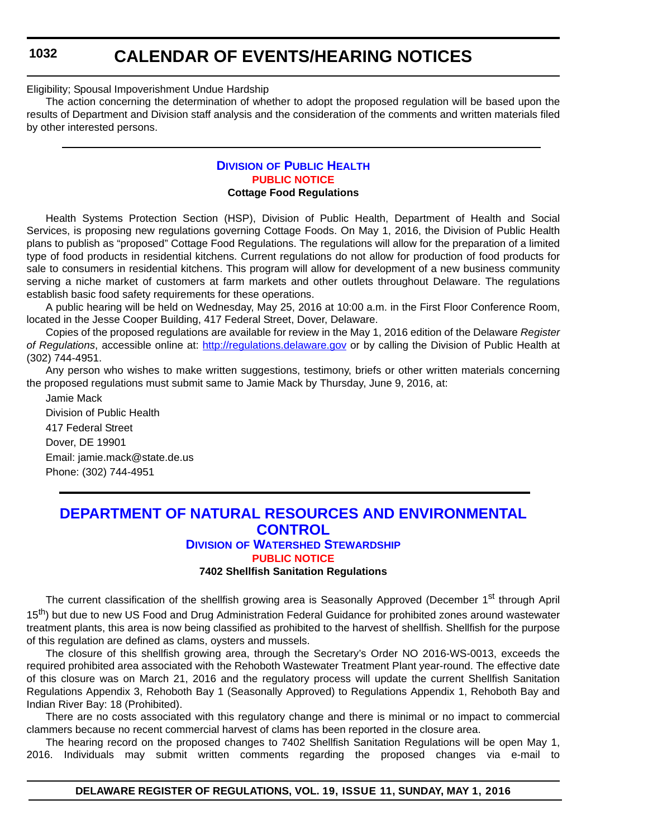## **CALENDAR OF EVENTS/HEARING NOTICES**

Eligibility; Spousal Impoverishment Undue Hardship

The action concerning the determination of whether to adopt the proposed regulation will be based upon the results of Department and Division staff analysis and the consideration of the comments and written materials filed by other interested persons.

#### **DIVISION [OF PUBLIC HEALTH](http://www.dhss.delaware.gov/dhss/dph/index.html) [PUBLIC NOTICE](#page-4-0) Cottage Food Regulations**

Health Systems Protection Section (HSP), Division of Public Health, Department of Health and Social Services, is proposing new regulations governing Cottage Foods. On May 1, 2016, the Division of Public Health plans to publish as "proposed" Cottage Food Regulations. The regulations will allow for the preparation of a limited type of food products in residential kitchens. Current regulations do not allow for production of food products for sale to consumers in residential kitchens. This program will allow for development of a new business community serving a niche market of customers at farm markets and other outlets throughout Delaware. The regulations establish basic food safety requirements for these operations.

A public hearing will be held on Wednesday, May 25, 2016 at 10:00 a.m. in the First Floor Conference Room, located in the Jesse Cooper Building, 417 Federal Street, Dover, Delaware.

Copies of the proposed regulations are available for review in the May 1, 2016 edition of the Delaware *Register of Regulations*, accessible online at: <http://regulations.delaware.gov>or by calling the Division of Public Health at (302) 744-4951.

Any person who wishes to make written suggestions, testimony, briefs or other written materials concerning the proposed regulations must submit same to Jamie Mack by Thursday, June 9, 2016, at:

Jamie Mack Division of Public Health 417 Federal Street Dover, DE 19901 Email: jamie.mack@state.de.us Phone: (302) 744-4951

## **[DEPARTMENT OF NATURAL RESOURCES AND ENVIRONMENTAL](http://www.dnrec.delaware.gov/Pages/Portal.aspx)  CONTROL**

#### **DIVISION [OF WATERSHED STEWARDSHIP](http://www.dnrec.delaware.gov/swc/Pages/portal.aspx) [PUBLIC NOTICE](#page-4-0)**

#### **7402 Shellfish Sanitation Regulations**

The current classification of the shellfish growing area is Seasonally Approved (December 1<sup>st</sup> through April 15<sup>th</sup>) but due to new US Food and Drug Administration Federal Guidance for prohibited zones around wastewater treatment plants, this area is now being classified as prohibited to the harvest of shellfish. Shellfish for the purpose of this regulation are defined as clams, oysters and mussels.

The closure of this shellfish growing area, through the Secretary's Order NO 2016-WS-0013, exceeds the required prohibited area associated with the Rehoboth Wastewater Treatment Plant year-round. The effective date of this closure was on March 21, 2016 and the regulatory process will update the current Shellfish Sanitation Regulations Appendix 3, Rehoboth Bay 1 (Seasonally Approved) to Regulations Appendix 1, Rehoboth Bay and Indian River Bay: 18 (Prohibited).

There are no costs associated with this regulatory change and there is minimal or no impact to commercial clammers because no recent commercial harvest of clams has been reported in the closure area.

The hearing record on the proposed changes to 7402 Shellfish Sanitation Regulations will be open May 1, 2016. Individuals may submit written comments regarding the proposed changes via e-mail to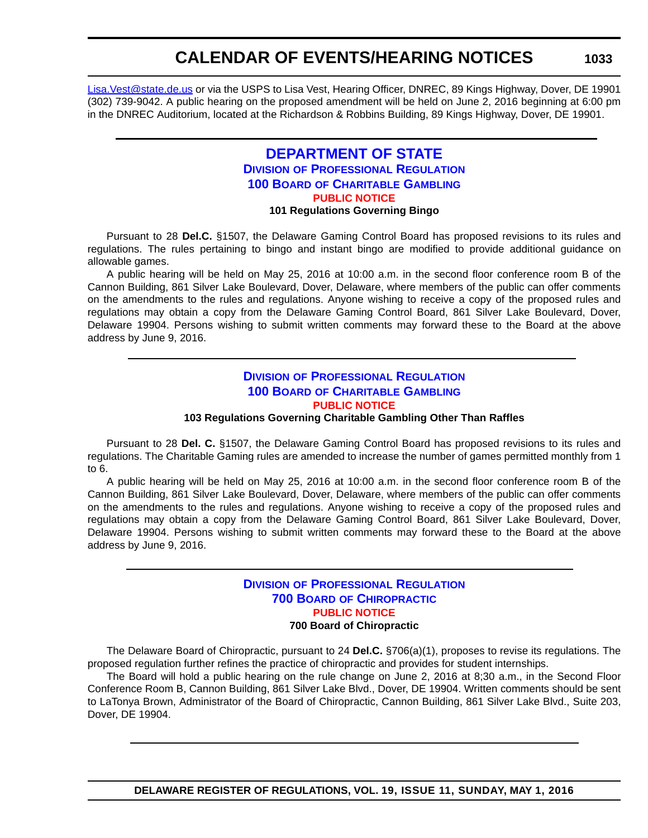# **CALENDAR OF EVENTS/HEARING NOTICES**

[Lisa.Vest@state.de.us](mailto:Lisa.Vest@state.de.us) or via the USPS to Lisa Vest, Hearing Officer, DNREC, 89 Kings Highway, Dover, DE 19901 (302) 739-9042. A public hearing on the proposed amendment will be held on June 2, 2016 beginning at 6:00 pm in the DNREC Auditorium, located at the Richardson & Robbins Building, 89 Kings Highway, Dover, DE 19901.

#### **[DEPARTMENT OF STATE](http://sos.delaware.gov/) DIVISION [OF PROFESSIONAL REGULATION](http://dpr.delaware.gov/) 100 BOARD [OF CHARITABLE GAMBLING](http://dpr.delaware.gov/boards/gaming/index.shtml) [PUBLIC NOTICE](#page-4-0) 101 Regulations Governing Bingo**

Pursuant to 28 **Del.C.** §1507, the Delaware Gaming Control Board has proposed revisions to its rules and regulations. The rules pertaining to bingo and instant bingo are modified to provide additional guidance on allowable games.

A public hearing will be held on May 25, 2016 at 10:00 a.m. in the second floor conference room B of the Cannon Building, 861 Silver Lake Boulevard, Dover, Delaware, where members of the public can offer comments on the amendments to the rules and regulations. Anyone wishing to receive a copy of the proposed rules and regulations may obtain a copy from the Delaware Gaming Control Board, 861 Silver Lake Boulevard, Dover, Delaware 19904. Persons wishing to submit written comments may forward these to the Board at the above address by June 9, 2016.

### **DIVISION [OF PROFESSIONAL REGULATION](http://dpr.delaware.gov/) 100 BOARD [OF CHARITABLE GAMBLING](http://dpr.delaware.gov/boards/gaming/index.shtml) [PUBLIC NOTICE](#page-4-0)**

**103 Regulations Governing Charitable Gambling Other Than Raffles**

Pursuant to 28 **Del. C.** §1507, the Delaware Gaming Control Board has proposed revisions to its rules and regulations. The Charitable Gaming rules are amended to increase the number of games permitted monthly from 1 to 6.

A public hearing will be held on May 25, 2016 at 10:00 a.m. in the second floor conference room B of the Cannon Building, 861 Silver Lake Boulevard, Dover, Delaware, where members of the public can offer comments on the amendments to the rules and regulations. Anyone wishing to receive a copy of the proposed rules and regulations may obtain a copy from the Delaware Gaming Control Board, 861 Silver Lake Boulevard, Dover, Delaware 19904. Persons wishing to submit written comments may forward these to the Board at the above address by June 9, 2016.

#### **DIVISION [OF PROFESSIONAL REGULATION](http://dpr.delaware.gov/) 700 BOARD [OF CHIROPRACTIC](http://dpr.delaware.gov/boards/chiropractic/index.shtml) [PUBLIC NOTICE](#page-4-0) 700 Board of Chiropractic**

The Delaware Board of Chiropractic, pursuant to 24 **Del.C.** §706(a)(1), proposes to revise its regulations. The proposed regulation further refines the practice of chiropractic and provides for student internships.

The Board will hold a public hearing on the rule change on June 2, 2016 at 8;30 a.m., in the Second Floor Conference Room B, Cannon Building, 861 Silver Lake Blvd., Dover, DE 19904. Written comments should be sent to LaTonya Brown, Administrator of the Board of Chiropractic, Cannon Building, 861 Silver Lake Blvd., Suite 203, Dover, DE 19904.

**DELAWARE REGISTER OF REGULATIONS, VOL. 19, ISSUE 11, SUNDAY, MAY 1, 2016**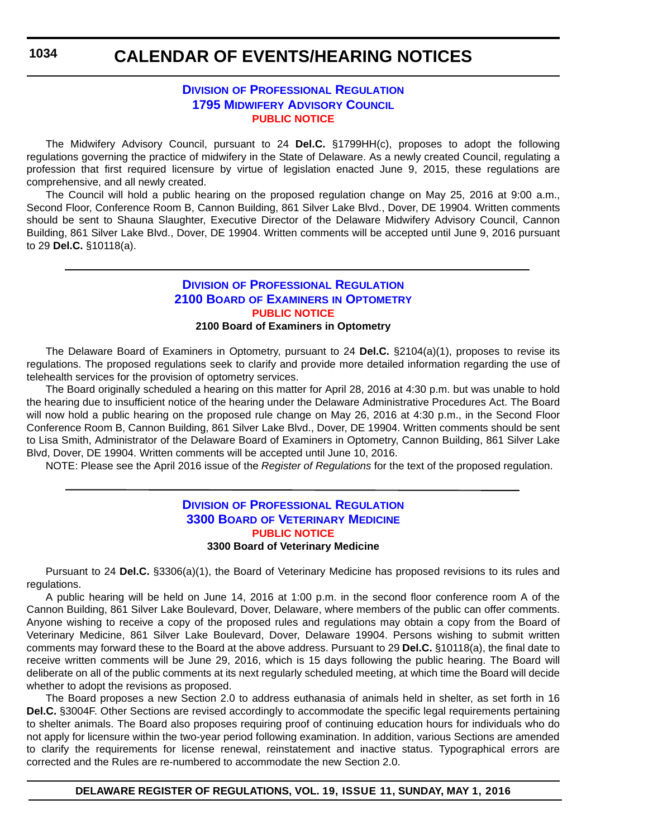# **CALENDAR OF EVENTS/HEARING NOTICES**

#### **DIVISION [OF PROFESSIONAL REGULATION](http://dpr.delaware.gov/) [1795 MIDWIFERY ADVISORY COUNCIL](http://dpr.delaware.gov/) [PUBLIC NOTICE](#page-4-0)**

The Midwifery Advisory Council, pursuant to 24 **Del.C.** §1799HH(c), proposes to adopt the following regulations governing the practice of midwifery in the State of Delaware. As a newly created Council, regulating a profession that first required licensure by virtue of legislation enacted June 9, 2015, these regulations are comprehensive, and all newly created.

The Council will hold a public hearing on the proposed regulation change on May 25, 2016 at 9:00 a.m., Second Floor, Conference Room B, Cannon Building, 861 Silver Lake Blvd., Dover, DE 19904. Written comments should be sent to Shauna Slaughter, Executive Director of the Delaware Midwifery Advisory Council, Cannon Building, 861 Silver Lake Blvd., Dover, DE 19904. Written comments will be accepted until June 9, 2016 pursuant to 29 **Del.C.** §10118(a).

#### **DIVISION [OF PROFESSIONAL REGULATION](http://dpr.delaware.gov/) 2100 BOARD OF EXAMINERS [IN OPTOMETRY](http://dpr.delaware.gov/boards/optometry/index.shtml) [PUBLIC NOTICE](#page-4-0) 2100 Board of Examiners in Optometry**

The Delaware Board of Examiners in Optometry, pursuant to 24 **Del.C.** §2104(a)(1), proposes to revise its regulations. The proposed regulations seek to clarify and provide more detailed information regarding the use of telehealth services for the provision of optometry services.

The Board originally scheduled a hearing on this matter for April 28, 2016 at 4:30 p.m. but was unable to hold the hearing due to insufficient notice of the hearing under the Delaware Administrative Procedures Act. The Board will now hold a public hearing on the proposed rule change on May 26, 2016 at 4:30 p.m., in the Second Floor Conference Room B, Cannon Building, 861 Silver Lake Blvd., Dover, DE 19904. Written comments should be sent to Lisa Smith, Administrator of the Delaware Board of Examiners in Optometry, Cannon Building, 861 Silver Lake Blvd, Dover, DE 19904. Written comments will be accepted until June 10, 2016.

NOTE: Please see the April 2016 issue of the *Register of Regulations* for the text of the proposed regulation.

#### **DIVISION [OF PROFESSIONAL REGULATION](http://dpr.delaware.gov/) 3300 BOARD [OF VETERINARY MEDICINE](http://dpr.delaware.gov/boards/veterinarymedicine/index.shtml) [PUBLIC NOTICE](#page-4-0) 3300 Board of Veterinary Medicine**

Pursuant to 24 **Del.C.** §3306(a)(1), the Board of Veterinary Medicine has proposed revisions to its rules and regulations.

A public hearing will be held on June 14, 2016 at 1:00 p.m. in the second floor conference room A of the Cannon Building, 861 Silver Lake Boulevard, Dover, Delaware, where members of the public can offer comments. Anyone wishing to receive a copy of the proposed rules and regulations may obtain a copy from the Board of Veterinary Medicine, 861 Silver Lake Boulevard, Dover, Delaware 19904. Persons wishing to submit written comments may forward these to the Board at the above address. Pursuant to 29 **Del.C.** §10118(a), the final date to receive written comments will be June 29, 2016, which is 15 days following the public hearing. The Board will deliberate on all of the public comments at its next regularly scheduled meeting, at which time the Board will decide whether to adopt the revisions as proposed.

The Board proposes a new Section 2.0 to address euthanasia of animals held in shelter, as set forth in 16 **Del.C.** §3004F. Other Sections are revised accordingly to accommodate the specific legal requirements pertaining to shelter animals. The Board also proposes requiring proof of continuing education hours for individuals who do not apply for licensure within the two-year period following examination. In addition, various Sections are amended to clarify the requirements for license renewal, reinstatement and inactive status. Typographical errors are corrected and the Rules are re-numbered to accommodate the new Section 2.0.